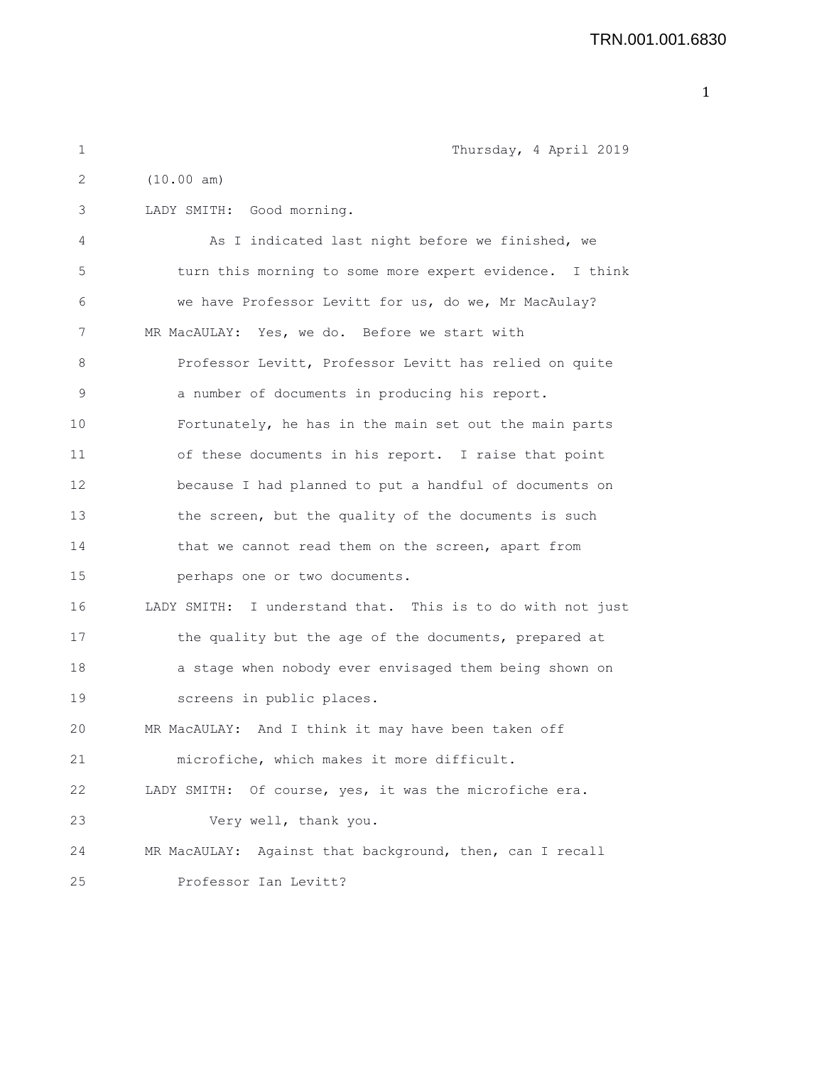| 1  | Thursday, 4 April 2019                                     |
|----|------------------------------------------------------------|
| 2  | (10.00 am)                                                 |
| 3  | LADY SMITH: Good morning.                                  |
| 4  | As I indicated last night before we finished, we           |
| 5  | turn this morning to some more expert evidence. I think    |
| 6  | we have Professor Levitt for us, do we, Mr MacAulay?       |
| 7  | MR MacAULAY: Yes, we do. Before we start with              |
| 8  | Professor Levitt, Professor Levitt has relied on quite     |
| 9  | a number of documents in producing his report.             |
| 10 | Fortunately, he has in the main set out the main parts     |
| 11 | of these documents in his report. I raise that point       |
| 12 | because I had planned to put a handful of documents on     |
| 13 | the screen, but the quality of the documents is such       |
| 14 | that we cannot read them on the screen, apart from         |
| 15 | perhaps one or two documents.                              |
| 16 | LADY SMITH: I understand that. This is to do with not just |
| 17 | the quality but the age of the documents, prepared at      |
| 18 | a stage when nobody ever envisaged them being shown on     |
| 19 | screens in public places.                                  |
| 20 | MR MacAULAY: And I think it may have been taken off        |
| 21 | microfiche, which makes it more difficult.                 |
| 22 | Of course, yes, it was the microfiche era.<br>LADY SMITH:  |
| 23 | Very well, thank you.                                      |
| 24 | MR MacAULAY: Against that background, then, can I recall   |
| 25 | Professor Ian Levitt?                                      |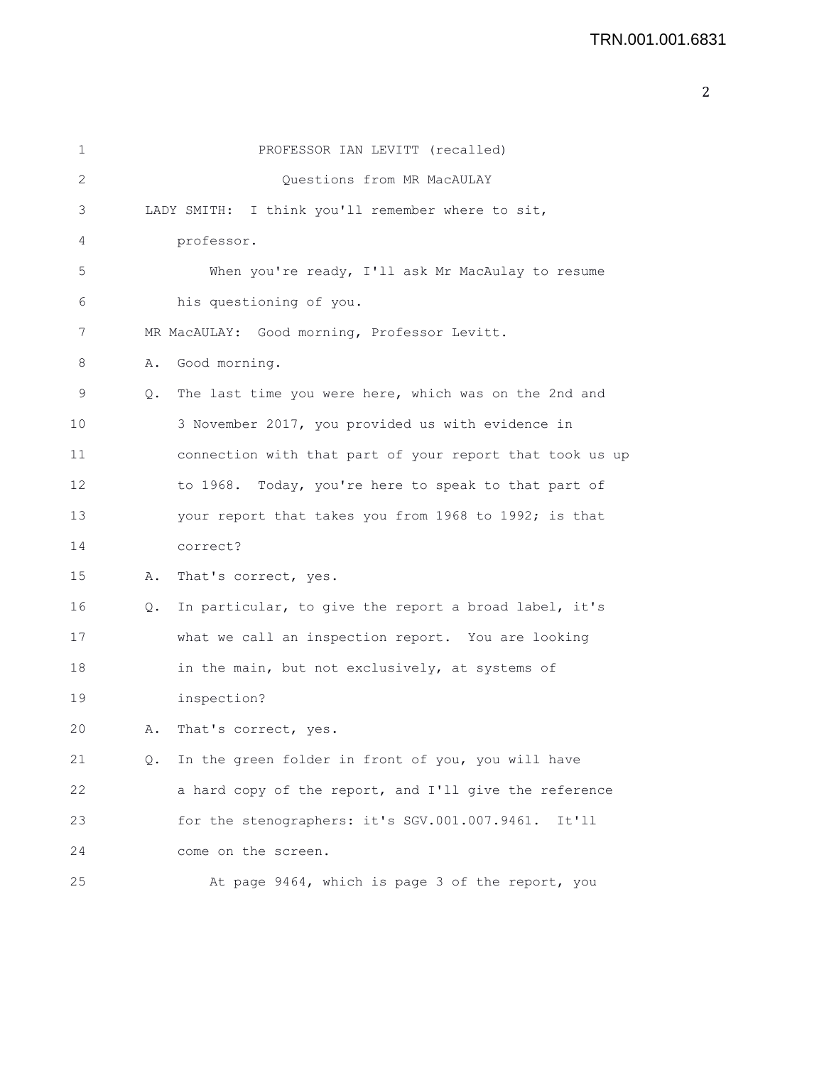| 1  |    | PROFESSOR IAN LEVITT (recalled)                          |
|----|----|----------------------------------------------------------|
| 2  |    | Ouestions from MR MacAULAY                               |
| 3  |    | I think you'll remember where to sit,<br>LADY SMITH:     |
| 4  |    | professor.                                               |
| 5  |    | When you're ready, I'll ask Mr MacAulay to resume        |
| 6  |    | his questioning of you.                                  |
| 7  |    | MR MacAULAY: Good morning, Professor Levitt.             |
| 8  | Α. | Good morning.                                            |
| 9  | Q. | The last time you were here, which was on the 2nd and    |
| 10 |    | 3 November 2017, you provided us with evidence in        |
| 11 |    | connection with that part of your report that took us up |
| 12 |    | to 1968. Today, you're here to speak to that part of     |
| 13 |    | your report that takes you from 1968 to 1992; is that    |
| 14 |    | correct?                                                 |
| 15 | Α. | That's correct, yes.                                     |
| 16 | Q. | In particular, to give the report a broad label, it's    |
| 17 |    | what we call an inspection report. You are looking       |
| 18 |    | in the main, but not exclusively, at systems of          |
| 19 |    | inspection?                                              |
| 20 | Α. | That's correct, yes.                                     |
| 21 | Q. | In the green folder in front of you, you will have       |
| 22 |    | a hard copy of the report, and I'll give the reference   |
| 23 |    | for the stenographers: it's SGV.001.007.9461.<br>It'11   |
| 24 |    | come on the screen.                                      |
| 25 |    | At page 9464, which is page 3 of the report, you         |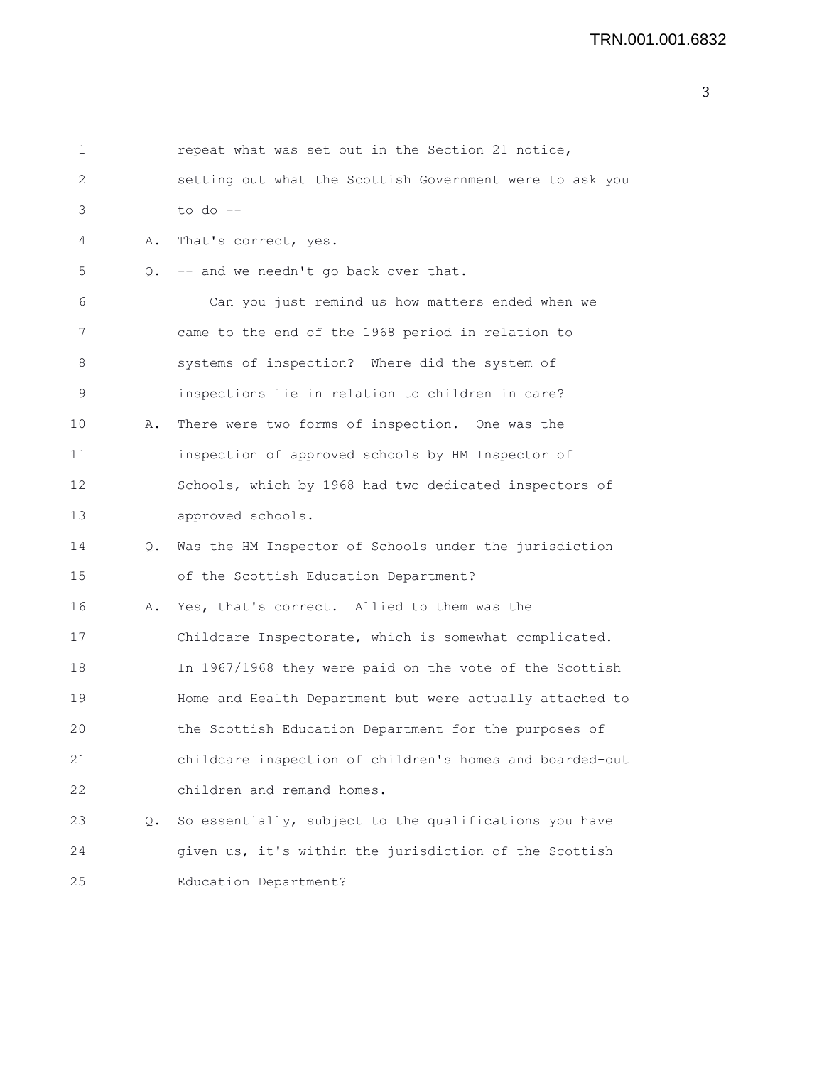| $\mathbf 1$ |    | repeat what was set out in the Section 21 notice,        |
|-------------|----|----------------------------------------------------------|
| 2           |    | setting out what the Scottish Government were to ask you |
| 3           |    | to do $-$                                                |
| 4           | Α. | That's correct, yes.                                     |
| 5           | Q. | -- and we needn't go back over that.                     |
| 6           |    | Can you just remind us how matters ended when we         |
| 7           |    | came to the end of the 1968 period in relation to        |
| 8           |    | systems of inspection? Where did the system of           |
| 9           |    | inspections lie in relation to children in care?         |
| 10          | Α. | There were two forms of inspection. One was the          |
| 11          |    | inspection of approved schools by HM Inspector of        |
| 12          |    | Schools, which by 1968 had two dedicated inspectors of   |
| 13          |    | approved schools.                                        |
| 14          | Q. | Was the HM Inspector of Schools under the jurisdiction   |
| 15          |    | of the Scottish Education Department?                    |
| 16          | Α. | Yes, that's correct. Allied to them was the              |
| 17          |    | Childcare Inspectorate, which is somewhat complicated.   |
| 18          |    | In 1967/1968 they were paid on the vote of the Scottish  |
| 19          |    | Home and Health Department but were actually attached to |
| 20          |    | the Scottish Education Department for the purposes of    |
| 21          |    | childcare inspection of children's homes and boarded-out |
| 22          |    | children and remand homes.                               |
| 23          | Q. | So essentially, subject to the qualifications you have   |
| 24          |    | given us, it's within the jurisdiction of the Scottish   |
| 25          |    | Education Department?                                    |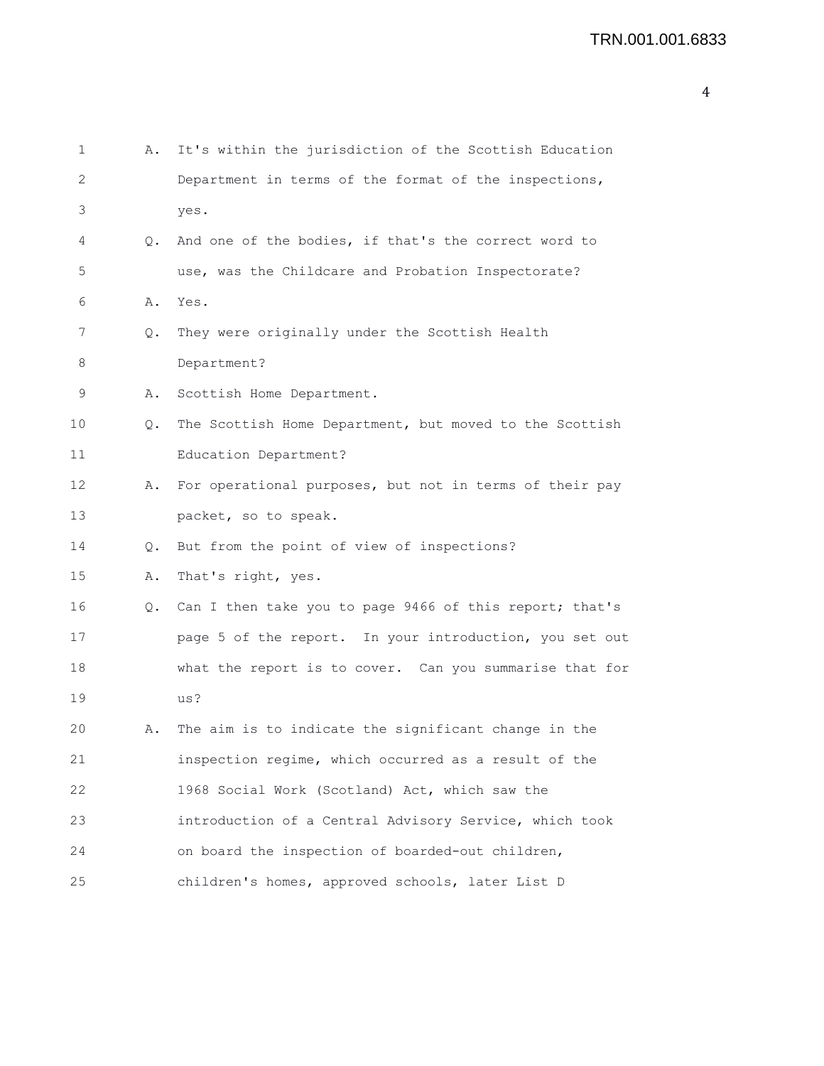| 1  | Α.        | It's within the jurisdiction of the Scottish Education     |
|----|-----------|------------------------------------------------------------|
| 2  |           | Department in terms of the format of the inspections,      |
| 3  |           | yes.                                                       |
| 4  | $\circ$ . | And one of the bodies, if that's the correct word to       |
| 5  |           | use, was the Childcare and Probation Inspectorate?         |
| 6  | Α.        | Yes.                                                       |
| 7  | Q.        | They were originally under the Scottish Health             |
| 8  |           | Department?                                                |
| 9  | Α.        | Scottish Home Department.                                  |
| 10 | Q.        | The Scottish Home Department, but moved to the Scottish    |
| 11 |           | Education Department?                                      |
| 12 | Α.        | For operational purposes, but not in terms of their pay    |
| 13 |           | packet, so to speak.                                       |
| 14 | Q.        | But from the point of view of inspections?                 |
| 15 | Α.        | That's right, yes.                                         |
| 16 |           | Q. Can I then take you to page 9466 of this report; that's |
| 17 |           | page 5 of the report. In your introduction, you set out    |
| 18 |           | what the report is to cover. Can you summarise that for    |
| 19 |           | us?                                                        |
| 20 | Α.        | The aim is to indicate the significant change in the       |
| 21 |           | inspection regime, which occurred as a result of the       |
| 22 |           | 1968 Social Work (Scotland) Act, which saw the             |
| 23 |           | introduction of a Central Advisory Service, which took     |
| 24 |           | on board the inspection of boarded-out children,           |
| 25 |           | children's homes, approved schools, later List D           |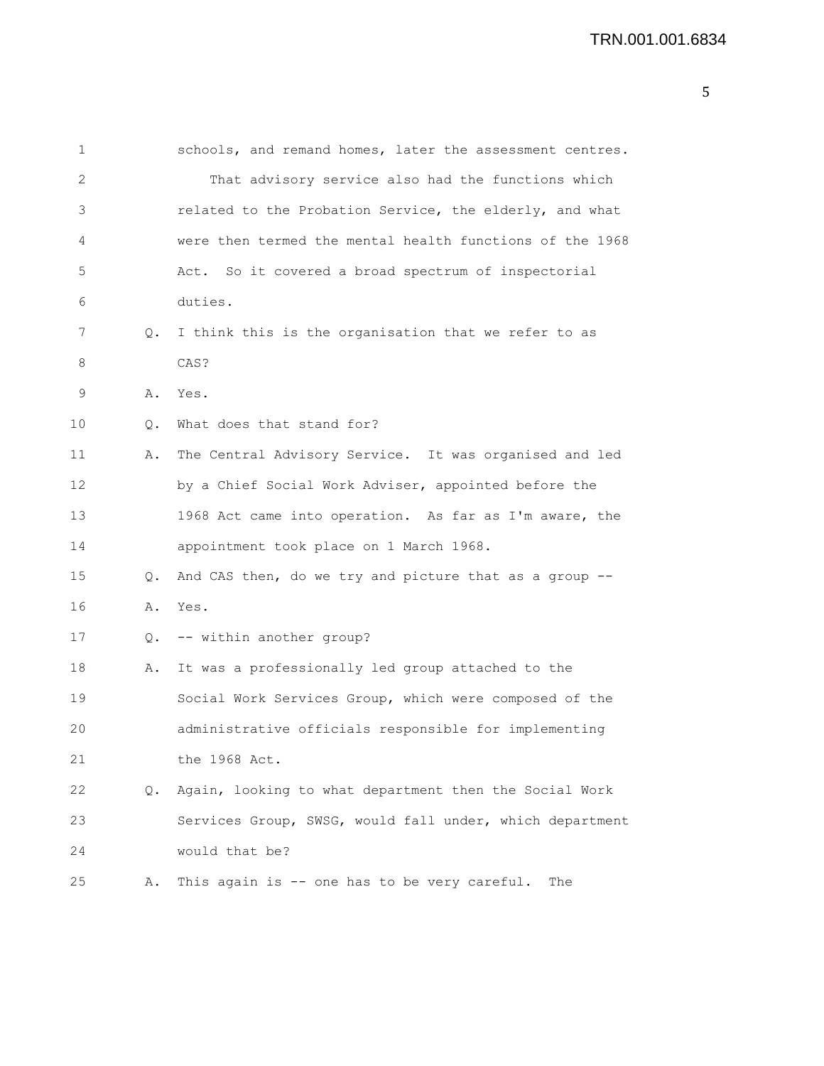| $\mathbf 1$ |               | schools, and remand homes, later the assessment centres. |
|-------------|---------------|----------------------------------------------------------|
| 2           |               | That advisory service also had the functions which       |
| 3           |               | related to the Probation Service, the elderly, and what  |
| 4           |               | were then termed the mental health functions of the 1968 |
| 5           |               | Act. So it covered a broad spectrum of inspectorial      |
| 6           |               | duties.                                                  |
| 7           | $Q_{\bullet}$ | I think this is the organisation that we refer to as     |
| 8           |               | CAS?                                                     |
| 9           | Α.            | Yes.                                                     |
| 10          | Q.            | What does that stand for?                                |
| 11          | Α.            | The Central Advisory Service. It was organised and led   |
| 12          |               | by a Chief Social Work Adviser, appointed before the     |
| 13          |               | 1968 Act came into operation. As far as I'm aware, the   |
| 14          |               | appointment took place on 1 March 1968.                  |
| 15          | 0.            | And CAS then, do we try and picture that as a group --   |
| 16          |               | A. Yes.                                                  |
| 17          |               | Q. -- within another group?                              |
| 18          | Α.            | It was a professionally led group attached to the        |
| 19          |               | Social Work Services Group, which were composed of the   |
| 20          |               | administrative officials responsible for implementing    |
| 21          |               | the 1968 Act.                                            |
| 22          | Q.            | Again, looking to what department then the Social Work   |
| 23          |               | Services Group, SWSG, would fall under, which department |
| 24          |               | would that be?                                           |
| 25          | Α.            | This again is -- one has to be very careful.<br>The      |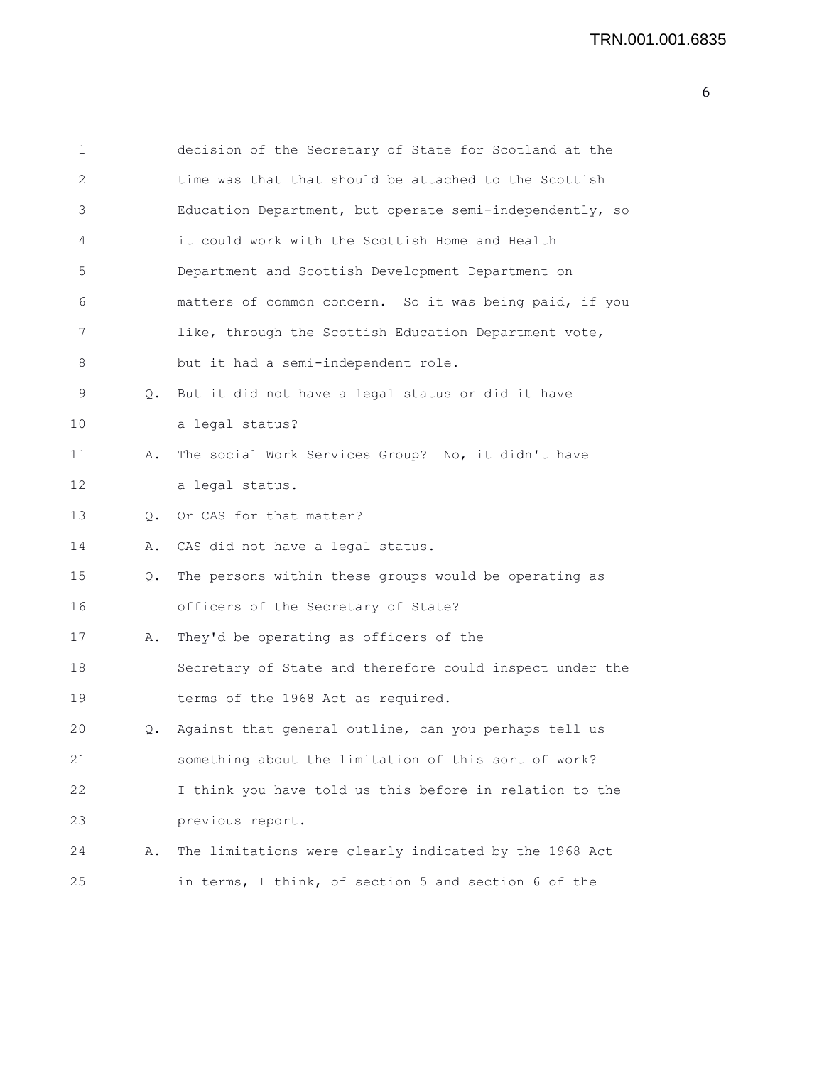| 1  |           | decision of the Secretary of State for Scotland at the   |
|----|-----------|----------------------------------------------------------|
| 2  |           | time was that that should be attached to the Scottish    |
| 3  |           | Education Department, but operate semi-independently, so |
| 4  |           | it could work with the Scottish Home and Health          |
| 5  |           | Department and Scottish Development Department on        |
| 6  |           | matters of common concern. So it was being paid, if you  |
| 7  |           | like, through the Scottish Education Department vote,    |
| 8  |           | but it had a semi-independent role.                      |
| 9  | $\circ$ . | But it did not have a legal status or did it have        |
| 10 |           | a legal status?                                          |
| 11 | Α.        | The social Work Services Group? No, it didn't have       |
| 12 |           | a legal status.                                          |
| 13 |           | Q. Or CAS for that matter?                               |
| 14 | Α.        | CAS did not have a legal status.                         |
| 15 | Q.        | The persons within these groups would be operating as    |
| 16 |           | officers of the Secretary of State?                      |
| 17 | Α.        | They'd be operating as officers of the                   |
| 18 |           | Secretary of State and therefore could inspect under the |
| 19 |           | terms of the 1968 Act as required.                       |
| 20 | Q.        | Against that general outline, can you perhaps tell us    |
| 21 |           | something about the limitation of this sort of work?     |
| 22 |           | I think you have told us this before in relation to the  |
| 23 |           | previous report.                                         |
| 24 | Α.        | The limitations were clearly indicated by the 1968 Act   |
| 25 |           | in terms, I think, of section 5 and section 6 of the     |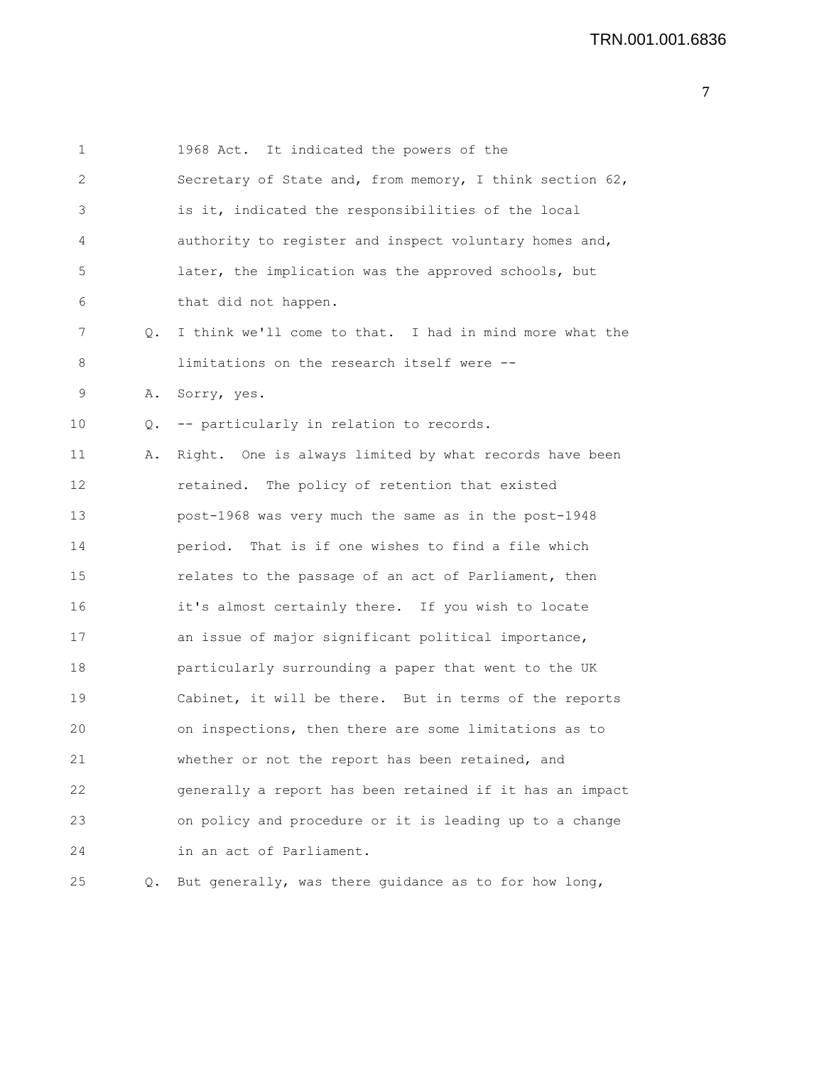| 1  |       | 1968 Act. It indicated the powers of the                 |
|----|-------|----------------------------------------------------------|
| 2  |       | Secretary of State and, from memory, I think section 62, |
| 3  |       | is it, indicated the responsibilities of the local       |
| 4  |       | authority to register and inspect voluntary homes and,   |
| 5  |       | later, the implication was the approved schools, but     |
| 6  |       | that did not happen.                                     |
| 7  | Q.    | I think we'll come to that. I had in mind more what the  |
| 8  |       | limitations on the research itself were --               |
| 9  | Α.    | Sorry, yes.                                              |
| 10 | $Q$ . | -- particularly in relation to records.                  |
| 11 | Α.    | Right. One is always limited by what records have been   |
| 12 |       | retained. The policy of retention that existed           |
| 13 |       | post-1968 was very much the same as in the post-1948     |
| 14 |       | period. That is if one wishes to find a file which       |
| 15 |       | relates to the passage of an act of Parliament, then     |
| 16 |       | it's almost certainly there. If you wish to locate       |
| 17 |       | an issue of major significant political importance,      |
| 18 |       | particularly surrounding a paper that went to the UK     |
| 19 |       | Cabinet, it will be there. But in terms of the reports   |
| 20 |       | on inspections, then there are some limitations as to    |
| 21 |       | whether or not the report has been retained, and         |
| 22 |       | generally a report has been retained if it has an impact |
| 23 |       | on policy and procedure or it is leading up to a change  |
| 24 |       | in an act of Parliament.                                 |
| 25 | Q.    | But generally, was there guidance as to for how long,    |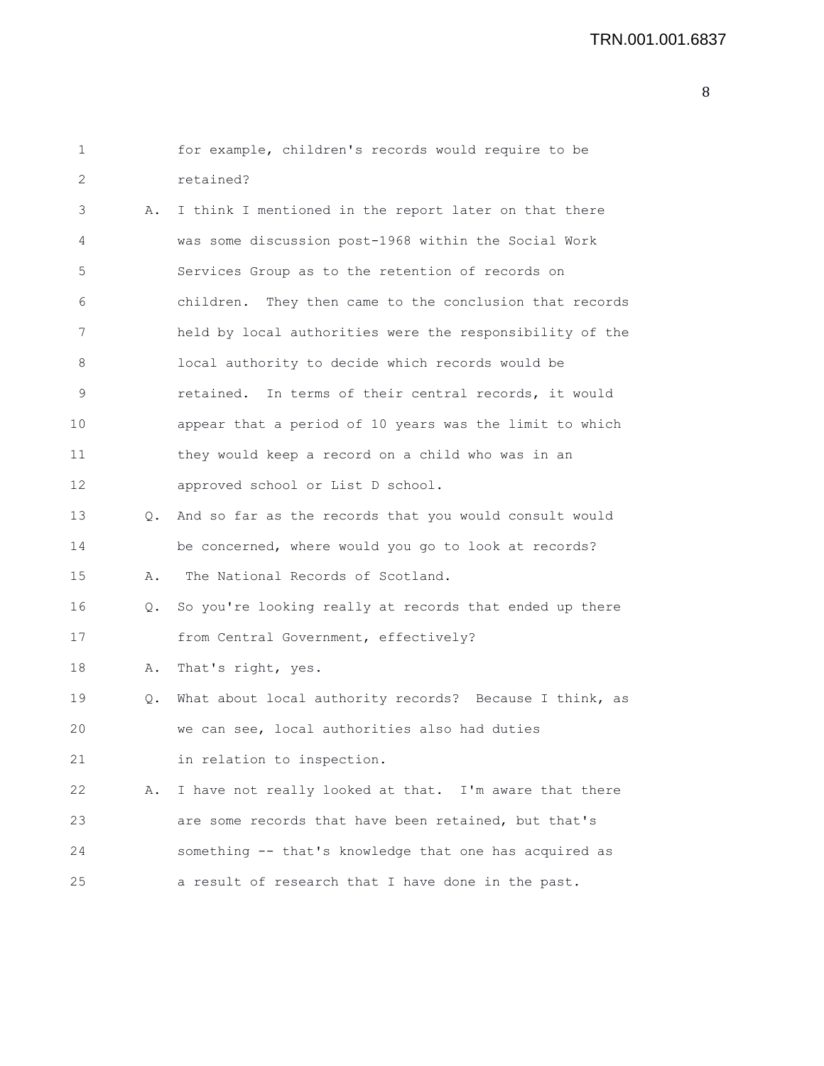| 1  |    | for example, children's records would require to be       |
|----|----|-----------------------------------------------------------|
| 2  |    | retained?                                                 |
| 3  | Α. | I think I mentioned in the report later on that there     |
| 4  |    | was some discussion post-1968 within the Social Work      |
| 5  |    | Services Group as to the retention of records on          |
| 6  |    | children. They then came to the conclusion that records   |
| 7  |    | held by local authorities were the responsibility of the  |
| 8  |    | local authority to decide which records would be          |
| 9  |    | retained. In terms of their central records, it would     |
| 10 |    | appear that a period of 10 years was the limit to which   |
| 11 |    | they would keep a record on a child who was in an         |
| 12 |    | approved school or List D school.                         |
| 13 |    | Q. And so far as the records that you would consult would |
| 14 |    | be concerned, where would you go to look at records?      |
| 15 | Α. | The National Records of Scotland.                         |
| 16 | Q. | So you're looking really at records that ended up there   |
| 17 |    | from Central Government, effectively?                     |
| 18 | Α. | That's right, yes.                                        |
| 19 | Q. | What about local authority records? Because I think, as   |
| 20 |    | we can see, local authorities also had duties             |
| 21 |    | in relation to inspection.                                |
| 22 | Α. | I have not really looked at that. I'm aware that there    |
| 23 |    | are some records that have been retained, but that's      |
| 24 |    | something -- that's knowledge that one has acquired as    |
| 25 |    | a result of research that I have done in the past.        |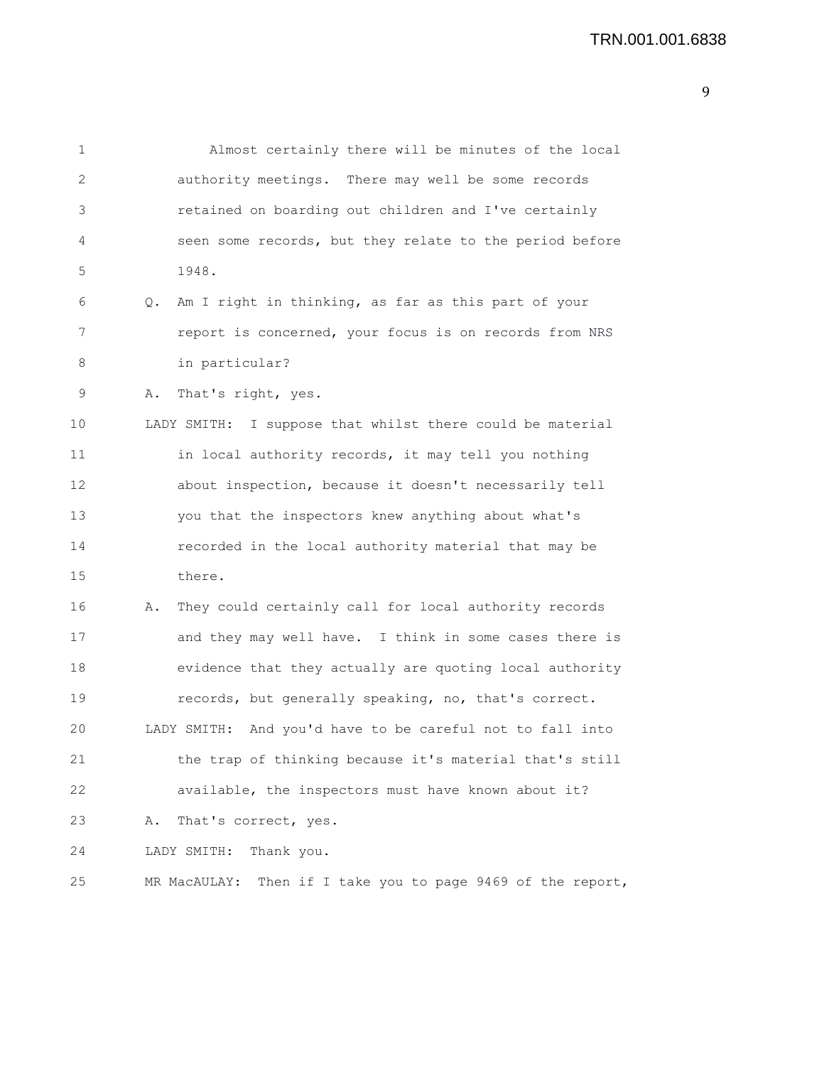1 Almost certainly there will be minutes of the local 2 authority meetings. There may well be some records 3 retained on boarding out children and I've certainly 4 seen some records, but they relate to the period before 5 1948. 6 Q. Am I right in thinking, as far as this part of your 7 report is concerned, your focus is on records from NRS 8 in particular? 9 A. That's right, yes. 10 LADY SMITH: I suppose that whilst there could be material 11 in local authority records, it may tell you nothing 12 about inspection, because it doesn't necessarily tell 13 you that the inspectors knew anything about what's 14 recorded in the local authority material that may be 15 there. 16 A. They could certainly call for local authority records 17 and they may well have. I think in some cases there is 18 evidence that they actually are quoting local authority 19 records, but generally speaking, no, that's correct. 20 LADY SMITH: And you'd have to be careful not to fall into 21 the trap of thinking because it's material that's still 22 available, the inspectors must have known about it? 23 A. That's correct, yes. 24 LADY SMITH: Thank you. 25 MR MacAULAY: Then if I take you to page 9469 of the report,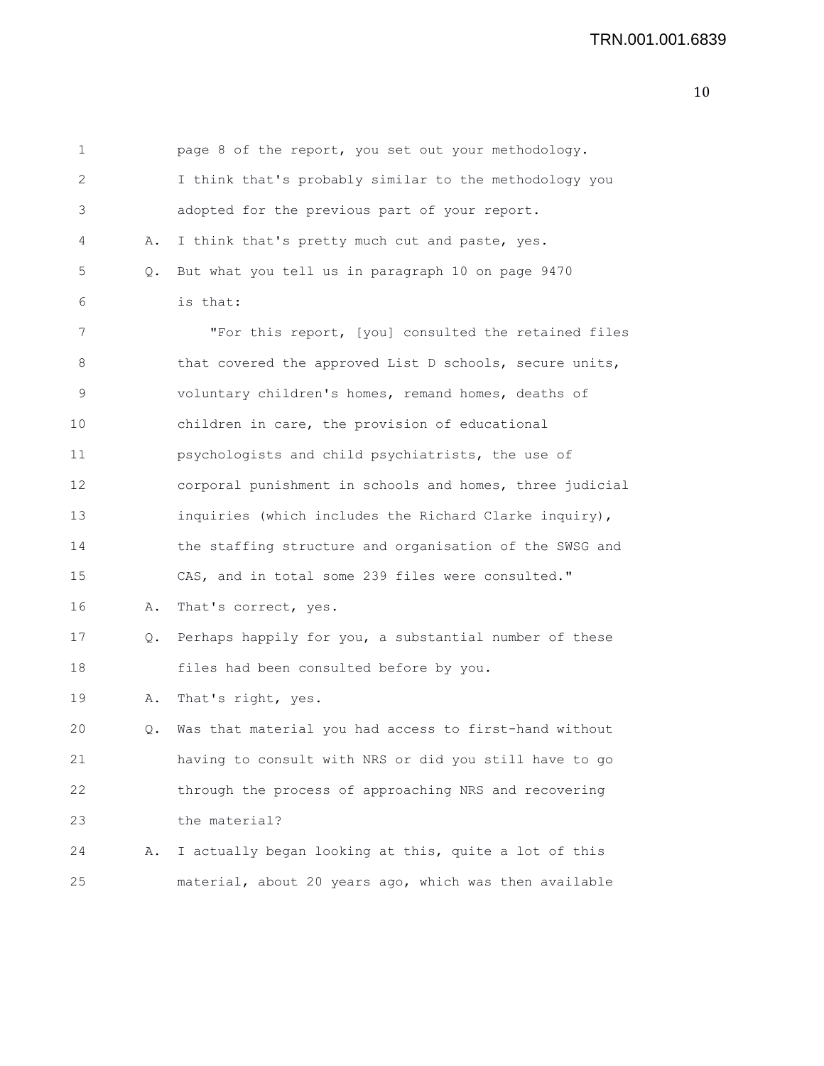1 page 8 of the report, you set out your methodology. 2 I think that's probably similar to the methodology you 3 adopted for the previous part of your report. 4 A. I think that's pretty much cut and paste, yes. 5 Q. But what you tell us in paragraph 10 on page 9470 6 is that: 7 "For this report, [you] consulted the retained files 8 that covered the approved List D schools, secure units, 9 voluntary children's homes, remand homes, deaths of 10 children in care, the provision of educational 11 psychologists and child psychiatrists, the use of 12 corporal punishment in schools and homes, three judicial 13 inquiries (which includes the Richard Clarke inquiry), 14 the staffing structure and organisation of the SWSG and 15 CAS, and in total some 239 files were consulted." 16 A. That's correct, yes. 17 Q. Perhaps happily for you, a substantial number of these 18 files had been consulted before by you. 19 A. That's right, yes. 20 Q. Was that material you had access to first-hand without 21 having to consult with NRS or did you still have to go 22 through the process of approaching NRS and recovering 23 the material? 24 A. I actually began looking at this, quite a lot of this 25 material, about 20 years ago, which was then available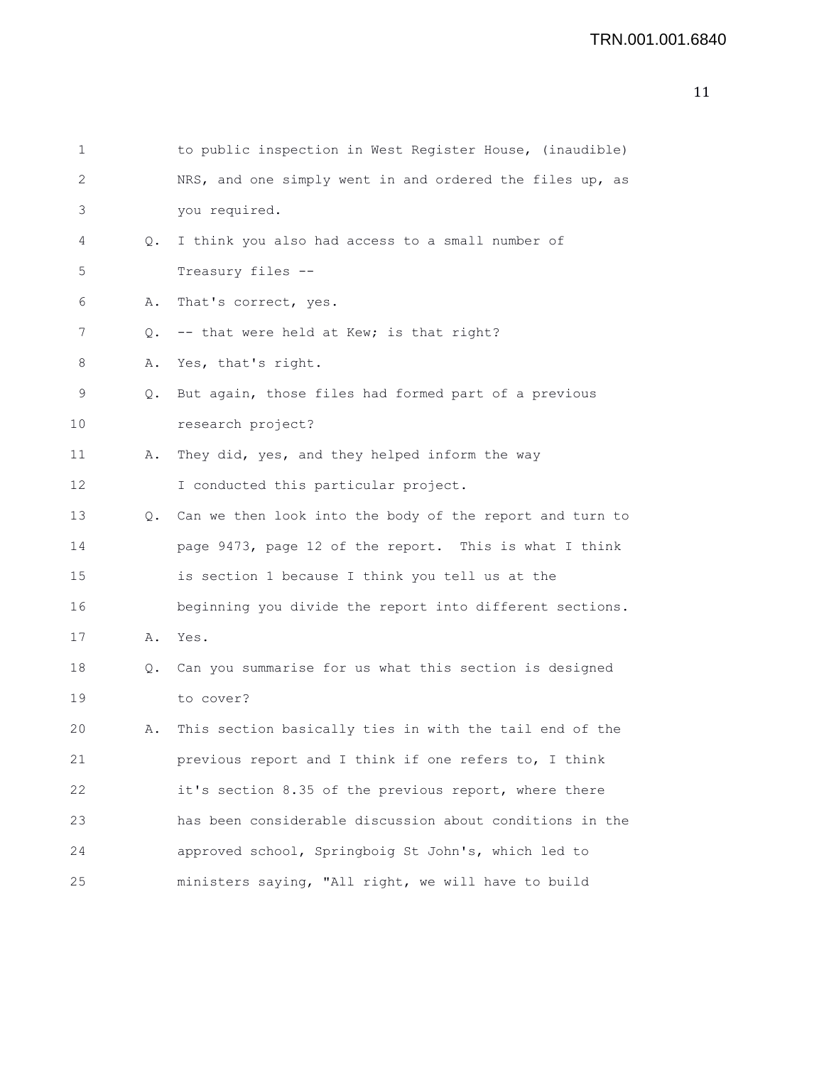| 2  |    | NRS, and one simply went in and ordered the files up, as |
|----|----|----------------------------------------------------------|
| 3  |    | you required.                                            |
| 4  | Q. | I think you also had access to a small number of         |
| 5  |    | Treasury files --                                        |
| 6  | Α. | That's correct, yes.                                     |
| 7  | О. | -- that were held at Kew; is that right?                 |
| 8  | Α. | Yes, that's right.                                       |
| 9  | Q. | But again, those files had formed part of a previous     |
| 10 |    | research project?                                        |
| 11 | Α. | They did, yes, and they helped inform the way            |
| 12 |    | I conducted this particular project.                     |
| 13 | Q. | Can we then look into the body of the report and turn to |
| 14 |    | page 9473, page 12 of the report. This is what I think   |
| 15 |    | is section 1 because I think you tell us at the          |
| 16 |    | beginning you divide the report into different sections. |
| 17 | Α. | Yes.                                                     |
| 18 | Q. | Can you summarise for us what this section is designed   |
| 19 |    | to cover?                                                |
| 20 | Α. | This section basically ties in with the tail end of the  |
| 21 |    | previous report and I think if one refers to, I think    |
| 22 |    | it's section 8.35 of the previous report, where there    |
| 23 |    | has been considerable discussion about conditions in the |
| 24 |    | approved school, Springboig St John's, which led to      |

25 ministers saying, "All right, we will have to build

17

19

1 to public inspection in West Register House, (inaudible)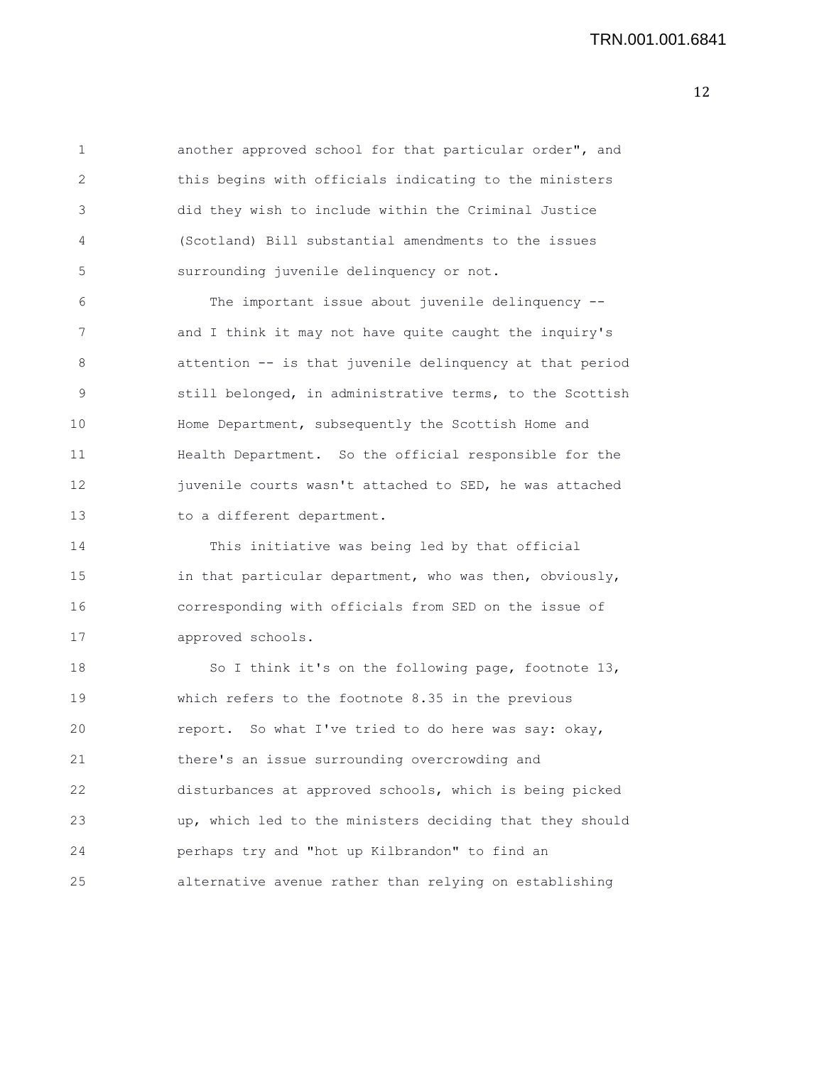1 another approved school for that particular order", and 2 this begins with officials indicating to the ministers 3 did they wish to include within the Criminal Justice 4 (Scotland) Bill substantial amendments to the issues 5 surrounding juvenile delinquency or not.

6 The important issue about juvenile delinquency -- 7 and I think it may not have quite caught the inquiry's 8 attention -- is that juvenile delinquency at that period 9 still belonged, in administrative terms, to the Scottish 10 Home Department, subsequently the Scottish Home and 11 Health Department. So the official responsible for the 12 juvenile courts wasn't attached to SED, he was attached 13 to a different department.

14 This initiative was being led by that official 15 in that particular department, who was then, obviously, 16 corresponding with officials from SED on the issue of 17 approved schools.

18 So I think it's on the following page, footnote 13, 19 which refers to the footnote 8.35 in the previous 20 report. So what I've tried to do here was say: okay, 21 there's an issue surrounding overcrowding and 22 disturbances at approved schools, which is being picked 23 up, which led to the ministers deciding that they should 24 perhaps try and "hot up Kilbrandon" to find an 25 alternative avenue rather than relying on establishing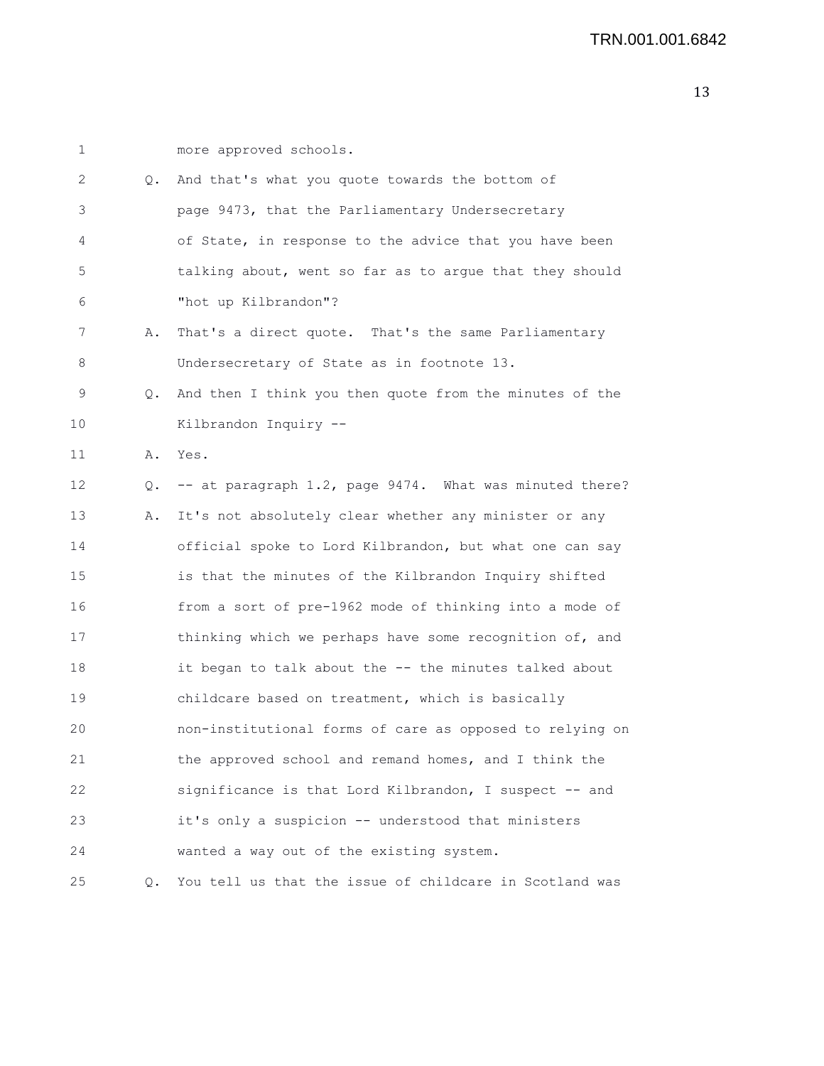| $\mathbf 1$ |    | more approved schools.                                   |
|-------------|----|----------------------------------------------------------|
| 2           | Q. | And that's what you quote towards the bottom of          |
| 3           |    | page 9473, that the Parliamentary Undersecretary         |
| 4           |    | of State, in response to the advice that you have been   |
| 5           |    | talking about, went so far as to argue that they should  |
| 6           |    | "hot up Kilbrandon"?                                     |
| 7           | Α. | That's a direct quote. That's the same Parliamentary     |
| 8           |    | Undersecretary of State as in footnote 13.               |
| 9           | Q. | And then I think you then quote from the minutes of the  |
| 10          |    | Kilbrandon Inquiry --                                    |
| 11          | Α. | Yes.                                                     |
| 12          | Q. | -- at paragraph 1.2, page 9474. What was minuted there?  |
| 13          | Α. | It's not absolutely clear whether any minister or any    |
| 14          |    | official spoke to Lord Kilbrandon, but what one can say  |
| 15          |    | is that the minutes of the Kilbrandon Inquiry shifted    |
| 16          |    | from a sort of pre-1962 mode of thinking into a mode of  |
| 17          |    | thinking which we perhaps have some recognition of, and  |
| 18          |    | it began to talk about the -- the minutes talked about   |
| 19          |    | childcare based on treatment, which is basically         |
| 20          |    | non-institutional forms of care as opposed to relying on |
| 21          |    | the approved school and remand homes, and I think the    |
| 22          |    | significance is that Lord Kilbrandon, I suspect -- and   |
| 23          |    | it's only a suspicion -- understood that ministers       |
| 24          |    | wanted a way out of the existing system.                 |
| 25          | Q. | You tell us that the issue of childcare in Scotland was  |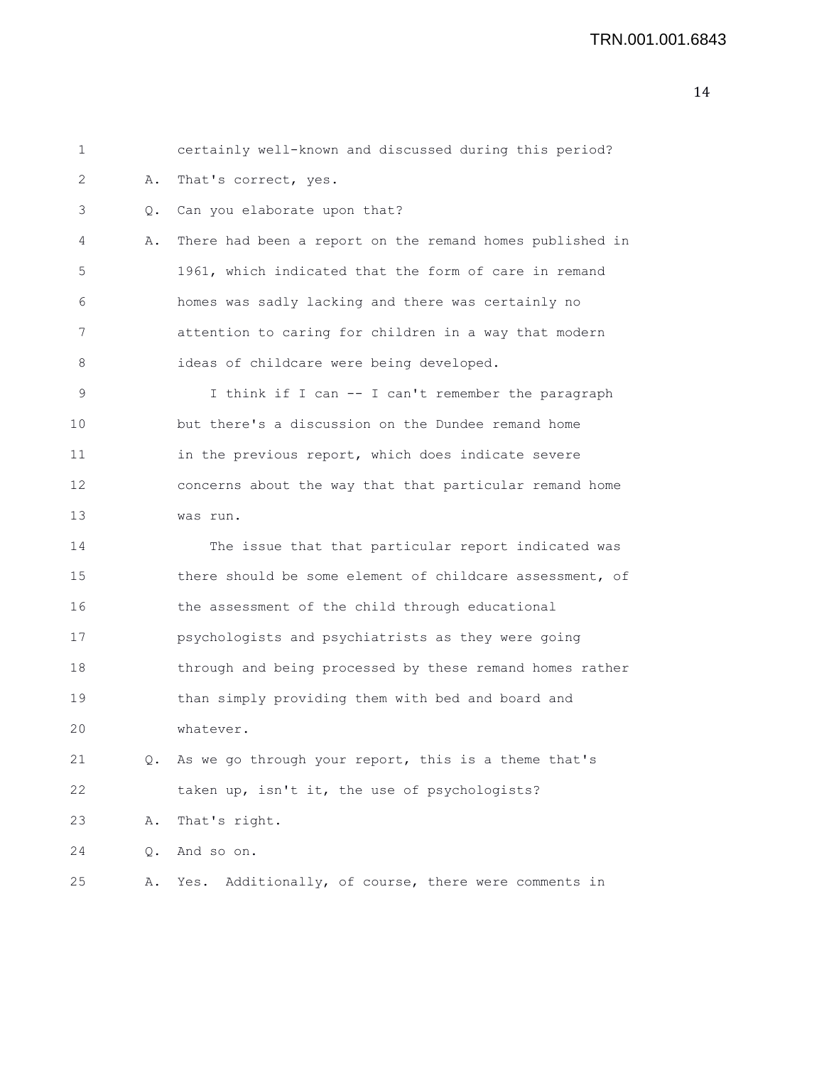| 1               |    | certainly well-known and discussed during this period?   |
|-----------------|----|----------------------------------------------------------|
| 2               | Α. | That's correct, yes.                                     |
| 3               | Q. | Can you elaborate upon that?                             |
| 4               | Α. | There had been a report on the remand homes published in |
| 5               |    | 1961, which indicated that the form of care in remand    |
| 6               |    | homes was sadly lacking and there was certainly no       |
| 7               |    | attention to caring for children in a way that modern    |
| 8               |    | ideas of childcare were being developed.                 |
| 9               |    | I think if I can -- I can't remember the paragraph       |
| 10              |    | but there's a discussion on the Dundee remand home       |
| 11              |    | in the previous report, which does indicate severe       |
| 12 <sup>2</sup> |    | concerns about the way that that particular remand home  |
| 13              |    | was run.                                                 |
| 14              |    | The issue that that particular report indicated was      |
| 15              |    | there should be some element of childcare assessment, of |
| 16              |    | the assessment of the child through educational          |
| 17              |    | psychologists and psychiatrists as they were going       |
| 18              |    | through and being processed by these remand homes rather |
| 19              |    | than simply providing them with bed and board and        |
| 20              |    | whatever.                                                |
| 21              | Q. | As we go through your report, this is a theme that's     |
| 22              |    | taken up, isn't it, the use of psychologists?            |
| 23              | Α. | That's right.                                            |
| 24              | Q. | And so on.                                               |
| 25              | Α. | Additionally, of course, there were comments in<br>Yes.  |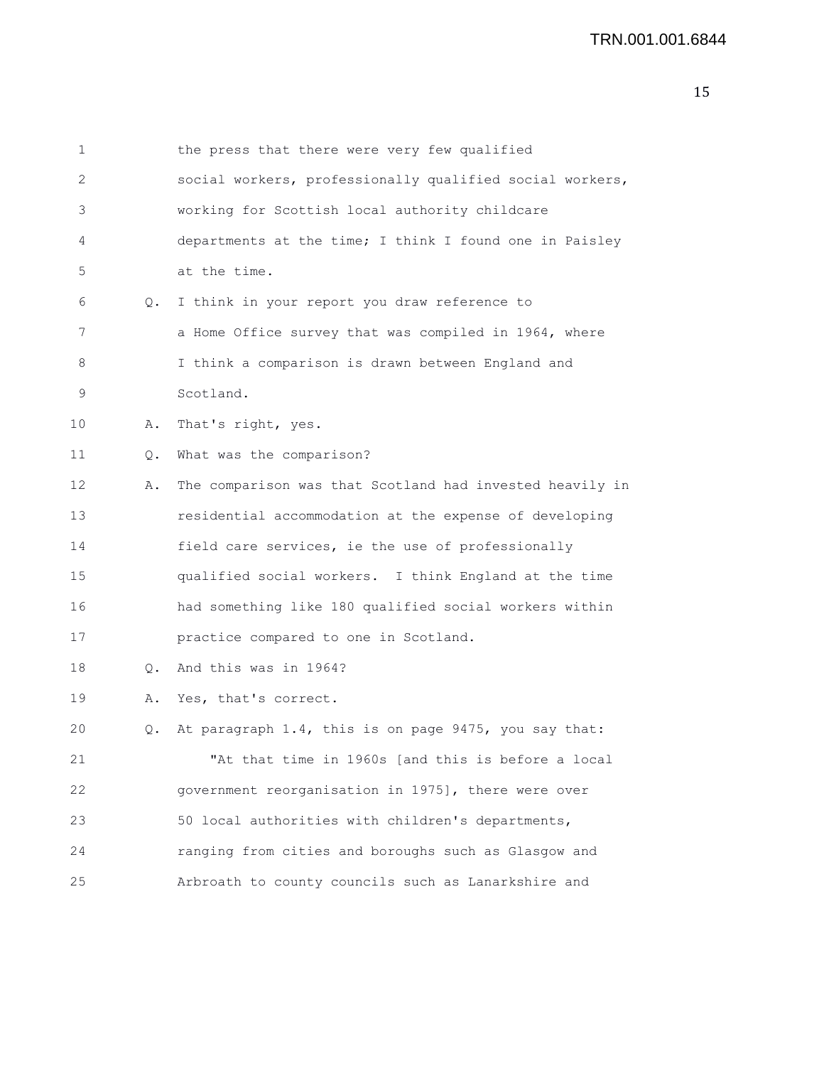| 1  |       | the press that there were very few qualified             |
|----|-------|----------------------------------------------------------|
| 2  |       | social workers, professionally qualified social workers, |
| 3  |       | working for Scottish local authority childcare           |
| 4  |       | departments at the time; I think I found one in Paisley  |
| 5  |       | at the time.                                             |
| 6  | Q.    | I think in your report you draw reference to             |
| 7  |       | a Home Office survey that was compiled in 1964, where    |
| 8  |       | I think a comparison is drawn between England and        |
| 9  |       | Scotland.                                                |
| 10 | Α.    | That's right, yes.                                       |
| 11 | $Q$ . | What was the comparison?                                 |
| 12 | Α.    | The comparison was that Scotland had invested heavily in |
| 13 |       | residential accommodation at the expense of developing   |
| 14 |       | field care services, ie the use of professionally        |
| 15 |       | qualified social workers. I think England at the time    |
| 16 |       | had something like 180 qualified social workers within   |
| 17 |       | practice compared to one in Scotland.                    |
| 18 | Q.    | And this was in 1964?                                    |
| 19 | Α.    | Yes, that's correct.                                     |
| 20 | Q.    | At paragraph 1.4, this is on page 9475, you say that:    |
| 21 |       | "At that time in 1960s [and this is before a local       |
| 22 |       | government reorganisation in 1975], there were over      |
| 23 |       | 50 local authorities with children's departments,        |
| 24 |       | ranging from cities and boroughs such as Glasgow and     |
| 25 |       | Arbroath to county councils such as Lanarkshire and      |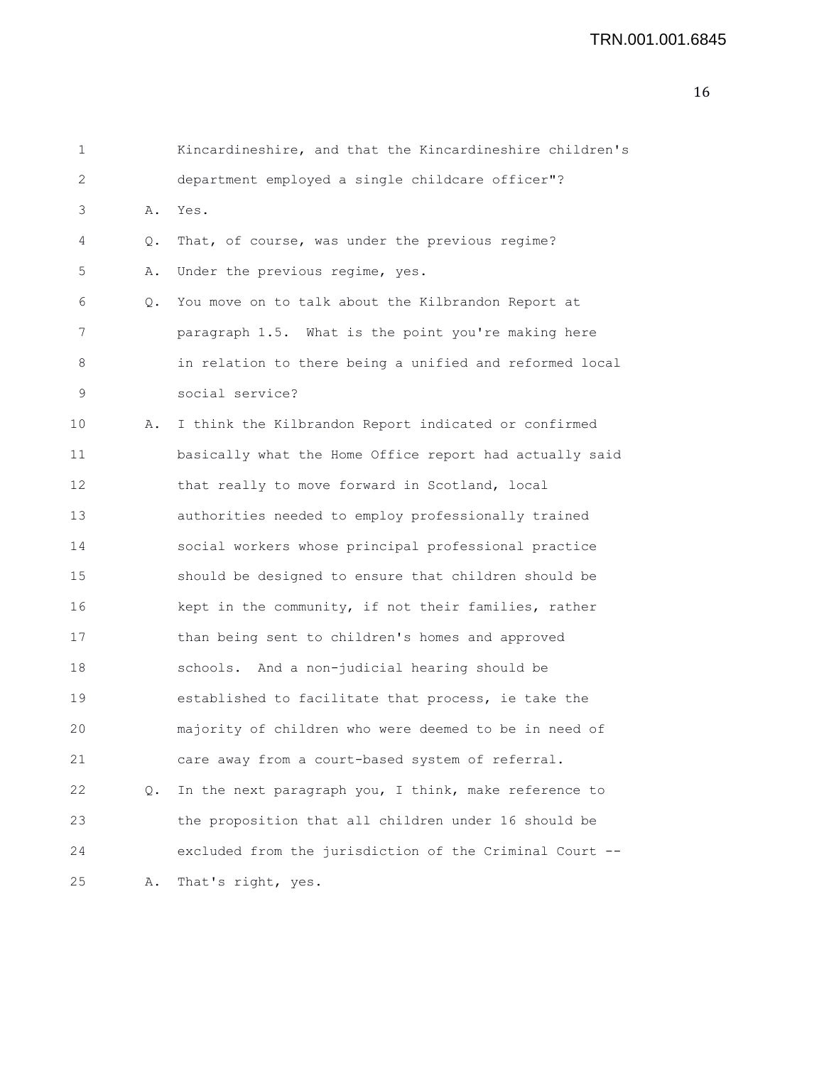```
1 Kincardineshire, and that the Kincardineshire children's
2 department employed a single childcare officer"?
3 A. Yes.
4 Q. That, of course, was under the previous regime?
5 A. Under the previous regime, yes.
6 Q. You move on to talk about the Kilbrandon Report at
7 paragraph 1.5. What is the point you're making here
8 in relation to there being a unified and reformed local
9 social service?
10 A. I think the Kilbrandon Report indicated or confirmed
11 basically what the Home Office report had actually said
12 that really to move forward in Scotland, local
13 authorities needed to employ professionally trained
14 social workers whose principal professional practice
15 should be designed to ensure that children should be
16 kept in the community, if not their families, rather
17 than being sent to children's homes and approved
18 schools. And a non-judicial hearing should be
19 established to facilitate that process, ie take the
20 majority of children who were deemed to be in need of
21 care away from a court-based system of referral.
22 Q. In the next paragraph you, I think, make reference to
23 the proposition that all children under 16 should be
24 excluded from the jurisdiction of the Criminal Court --
25 A. That's right, yes.
```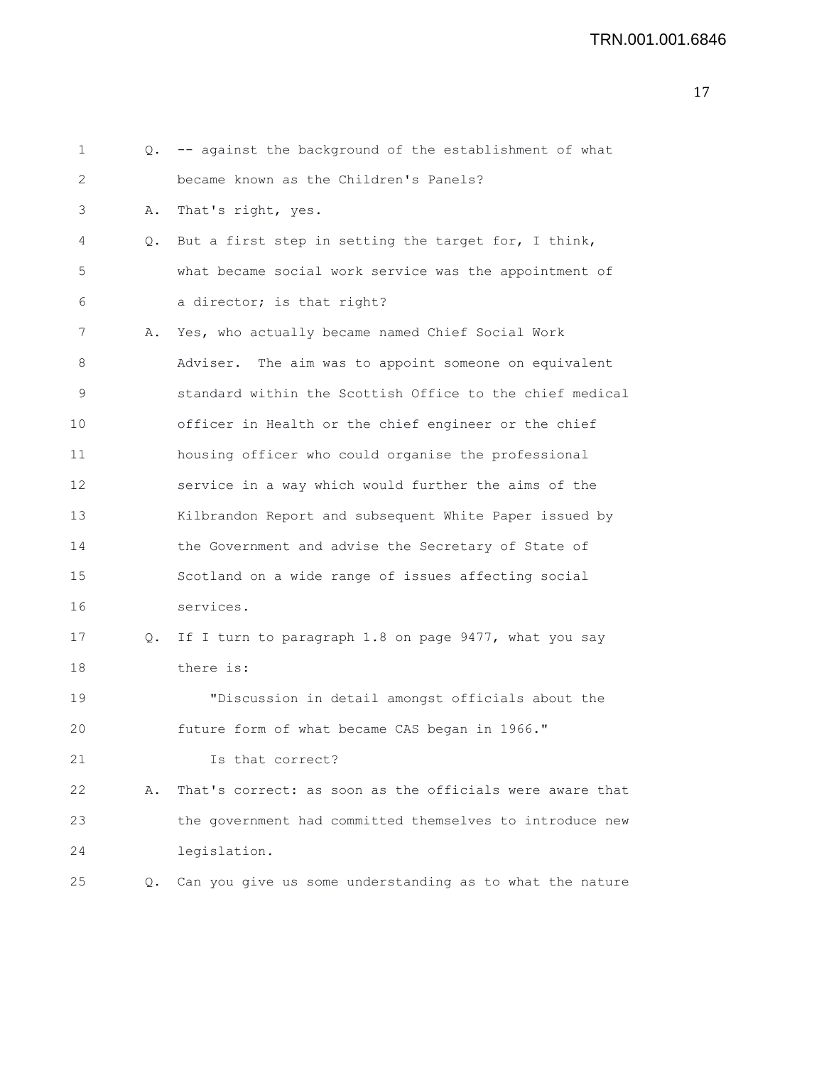```
1 Q. -- against the background of the establishment of what
2 became known as the Children's Panels?
3 A. That's right, yes.
4 Q. But a first step in setting the target for, I think,
5 what became social work service was the appointment of
6 a director; is that right?
7 A. Yes, who actually became named Chief Social Work
8 Adviser. The aim was to appoint someone on equivalent
9 standard within the Scottish Office to the chief medical
10 officer in Health or the chief engineer or the chief
11 housing officer who could organise the professional
12 service in a way which would further the aims of the
13 Kilbrandon Report and subsequent White Paper issued by
14 the Government and advise the Secretary of State of
15 Scotland on a wide range of issues affecting social
16 services.
17 Q. If I turn to paragraph 1.8 on page 9477, what you say
18 there is:
19 "Discussion in detail amongst officials about the
20 future form of what became CAS began in 1966."
21 Is that correct?
22 A. That's correct: as soon as the officials were aware that
23 the government had committed themselves to introduce new
24 legislation.
25 Q. Can you give us some understanding as to what the nature
```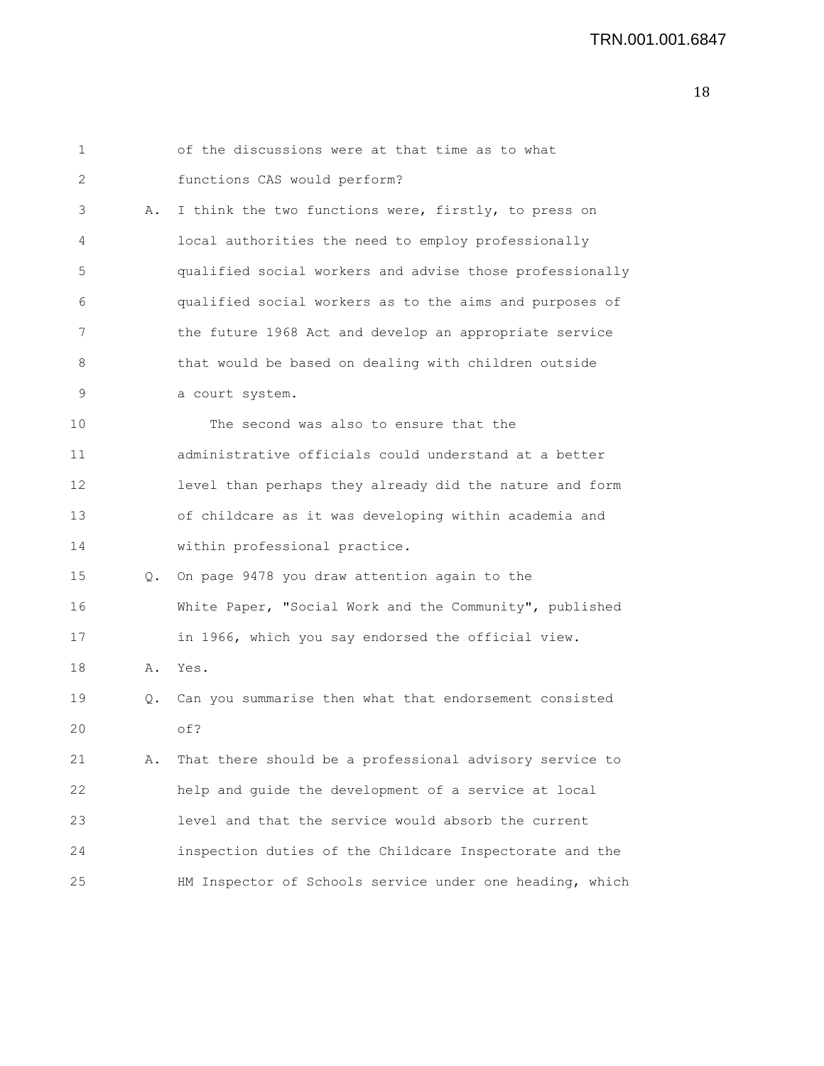| 1  |    | of the discussions were at that time as to what          |
|----|----|----------------------------------------------------------|
| 2  |    | functions CAS would perform?                             |
| 3  | Α. | I think the two functions were, firstly, to press on     |
| 4  |    | local authorities the need to employ professionally      |
| 5  |    | qualified social workers and advise those professionally |
| 6  |    | qualified social workers as to the aims and purposes of  |
| 7  |    | the future 1968 Act and develop an appropriate service   |
| 8  |    | that would be based on dealing with children outside     |
| 9  |    | a court system.                                          |
| 10 |    | The second was also to ensure that the                   |
| 11 |    | administrative officials could understand at a better    |
| 12 |    | level than perhaps they already did the nature and form  |
| 13 |    | of childcare as it was developing within academia and    |
| 14 |    | within professional practice.                            |
| 15 | Q. | On page 9478 you draw attention again to the             |
| 16 |    | White Paper, "Social Work and the Community", published  |
| 17 |    | in 1966, which you say endorsed the official view.       |
| 18 | Α. | Yes.                                                     |
| 19 | Q. | Can you summarise then what that endorsement consisted   |
| 20 |    | of?                                                      |
| 21 | Α. | That there should be a professional advisory service to  |
| 22 |    | help and guide the development of a service at local     |
| 23 |    | level and that the service would absorb the current      |
| 24 |    | inspection duties of the Childcare Inspectorate and the  |
| 25 |    | HM Inspector of Schools service under one heading, which |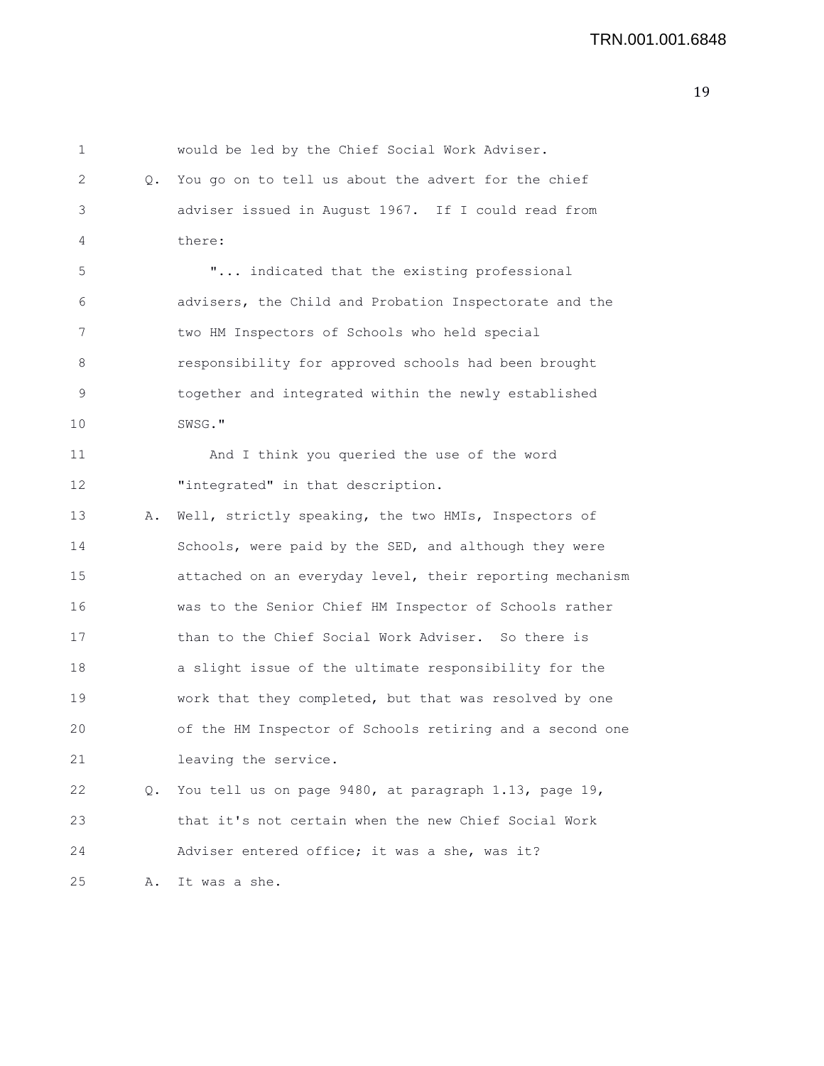1 would be led by the Chief Social Work Adviser. 2 Q. You go on to tell us about the advert for the chief 3 adviser issued in August 1967. If I could read from 4 there: 5 "... indicated that the existing professional 6 advisers, the Child and Probation Inspectorate and the 7 two HM Inspectors of Schools who held special 8 responsibility for approved schools had been brought 9 together and integrated within the newly established 10 SWSG." 11 And I think you queried the use of the word 12 "integrated" in that description. 13 A. Well, strictly speaking, the two HMIs, Inspectors of 14 Schools, were paid by the SED, and although they were 15 attached on an everyday level, their reporting mechanism 16 was to the Senior Chief HM Inspector of Schools rather 17 than to the Chief Social Work Adviser. So there is 18 a slight issue of the ultimate responsibility for the 19 work that they completed, but that was resolved by one 20 of the HM Inspector of Schools retiring and a second one 21 leaving the service. 22 Q. You tell us on page 9480, at paragraph 1.13, page 19, 23 that it's not certain when the new Chief Social Work 24 Adviser entered office; it was a she, was it? 25 A. It was a she.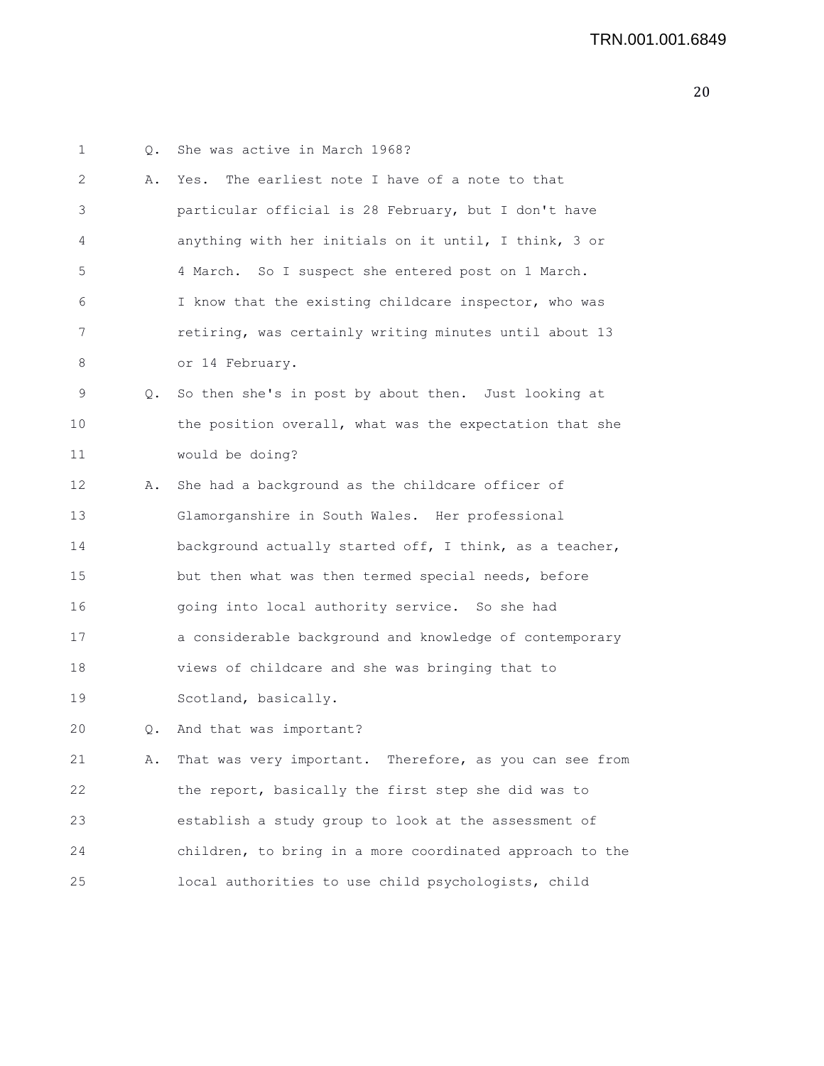| 1  | О. | She was active in March 1968?                            |
|----|----|----------------------------------------------------------|
| 2  | Α. | The earliest note I have of a note to that<br>Yes.       |
| 3  |    | particular official is 28 February, but I don't have     |
| 4  |    | anything with her initials on it until, I think, 3 or    |
| 5  |    | 4 March. So I suspect she entered post on 1 March.       |
| 6  |    | I know that the existing childcare inspector, who was    |
| 7  |    | retiring, was certainly writing minutes until about 13   |
| 8  |    | or 14 February.                                          |
| 9  | О. | So then she's in post by about then. Just looking at     |
| 10 |    | the position overall, what was the expectation that she  |
| 11 |    | would be doing?                                          |
| 12 | Α. | She had a background as the childcare officer of         |
| 13 |    | Glamorganshire in South Wales. Her professional          |
| 14 |    | background actually started off, I think, as a teacher,  |
| 15 |    | but then what was then termed special needs, before      |
| 16 |    | going into local authority service. So she had           |
| 17 |    | a considerable background and knowledge of contemporary  |
| 18 |    | views of childcare and she was bringing that to          |
| 19 |    | Scotland, basically.                                     |
| 20 | О. | And that was important?                                  |
| 21 | Α. | That was very important. Therefore, as you can see from  |
| 22 |    | the report, basically the first step she did was to      |
| 23 |    | establish a study group to look at the assessment of     |
| 24 |    | children, to bring in a more coordinated approach to the |
| 25 |    | local authorities to use child psychologists, child      |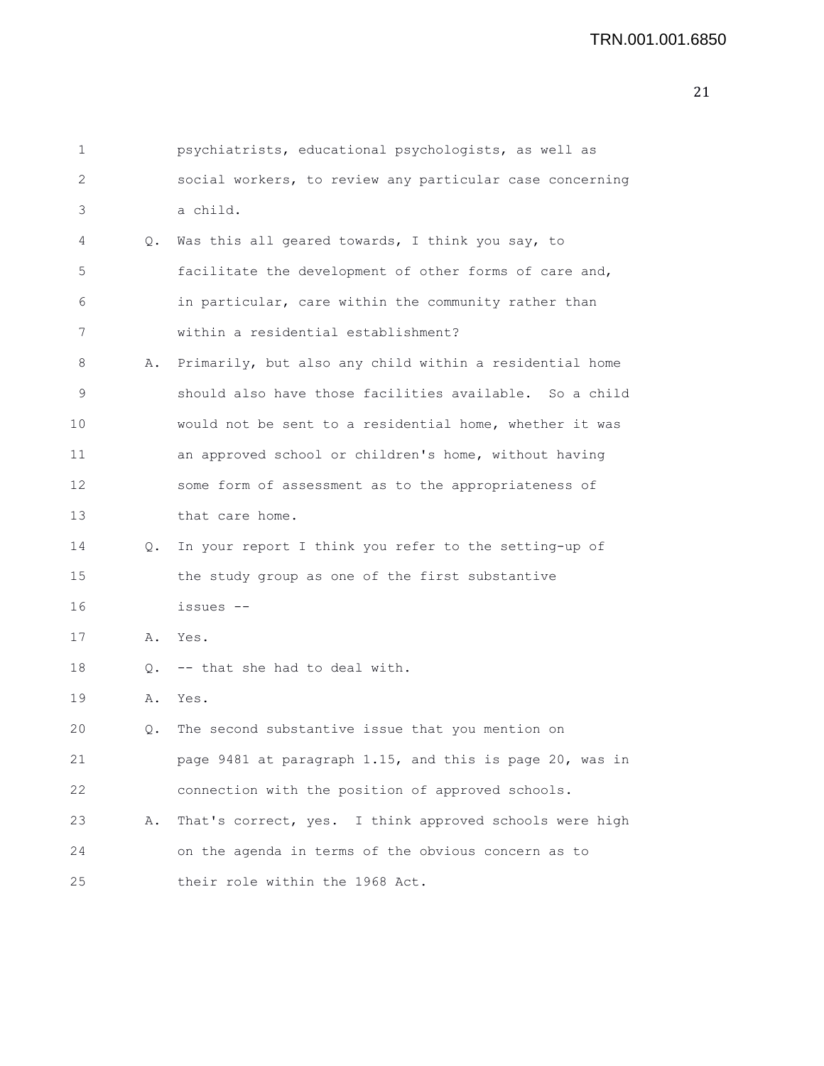| 1  |    | psychiatrists, educational psychologists, as well as     |
|----|----|----------------------------------------------------------|
| 2  |    | social workers, to review any particular case concerning |
| 3  |    | a child.                                                 |
| 4  | 0. | Was this all geared towards, I think you say, to         |
| 5  |    | facilitate the development of other forms of care and,   |
| 6  |    | in particular, care within the community rather than     |
| 7  |    | within a residential establishment?                      |
| 8  | Α. | Primarily, but also any child within a residential home  |
| 9  |    | should also have those facilities available. So a child  |
| 10 |    | would not be sent to a residential home, whether it was  |
| 11 |    | an approved school or children's home, without having    |
| 12 |    | some form of assessment as to the appropriateness of     |
| 13 |    | that care home.                                          |
| 14 | Q. | In your report I think you refer to the setting-up of    |
| 15 |    | the study group as one of the first substantive          |
| 16 |    | issues --                                                |
| 17 | Α. | Yes.                                                     |
| 18 | Q. | -- that she had to deal with.                            |
| 19 | Α. | Yes.                                                     |
| 20 | Q. | The second substantive issue that you mention on         |
| 21 |    | page 9481 at paragraph 1.15, and this is page 20, was in |
| 22 |    | connection with the position of approved schools.        |
| 23 | Α. | That's correct, yes. I think approved schools were high  |
| 24 |    | on the agenda in terms of the obvious concern as to      |
| 25 |    | their role within the 1968 Act.                          |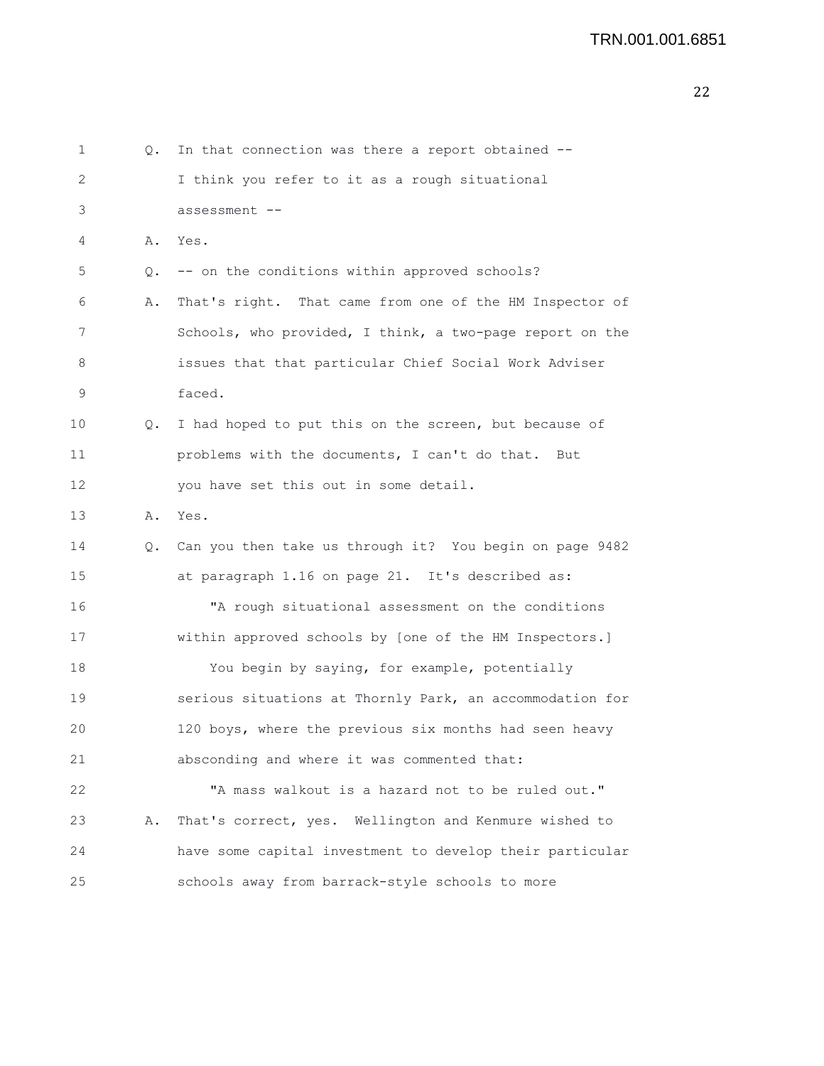```
1 Q. In that connection was there a report obtained --
2 I think you refer to it as a rough situational
3 assessment --
4 A. Yes.
5 Q. -- on the conditions within approved schools?
6 A. That's right. That came from one of the HM Inspector of
7 Schools, who provided, I think, a two-page report on the
8 issues that that particular Chief Social Work Adviser
9 faced.
10 Q. I had hoped to put this on the screen, but because of
11 problems with the documents, I can't do that. But
12 you have set this out in some detail.
13 A. Yes.
14 Q. Can you then take us through it? You begin on page 9482
15 at paragraph 1.16 on page 21. It's described as:
16 "A rough situational assessment on the conditions
17 within approved schools by [one of the HM Inspectors.]
18 You begin by saying, for example, potentially
19 serious situations at Thornly Park, an accommodation for
20 120 boys, where the previous six months had seen heavy
21 absconding and where it was commented that:
22 "A mass walkout is a hazard not to be ruled out."
23 A. That's correct, yes. Wellington and Kenmure wished to
24 have some capital investment to develop their particular
25 schools away from barrack-style schools to more
```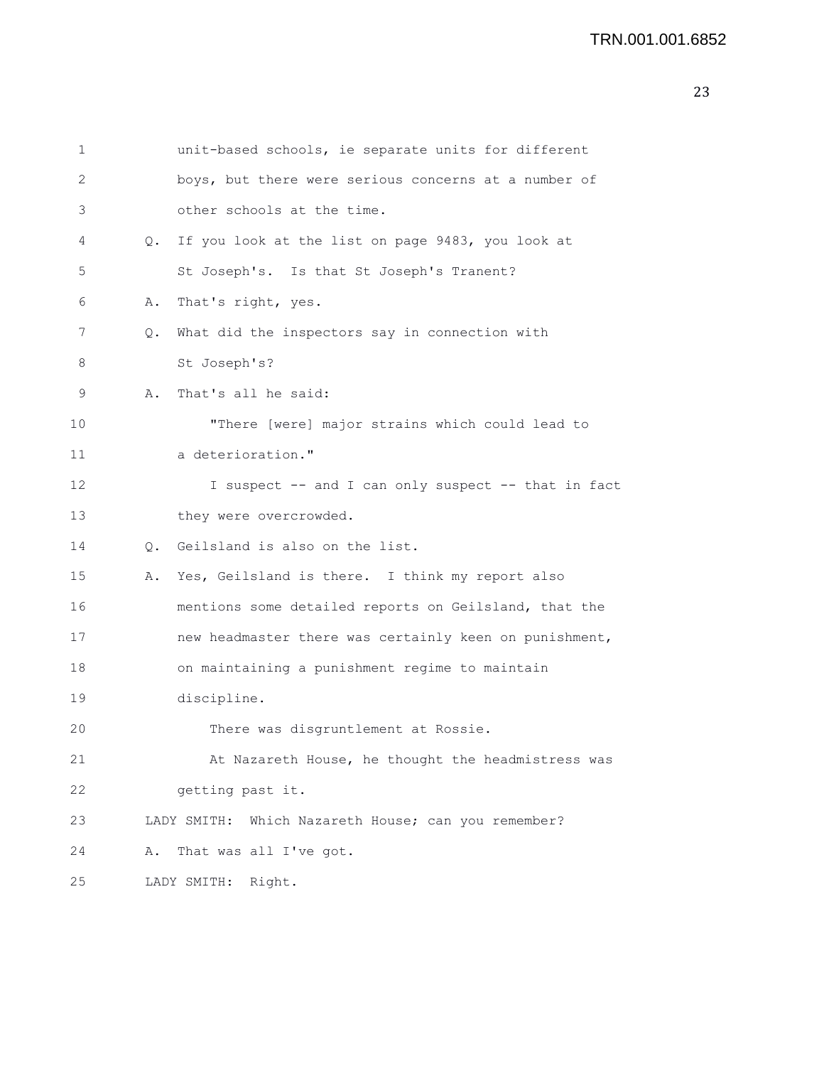```
23
```

| 1  |           | unit-based schools, ie separate units for different    |
|----|-----------|--------------------------------------------------------|
| 2  |           | boys, but there were serious concerns at a number of   |
| 3  |           | other schools at the time.                             |
| 4  |           | Q. If you look at the list on page 9483, you look at   |
| 5  |           | St Joseph's. Is that St Joseph's Tranent?              |
| 6  | Α.        | That's right, yes.                                     |
| 7  | Q.        | What did the inspectors say in connection with         |
| 8  |           | St Joseph's?                                           |
| 9  | Α.        | That's all he said:                                    |
| 10 |           | "There [were] major strains which could lead to        |
| 11 |           | a deterioration."                                      |
| 12 |           | I suspect -- and I can only suspect -- that in fact    |
| 13 |           | they were overcrowded.                                 |
| 14 | $\circ$ . | Geilsland is also on the list.                         |
| 15 | Α.        | Yes, Geilsland is there. I think my report also        |
| 16 |           | mentions some detailed reports on Geilsland, that the  |
| 17 |           | new headmaster there was certainly keen on punishment, |
| 18 |           | on maintaining a punishment regime to maintain         |
| 19 |           | discipline.                                            |
| 20 |           | There was disgruntlement at Rossie.                    |
| 21 |           | At Nazareth House, he thought the headmistress was     |
| 22 |           | getting past it.                                       |
| 23 |           | Which Nazareth House; can you remember?<br>LADY SMITH: |
| 24 | Α.        | That was all I've got.                                 |
| 25 |           | Right.<br>LADY SMITH:                                  |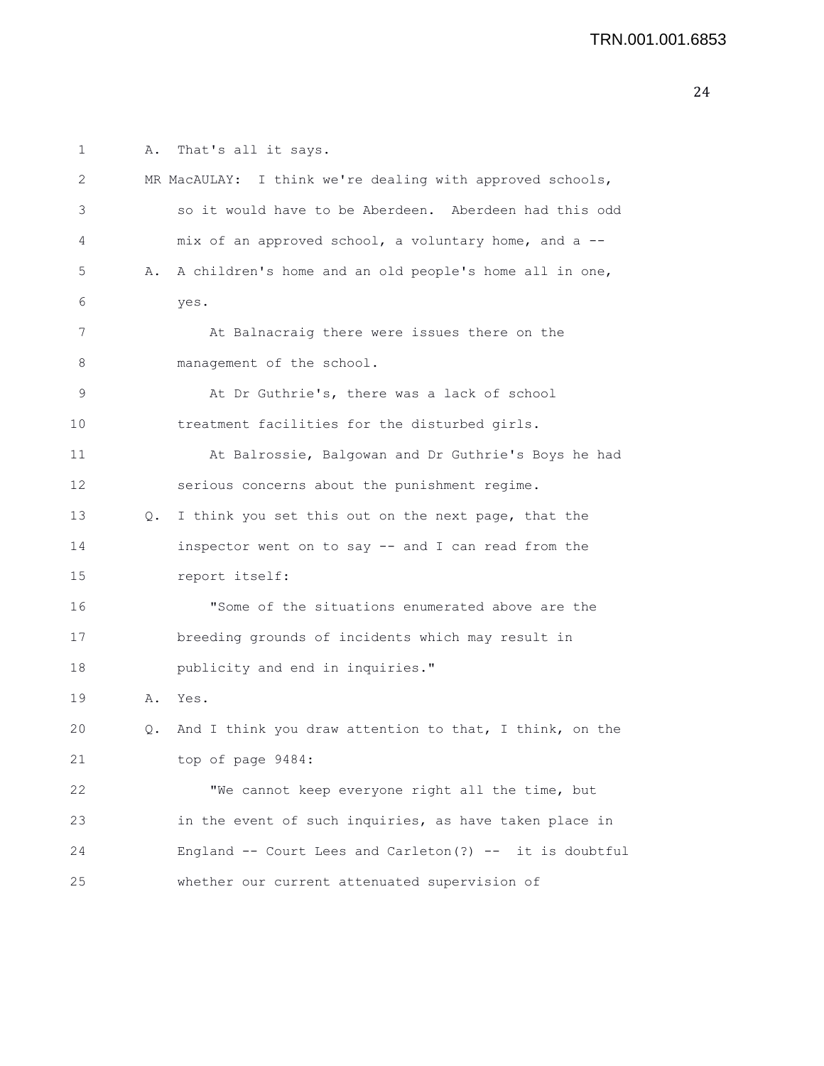1 A. That's all it says. 2 MR MacAULAY: I think we're dealing with approved schools, 3 so it would have to be Aberdeen. Aberdeen had this odd 4 mix of an approved school, a voluntary home, and a -- 5 A. A children's home and an old people's home all in one, 6 yes. 7 At Balnacraig there were issues there on the 8 management of the school. 9 At Dr Guthrie's, there was a lack of school 10 treatment facilities for the disturbed girls. 11 At Balrossie, Balgowan and Dr Guthrie's Boys he had 12 serious concerns about the punishment regime. 13 Q. I think you set this out on the next page, that the 14 inspector went on to say -- and I can read from the 15 report itself: 16 "Some of the situations enumerated above are the 17 breeding grounds of incidents which may result in 18 publicity and end in inquiries." 19 A. Yes. 20 Q. And I think you draw attention to that, I think, on the 21 top of page 9484: 22 "We cannot keep everyone right all the time, but 23 in the event of such inquiries, as have taken place in 24 England -- Court Lees and Carleton(?) -- it is doubtful 25 whether our current attenuated supervision of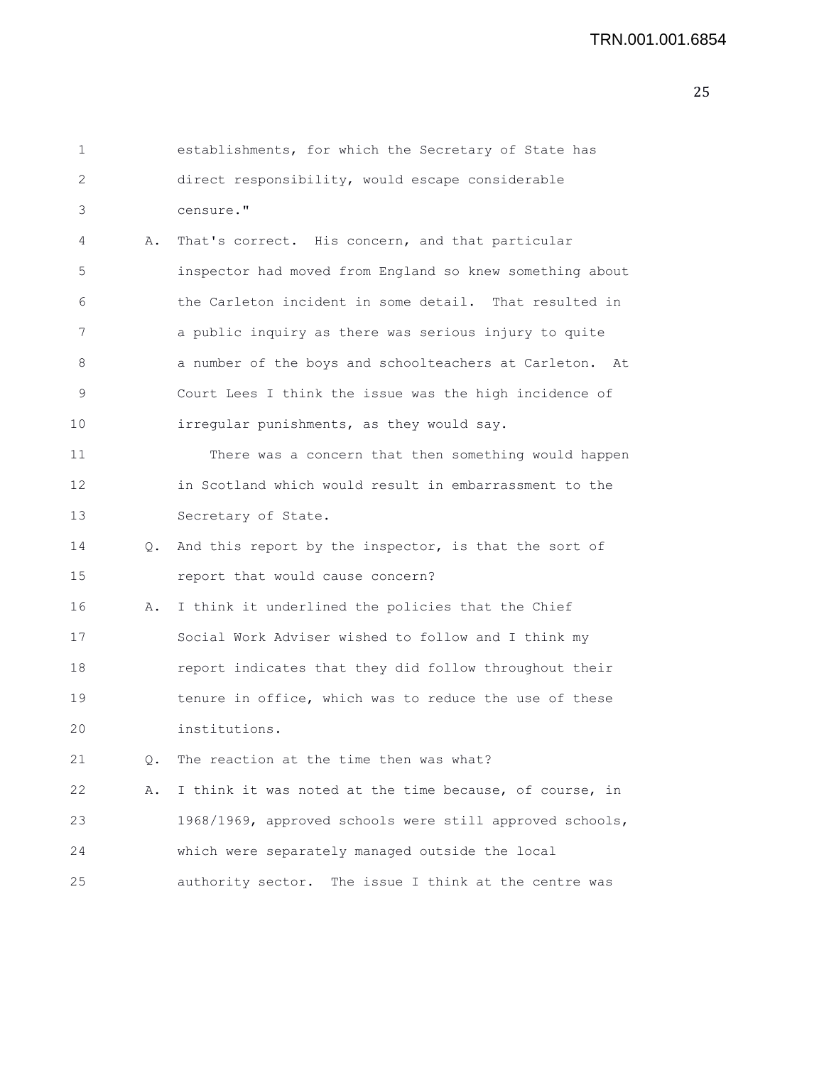| 1  |           | establishments, for which the Secretary of State has     |
|----|-----------|----------------------------------------------------------|
| 2  |           | direct responsibility, would escape considerable         |
| 3  |           | censure."                                                |
| 4  | Α.        | That's correct. His concern, and that particular         |
| 5  |           | inspector had moved from England so knew something about |
| 6  |           | the Carleton incident in some detail. That resulted in   |
| 7  |           | a public inquiry as there was serious injury to quite    |
| 8  |           | a number of the boys and schoolteachers at Carleton. At  |
| 9  |           | Court Lees I think the issue was the high incidence of   |
| 10 |           | irregular punishments, as they would say.                |
| 11 |           | There was a concern that then something would happen     |
| 12 |           | in Scotland which would result in embarrassment to the   |
| 13 |           | Secretary of State.                                      |
| 14 | $\circ$ . | And this report by the inspector, is that the sort of    |
| 15 |           | report that would cause concern?                         |
| 16 | Α.        | I think it underlined the policies that the Chief        |
| 17 |           | Social Work Adviser wished to follow and I think my      |
| 18 |           | report indicates that they did follow throughout their   |
| 19 |           | tenure in office, which was to reduce the use of these   |
| 20 |           | institutions.                                            |
| 21 | Q.        | The reaction at the time then was what?                  |
| 22 | Α.        | I think it was noted at the time because, of course, in  |
| 23 |           | 1968/1969, approved schools were still approved schools, |
| 24 |           | which were separately managed outside the local          |
| 25 |           | authority sector. The issue I think at the centre was    |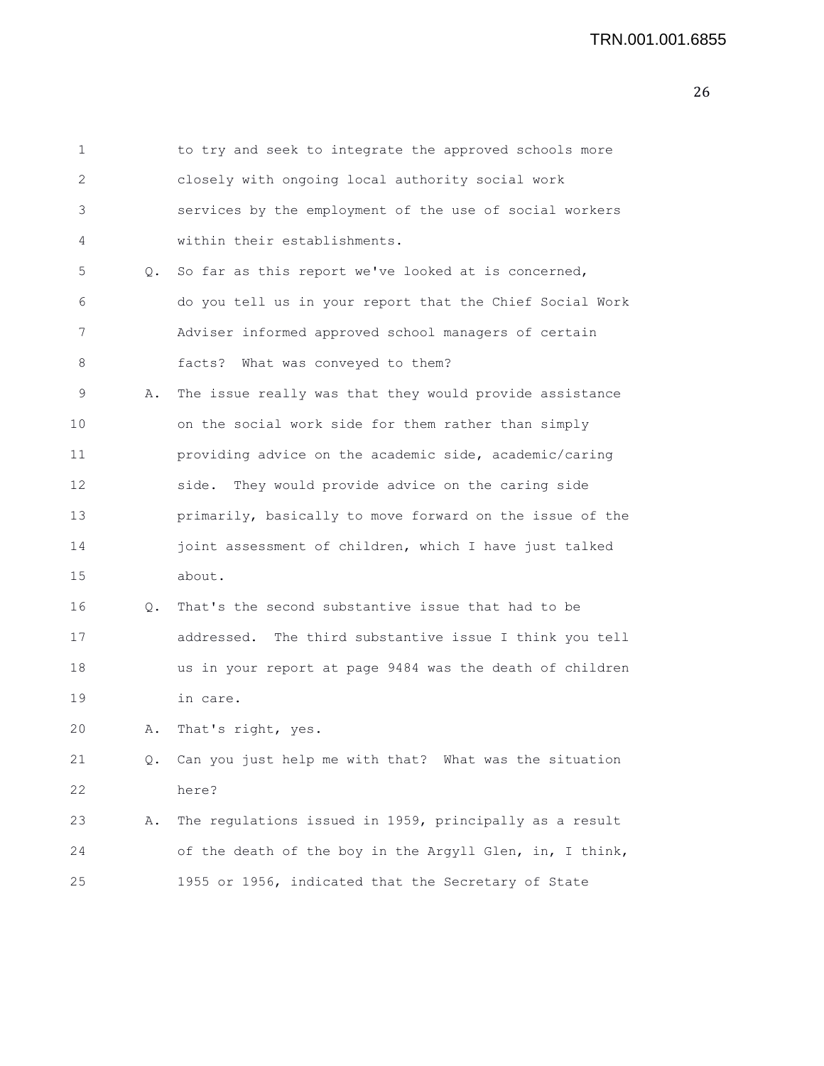| 1  |           | to try and seek to integrate the approved schools more    |
|----|-----------|-----------------------------------------------------------|
| 2  |           | closely with ongoing local authority social work          |
| 3  |           | services by the employment of the use of social workers   |
| 4  |           | within their establishments.                              |
| 5  | $\circ$ . | So far as this report we've looked at is concerned,       |
| 6  |           | do you tell us in your report that the Chief Social Work  |
| 7  |           | Adviser informed approved school managers of certain      |
| 8  |           | facts? What was conveyed to them?                         |
| 9  | Α.        | The issue really was that they would provide assistance   |
| 10 |           | on the social work side for them rather than simply       |
| 11 |           | providing advice on the academic side, academic/caring    |
| 12 |           | They would provide advice on the caring side<br>side.     |
| 13 |           | primarily, basically to move forward on the issue of the  |
| 14 |           | joint assessment of children, which I have just talked    |
| 15 |           | about.                                                    |
| 16 | Q.        | That's the second substantive issue that had to be        |
| 17 |           | addressed. The third substantive issue I think you tell   |
| 18 |           | us in your report at page 9484 was the death of children  |
| 19 |           | in care.                                                  |
| 20 | Α.        | That's right, yes.                                        |
| 21 |           | Q. Can you just help me with that? What was the situation |
| 22 |           | here?                                                     |
| 23 | Α.        | The regulations issued in 1959, principally as a result   |
| 24 |           | of the death of the boy in the Argyll Glen, in, I think,  |
| 25 |           | 1955 or 1956, indicated that the Secretary of State       |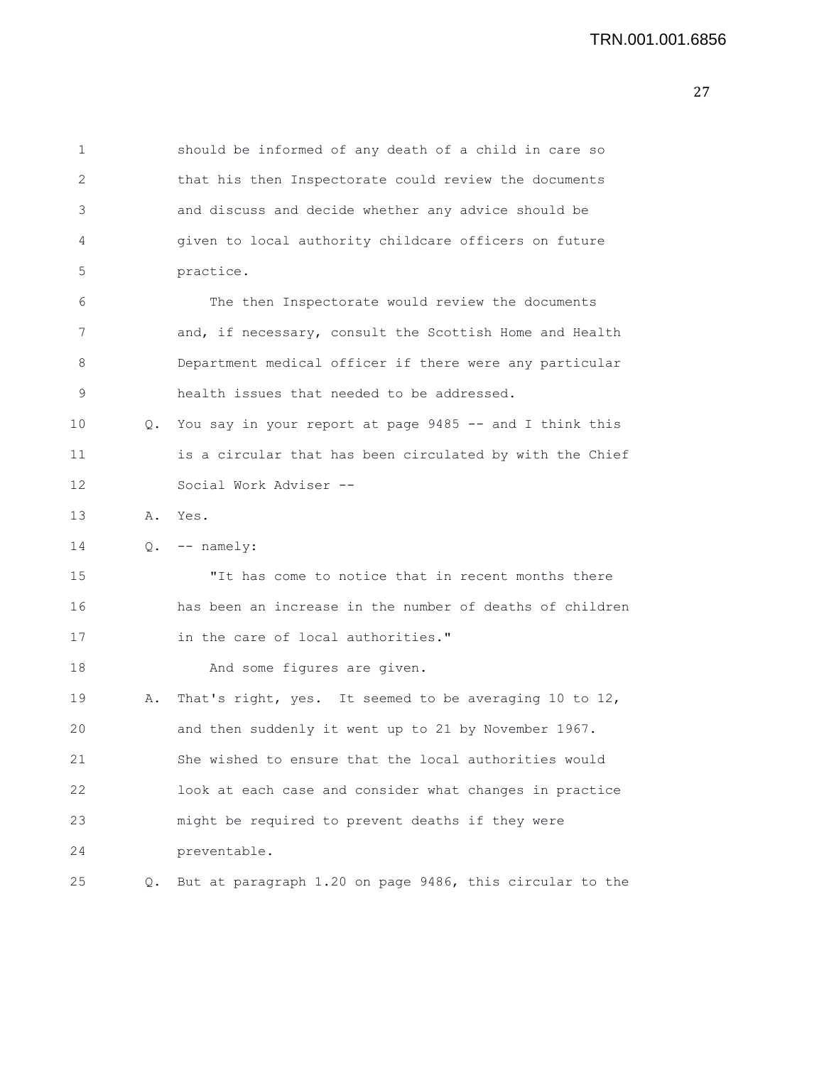| 1  |    | should be informed of any death of a child in care so    |
|----|----|----------------------------------------------------------|
| 2  |    | that his then Inspectorate could review the documents    |
| 3  |    | and discuss and decide whether any advice should be      |
| 4  |    | given to local authority childcare officers on future    |
| 5  |    | practice.                                                |
| 6  |    | The then Inspectorate would review the documents         |
| 7  |    | and, if necessary, consult the Scottish Home and Health  |
| 8  |    | Department medical officer if there were any particular  |
| 9  |    | health issues that needed to be addressed.               |
| 10 | Q. | You say in your report at page 9485 -- and I think this  |
| 11 |    | is a circular that has been circulated by with the Chief |
| 12 |    | Social Work Adviser --                                   |
| 13 | Α. | Yes.                                                     |
| 14 |    | $Q.$ -- namely:                                          |
| 15 |    | "It has come to notice that in recent months there       |
| 16 |    | has been an increase in the number of deaths of children |
| 17 |    | in the care of local authorities."                       |
| 18 |    | And some figures are given.                              |
| 19 | Α. | That's right, yes. It seemed to be averaging 10 to 12,   |
| 20 |    | and then suddenly it went up to 21 by November 1967.     |
| 21 |    | She wished to ensure that the local authorities would    |
| 22 |    | look at each case and consider what changes in practice  |
| 23 |    | might be required to prevent deaths if they were         |
| 24 |    | preventable.                                             |
| 25 | Q. | But at paragraph 1.20 on page 9486, this circular to the |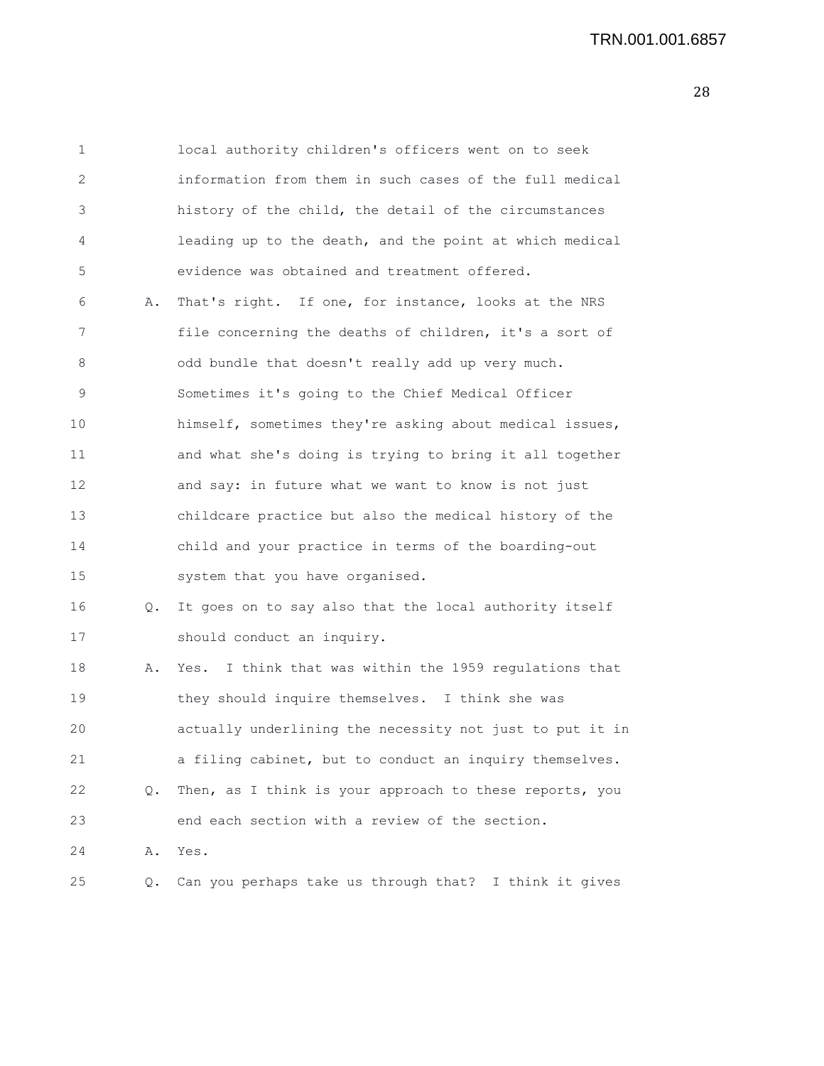1 local authority children's officers went on to seek 2 information from them in such cases of the full medical 3 history of the child, the detail of the circumstances 4 leading up to the death, and the point at which medical 5 evidence was obtained and treatment offered. 6 A. That's right. If one, for instance, looks at the NRS 7 file concerning the deaths of children, it's a sort of 8 odd bundle that doesn't really add up very much. 9 Sometimes it's going to the Chief Medical Officer 10 himself, sometimes they're asking about medical issues, 11 and what she's doing is trying to bring it all together 12 and say: in future what we want to know is not just 13 childcare practice but also the medical history of the 14 child and your practice in terms of the boarding-out 15 system that you have organised. 16 Q. It goes on to say also that the local authority itself 17 should conduct an inquiry. 18 A. Yes. I think that was within the 1959 regulations that 19 they should inquire themselves. I think she was 20 actually underlining the necessity not just to put it in 21 a filing cabinet, but to conduct an inquiry themselves. 22 Q. Then, as I think is your approach to these reports, you 23 end each section with a review of the section. 24 A. Yes. 25 Q. Can you perhaps take us through that? I think it gives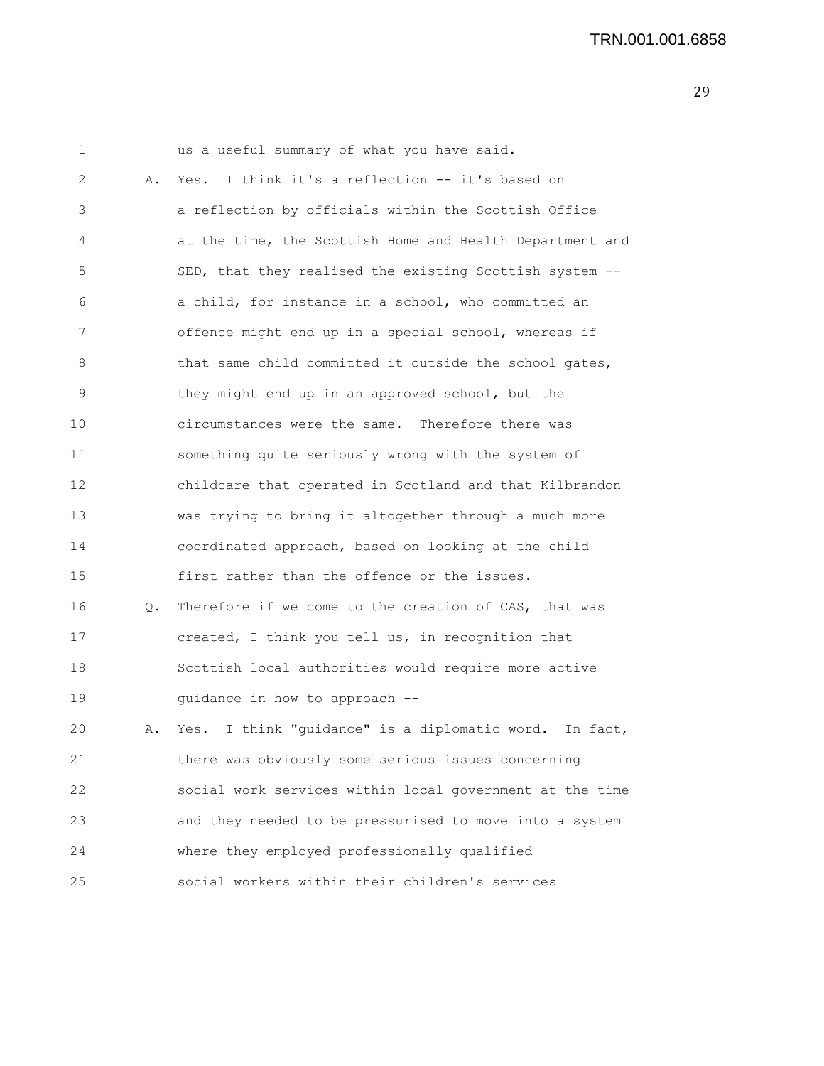| 1  |    | us a useful summary of what you have said.                |
|----|----|-----------------------------------------------------------|
| 2  | Α. | Yes. I think it's a reflection -- it's based on           |
| 3  |    | a reflection by officials within the Scottish Office      |
| 4  |    | at the time, the Scottish Home and Health Department and  |
| 5  |    | SED, that they realised the existing Scottish system --   |
| 6  |    | a child, for instance in a school, who committed an       |
| 7  |    | offence might end up in a special school, whereas if      |
| 8  |    | that same child committed it outside the school gates,    |
| 9  |    | they might end up in an approved school, but the          |
| 10 |    | circumstances were the same. Therefore there was          |
| 11 |    | something quite seriously wrong with the system of        |
| 12 |    | childcare that operated in Scotland and that Kilbrandon   |
| 13 |    | was trying to bring it altogether through a much more     |
| 14 |    | coordinated approach, based on looking at the child       |
| 15 |    | first rather than the offence or the issues.              |
| 16 | Q. | Therefore if we come to the creation of CAS, that was     |
| 17 |    | created, I think you tell us, in recognition that         |
| 18 |    | Scottish local authorities would require more active      |
| 19 |    | guidance in how to approach --                            |
| 20 | Α. | I think "quidance" is a diplomatic word. In fact,<br>Yes. |
| 21 |    | there was obviously some serious issues concerning        |
| 22 |    | social work services within local government at the time  |
| 23 |    | and they needed to be pressurised to move into a system   |
| 24 |    | where they employed professionally qualified              |
| 25 |    | social workers within their children's services           |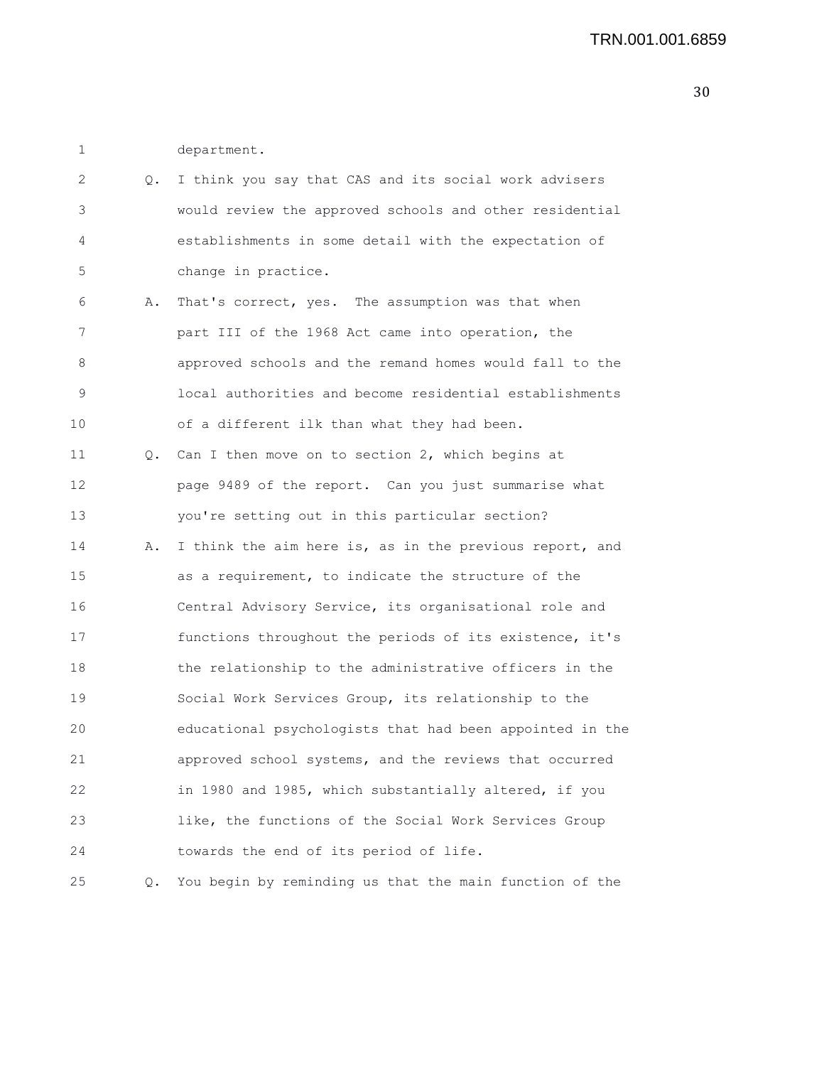1 department.

| 2  | Q. | I think you say that CAS and its social work advisers    |
|----|----|----------------------------------------------------------|
| 3  |    | would review the approved schools and other residential  |
| 4  |    | establishments in some detail with the expectation of    |
| 5  |    | change in practice.                                      |
| 6  | Α. | That's correct, yes. The assumption was that when        |
| 7  |    | part III of the 1968 Act came into operation, the        |
| 8  |    | approved schools and the remand homes would fall to the  |
| 9  |    | local authorities and become residential establishments  |
| 10 |    | of a different ilk than what they had been.              |
| 11 |    | Q. Can I then move on to section 2, which begins at      |
| 12 |    | page 9489 of the report. Can you just summarise what     |
| 13 |    | you're setting out in this particular section?           |
| 14 | Α. | I think the aim here is, as in the previous report, and  |
| 15 |    | as a requirement, to indicate the structure of the       |
| 16 |    | Central Advisory Service, its organisational role and    |
| 17 |    | functions throughout the periods of its existence, it's  |
| 18 |    | the relationship to the administrative officers in the   |
| 19 |    | Social Work Services Group, its relationship to the      |
| 20 |    | educational psychologists that had been appointed in the |
| 21 |    | approved school systems, and the reviews that occurred   |
| 22 |    | in 1980 and 1985, which substantially altered, if you    |
| 23 |    | like, the functions of the Social Work Services Group    |
| 24 |    | towards the end of its period of life.                   |
| 25 | Q. | You begin by reminding us that the main function of the  |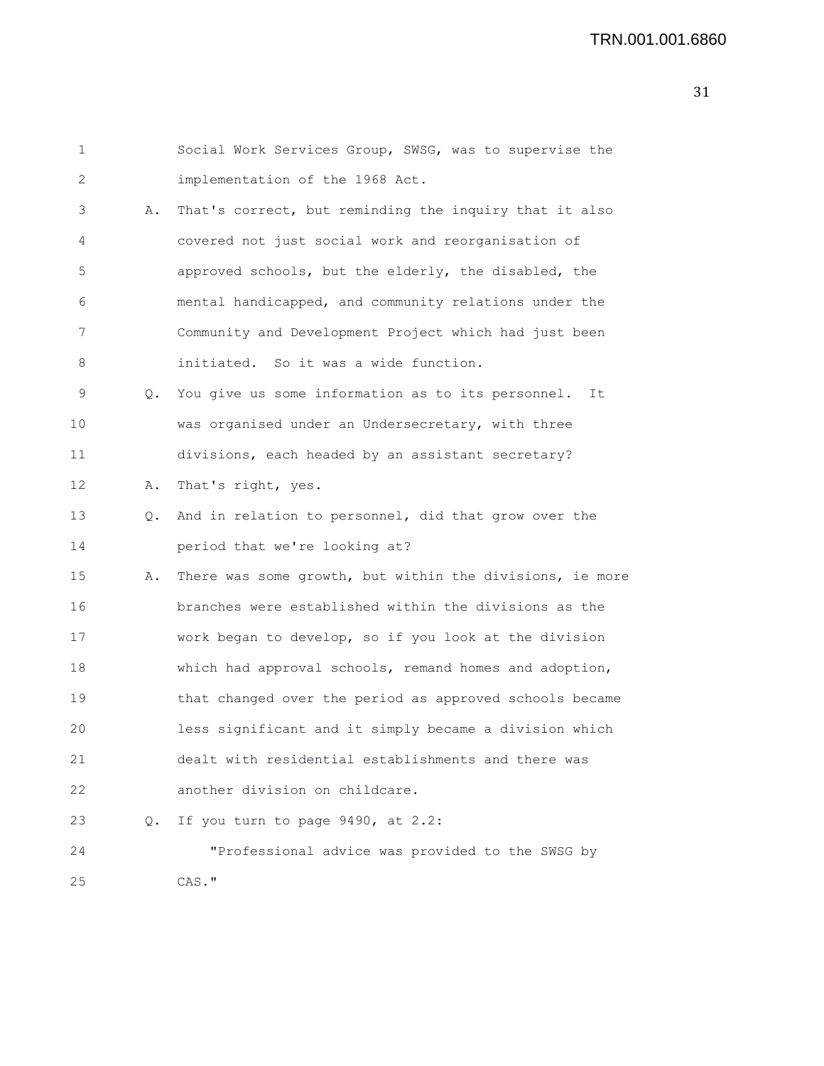```
1 Social Work Services Group, SWSG, was to supervise the
2 implementation of the 1968 Act.
3 A. That's correct, but reminding the inquiry that it also
4 covered not just social work and reorganisation of
5 approved schools, but the elderly, the disabled, the
6 mental handicapped, and community relations under the
7 Community and Development Project which had just been
8 initiated. So it was a wide function.
9 Q. You give us some information as to its personnel. It
10 was organised under an Undersecretary, with three
11 divisions, each headed by an assistant secretary?
12 A. That's right, yes.
13 Q. And in relation to personnel, did that grow over the
14 period that we're looking at?
15 A. There was some growth, but within the divisions, ie more
16 branches were established within the divisions as the
17 work began to develop, so if you look at the division
18 which had approval schools, remand homes and adoption,
19 that changed over the period as approved schools became
20 less significant and it simply became a division which
21 dealt with residential establishments and there was
22 another division on childcare.
23 Q. If you turn to page 9490, at 2.2:
24 "Professional advice was provided to the SWSG by
25 CAS."
```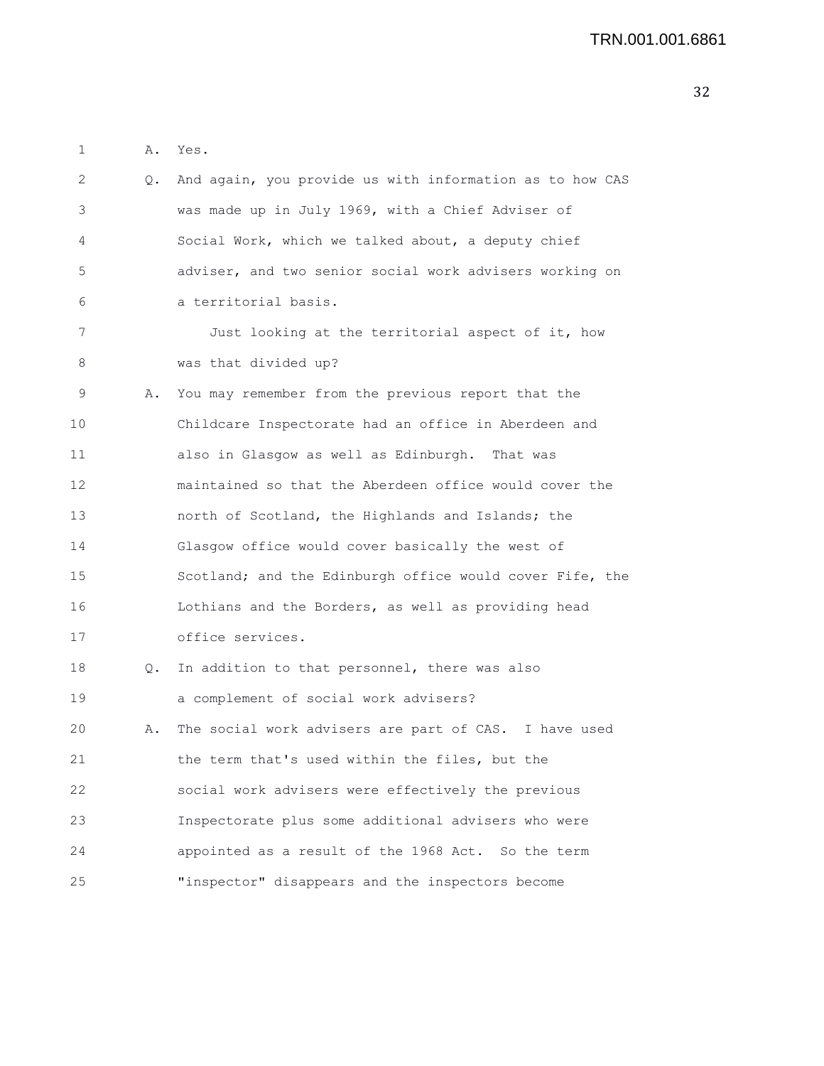2 Q. And again, you provide us with information as to how CAS 3 was made up in July 1969, with a Chief Adviser of 4 Social Work, which we talked about, a deputy chief 5 adviser, and two senior social work advisers working on 6 a territorial basis. 7 Just looking at the territorial aspect of it, how 8 was that divided up? 9 A. You may remember from the previous report that the 10 Childcare Inspectorate had an office in Aberdeen and 11 also in Glasgow as well as Edinburgh. That was 12 maintained so that the Aberdeen office would cover the 13 north of Scotland, the Highlands and Islands; the 14 Glasgow office would cover basically the west of 15 Scotland; and the Edinburgh office would cover Fife, the

1 A. Yes.

16 Lothians and the Borders, as well as providing head 17 office services.

18 Q. In addition to that personnel, there was also 19 a complement of social work advisers? 20 A. The social work advisers are part of CAS. I have used 21 the term that's used within the files, but the 22 social work advisers were effectively the previous 23 Inspectorate plus some additional advisers who were 24 appointed as a result of the 1968 Act. So the term 25 "inspector" disappears and the inspectors become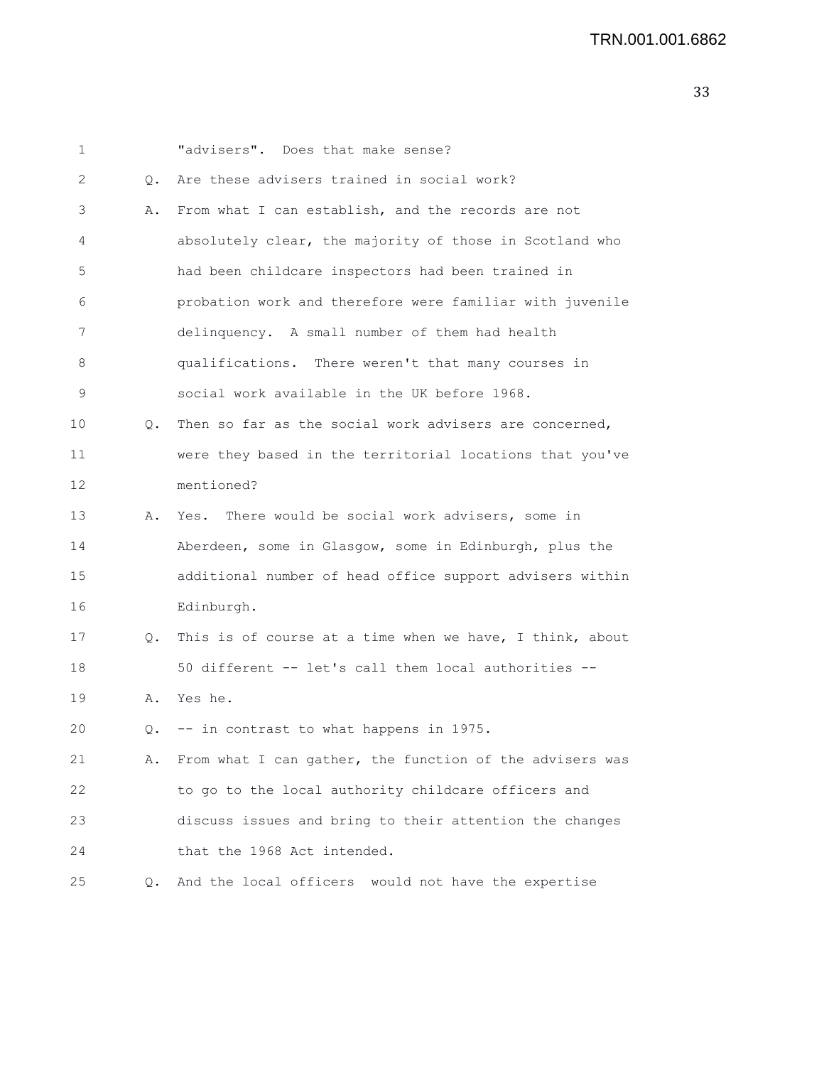| 1  |           | "advisers". Does that make sense?                        |
|----|-----------|----------------------------------------------------------|
| 2  | $\circ$ . | Are these advisers trained in social work?               |
| 3  | Α.        | From what I can establish, and the records are not       |
| 4  |           | absolutely clear, the majority of those in Scotland who  |
| 5  |           | had been childcare inspectors had been trained in        |
| 6  |           | probation work and therefore were familiar with juvenile |
| 7  |           | delinquency. A small number of them had health           |
| 8  |           | qualifications. There weren't that many courses in       |
| 9  |           | social work available in the UK before 1968.             |
| 10 | Q.        | Then so far as the social work advisers are concerned,   |
| 11 |           | were they based in the territorial locations that you've |
| 12 |           | mentioned?                                               |
| 13 | Α.        | There would be social work advisers, some in<br>Yes.     |
| 14 |           | Aberdeen, some in Glasgow, some in Edinburgh, plus the   |
| 15 |           | additional number of head office support advisers within |
| 16 |           | Edinburgh.                                               |
| 17 | Q.        | This is of course at a time when we have, I think, about |
| 18 |           | 50 different -- let's call them local authorities --     |
| 19 | Α.        | Yes he.                                                  |
| 20 | О.        | -- in contrast to what happens in 1975.                  |
| 21 | Α.        | From what I can gather, the function of the advisers was |
| 22 |           | to go to the local authority childcare officers and      |
| 23 |           | discuss issues and bring to their attention the changes  |
| 24 |           | that the 1968 Act intended.                              |
| 25 | Q.        | And the local officers would not have the expertise      |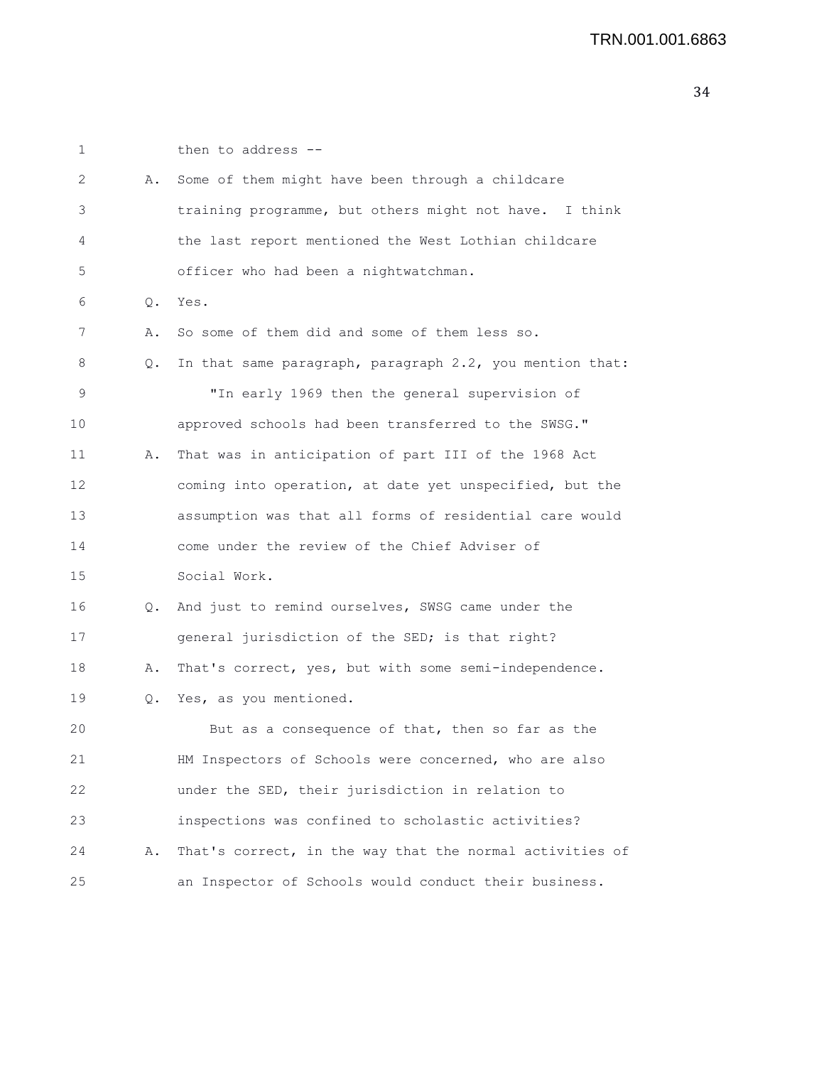| 1  |    | then to address --                                       |
|----|----|----------------------------------------------------------|
| 2  | Α. | Some of them might have been through a childcare         |
| 3  |    | training programme, but others might not have. I think   |
| 4  |    | the last report mentioned the West Lothian childcare     |
| 5  |    | officer who had been a nightwatchman.                    |
| 6  | Q. | Yes.                                                     |
| 7  | Α. | So some of them did and some of them less so.            |
| 8  | Q. | In that same paragraph, paragraph 2.2, you mention that: |
| 9  |    | "In early 1969 then the general supervision of           |
| 10 |    | approved schools had been transferred to the SWSG."      |
| 11 | Α. | That was in anticipation of part III of the 1968 Act     |
| 12 |    | coming into operation, at date yet unspecified, but the  |
| 13 |    | assumption was that all forms of residential care would  |
| 14 |    | come under the review of the Chief Adviser of            |
| 15 |    | Social Work.                                             |
| 16 | Q. | And just to remind ourselves, SWSG came under the        |
| 17 |    | general jurisdiction of the SED; is that right?          |
| 18 | Α. | That's correct, yes, but with some semi-independence.    |
| 19 | Q. | Yes, as you mentioned.                                   |
| 20 |    | But as a consequence of that, then so far as the         |
| 21 |    | HM Inspectors of Schools were concerned, who are also    |
| 22 |    | under the SED, their jurisdiction in relation to         |
| 23 |    | inspections was confined to scholastic activities?       |
| 24 | Α. | That's correct, in the way that the normal activities of |
| 25 |    | an Inspector of Schools would conduct their business.    |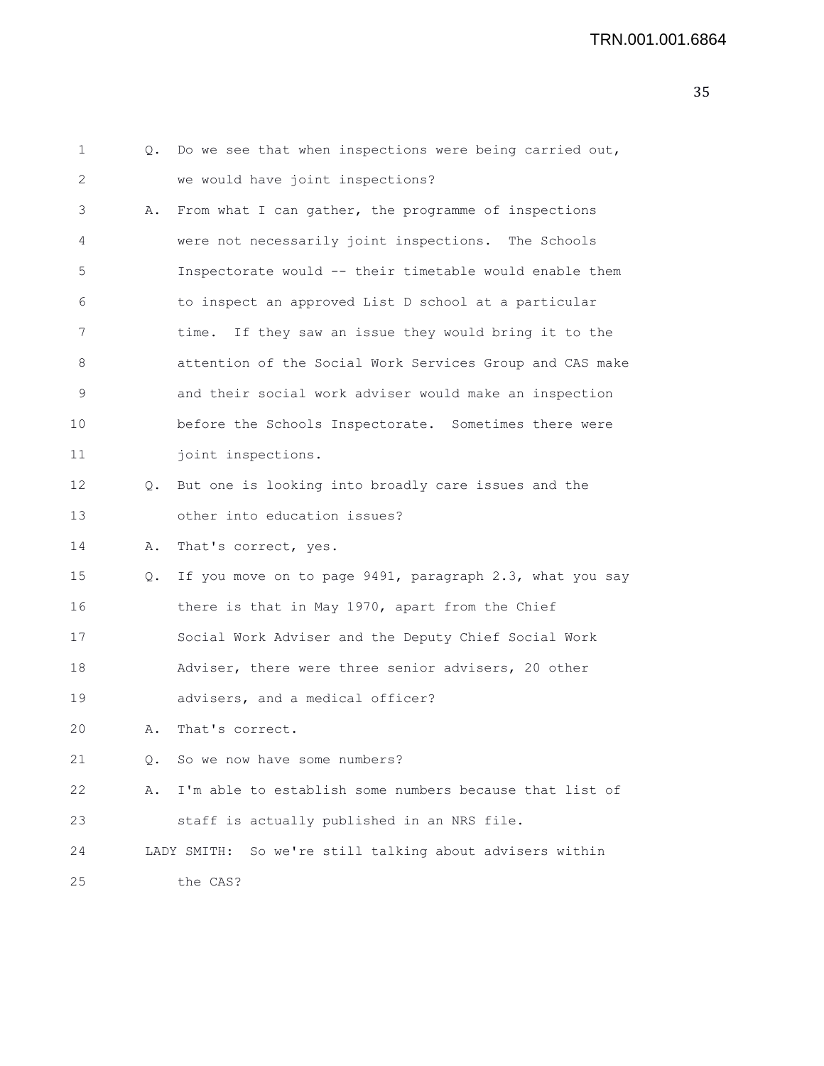| 1  | Q. | Do we see that when inspections were being carried out,  |
|----|----|----------------------------------------------------------|
| 2  |    | we would have joint inspections?                         |
| 3  | Α. | From what I can gather, the programme of inspections     |
| 4  |    | were not necessarily joint inspections. The Schools      |
| 5  |    | Inspectorate would -- their timetable would enable them  |
| 6  |    | to inspect an approved List D school at a particular     |
| 7  |    | time. If they saw an issue they would bring it to the    |
| 8  |    | attention of the Social Work Services Group and CAS make |
| 9  |    | and their social work adviser would make an inspection   |
| 10 |    | before the Schools Inspectorate. Sometimes there were    |
| 11 |    | joint inspections.                                       |
| 12 | Q. | But one is looking into broadly care issues and the      |
| 13 |    | other into education issues?                             |
| 14 | Α. | That's correct, yes.                                     |
| 15 | Q. | If you move on to page 9491, paragraph 2.3, what you say |
| 16 |    | there is that in May 1970, apart from the Chief          |
| 17 |    | Social Work Adviser and the Deputy Chief Social Work     |
| 18 |    | Adviser, there were three senior advisers, 20 other      |
| 19 |    | advisers, and a medical officer?                         |
| 20 | Α. | That's correct.                                          |
| 21 |    | Q. So we now have some numbers?                          |
| 22 | Α. | I'm able to establish some numbers because that list of  |
| 23 |    | staff is actually published in an NRS file.              |
| 24 |    | LADY SMITH: So we're still talking about advisers within |
| 25 |    | the CAS?                                                 |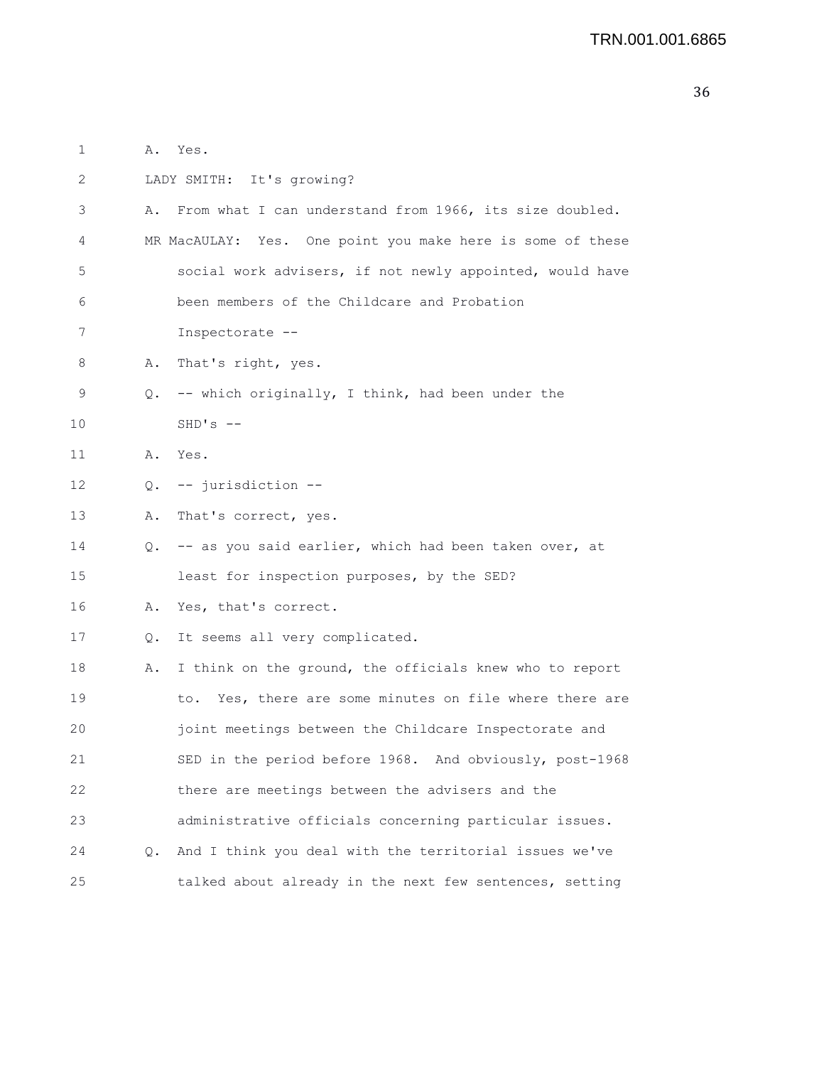| $\mathbf{1}$ |    | A. Yes.                                                    |
|--------------|----|------------------------------------------------------------|
| 2            |    | LADY SMITH: It's growing?                                  |
| 3            | Α. | From what I can understand from 1966, its size doubled.    |
| 4            |    | MR MacAULAY: Yes. One point you make here is some of these |
| 5            |    | social work advisers, if not newly appointed, would have   |
| 6            |    | been members of the Childcare and Probation                |
| 7            |    | Inspectorate --                                            |
| 8            | Α. | That's right, yes.                                         |
| 9            | Q. | -- which originally, I think, had been under the           |
| 10           |    | $SHD'S$ --                                                 |
| 11           |    | A. Yes.                                                    |
| 12           |    | Q. -- jurisdiction --                                      |
| 13           | Α. | That's correct, yes.                                       |
| 14           |    | Q. -- as you said earlier, which had been taken over, at   |
| 15           |    | least for inspection purposes, by the SED?                 |
| 16           | Α. | Yes, that's correct.                                       |
| 17           | Q. | It seems all very complicated.                             |
| 18           | Α. | I think on the ground, the officials knew who to report    |
| 19           |    | Yes, there are some minutes on file where there are<br>to. |
| 20           |    | joint meetings between the Childcare Inspectorate and      |
| 21           |    | SED in the period before 1968. And obviously, post-1968    |
| 22           |    | there are meetings between the advisers and the            |
| 23           |    | administrative officials concerning particular issues.     |
| 24           | Q. | And I think you deal with the territorial issues we've     |
| 25           |    | talked about already in the next few sentences, setting    |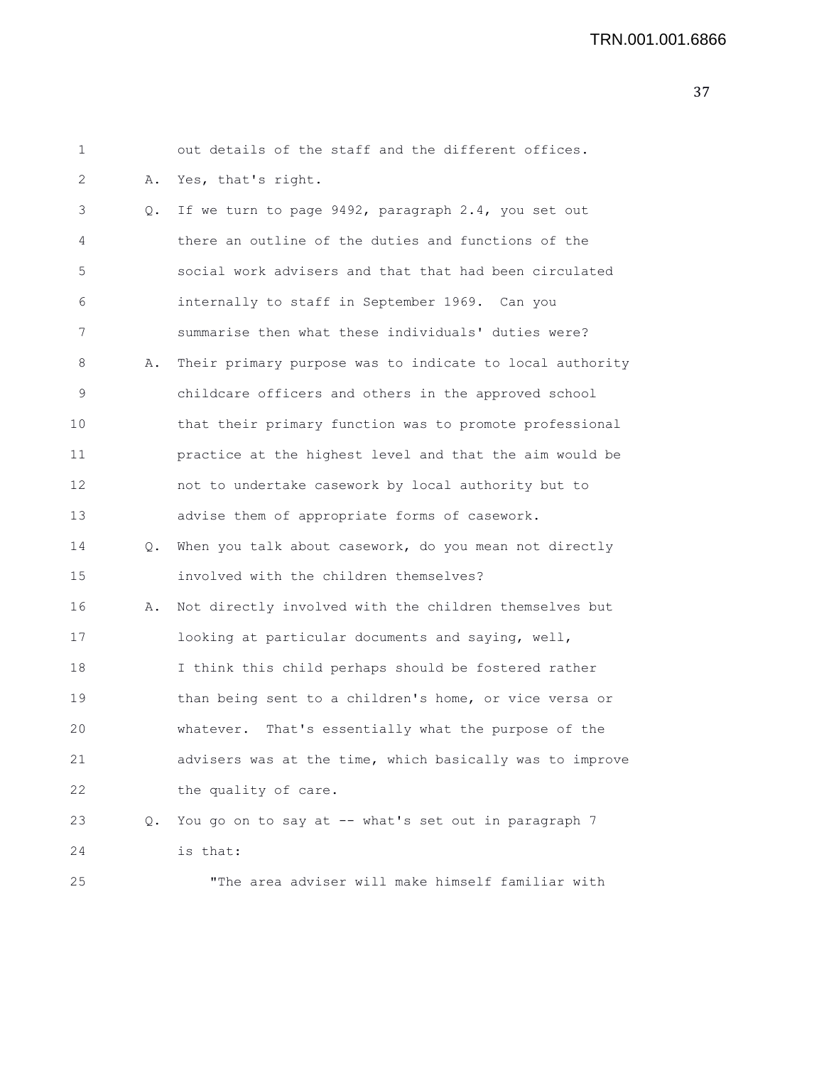## TRN.001.001.6866

| 1  |    | out details of the staff and the different offices.      |
|----|----|----------------------------------------------------------|
| 2  | Α. | Yes, that's right.                                       |
| 3  | Q. | If we turn to page 9492, paragraph 2.4, you set out      |
| 4  |    | there an outline of the duties and functions of the      |
| 5  |    | social work advisers and that that had been circulated   |
| 6  |    | internally to staff in September 1969. Can you           |
| 7  |    | summarise then what these individuals' duties were?      |
| 8  | Α. | Their primary purpose was to indicate to local authority |
| 9  |    | childcare officers and others in the approved school     |
| 10 |    | that their primary function was to promote professional  |
| 11 |    | practice at the highest level and that the aim would be  |
| 12 |    | not to undertake casework by local authority but to      |
| 13 |    | advise them of appropriate forms of casework.            |
| 14 | Q. | When you talk about casework, do you mean not directly   |
| 15 |    | involved with the children themselves?                   |
| 16 | Α. | Not directly involved with the children themselves but   |
| 17 |    | looking at particular documents and saying, well,        |
| 18 |    | I think this child perhaps should be fostered rather     |
| 19 |    | than being sent to a children's home, or vice versa or   |
| 20 |    | That's essentially what the purpose of the<br>whatever.  |
| 21 |    | advisers was at the time, which basically was to improve |
| 22 |    | the quality of care.                                     |
| 23 | Q. | You go on to say at -- what's set out in paragraph 7     |
| 24 |    | is that:                                                 |
| 25 |    | "The area adviser will make himself familiar with        |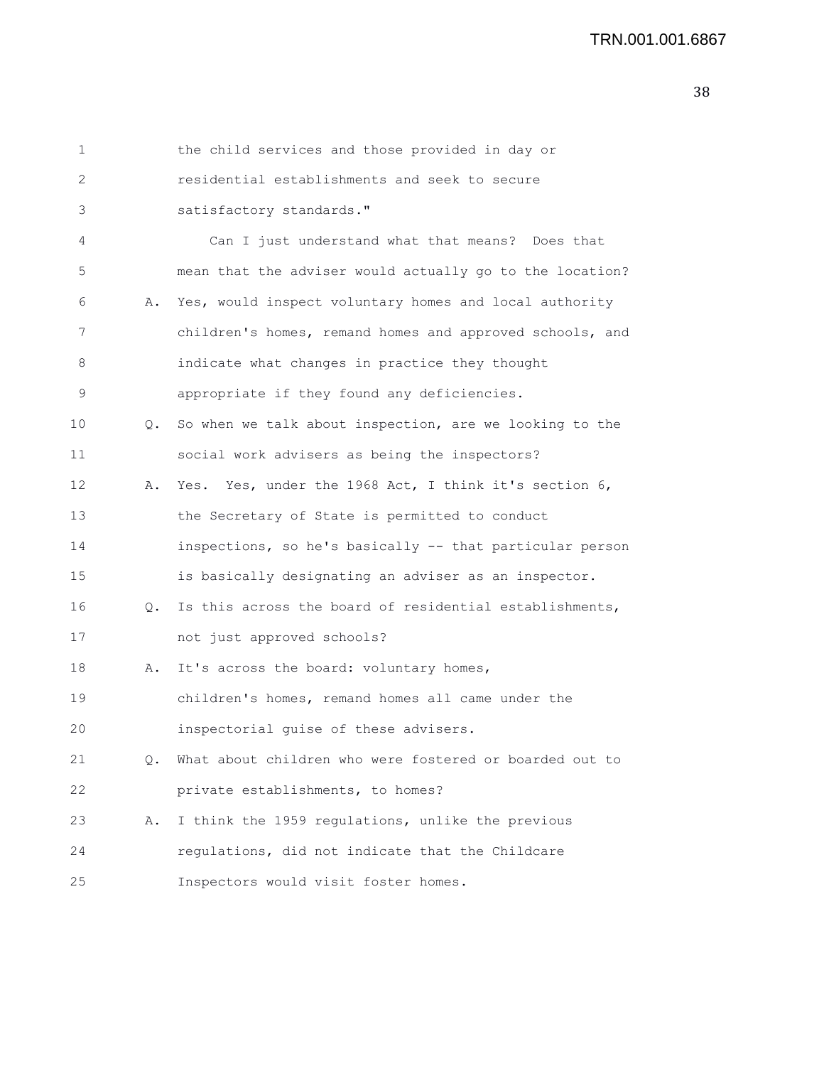| 1  |               | the child services and those provided in day or          |
|----|---------------|----------------------------------------------------------|
| 2  |               | residential establishments and seek to secure            |
| 3  |               | satisfactory standards."                                 |
| 4  |               | Can I just understand what that means? Does that         |
| 5  |               | mean that the adviser would actually go to the location? |
| 6  | Α.            | Yes, would inspect voluntary homes and local authority   |
| 7  |               | children's homes, remand homes and approved schools, and |
| 8  |               | indicate what changes in practice they thought           |
| 9  |               | appropriate if they found any deficiencies.              |
| 10 | $Q_{\bullet}$ | So when we talk about inspection, are we looking to the  |
| 11 |               | social work advisers as being the inspectors?            |
| 12 | Α.            | Yes. Yes, under the 1968 Act, I think it's section 6,    |
| 13 |               | the Secretary of State is permitted to conduct           |
| 14 |               | inspections, so he's basically -- that particular person |
| 15 |               | is basically designating an adviser as an inspector.     |
| 16 | $\circ$ .     | Is this across the board of residential establishments,  |
| 17 |               | not just approved schools?                               |
| 18 | Α.            | It's across the board: voluntary homes,                  |
| 19 |               | children's homes, remand homes all came under the        |
| 20 |               | inspectorial guise of these advisers.                    |
| 21 | О.            | What about children who were fostered or boarded out to  |
| 22 |               | private establishments, to homes?                        |
| 23 | Α.            | I think the 1959 regulations, unlike the previous        |
| 24 |               | regulations, did not indicate that the Childcare         |
| 25 |               | Inspectors would visit foster homes.                     |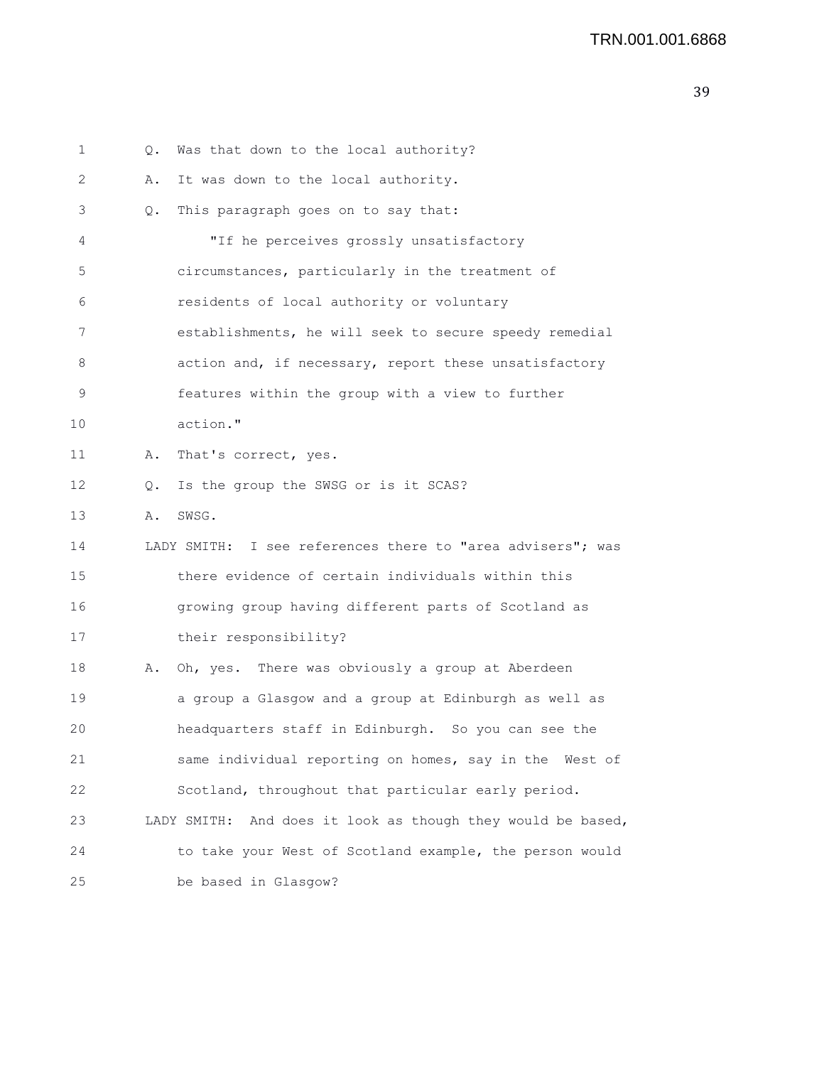| 1  | Q. | Was that down to the local authority?                          |
|----|----|----------------------------------------------------------------|
| 2  | Α. | It was down to the local authority.                            |
| 3  | Q. | This paragraph goes on to say that:                            |
| 4  |    | "If he perceives grossly unsatisfactory                        |
| 5  |    | circumstances, particularly in the treatment of                |
| 6  |    | residents of local authority or voluntary                      |
| 7  |    | establishments, he will seek to secure speedy remedial         |
| 8  |    | action and, if necessary, report these unsatisfactory          |
| 9  |    | features within the group with a view to further               |
| 10 |    | action."                                                       |
| 11 | Α. | That's correct, yes.                                           |
| 12 | Q. | Is the group the SWSG or is it SCAS?                           |
| 13 | Α. | SWSG.                                                          |
| 14 |    | LADY SMITH: I see references there to "area advisers"; was     |
| 15 |    | there evidence of certain individuals within this              |
| 16 |    | growing group having different parts of Scotland as            |
| 17 |    | their responsibility?                                          |
| 18 | Α. | Oh, yes. There was obviously a group at Aberdeen               |
| 19 |    | a group a Glasgow and a group at Edinburgh as well as          |
| 20 |    | headquarters staff in Edinburgh. So you can see the            |
| 21 |    | same individual reporting on homes, say in the West of         |
| 22 |    | Scotland, throughout that particular early period.             |
| 23 |    | And does it look as though they would be based,<br>LADY SMITH: |
| 24 |    | to take your West of Scotland example, the person would        |
| 25 |    | be based in Glasgow?                                           |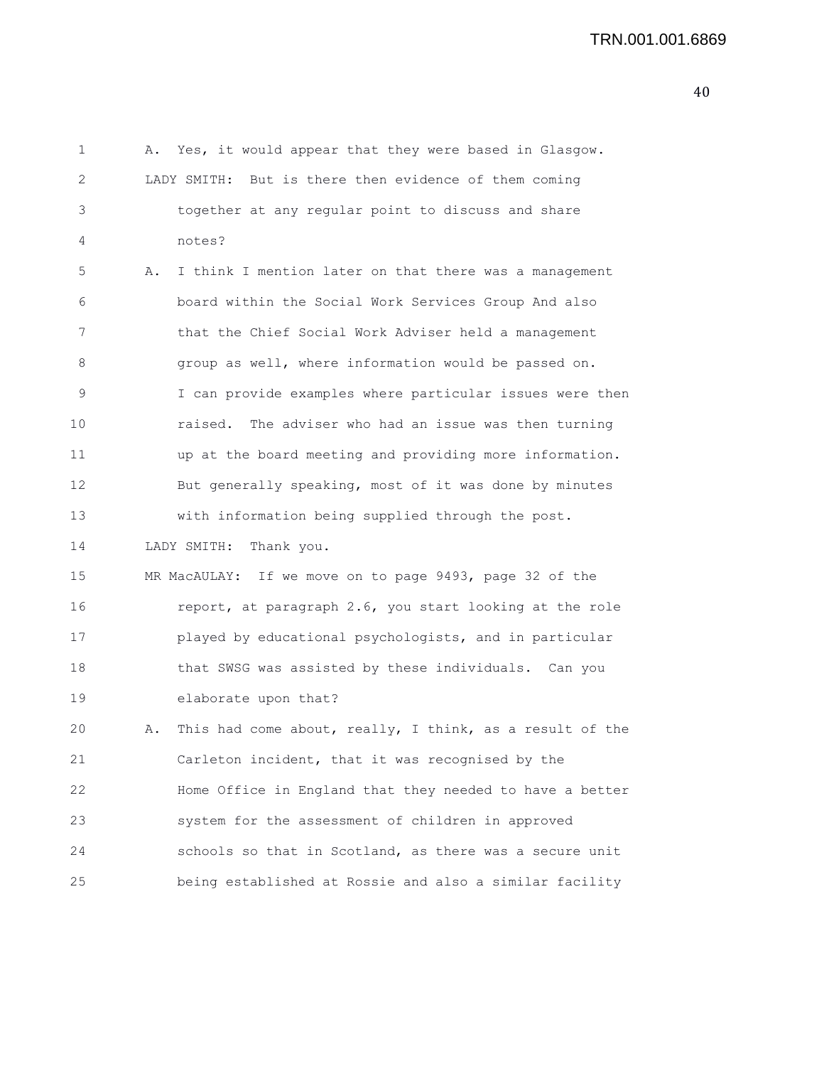1 A. Yes, it would appear that they were based in Glasgow. 2 LADY SMITH: But is there then evidence of them coming 3 together at any regular point to discuss and share 4 notes? 5 A. I think I mention later on that there was a management 6 board within the Social Work Services Group And also 7 that the Chief Social Work Adviser held a management 8 group as well, where information would be passed on. 9 I can provide examples where particular issues were then 10 raised. The adviser who had an issue was then turning 11 up at the board meeting and providing more information. 12 But generally speaking, most of it was done by minutes 13 with information being supplied through the post. 14 LADY SMITH: Thank you. 15 MR MacAULAY: If we move on to page 9493, page 32 of the 16 report, at paragraph 2.6, you start looking at the role 17 played by educational psychologists, and in particular 18 that SWSG was assisted by these individuals. Can you 19 elaborate upon that? 20 A. This had come about, really, I think, as a result of the 21 Carleton incident, that it was recognised by the 22 Home Office in England that they needed to have a better 23 system for the assessment of children in approved 24 schools so that in Scotland, as there was a secure unit 25 being established at Rossie and also a similar facility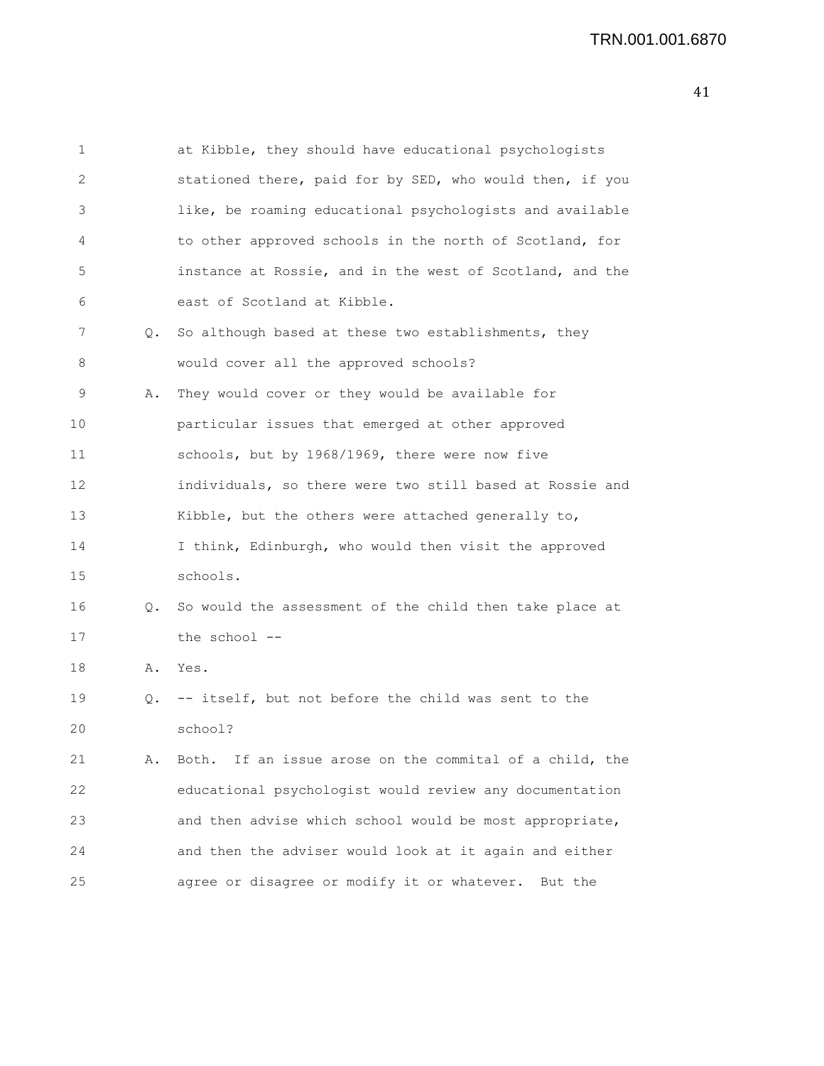| 1  |    | at Kibble, they should have educational psychologists      |
|----|----|------------------------------------------------------------|
| 2  |    | stationed there, paid for by SED, who would then, if you   |
| 3  |    | like, be roaming educational psychologists and available   |
| 4  |    | to other approved schools in the north of Scotland, for    |
| 5  |    | instance at Rossie, and in the west of Scotland, and the   |
| 6  |    | east of Scotland at Kibble.                                |
| 7  | Q. | So although based at these two establishments, they        |
| 8  |    | would cover all the approved schools?                      |
| 9  | Α. | They would cover or they would be available for            |
| 10 |    | particular issues that emerged at other approved           |
| 11 |    | schools, but by 1968/1969, there were now five             |
| 12 |    | individuals, so there were two still based at Rossie and   |
| 13 |    | Kibble, but the others were attached generally to,         |
| 14 |    | I think, Edinburgh, who would then visit the approved      |
| 15 |    | schools.                                                   |
| 16 | Q. | So would the assessment of the child then take place at    |
| 17 |    | the school --                                              |
| 18 | Α. | Yes.                                                       |
| 19 | Q. | -- itself, but not before the child was sent to the        |
| 20 |    | school?                                                    |
| 21 | Α. | If an issue arose on the commital of a child, the<br>Both. |
| 22 |    | educational psychologist would review any documentation    |
| 23 |    | and then advise which school would be most appropriate,    |
| 24 |    | and then the adviser would look at it again and either     |
| 25 |    | agree or disagree or modify it or whatever. But the        |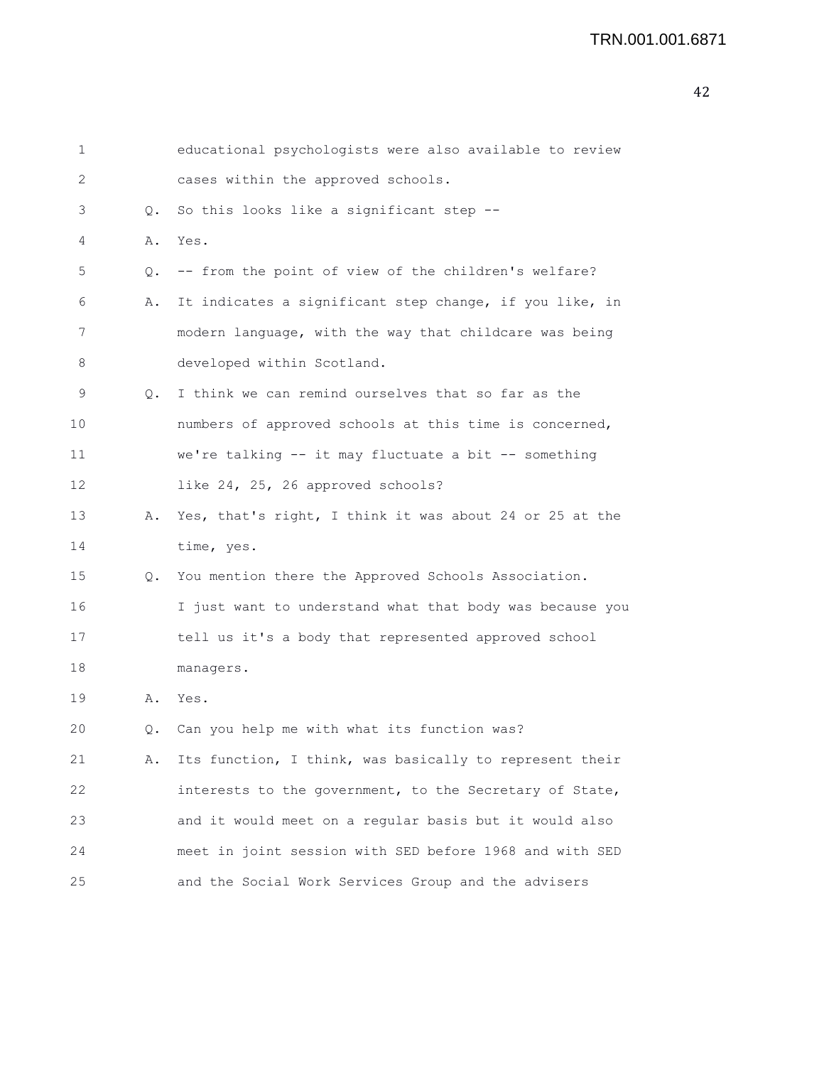```
1 educational psychologists were also available to review
2 cases within the approved schools.
3 Q. So this looks like a significant step --
4 A. Yes.
5 Q. -- from the point of view of the children's welfare?
6 A. It indicates a significant step change, if you like, in
7 modern language, with the way that childcare was being
8 developed within Scotland.
9 Q. I think we can remind ourselves that so far as the
10 numbers of approved schools at this time is concerned,
11 we're talking -- it may fluctuate a bit -- something
12 like 24, 25, 26 approved schools?
13 A. Yes, that's right, I think it was about 24 or 25 at the
14 time, yes.
15 Q. You mention there the Approved Schools Association.
16 I just want to understand what that body was because you
17 tell us it's a body that represented approved school
18 managers.
19 A. Yes.
20 Q. Can you help me with what its function was?
21 A. Its function, I think, was basically to represent their
22 interests to the government, to the Secretary of State,
23 and it would meet on a regular basis but it would also
24 meet in joint session with SED before 1968 and with SED
25 and the Social Work Services Group and the advisers
```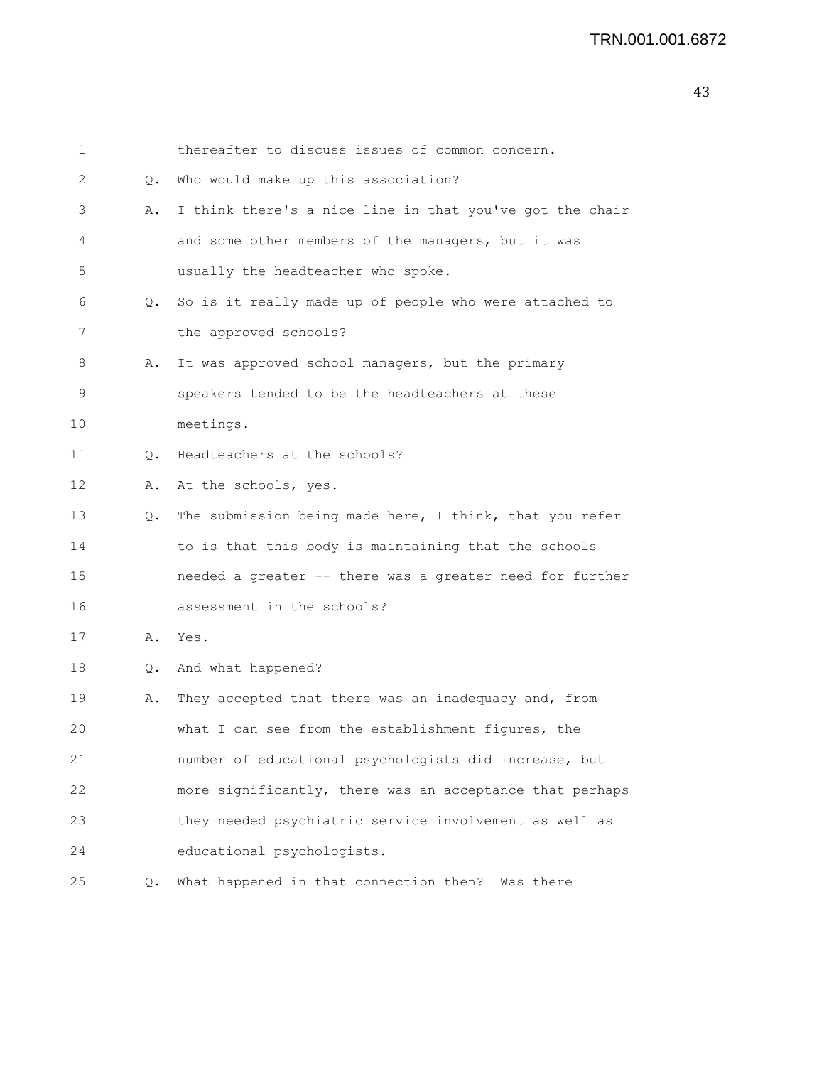| 1  |    | thereafter to discuss issues of common concern.          |
|----|----|----------------------------------------------------------|
| 2  | Q. | Who would make up this association?                      |
| 3  | Α. | I think there's a nice line in that you've got the chair |
| 4  |    | and some other members of the managers, but it was       |
| 5  |    | usually the headteacher who spoke.                       |
| 6  | Q. | So is it really made up of people who were attached to   |
| 7  |    | the approved schools?                                    |
| 8  | Α. | It was approved school managers, but the primary         |
| 9  |    | speakers tended to be the headteachers at these          |
| 10 |    | meetings.                                                |
| 11 | Q. | Headteachers at the schools?                             |
| 12 | Α. | At the schools, yes.                                     |
| 13 | Q. | The submission being made here, I think, that you refer  |
| 14 |    | to is that this body is maintaining that the schools     |
| 15 |    | needed a greater -- there was a greater need for further |
| 16 |    | assessment in the schools?                               |
| 17 | Α. | Yes.                                                     |
| 18 | Q. | And what happened?                                       |
| 19 | Α. | They accepted that there was an inadequacy and, from     |
| 20 |    | what I can see from the establishment figures, the       |
| 21 |    | number of educational psychologists did increase, but    |
| 22 |    | more significantly, there was an acceptance that perhaps |
| 23 |    | they needed psychiatric service involvement as well as   |
| 24 |    | educational psychologists.                               |
| 25 | Q. | What happened in that connection then? Was there         |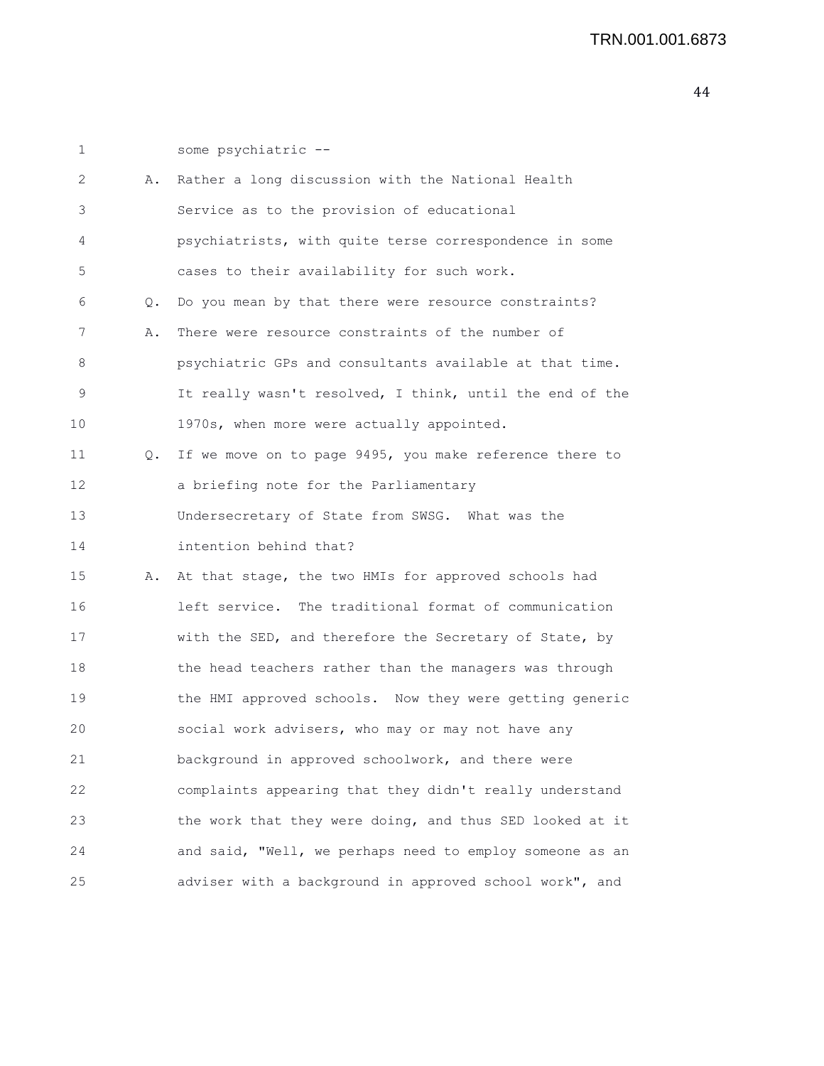1 some psychiatric -- 2 A. Rather a long discussion with the National Health 3 Service as to the provision of educational 4 psychiatrists, with quite terse correspondence in some 5 cases to their availability for such work. 6 Q. Do you mean by that there were resource constraints? 7 A. There were resource constraints of the number of 8 psychiatric GPs and consultants available at that time. 9 It really wasn't resolved, I think, until the end of the 10 1970s, when more were actually appointed. 11 Q. If we move on to page 9495, you make reference there to 12 a briefing note for the Parliamentary 13 Undersecretary of State from SWSG. What was the 14 intention behind that? 15 A. At that stage, the two HMIs for approved schools had 16 left service. The traditional format of communication 17 with the SED, and therefore the Secretary of State, by 18 the head teachers rather than the managers was through 19 the HMI approved schools. Now they were getting generic 20 social work advisers, who may or may not have any 21 background in approved schoolwork, and there were 22 complaints appearing that they didn't really understand 23 the work that they were doing, and thus SED looked at it 24 and said, "Well, we perhaps need to employ someone as an 25 adviser with a background in approved school work", and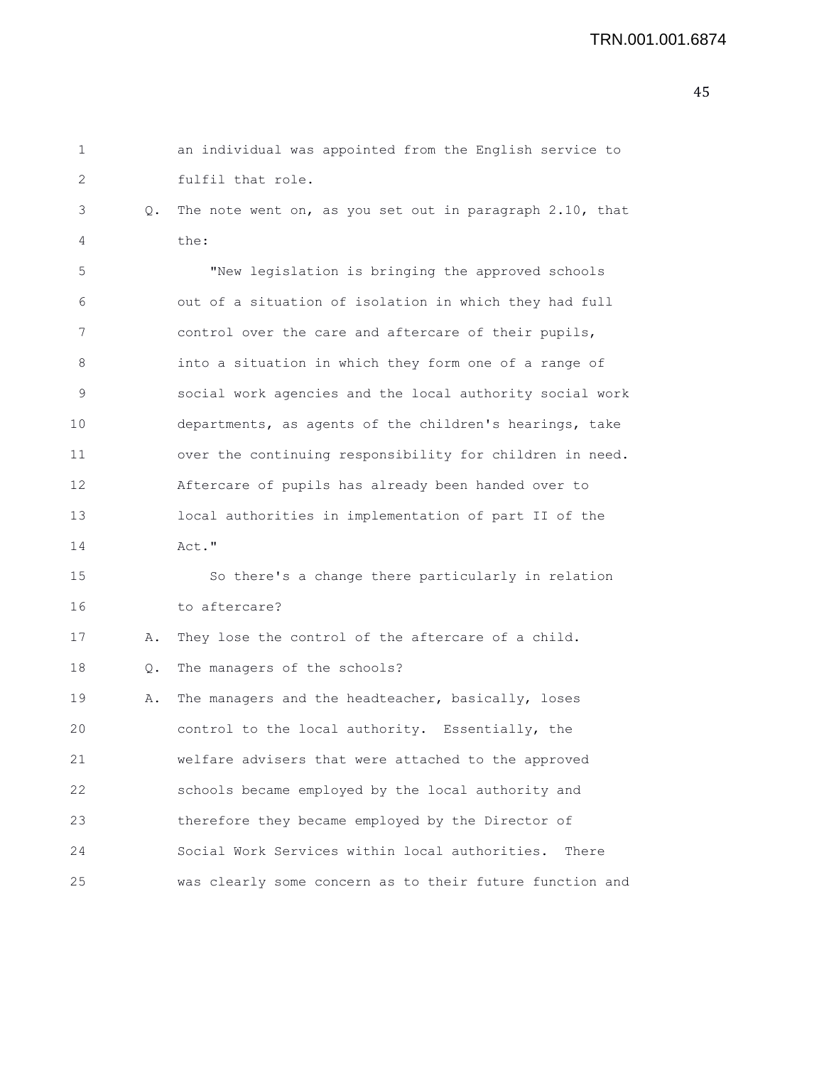| 1  |    | an individual was appointed from the English service to  |
|----|----|----------------------------------------------------------|
| 2  |    | fulfil that role.                                        |
| 3  | Q. | The note went on, as you set out in paragraph 2.10, that |
| 4  |    | the:                                                     |
| 5  |    | "New legislation is bringing the approved schools        |
| 6  |    | out of a situation of isolation in which they had full   |
| 7  |    | control over the care and aftercare of their pupils,     |
| 8  |    | into a situation in which they form one of a range of    |
| 9  |    | social work agencies and the local authority social work |
| 10 |    | departments, as agents of the children's hearings, take  |
| 11 |    | over the continuing responsibility for children in need. |
| 12 |    | Aftercare of pupils has already been handed over to      |
| 13 |    | local authorities in implementation of part II of the    |
| 14 |    | Act."                                                    |
| 15 |    | So there's a change there particularly in relation       |
| 16 |    | to aftercare?                                            |
| 17 | Α. | They lose the control of the aftercare of a child.       |
| 18 | Q. | The managers of the schools?                             |
| 19 | Α. | The managers and the headteacher, basically, loses       |
| 20 |    | control to the local authority. Essentially, the         |
| 21 |    | welfare advisers that were attached to the approved      |
| 22 |    | schools became employed by the local authority and       |
| 23 |    | therefore they became employed by the Director of        |
| 24 |    | Social Work Services within local authorities.<br>There  |
| 25 |    | was clearly some concern as to their future function and |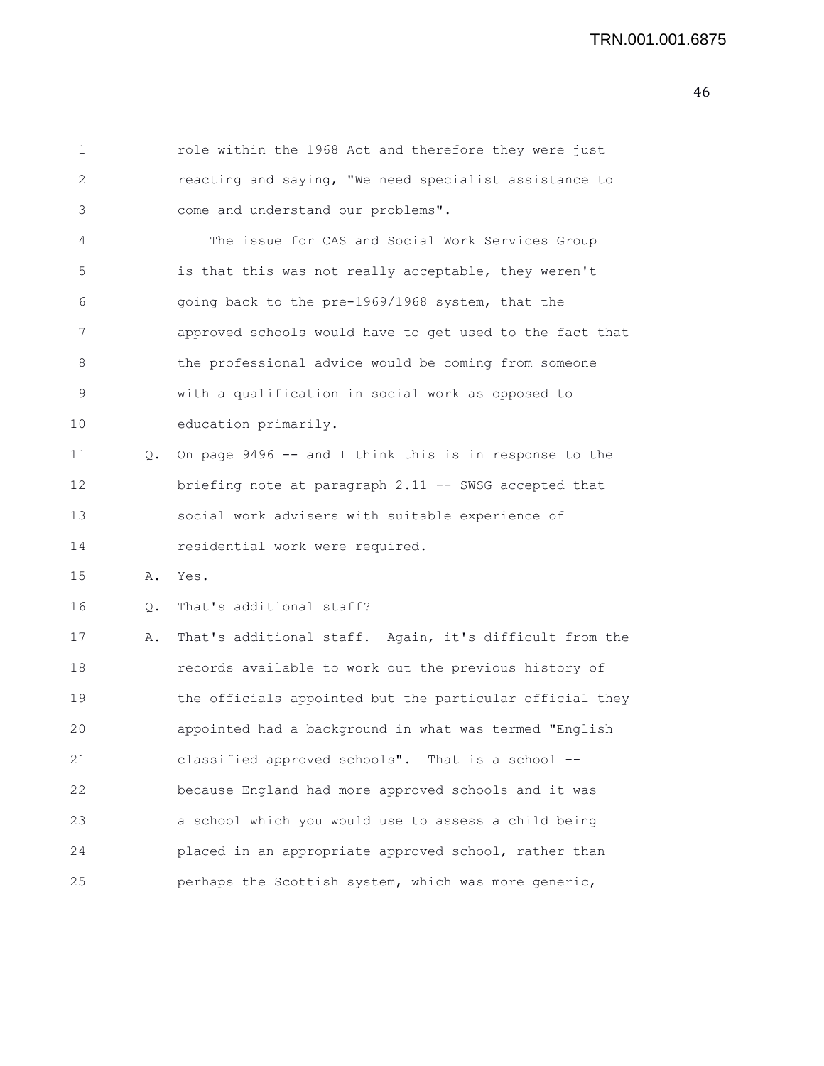```
1 role within the 1968 Act and therefore they were just
2 reacting and saying, "We need specialist assistance to
3 come and understand our problems".
4 The issue for CAS and Social Work Services Group
5 is that this was not really acceptable, they weren't
6 going back to the pre-1969/1968 system, that the
7 approved schools would have to get used to the fact that
8 the professional advice would be coming from someone
9 with a qualification in social work as opposed to
10 education primarily.
11 Q. On page 9496 -- and I think this is in response to the
12 briefing note at paragraph 2.11 -- SWSG accepted that
13 social work advisers with suitable experience of
14 residential work were required.
15 A. Yes.
16 Q. That's additional staff?
17 A. That's additional staff. Again, it's difficult from the
18 records available to work out the previous history of
19 the officials appointed but the particular official they
20 appointed had a background in what was termed "English
21 classified approved schools". That is a school --
22 because England had more approved schools and it was
23 a school which you would use to assess a child being
24 placed in an appropriate approved school, rather than
25 perhaps the Scottish system, which was more generic,
```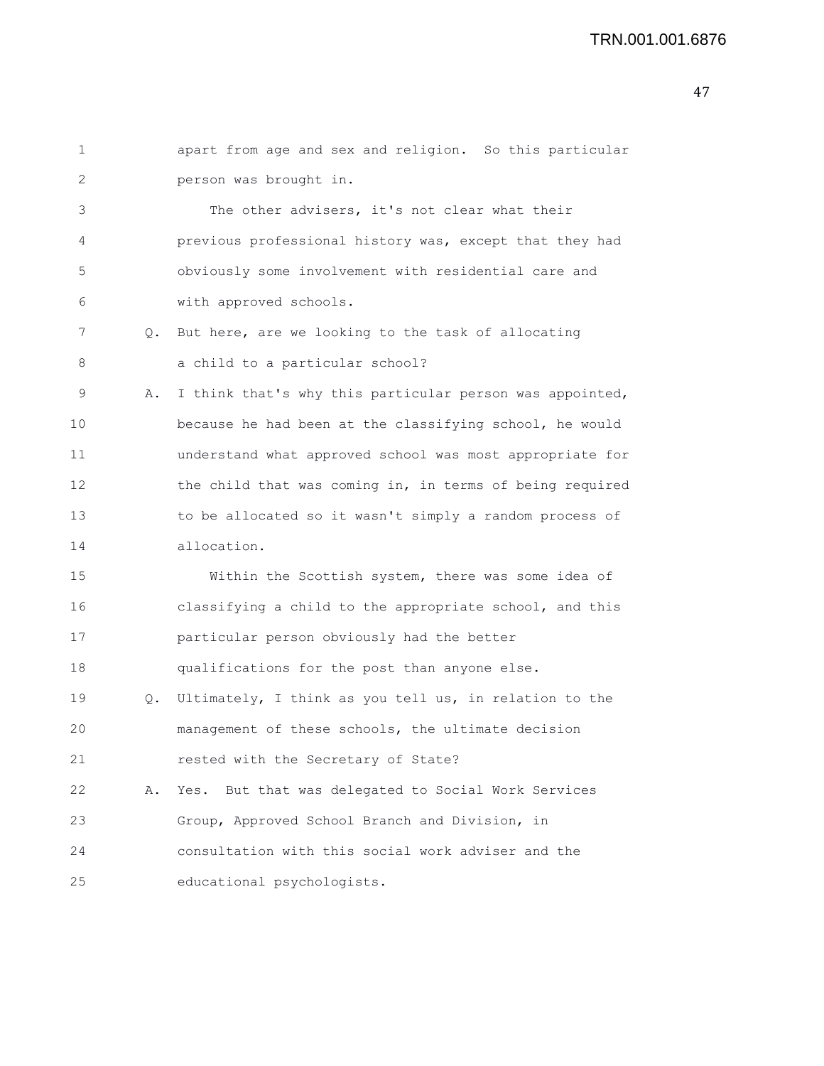## TRN.001.001.6876

| 1  |    | apart from age and sex and religion. So this particular  |
|----|----|----------------------------------------------------------|
| 2  |    | person was brought in.                                   |
| 3  |    | The other advisers, it's not clear what their            |
| 4  |    | previous professional history was, except that they had  |
| 5  |    | obviously some involvement with residential care and     |
| 6  |    | with approved schools.                                   |
| 7  | Q. | But here, are we looking to the task of allocating       |
| 8  |    | a child to a particular school?                          |
| 9  | Α. | I think that's why this particular person was appointed, |
| 10 |    | because he had been at the classifying school, he would  |
| 11 |    | understand what approved school was most appropriate for |
| 12 |    | the child that was coming in, in terms of being required |
| 13 |    | to be allocated so it wasn't simply a random process of  |
| 14 |    | allocation.                                              |
| 15 |    | Within the Scottish system, there was some idea of       |
| 16 |    | classifying a child to the appropriate school, and this  |
| 17 |    | particular person obviously had the better               |
| 18 |    | qualifications for the post than anyone else.            |
| 19 | Q. | Ultimately, I think as you tell us, in relation to the   |
| 20 |    | management of these schools, the ultimate decision       |
| 21 |    | rested with the Secretary of State?                      |
| 22 | Α. | But that was delegated to Social Work Services<br>Yes.   |
| 23 |    | Group, Approved School Branch and Division, in           |
| 24 |    | consultation with this social work adviser and the       |
| 25 |    | educational psychologists.                               |
|    |    |                                                          |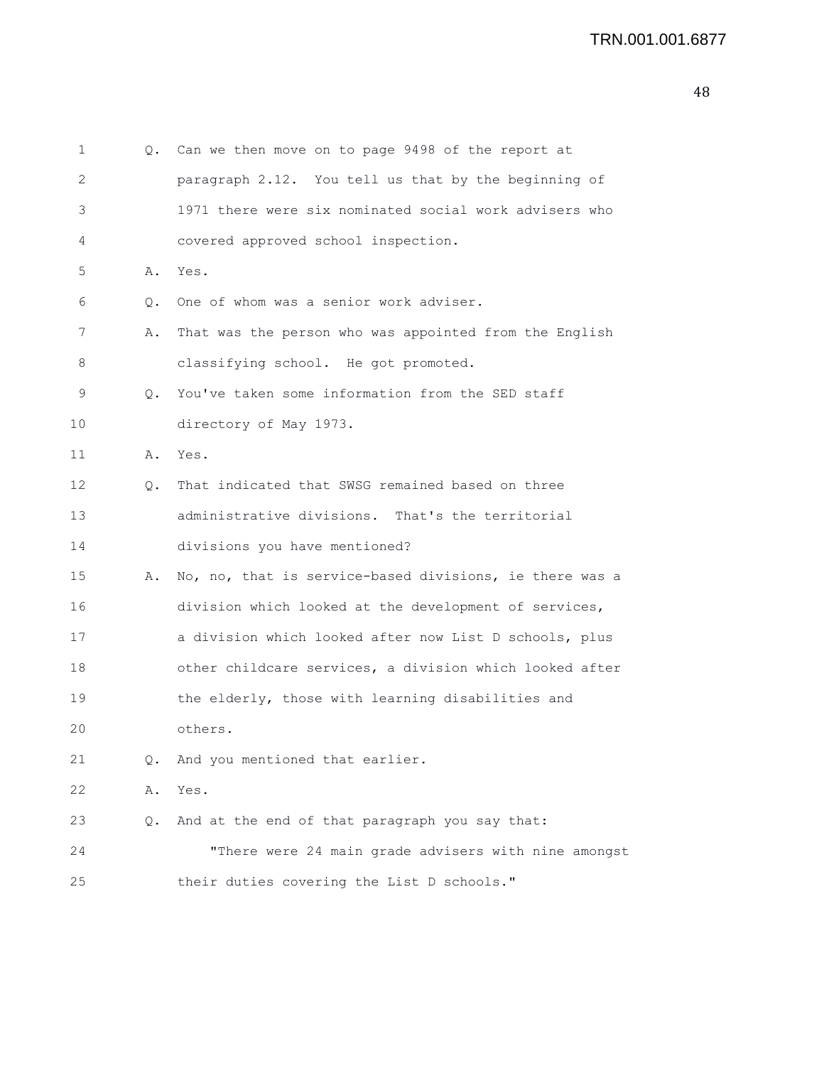| 1  | Q. | Can we then move on to page 9498 of the report at       |
|----|----|---------------------------------------------------------|
| 2  |    | paragraph 2.12. You tell us that by the beginning of    |
| 3  |    | 1971 there were six nominated social work advisers who  |
| 4  |    | covered approved school inspection.                     |
| 5  | Α. | Yes.                                                    |
| 6  | Q. | One of whom was a senior work adviser.                  |
| 7  | Α. | That was the person who was appointed from the English  |
| 8  |    | classifying school. He got promoted.                    |
| 9  | Q. | You've taken some information from the SED staff        |
| 10 |    | directory of May 1973.                                  |
| 11 | Α. | Yes.                                                    |
| 12 | Q. | That indicated that SWSG remained based on three        |
| 13 |    | administrative divisions. That's the territorial        |
| 14 |    | divisions you have mentioned?                           |
| 15 | Α. | No, no, that is service-based divisions, ie there was a |
| 16 |    | division which looked at the development of services,   |
| 17 |    | a division which looked after now List D schools, plus  |
| 18 |    | other childcare services, a division which looked after |
| 19 |    | the elderly, those with learning disabilities and       |
| 20 |    | others.                                                 |
| 21 | Q. | And you mentioned that earlier.                         |
| 22 | Α. | Yes.                                                    |
| 23 | Q. | And at the end of that paragraph you say that:          |
| 24 |    | "There were 24 main grade advisers with nine amongst    |
| 25 |    | their duties covering the List D schools."              |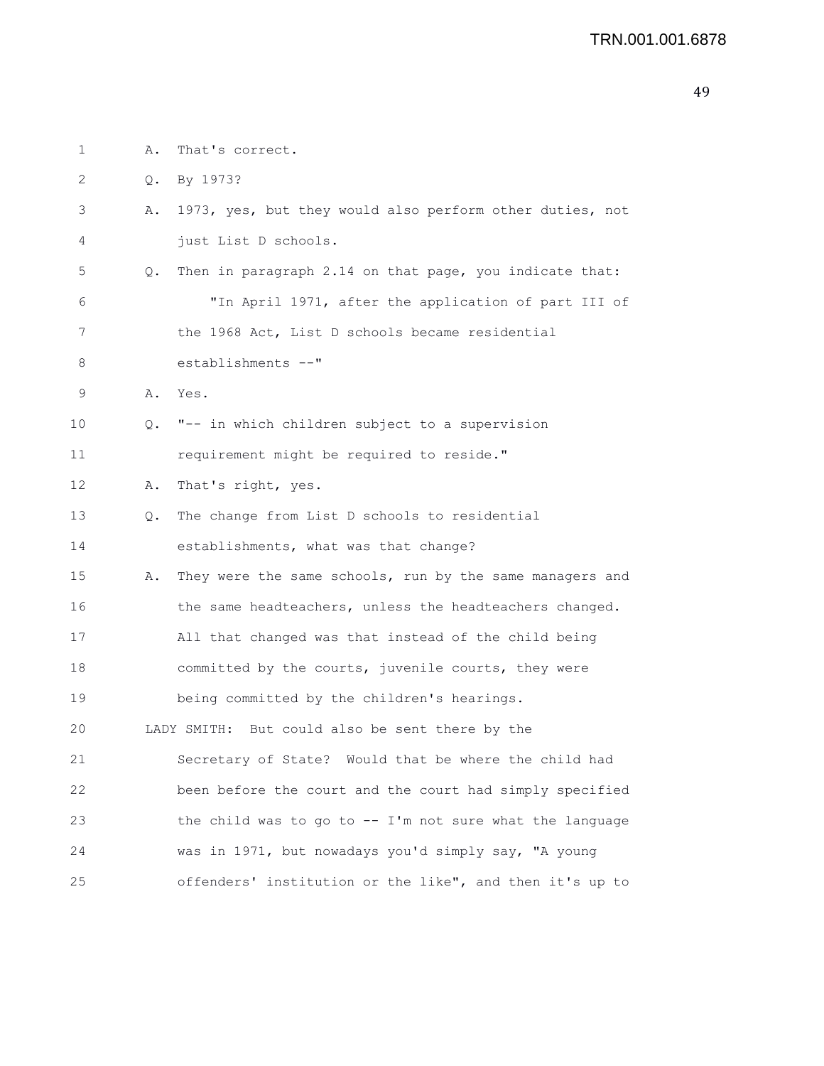| 1                 | Α. | That's correct.                                             |
|-------------------|----|-------------------------------------------------------------|
| 2                 | Q. | By 1973?                                                    |
| 3                 | Α. | 1973, yes, but they would also perform other duties, not    |
| 4                 |    | just List D schools.                                        |
| 5                 | Q. | Then in paragraph 2.14 on that page, you indicate that:     |
| 6                 |    | "In April 1971, after the application of part III of        |
| 7                 |    | the 1968 Act, List D schools became residential             |
| 8                 |    | establishments --"                                          |
| 9                 | Α. | Yes.                                                        |
| 10                | Q. | "-- in which children subject to a supervision              |
| 11                |    | requirement might be required to reside."                   |
| $12 \overline{ }$ | Α. | That's right, yes.                                          |
| 13                | Q. | The change from List D schools to residential               |
| 14                |    | establishments, what was that change?                       |
| 15                | Α. | They were the same schools, run by the same managers and    |
| 16                |    | the same headteachers, unless the headteachers changed.     |
| 17                |    | All that changed was that instead of the child being        |
| 18                |    | committed by the courts, juvenile courts, they were         |
| 19                |    | being committed by the children's hearings.                 |
| 20                |    | LADY SMITH: But could also be sent there by the             |
| 21                |    | Secretary of State? Would that be where the child had       |
| 22                |    | been before the court and the court had simply specified    |
| 23                |    | the child was to go to $-$ - I'm not sure what the language |
| 24                |    | was in 1971, but nowadays you'd simply say, "A young        |
| 25                |    | offenders' institution or the like", and then it's up to    |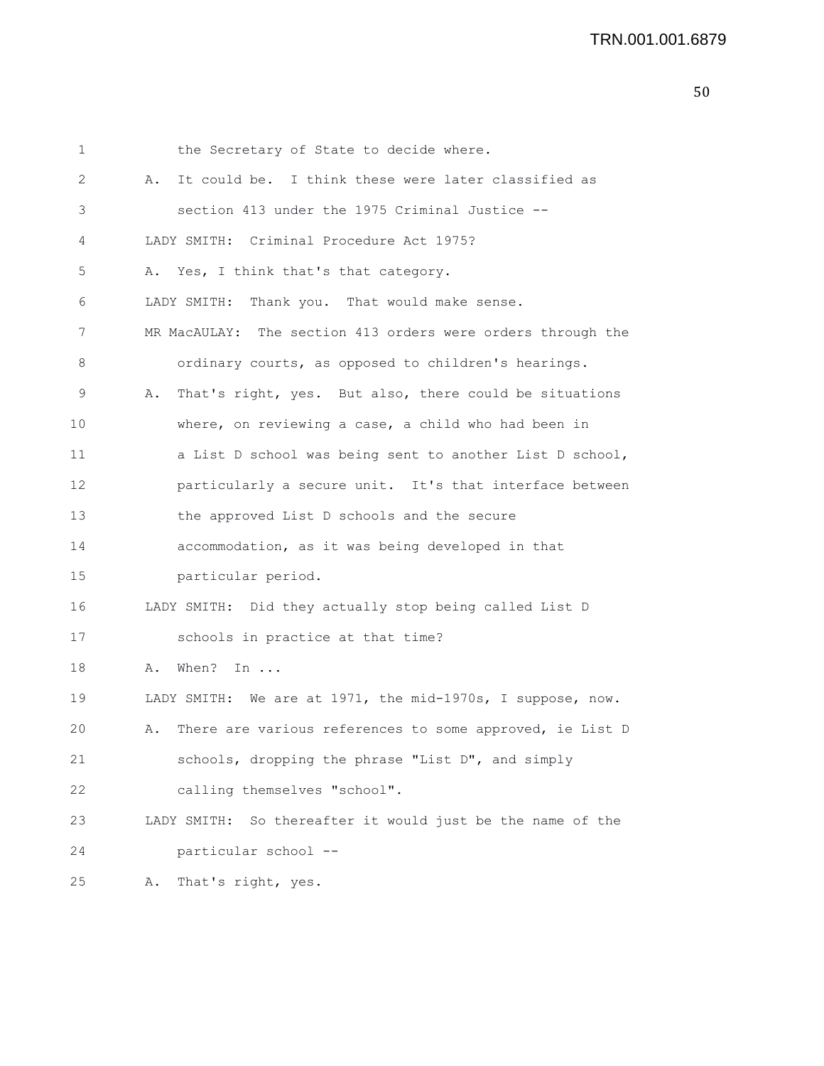1 the Secretary of State to decide where. 2 A. It could be. I think these were later classified as 3 section 413 under the 1975 Criminal Justice -- 4 LADY SMITH: Criminal Procedure Act 1975? 5 A. Yes, I think that's that category. 6 LADY SMITH: Thank you. That would make sense. 7 MR MacAULAY: The section 413 orders were orders through the 8 ordinary courts, as opposed to children's hearings. 9 A. That's right, yes. But also, there could be situations 10 where, on reviewing a case, a child who had been in 11 a List D school was being sent to another List D school, 12 particularly a secure unit. It's that interface between 13 the approved List D schools and the secure 14 accommodation, as it was being developed in that 15 particular period. 16 LADY SMITH: Did they actually stop being called List D 17 schools in practice at that time? 18 A. When? In ... 19 LADY SMITH: We are at 1971, the mid-1970s, I suppose, now. 20 A. There are various references to some approved, ie List D 21 schools, dropping the phrase "List D", and simply 22 calling themselves "school". 23 LADY SMITH: So thereafter it would just be the name of the 24 particular school -- 25 A. That's right, yes.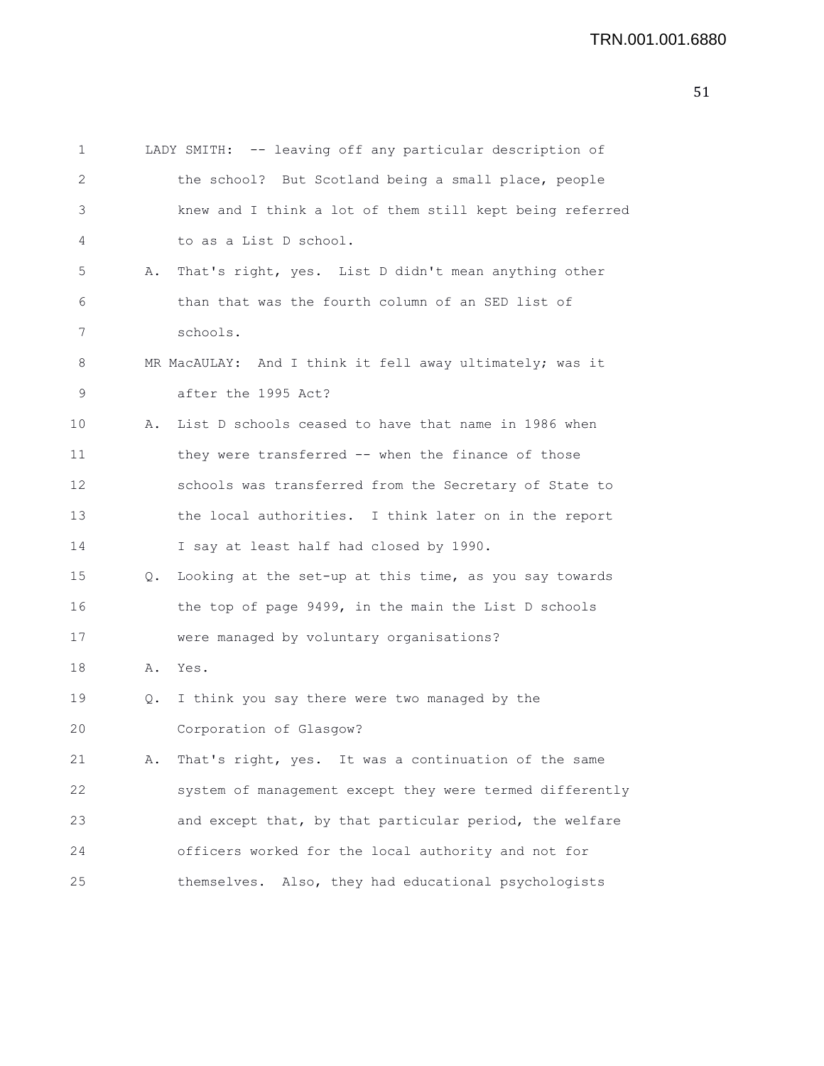```
1 LADY SMITH: -- leaving off any particular description of
2 the school? But Scotland being a small place, people
3 knew and I think a lot of them still kept being referred
 4 to as a List D school.
5 A. That's right, yes. List D didn't mean anything other
 6 than that was the fourth column of an SED list of
7 schools.
8 MR MacAULAY: And I think it fell away ultimately; was it
9 after the 1995 Act?
10 A. List D schools ceased to have that name in 1986 when
11 they were transferred -- when the finance of those
12 schools was transferred from the Secretary of State to
13 the local authorities. I think later on in the report
14 I say at least half had closed by 1990.
15 Q. Looking at the set-up at this time, as you say towards
16 the top of page 9499, in the main the List D schools
17 were managed by voluntary organisations?
18 A. Yes.
19 Q. I think you say there were two managed by the
20 Corporation of Glasgow?
21 A. That's right, yes. It was a continuation of the same
22 system of management except they were termed differently
23 and except that, by that particular period, the welfare
24 officers worked for the local authority and not for
25 themselves. Also, they had educational psychologists
```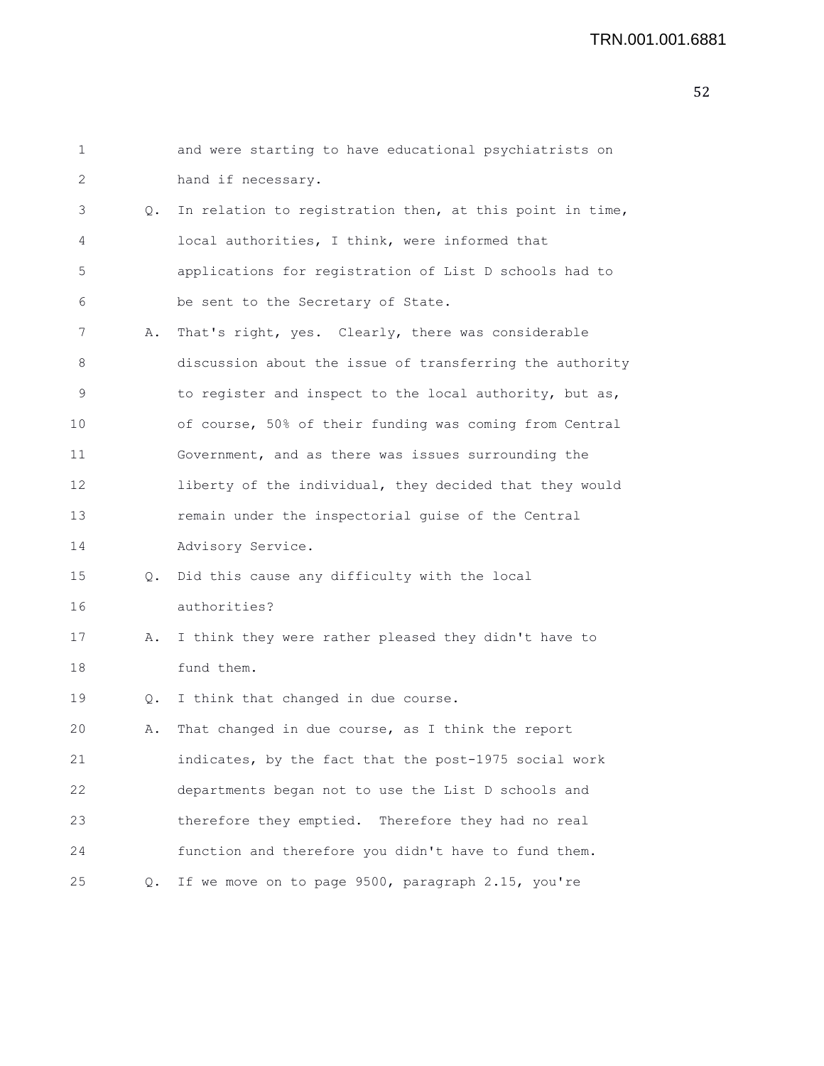## TRN.001.001.6881

| 1  |    | and were starting to have educational psychiatrists on   |
|----|----|----------------------------------------------------------|
| 2  |    | hand if necessary.                                       |
| 3  | Q. | In relation to registration then, at this point in time, |
| 4  |    | local authorities, I think, were informed that           |
| 5  |    | applications for registration of List D schools had to   |
| 6  |    | be sent to the Secretary of State.                       |
| 7  | Α. | That's right, yes. Clearly, there was considerable       |
| 8  |    | discussion about the issue of transferring the authority |
| 9  |    | to register and inspect to the local authority, but as,  |
| 10 |    | of course, 50% of their funding was coming from Central  |
| 11 |    | Government, and as there was issues surrounding the      |
| 12 |    | liberty of the individual, they decided that they would  |
| 13 |    | remain under the inspectorial guise of the Central       |
| 14 |    | Advisory Service.                                        |
| 15 | Q. | Did this cause any difficulty with the local             |
| 16 |    | authorities?                                             |
| 17 | Α. | I think they were rather pleased they didn't have to     |
| 18 |    | fund them.                                               |
| 19 | Q. | I think that changed in due course.                      |
| 20 | Α. | That changed in due course, as I think the report        |
| 21 |    | indicates, by the fact that the post-1975 social work    |
| 22 |    | departments began not to use the List D schools and      |
| 23 |    | therefore they emptied. Therefore they had no real       |
| 24 |    | function and therefore you didn't have to fund them.     |
| 25 | Q. | If we move on to page 9500, paragraph 2.15, you're       |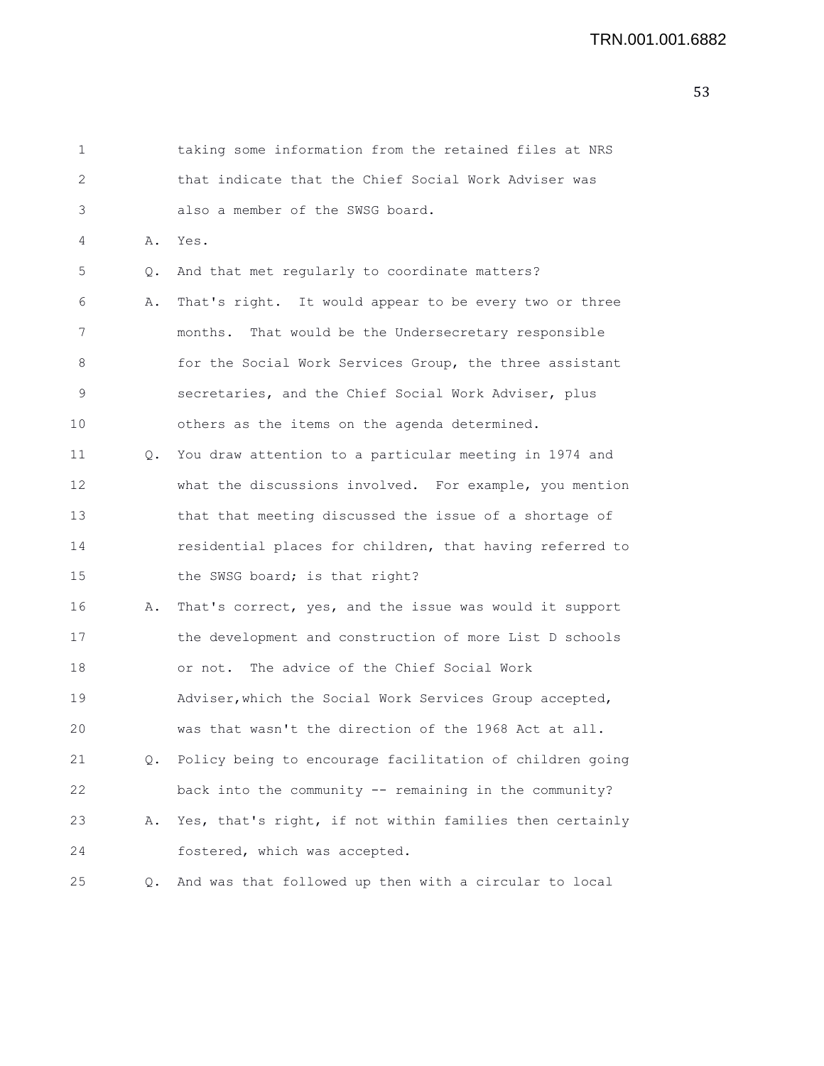| 1  |           | taking some information from the retained files at NRS   |
|----|-----------|----------------------------------------------------------|
| 2  |           | that indicate that the Chief Social Work Adviser was     |
| 3  |           | also a member of the SWSG board.                         |
| 4  | Α.        | Yes.                                                     |
| 5  | Q.        | And that met regularly to coordinate matters?            |
| 6  | Α.        | That's right. It would appear to be every two or three   |
| 7  |           | months. That would be the Undersecretary responsible     |
| 8  |           | for the Social Work Services Group, the three assistant  |
| 9  |           | secretaries, and the Chief Social Work Adviser, plus     |
| 10 |           | others as the items on the agenda determined.            |
| 11 | $\circ$ . | You draw attention to a particular meeting in 1974 and   |
| 12 |           | what the discussions involved. For example, you mention  |
| 13 |           | that that meeting discussed the issue of a shortage of   |
| 14 |           | residential places for children, that having referred to |
| 15 |           | the SWSG board; is that right?                           |
| 16 | Α.        | That's correct, yes, and the issue was would it support  |
| 17 |           | the development and construction of more List D schools  |
| 18 |           | or not. The advice of the Chief Social Work              |
| 19 |           | Adviser, which the Social Work Services Group accepted,  |
| 20 |           | was that wasn't the direction of the 1968 Act at all.    |
| 21 | Q.        | Policy being to encourage facilitation of children going |
| 22 |           | back into the community -- remaining in the community?   |
| 23 | Α.        | Yes, that's right, if not within families then certainly |
| 24 |           | fostered, which was accepted.                            |
| 25 | Q.        | And was that followed up then with a circular to local   |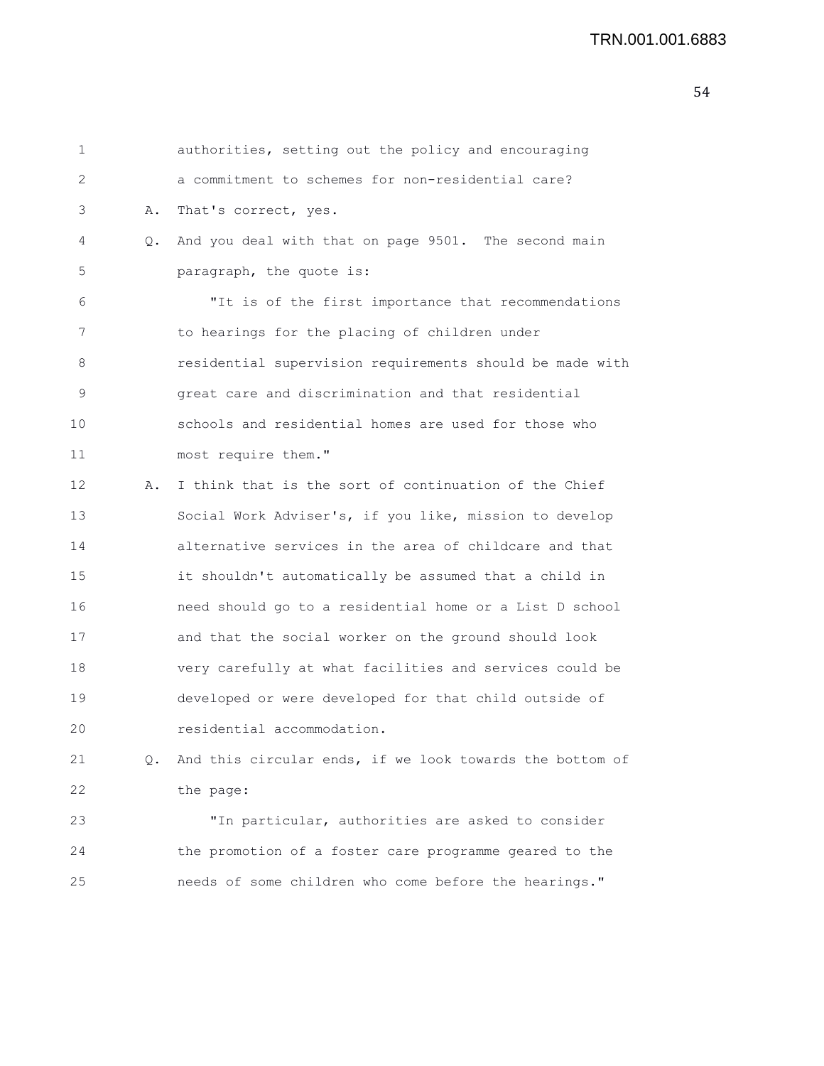| 1  |    | authorities, setting out the policy and encouraging      |
|----|----|----------------------------------------------------------|
| 2  |    | a commitment to schemes for non-residential care?        |
| 3  | Α. | That's correct, yes.                                     |
| 4  | Q. | And you deal with that on page 9501. The second main     |
| 5  |    | paragraph, the quote is:                                 |
| 6  |    | "It is of the first importance that recommendations      |
| 7  |    | to hearings for the placing of children under            |
| 8  |    | residential supervision requirements should be made with |
| 9  |    | great care and discrimination and that residential       |
| 10 |    | schools and residential homes are used for those who     |
| 11 |    | most require them."                                      |
| 12 | Α. | I think that is the sort of continuation of the Chief    |
| 13 |    | Social Work Adviser's, if you like, mission to develop   |
| 14 |    | alternative services in the area of childcare and that   |
| 15 |    | it shouldn't automatically be assumed that a child in    |
| 16 |    | need should go to a residential home or a List D school  |
| 17 |    | and that the social worker on the ground should look     |
| 18 |    | very carefully at what facilities and services could be  |
| 19 |    | developed or were developed for that child outside of    |
| 20 |    | residential accommodation.                               |
| 21 | Q. | And this circular ends, if we look towards the bottom of |
| 22 |    | the page:                                                |
| 23 |    | "In particular, authorities are asked to consider        |
| 24 |    | the promotion of a foster care programme geared to the   |
| 25 |    | needs of some children who come before the hearings."    |
|    |    |                                                          |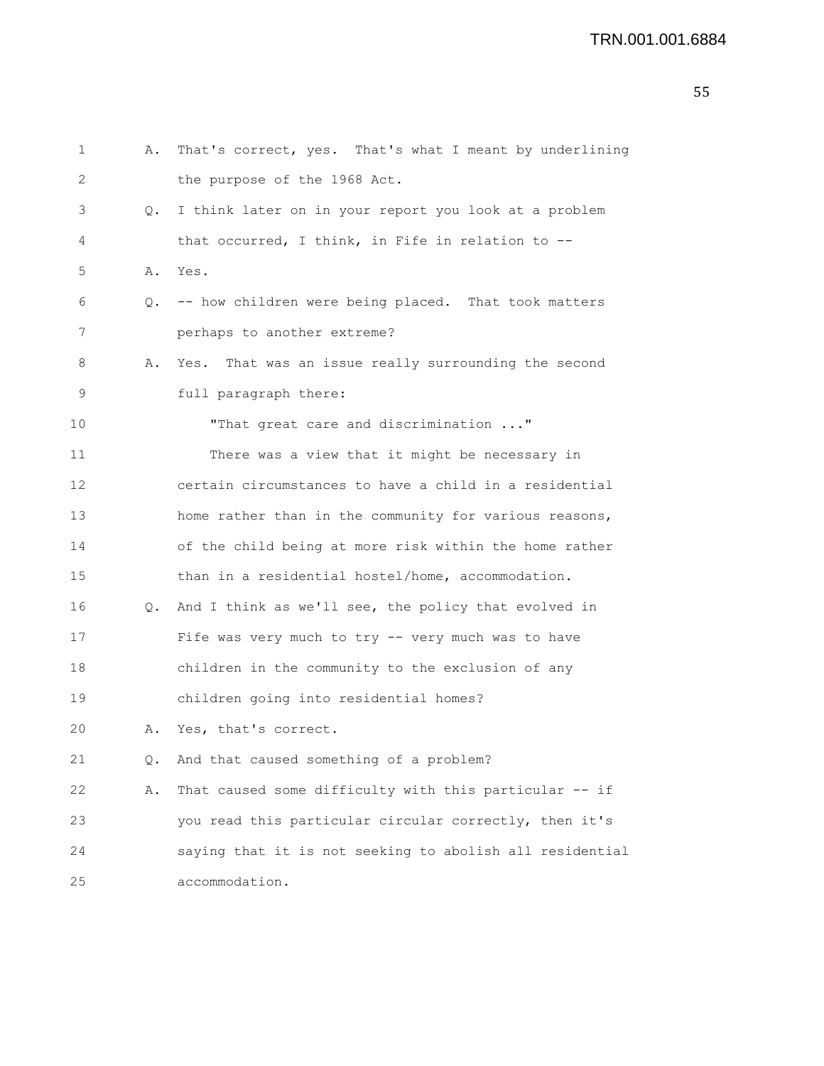| 1  | Α. | That's correct, yes. That's what I meant by underlining  |
|----|----|----------------------------------------------------------|
| 2  |    | the purpose of the 1968 Act.                             |
| 3  |    | Q. I think later on in your report you look at a problem |
| 4  |    | that occurred, I think, in Fife in relation to --        |
| 5  | Α. | Yes.                                                     |
| 6  |    | Q. -- how children were being placed. That took matters  |
| 7  |    | perhaps to another extreme?                              |
| 8  | Α. | Yes. That was an issue really surrounding the second     |
| 9  |    | full paragraph there:                                    |
| 10 |    | "That great care and discrimination "                    |
| 11 |    | There was a view that it might be necessary in           |
| 12 |    | certain circumstances to have a child in a residential   |
| 13 |    | home rather than in the community for various reasons,   |
| 14 |    | of the child being at more risk within the home rather   |
| 15 |    | than in a residential hostel/home, accommodation.        |
| 16 |    | Q. And I think as we'll see, the policy that evolved in  |
| 17 |    | Fife was very much to try -- very much was to have       |
| 18 |    | children in the community to the exclusion of any        |
| 19 |    | children going into residential homes?                   |
| 20 |    | A. Yes, that's correct.                                  |
| 21 | Q. | And that caused something of a problem?                  |
| 22 | Α. | That caused some difficulty with this particular -- if   |
| 23 |    | you read this particular circular correctly, then it's   |
| 24 |    | saying that it is not seeking to abolish all residential |
| 25 |    | accommodation.                                           |
|    |    |                                                          |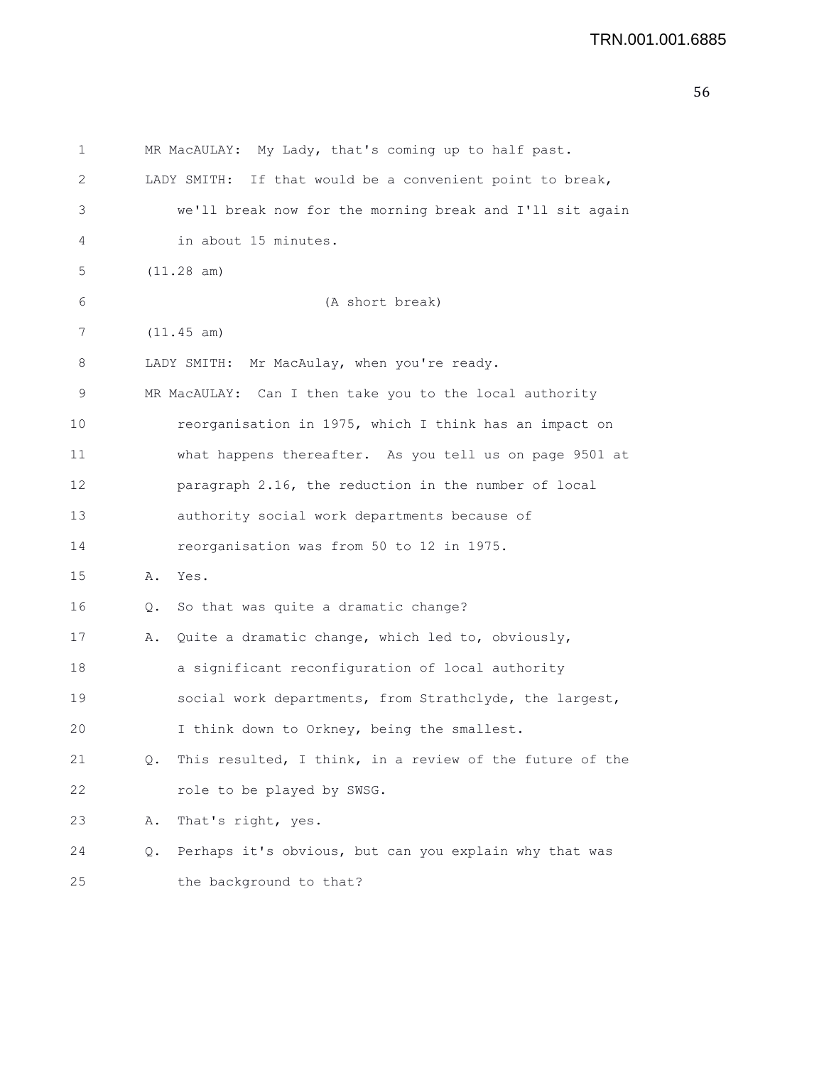```
1 MR MacAULAY: My Lady, that's coming up to half past.
2 LADY SMITH: If that would be a convenient point to break,
3 we'll break now for the morning break and I'll sit again
4 in about 15 minutes.
5 (11.28 am)
6 (A short break)
7 (11.45 am)
8 LADY SMITH: Mr MacAulay, when you're ready.
9 MR MacAULAY: Can I then take you to the local authority
10 reorganisation in 1975, which I think has an impact on
11 what happens thereafter. As you tell us on page 9501 at
12 paragraph 2.16, the reduction in the number of local
13 authority social work departments because of
14 reorganisation was from 50 to 12 in 1975.
15 A. Yes.
16 Q. So that was quite a dramatic change?
17 A. Quite a dramatic change, which led to, obviously,
18 a significant reconfiguration of local authority
19 social work departments, from Strathclyde, the largest,
20 I think down to Orkney, being the smallest.
21 Q. This resulted, I think, in a review of the future of the
22 role to be played by SWSG.
23 A. That's right, yes.
24 Q. Perhaps it's obvious, but can you explain why that was
25 the background to that?
```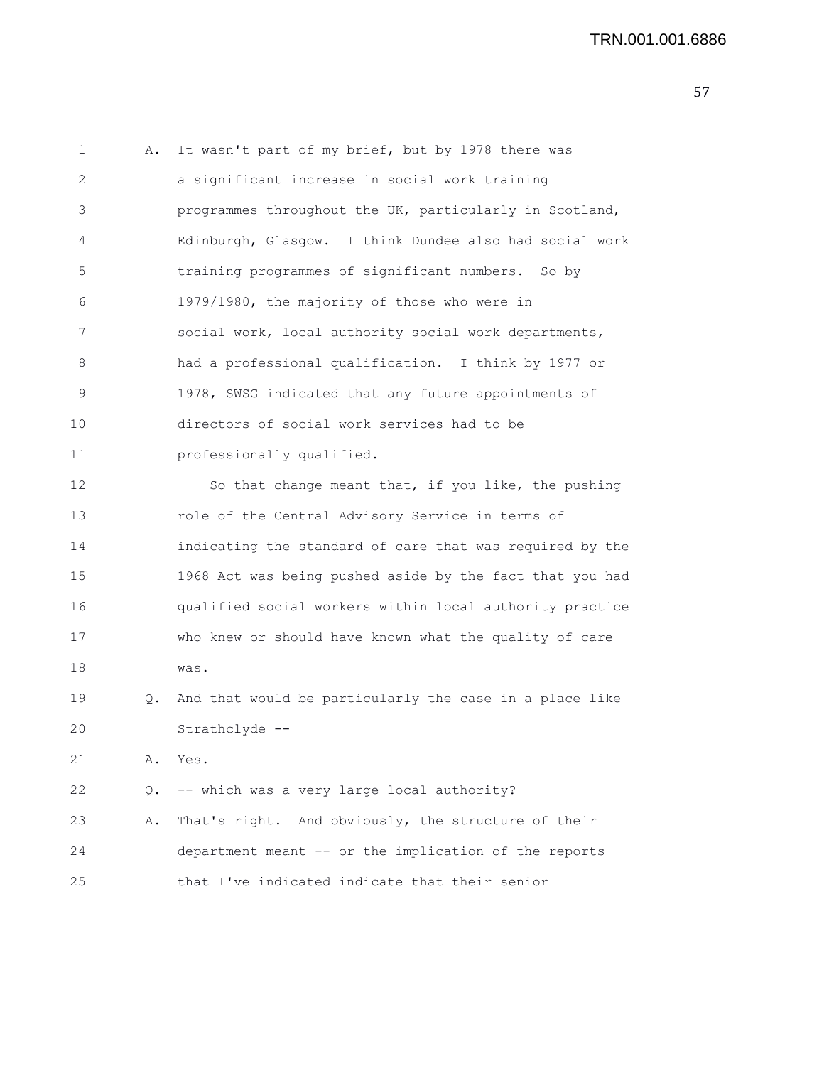1 A. It wasn't part of my brief, but by 1978 there was 2 a significant increase in social work training 3 programmes throughout the UK, particularly in Scotland, 4 Edinburgh, Glasgow. I think Dundee also had social work 5 training programmes of significant numbers. So by 6 1979/1980, the majority of those who were in 7 social work, local authority social work departments, 8 had a professional qualification. I think by 1977 or 9 1978, SWSG indicated that any future appointments of 10 directors of social work services had to be 11 professionally qualified. 12 So that change meant that, if you like, the pushing 13 role of the Central Advisory Service in terms of 14 indicating the standard of care that was required by the 15 1968 Act was being pushed aside by the fact that you had 16 qualified social workers within local authority practice 17 who knew or should have known what the quality of care 18 was. 19 Q. And that would be particularly the case in a place like 20 Strathclyde -- 21 A. Yes. 22 Q. -- which was a very large local authority? 23 A. That's right. And obviously, the structure of their 24 department meant -- or the implication of the reports 25 that I've indicated indicate that their senior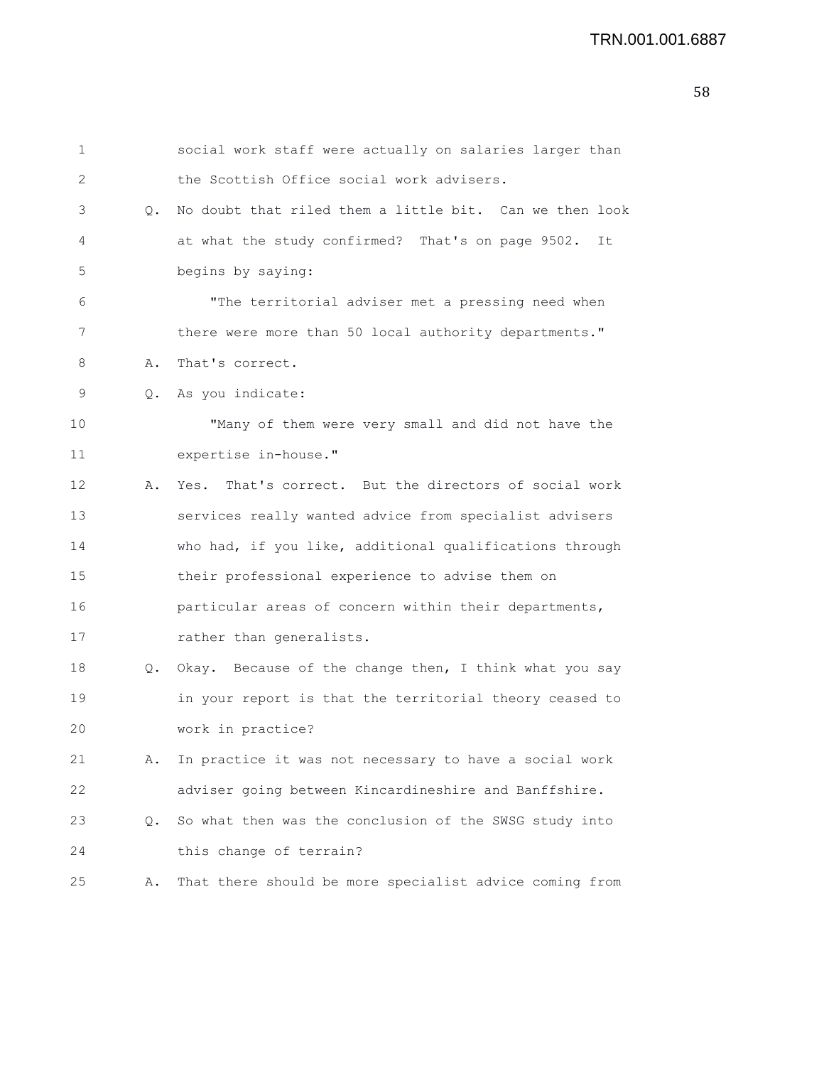```
1 social work staff were actually on salaries larger than
2 the Scottish Office social work advisers.
3 Q. No doubt that riled them a little bit. Can we then look
4 at what the study confirmed? That's on page 9502. It
5 begins by saying:
6 "The territorial adviser met a pressing need when
7 there were more than 50 local authority departments."
8 A. That's correct.
9 Q. As you indicate:
10 "Many of them were very small and did not have the
11 expertise in-house."
12 A. Yes. That's correct. But the directors of social work
13 services really wanted advice from specialist advisers
14 who had, if you like, additional qualifications through
15 their professional experience to advise them on
16 particular areas of concern within their departments,
17 rather than generalists.
18 Q. Okay. Because of the change then, I think what you say
19 in your report is that the territorial theory ceased to
20 work in practice?
21 A. In practice it was not necessary to have a social work
22 adviser going between Kincardineshire and Banffshire.
23 Q. So what then was the conclusion of the SWSG study into
24 this change of terrain?
25 A. That there should be more specialist advice coming from
```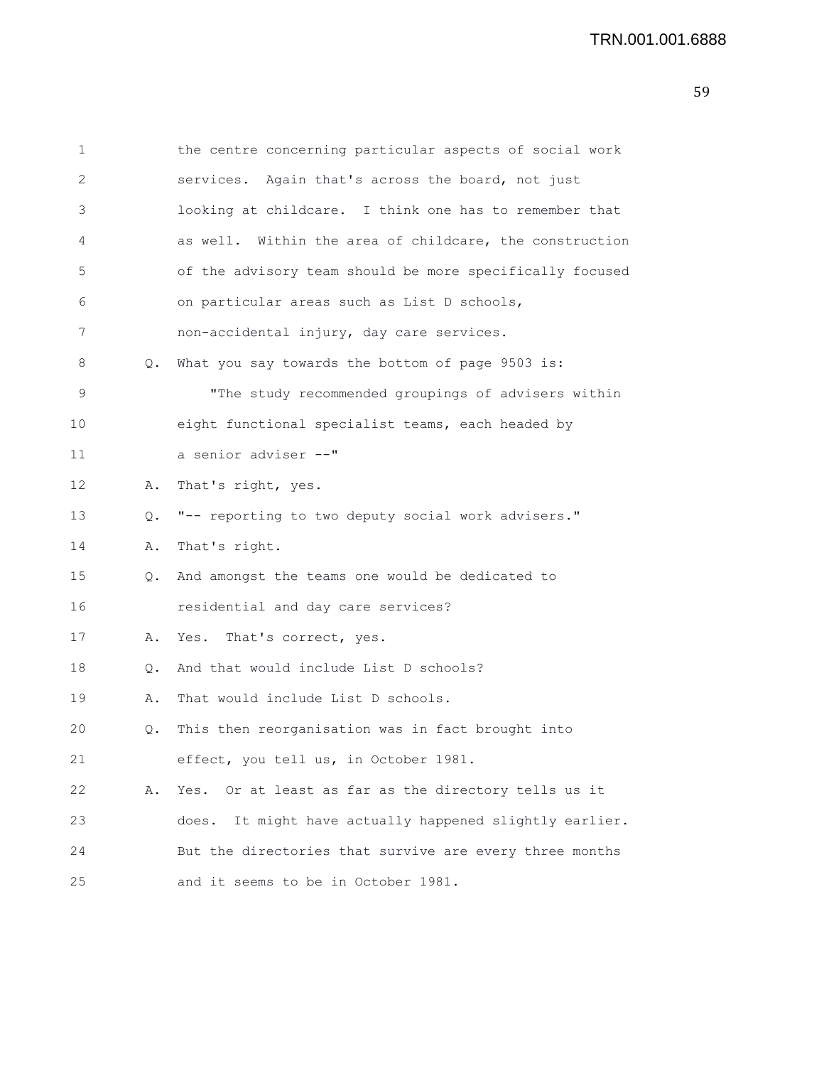| 1  |    | the centre concerning particular aspects of social work    |
|----|----|------------------------------------------------------------|
| 2  |    | services. Again that's across the board, not just          |
| 3  |    | looking at childcare. I think one has to remember that     |
| 4  |    | as well. Within the area of childcare, the construction    |
| 5  |    | of the advisory team should be more specifically focused   |
| 6  |    | on particular areas such as List D schools,                |
| 7  |    | non-accidental injury, day care services.                  |
| 8  | Q. | What you say towards the bottom of page 9503 is:           |
| 9  |    | "The study recommended groupings of advisers within        |
| 10 |    | eight functional specialist teams, each headed by          |
| 11 |    | a senior adviser --"                                       |
| 12 | Α. | That's right, yes.                                         |
| 13 | Q. | "-- reporting to two deputy social work advisers."         |
| 14 | Α. | That's right.                                              |
| 15 | Q. | And amongst the teams one would be dedicated to            |
| 16 |    | residential and day care services?                         |
| 17 | Α. | Yes. That's correct, yes.                                  |
| 18 | Q. | And that would include List D schools?                     |
| 19 | Α. | That would include List D schools.                         |
| 20 | Q. | This then reorganisation was in fact brought into          |
| 21 |    | effect, you tell us, in October 1981.                      |
| 22 | Α. | Or at least as far as the directory tells us it<br>Yes.    |
| 23 |    | It might have actually happened slightly earlier.<br>does. |
| 24 |    | But the directories that survive are every three months    |
| 25 |    | and it seems to be in October 1981.                        |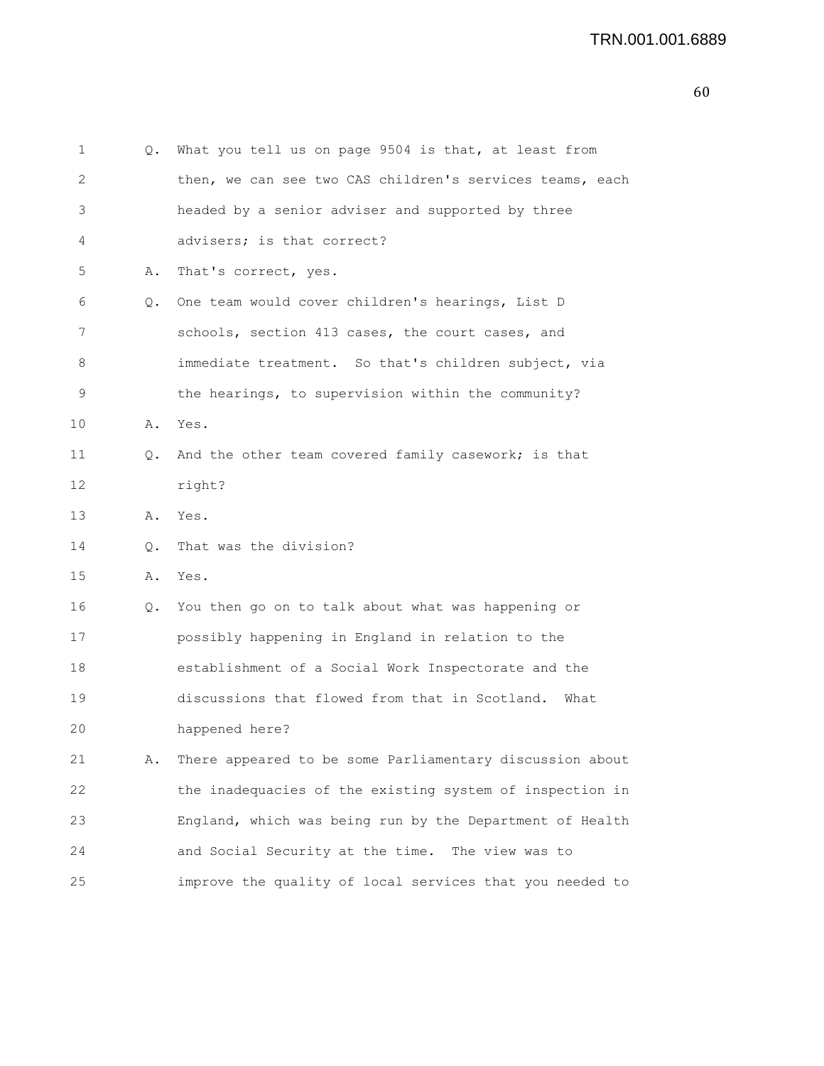| 1  | Q.            | What you tell us on page 9504 is that, at least from     |
|----|---------------|----------------------------------------------------------|
| 2  |               | then, we can see two CAS children's services teams, each |
| 3  |               | headed by a senior adviser and supported by three        |
| 4  |               | advisers; is that correct?                               |
| 5  | Α.            | That's correct, yes.                                     |
| 6  | Q.            | One team would cover children's hearings, List D         |
| 7  |               | schools, section 413 cases, the court cases, and         |
| 8  |               | immediate treatment. So that's children subject, via     |
| 9  |               | the hearings, to supervision within the community?       |
| 10 | Α.            | Yes.                                                     |
| 11 | Q.            | And the other team covered family casework; is that      |
| 12 |               | right?                                                   |
| 13 | Α.            | Yes.                                                     |
| 14 | $Q_{\bullet}$ | That was the division?                                   |
| 15 | Α.            | Yes.                                                     |
| 16 | Q.            | You then go on to talk about what was happening or       |
| 17 |               | possibly happening in England in relation to the         |
| 18 |               | establishment of a Social Work Inspectorate and the      |
| 19 |               | discussions that flowed from that in Scotland.<br>What   |
| 20 |               | happened here?                                           |
| 21 | Α.            | There appeared to be some Parliamentary discussion about |
| 22 |               | the inadequacies of the existing system of inspection in |
| 23 |               | England, which was being run by the Department of Health |
| 24 |               | and Social Security at the time. The view was to         |
| 25 |               | improve the quality of local services that you needed to |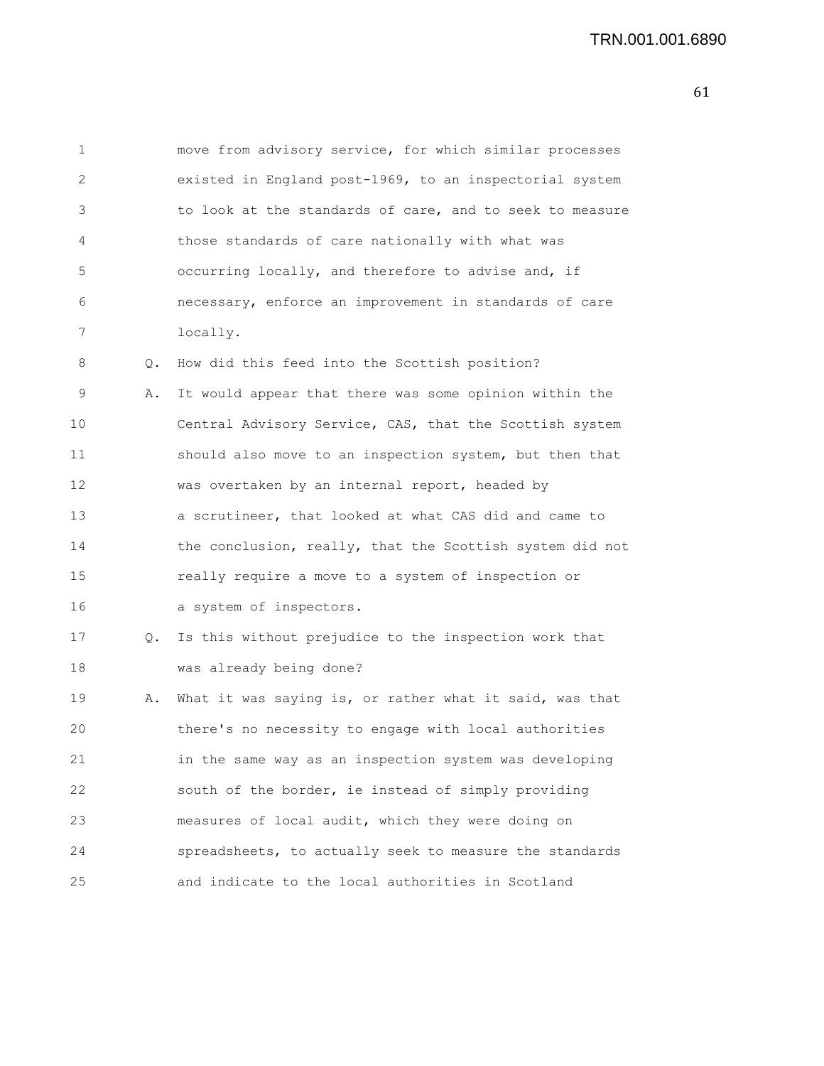| 1  |    | move from advisory service, for which similar processes  |
|----|----|----------------------------------------------------------|
| 2  |    | existed in England post-1969, to an inspectorial system  |
| 3  |    | to look at the standards of care, and to seek to measure |
| 4  |    | those standards of care nationally with what was         |
| 5  |    | occurring locally, and therefore to advise and, if       |
| 6  |    | necessary, enforce an improvement in standards of care   |
| 7  |    | locally.                                                 |
| 8  | Q. | How did this feed into the Scottish position?            |
| 9  | Α. | It would appear that there was some opinion within the   |
| 10 |    | Central Advisory Service, CAS, that the Scottish system  |
| 11 |    | should also move to an inspection system, but then that  |
| 12 |    | was overtaken by an internal report, headed by           |
| 13 |    | a scrutineer, that looked at what CAS did and came to    |
| 14 |    | the conclusion, really, that the Scottish system did not |
| 15 |    | really require a move to a system of inspection or       |
| 16 |    | a system of inspectors.                                  |
| 17 | Q. | Is this without prejudice to the inspection work that    |
| 18 |    | was already being done?                                  |
| 19 | Α. | What it was saying is, or rather what it said, was that  |
| 20 |    | there's no necessity to engage with local authorities    |
| 21 |    | in the same way as an inspection system was developing   |
| 22 |    | south of the border, ie instead of simply providing      |
| 23 |    | measures of local audit, which they were doing on        |

24 spreadsheets, to actually seek to measure the standards

25 and indicate to the local authorities in Scotland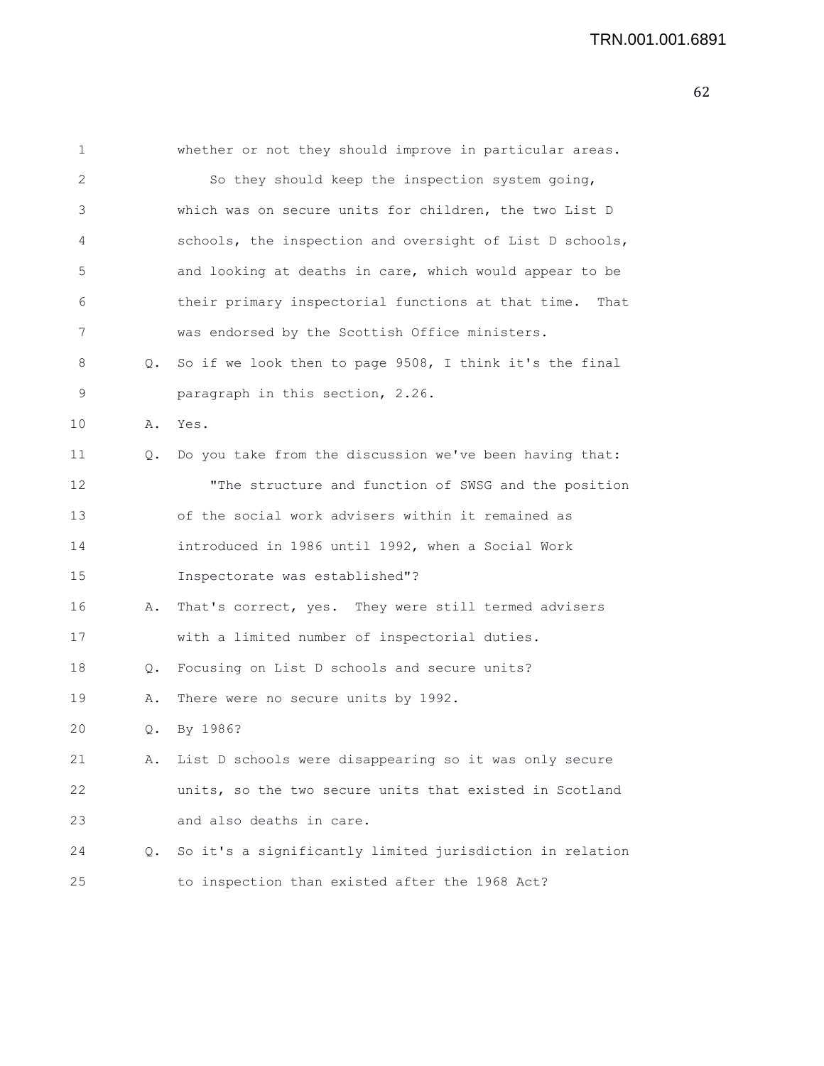| 1  |    | whether or not they should improve in particular areas.    |
|----|----|------------------------------------------------------------|
| 2  |    | So they should keep the inspection system going,           |
| 3  |    | which was on secure units for children, the two List D     |
| 4  |    | schools, the inspection and oversight of List D schools,   |
| 5  |    | and looking at deaths in care, which would appear to be    |
| 6  |    | their primary inspectorial functions at that time.<br>That |
| 7  |    | was endorsed by the Scottish Office ministers.             |
| 8  |    | Q. So if we look then to page 9508, I think it's the final |
| 9  |    | paragraph in this section, 2.26.                           |
| 10 | Α. | Yes.                                                       |
| 11 | Q. | Do you take from the discussion we've been having that:    |
| 12 |    | "The structure and function of SWSG and the position       |
| 13 |    | of the social work advisers within it remained as          |
| 14 |    | introduced in 1986 until 1992, when a Social Work          |
| 15 |    | Inspectorate was established"?                             |
| 16 | Α. | That's correct, yes. They were still termed advisers       |
| 17 |    | with a limited number of inspectorial duties.              |
| 18 | Q. | Focusing on List D schools and secure units?               |
| 19 | Α. | There were no secure units by 1992.                        |
| 20 | Q. | By 1986?                                                   |
| 21 | Α. | List D schools were disappearing so it was only secure     |
| 22 |    | units, so the two secure units that existed in Scotland    |
| 23 |    | and also deaths in care.                                   |
| 24 | 0. | So it's a significantly limited jurisdiction in relation   |
| 25 |    | to inspection than existed after the 1968 Act?             |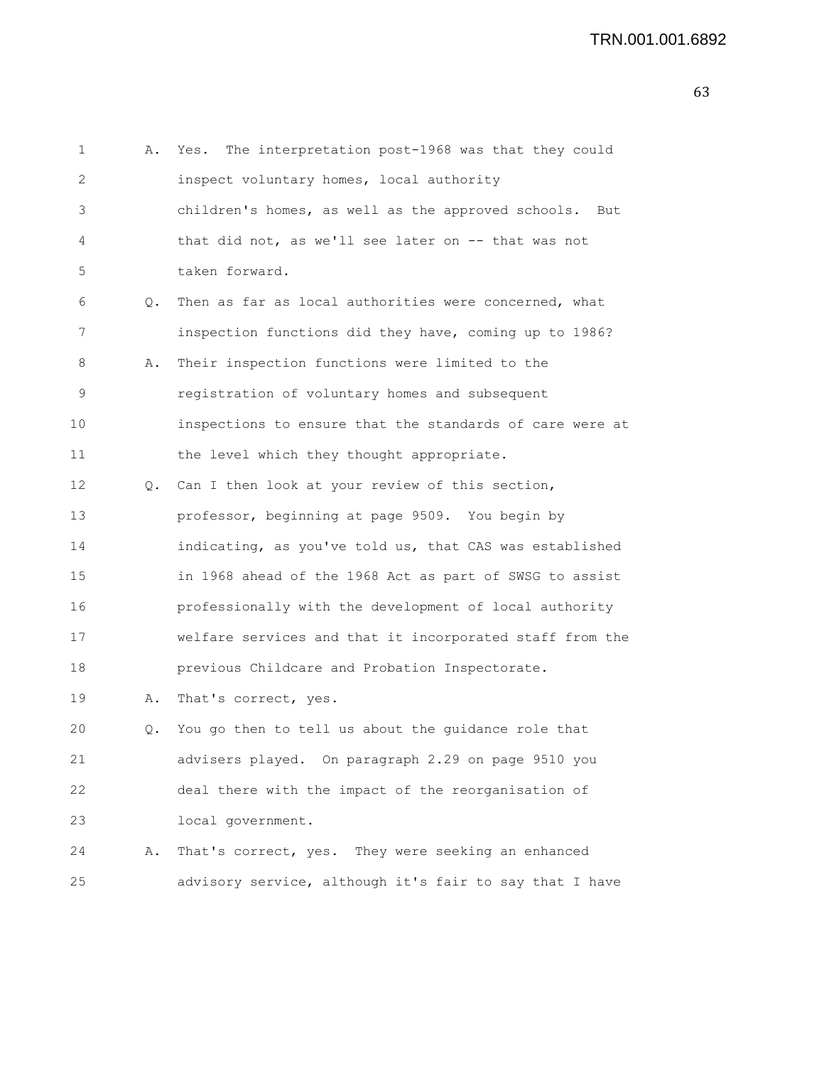```
1 A. Yes. The interpretation post-1968 was that they could
2 inspect voluntary homes, local authority
3 children's homes, as well as the approved schools. But
4 that did not, as we'll see later on -- that was not
5 taken forward.
6 Q. Then as far as local authorities were concerned, what
7 inspection functions did they have, coming up to 1986?
8 A. Their inspection functions were limited to the
9 registration of voluntary homes and subsequent
10 inspections to ensure that the standards of care were at
11 the level which they thought appropriate.
12 Q. Can I then look at your review of this section,
13 professor, beginning at page 9509. You begin by
14 indicating, as you've told us, that CAS was established
15 in 1968 ahead of the 1968 Act as part of SWSG to assist
16 professionally with the development of local authority
17 welfare services and that it incorporated staff from the
18 previous Childcare and Probation Inspectorate.
19 A. That's correct, yes.
20 Q. You go then to tell us about the guidance role that
21 advisers played. On paragraph 2.29 on page 9510 you
22 deal there with the impact of the reorganisation of
23 local government.
24 A. That's correct, yes. They were seeking an enhanced
25 advisory service, although it's fair to say that I have
```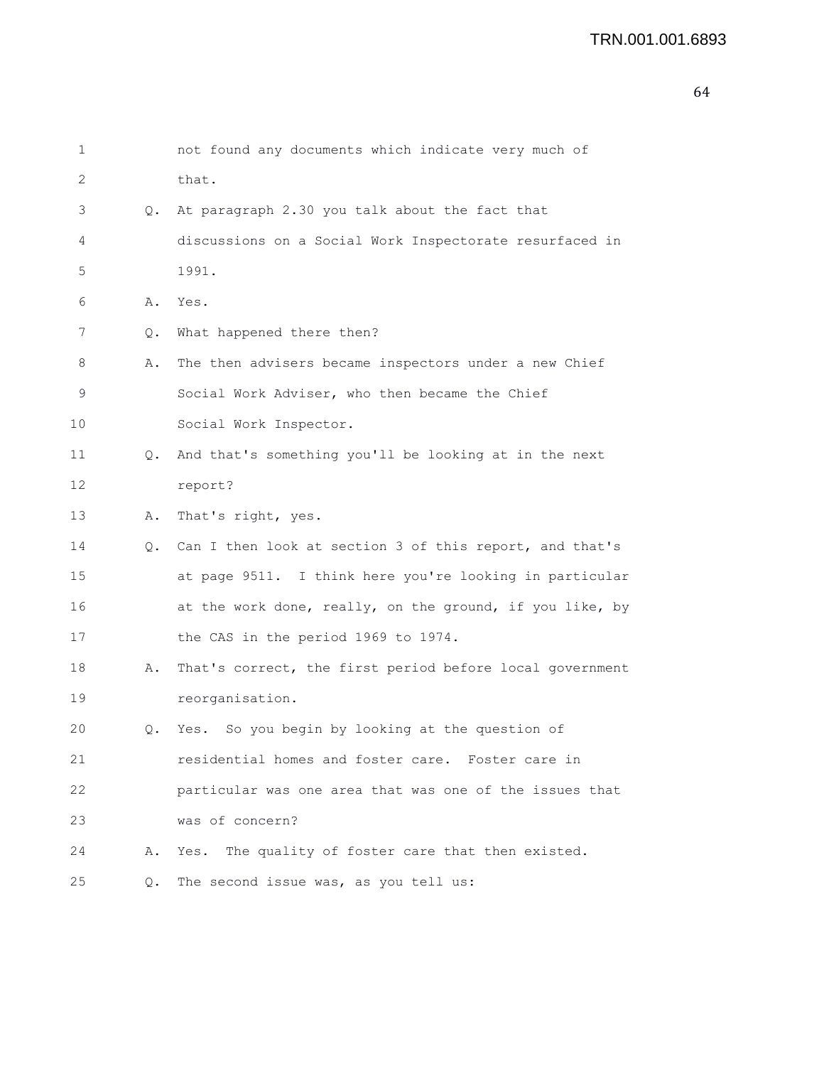```
1 not found any documents which indicate very much of
2 that.
3 Q. At paragraph 2.30 you talk about the fact that
4 discussions on a Social Work Inspectorate resurfaced in
5 1991.
6 A. Yes.
7 Q. What happened there then?
8 A. The then advisers became inspectors under a new Chief
9 Social Work Adviser, who then became the Chief
10 Social Work Inspector.
11 Q. And that's something you'll be looking at in the next
12 report?
13 A. That's right, yes.
14 Q. Can I then look at section 3 of this report, and that's
15 at page 9511. I think here you're looking in particular
16 at the work done, really, on the ground, if you like, by
17 the CAS in the period 1969 to 1974.
18 A. That's correct, the first period before local government
19 reorganisation.
20 Q. Yes. So you begin by looking at the question of
21 residential homes and foster care. Foster care in
22 particular was one area that was one of the issues that
23 was of concern?
24 A. Yes. The quality of foster care that then existed.
25 Q. The second issue was, as you tell us:
```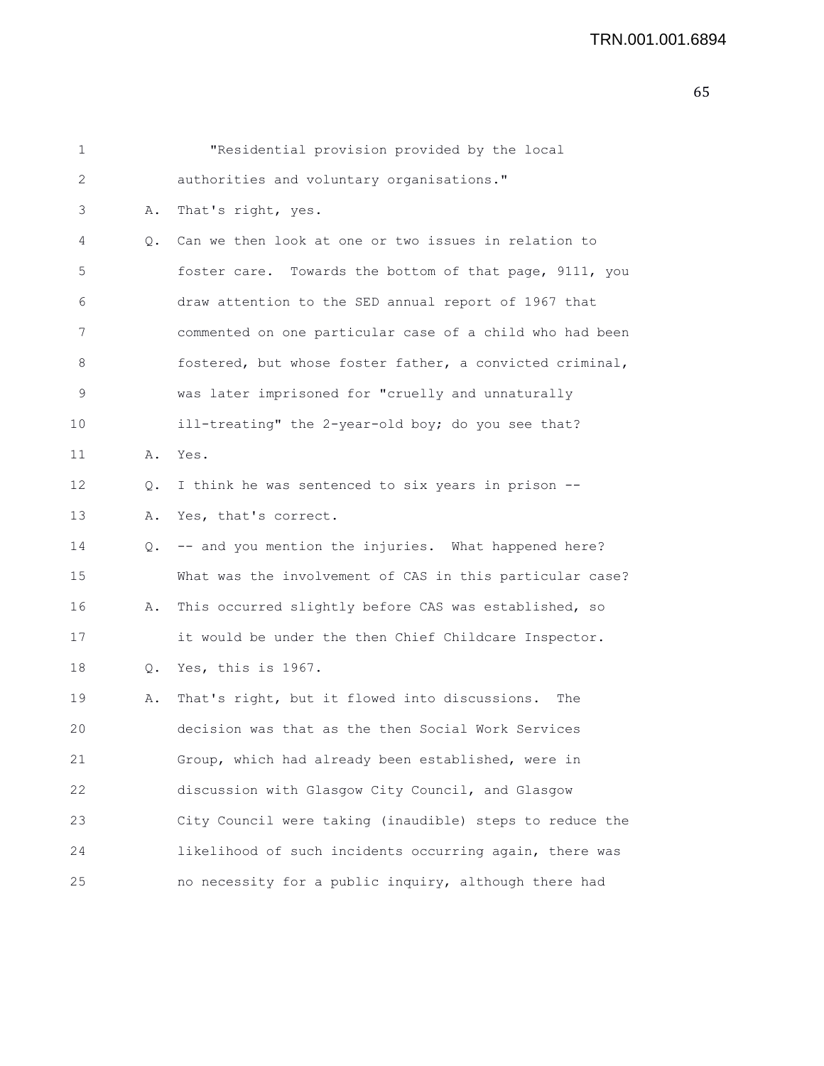| 1  |    | "Residential provision provided by the local             |
|----|----|----------------------------------------------------------|
| 2  |    | authorities and voluntary organisations."                |
| 3  | Α. | That's right, yes.                                       |
| 4  | Q. | Can we then look at one or two issues in relation to     |
| 5  |    | foster care. Towards the bottom of that page, 9111, you  |
| 6  |    | draw attention to the SED annual report of 1967 that     |
| 7  |    | commented on one particular case of a child who had been |
| 8  |    | fostered, but whose foster father, a convicted criminal, |
| 9  |    | was later imprisoned for "cruelly and unnaturally        |
| 10 |    | ill-treating" the 2-year-old boy; do you see that?       |
| 11 | Α. | Yes.                                                     |
| 12 | Q. | I think he was sentenced to six years in prison --       |
| 13 | Α. | Yes, that's correct.                                     |
| 14 |    | Q. -- and you mention the injuries. What happened here?  |
| 15 |    | What was the involvement of CAS in this particular case? |
| 16 | Α. | This occurred slightly before CAS was established, so    |
| 17 |    | it would be under the then Chief Childcare Inspector.    |
| 18 |    | Q. Yes, this is 1967.                                    |
| 19 | Α. | That's right, but it flowed into discussions.<br>The     |
| 20 |    | decision was that as the then Social Work Services       |
| 21 |    | Group, which had already been established, were in       |
| 22 |    | discussion with Glasgow City Council, and Glasgow        |
| 23 |    | City Council were taking (inaudible) steps to reduce the |
| 24 |    | likelihood of such incidents occurring again, there was  |
| 25 |    | no necessity for a public inquiry, although there had    |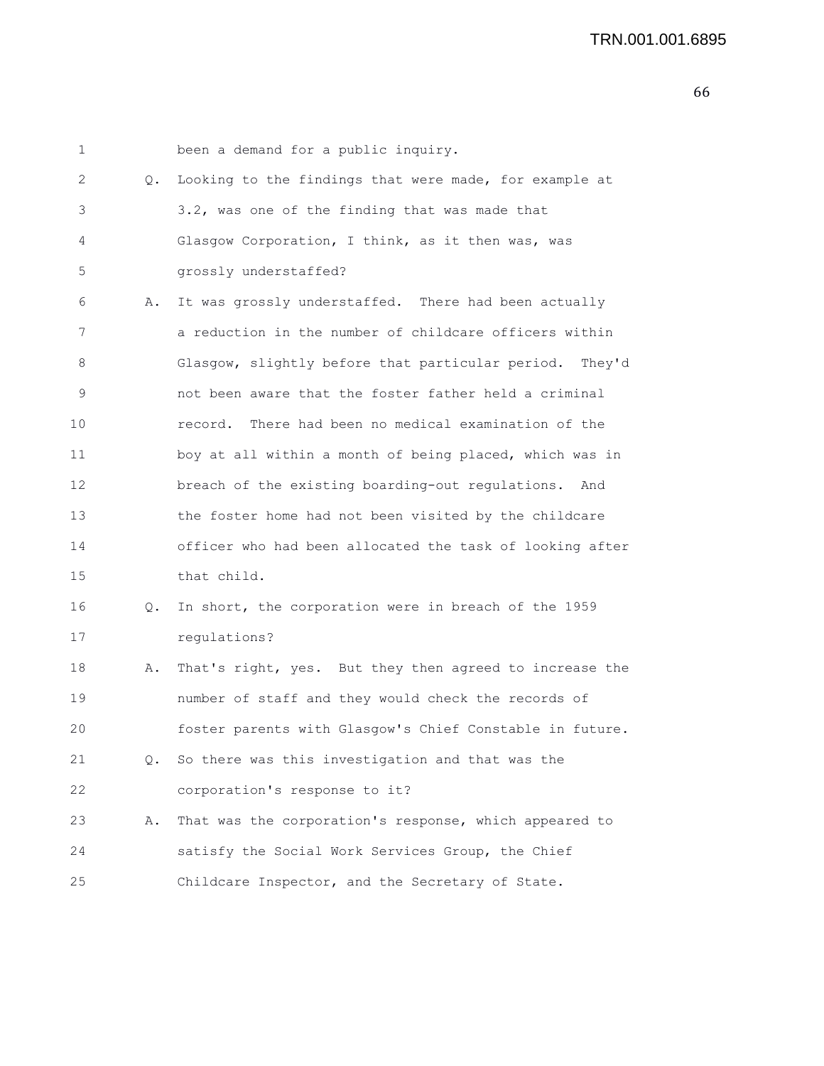1 been a demand for a public inquiry. 2 Q. Looking to the findings that were made, for example at 3 3.2, was one of the finding that was made that 4 Glasgow Corporation, I think, as it then was, was 5 grossly understaffed? 6 A. It was grossly understaffed. There had been actually 7 a reduction in the number of childcare officers within 8 Glasgow, slightly before that particular period. They'd 9 not been aware that the foster father held a criminal 10 record. There had been no medical examination of the 11 boy at all within a month of being placed, which was in 12 breach of the existing boarding-out regulations. And 13 the foster home had not been visited by the childcare 14 officer who had been allocated the task of looking after 15 that child. 16 Q. In short, the corporation were in breach of the 1959 17 regulations? 18 A. That's right, yes. But they then agreed to increase the 19 number of staff and they would check the records of 20 foster parents with Glasgow's Chief Constable in future. 21 Q. So there was this investigation and that was the 22 corporation's response to it? 23 A. That was the corporation's response, which appeared to 24 satisfy the Social Work Services Group, the Chief 25 Childcare Inspector, and the Secretary of State.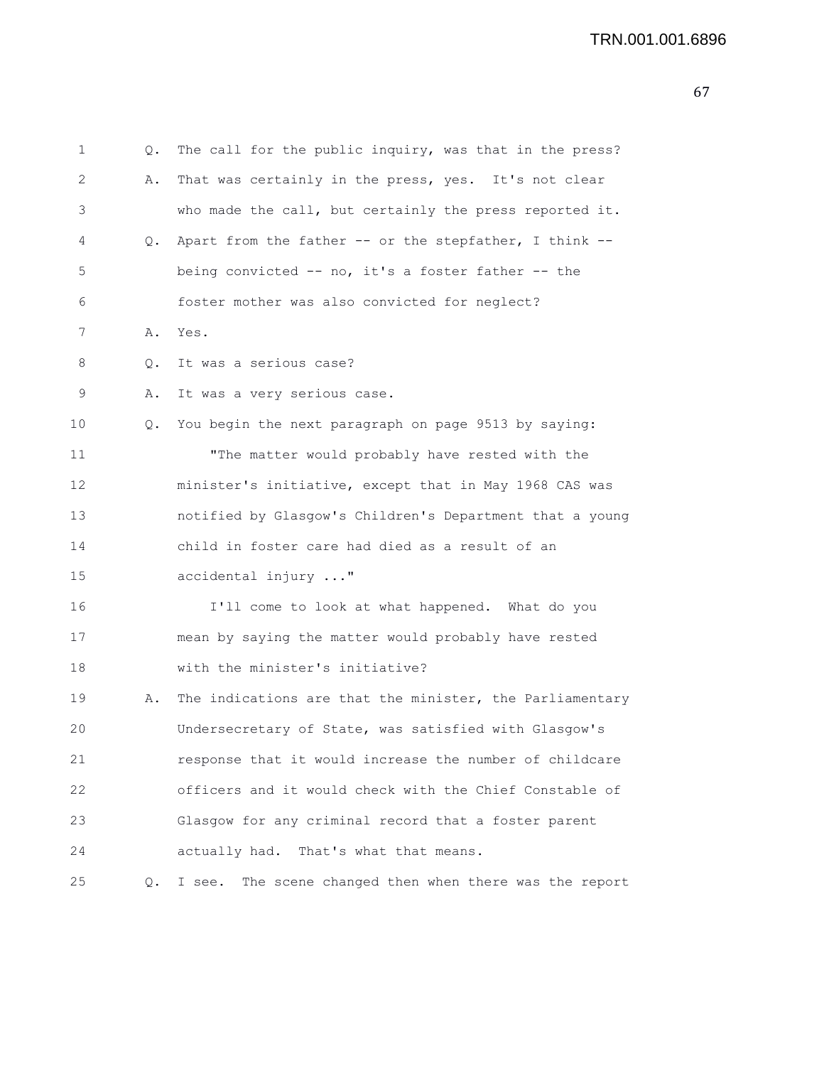```
1 Q. The call for the public inquiry, was that in the press?
2 A. That was certainly in the press, yes. It's not clear
3 who made the call, but certainly the press reported it.
4 Q. Apart from the father -- or the stepfather, I think --
5 being convicted -- no, it's a foster father -- the
6 foster mother was also convicted for neglect?
7 A. Yes.
8 Q. It was a serious case?
9 A. It was a very serious case.
10 Q. You begin the next paragraph on page 9513 by saying:
11 "The matter would probably have rested with the
12 minister's initiative, except that in May 1968 CAS was
13 notified by Glasgow's Children's Department that a young
14 child in foster care had died as a result of an
15 accidental injury ..."
16 I'll come to look at what happened. What do you
17 mean by saying the matter would probably have rested
18 with the minister's initiative?
19 A. The indications are that the minister, the Parliamentary
20 Undersecretary of State, was satisfied with Glasgow's
21 response that it would increase the number of childcare
22 officers and it would check with the Chief Constable of
23 Glasgow for any criminal record that a foster parent
24 actually had. That's what that means.
25 Q. I see. The scene changed then when there was the report
```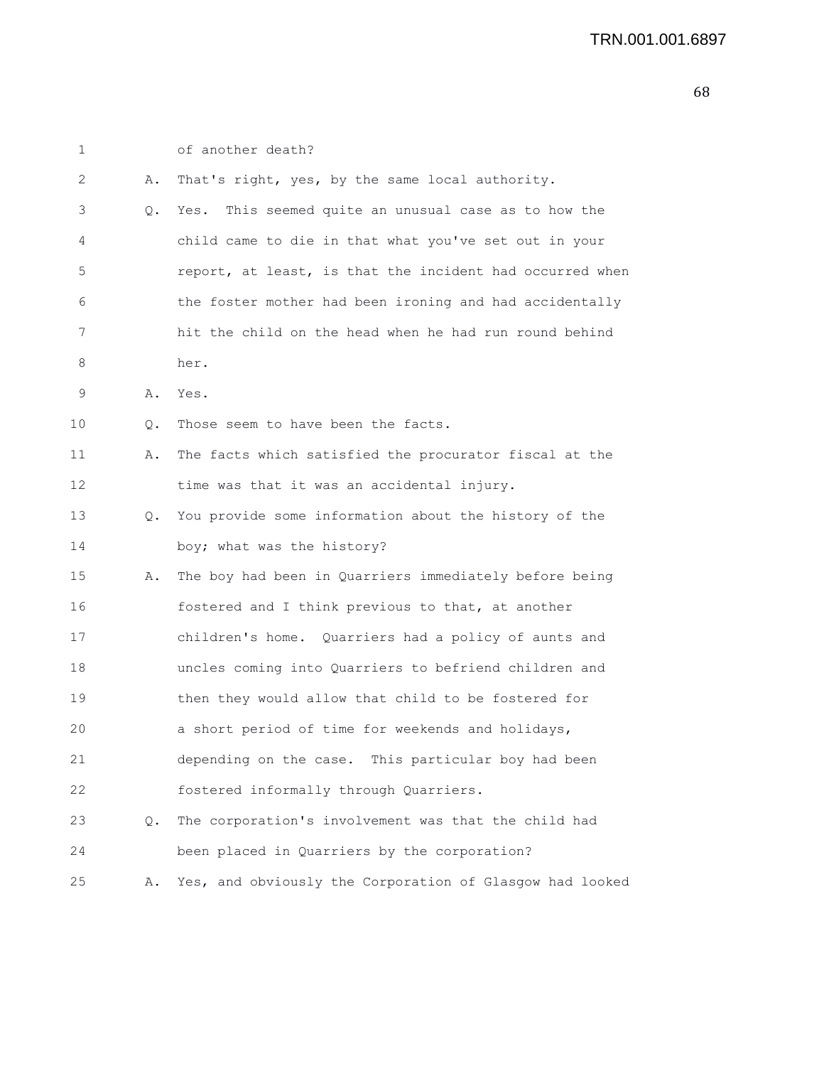| 1  |       | of another death?                                        |
|----|-------|----------------------------------------------------------|
| 2  | Α.    | That's right, yes, by the same local authority.          |
| 3  | Q.    | Yes.<br>This seemed quite an unusual case as to how the  |
| 4  |       | child came to die in that what you've set out in your    |
| 5  |       | report, at least, is that the incident had occurred when |
| 6  |       | the foster mother had been ironing and had accidentally  |
| 7  |       | hit the child on the head when he had run round behind   |
| 8  |       | her.                                                     |
| 9  | Α.    | Yes.                                                     |
| 10 | Q.    | Those seem to have been the facts.                       |
| 11 | Α.    | The facts which satisfied the procurator fiscal at the   |
| 12 |       | time was that it was an accidental injury.               |
| 13 | Q.    | You provide some information about the history of the    |
| 14 |       | boy; what was the history?                               |
| 15 | Α.    | The boy had been in Quarriers immediately before being   |
| 16 |       | fostered and I think previous to that, at another        |
| 17 |       | children's home. Quarriers had a policy of aunts and     |
| 18 |       | uncles coming into Quarriers to befriend children and    |
| 19 |       | then they would allow that child to be fostered for      |
| 20 |       | a short period of time for weekends and holidays,        |
| 21 |       | depending on the case. This particular boy had been      |
| 22 |       | fostered informally through Quarriers.                   |
| 23 | $Q$ . | The corporation's involvement was that the child had     |
| 24 |       | been placed in Quarriers by the corporation?             |
| 25 | Α.    | Yes, and obviously the Corporation of Glasgow had looked |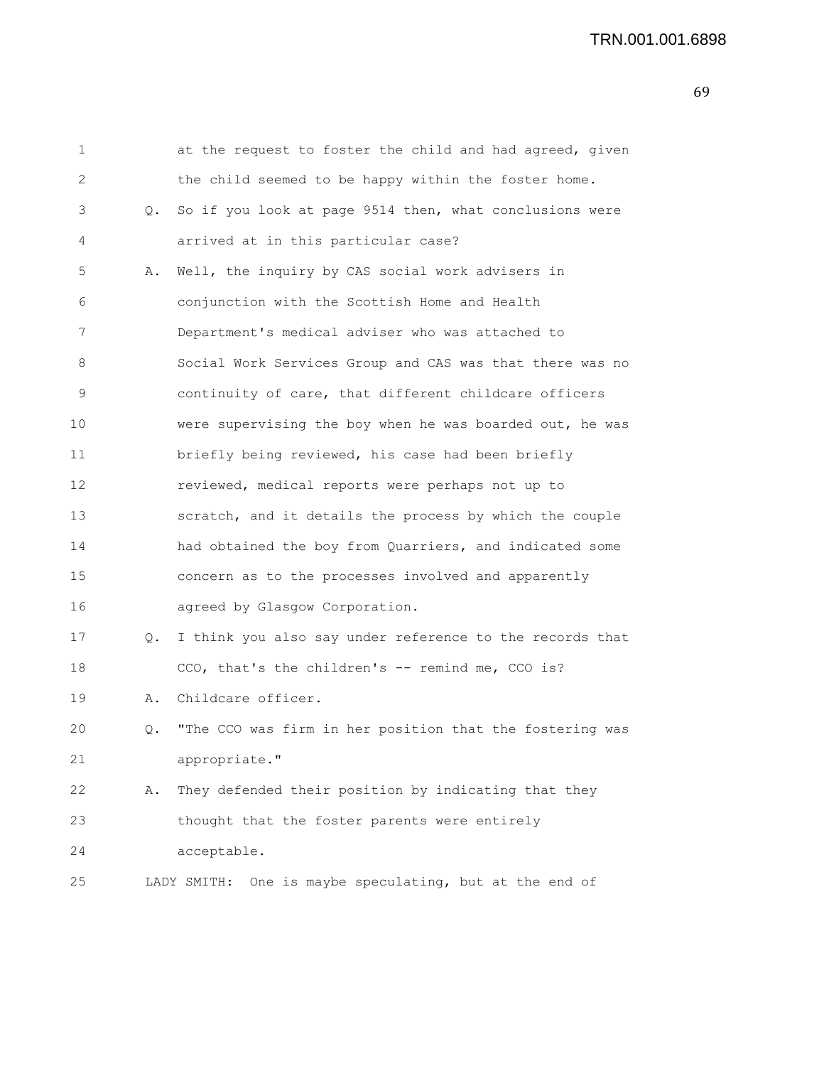| $\mathbf 1$ |           | at the request to foster the child and had agreed, given   |
|-------------|-----------|------------------------------------------------------------|
| 2           |           | the child seemed to be happy within the foster home.       |
| 3           | $\circ$ . | So if you look at page 9514 then, what conclusions were    |
| 4           |           | arrived at in this particular case?                        |
| 5           | Α.        | Well, the inquiry by CAS social work advisers in           |
| 6           |           | conjunction with the Scottish Home and Health              |
| 7           |           | Department's medical adviser who was attached to           |
| 8           |           | Social Work Services Group and CAS was that there was no   |
| 9           |           | continuity of care, that different childcare officers      |
| 10          |           | were supervising the boy when he was boarded out, he was   |
| 11          |           | briefly being reviewed, his case had been briefly          |
| 12          |           | reviewed, medical reports were perhaps not up to           |
| 13          |           | scratch, and it details the process by which the couple    |
| 14          |           | had obtained the boy from Quarriers, and indicated some    |
| 15          |           | concern as to the processes involved and apparently        |
| 16          |           | agreed by Glasgow Corporation.                             |
| 17          | Q.        | I think you also say under reference to the records that   |
| 18          |           | CCO, that's the children's -- remind me, CCO is?           |
| 19          | Α.        | Childcare officer.                                         |
| 20          | Q.        | "The CCO was firm in her position that the fostering was   |
| 21          |           | appropriate."                                              |
| 22          | Α.        | They defended their position by indicating that they       |
| 23          |           | thought that the foster parents were entirely              |
| 24          |           | acceptable.                                                |
| 25          |           | One is maybe speculating, but at the end of<br>LADY SMITH: |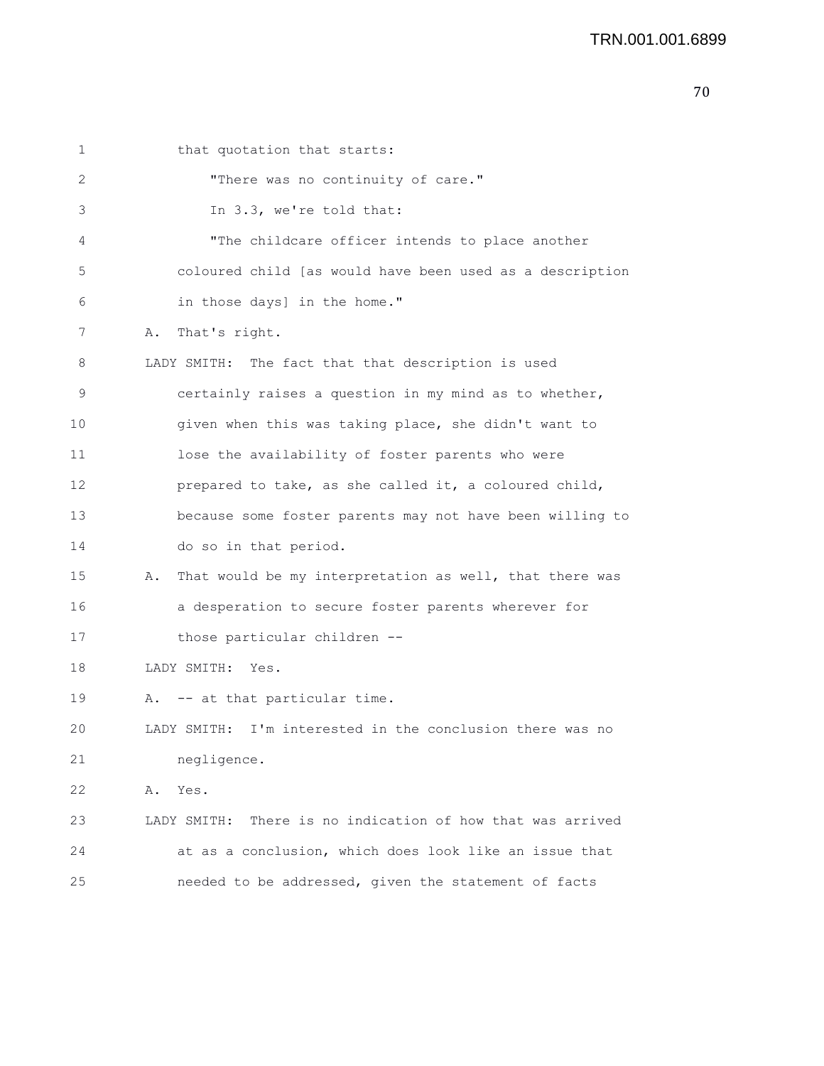1 that quotation that starts: 2 "There was no continuity of care." 3 In 3.3, we're told that: 4 "The childcare officer intends to place another 5 coloured child [as would have been used as a description 6 in those days] in the home." 7 A. That's right. 8 LADY SMITH: The fact that that description is used 9 certainly raises a question in my mind as to whether, 10 given when this was taking place, she didn't want to 11 lose the availability of foster parents who were 12 prepared to take, as she called it, a coloured child, 13 because some foster parents may not have been willing to 14 do so in that period. 15 A. That would be my interpretation as well, that there was 16 a desperation to secure foster parents wherever for 17 those particular children -- 18 LADY SMITH: Yes. 19 A. -- at that particular time. 20 LADY SMITH: I'm interested in the conclusion there was no 21 negligence. 22 A. Yes. 23 LADY SMITH: There is no indication of how that was arrived 24 at as a conclusion, which does look like an issue that 25 needed to be addressed, given the statement of facts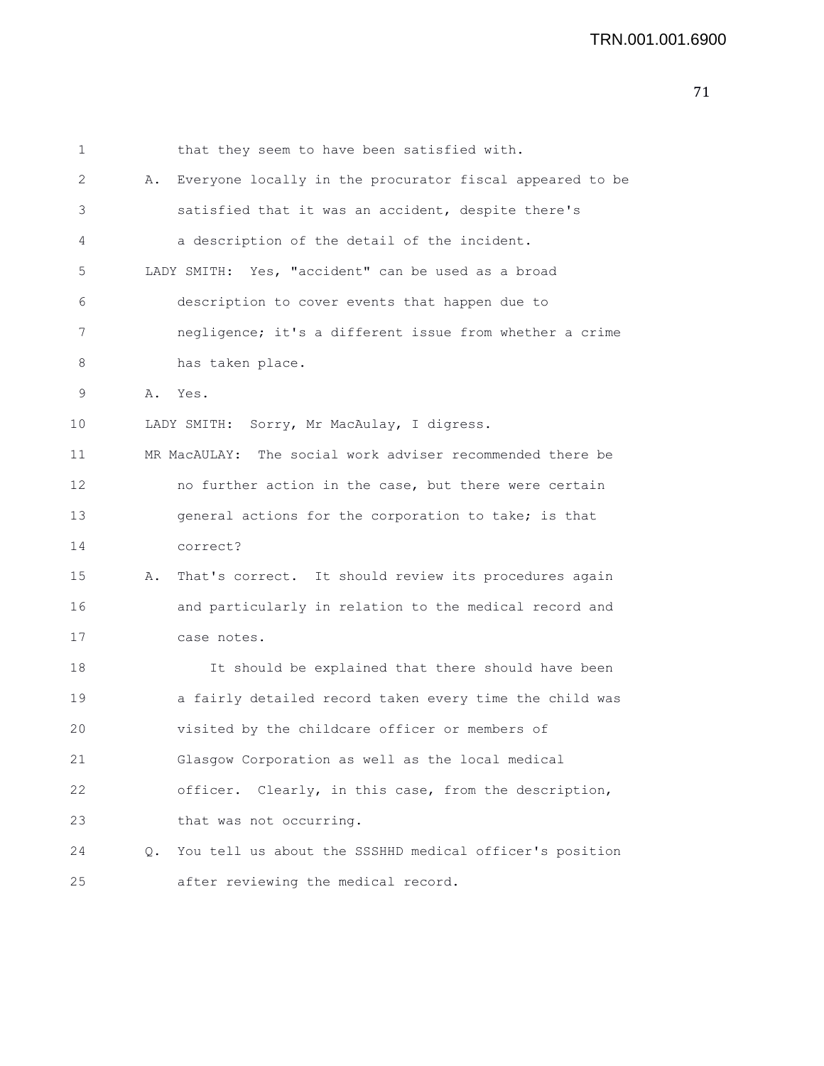| 1  |    | that they seem to have been satisfied with.               |
|----|----|-----------------------------------------------------------|
| 2  | Α. | Everyone locally in the procurator fiscal appeared to be  |
| 3  |    | satisfied that it was an accident, despite there's        |
| 4  |    | a description of the detail of the incident.              |
| 5  |    | LADY SMITH: Yes, "accident" can be used as a broad        |
| 6  |    | description to cover events that happen due to            |
| 7  |    | negligence; it's a different issue from whether a crime   |
| 8  |    | has taken place.                                          |
| 9  | Α. | Yes.                                                      |
| 10 |    | LADY SMITH: Sorry, Mr MacAulay, I digress.                |
| 11 |    | MR MacAULAY: The social work adviser recommended there be |
| 12 |    | no further action in the case, but there were certain     |
| 13 |    | general actions for the corporation to take; is that      |
| 14 |    | correct?                                                  |
| 15 | Α. | That's correct. It should review its procedures again     |
| 16 |    | and particularly in relation to the medical record and    |
| 17 |    | case notes.                                               |
| 18 |    | It should be explained that there should have been        |
| 19 |    | a fairly detailed record taken every time the child was   |
| 20 |    | visited by the childcare officer or members of            |
| 21 |    | Glasgow Corporation as well as the local medical          |
| 22 |    | officer. Clearly, in this case, from the description,     |
| 23 |    | that was not occurring.                                   |
| 24 | 0. | You tell us about the SSSHHD medical officer's position   |
| 25 |    | after reviewing the medical record.                       |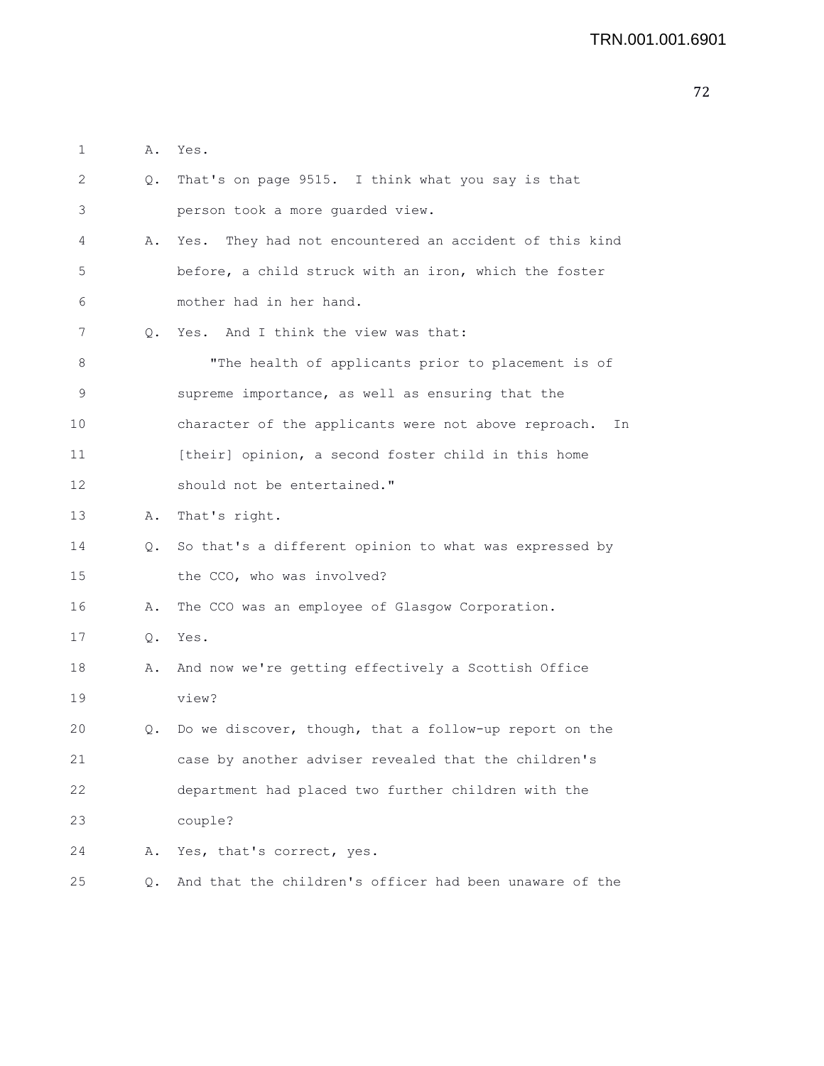| 1  |           | A. Yes.                                                    |
|----|-----------|------------------------------------------------------------|
| 2  | Q.        | That's on page 9515. I think what you say is that          |
| 3  |           | person took a more guarded view.                           |
| 4  | Α.        | Yes. They had not encountered an accident of this kind     |
| 5  |           | before, a child struck with an iron, which the foster      |
| 6  |           | mother had in her hand.                                    |
| 7  | $\circ$ . | Yes. And I think the view was that:                        |
| 8  |           | "The health of applicants prior to placement is of         |
| 9  |           | supreme importance, as well as ensuring that the           |
| 10 |           | character of the applicants were not above reproach.<br>In |
| 11 |           | [their] opinion, a second foster child in this home        |
| 12 |           | should not be entertained."                                |
| 13 | Α.        | That's right.                                              |
| 14 |           | Q. So that's a different opinion to what was expressed by  |
| 15 |           | the CCO, who was involved?                                 |
| 16 | Α.        | The CCO was an employee of Glasgow Corporation.            |
| 17 | Q.        | Yes.                                                       |
| 18 | Α.        | And now we're getting effectively a Scottish Office        |
| 19 |           | view?                                                      |
| 20 | Q.        | Do we discover, though, that a follow-up report on the     |
| 21 |           | case by another adviser revealed that the children's       |
| 22 |           | department had placed two further children with the        |
| 23 |           | couple?                                                    |
| 24 | Α.        | Yes, that's correct, yes.                                  |
| 25 | Q.        | And that the children's officer had been unaware of the    |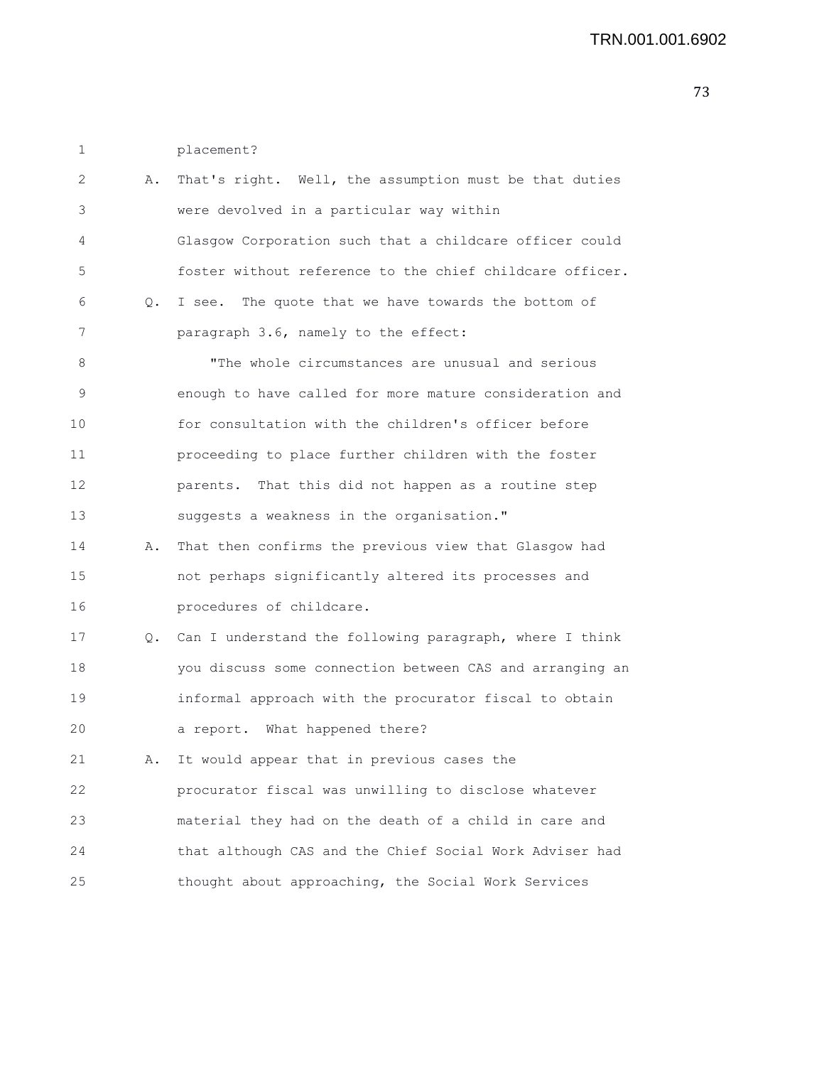1 placement?

| 2  | Α. | That's right. Well, the assumption must be that duties   |
|----|----|----------------------------------------------------------|
| 3  |    | were devolved in a particular way within                 |
| 4  |    | Glasgow Corporation such that a childcare officer could  |
| 5  |    | foster without reference to the chief childcare officer. |
| 6  | Q. | I see. The quote that we have towards the bottom of      |
| 7  |    | paragraph 3.6, namely to the effect:                     |
| 8  |    | "The whole circumstances are unusual and serious         |
| 9  |    | enough to have called for more mature consideration and  |
| 10 |    | for consultation with the children's officer before      |
| 11 |    | proceeding to place further children with the foster     |
| 12 |    | parents. That this did not happen as a routine step      |
| 13 |    | suggests a weakness in the organisation."                |
| 14 | Α. | That then confirms the previous view that Glasgow had    |
| 15 |    | not perhaps significantly altered its processes and      |
| 16 |    | procedures of childcare.                                 |
| 17 | Q. | Can I understand the following paragraph, where I think  |
| 18 |    | you discuss some connection between CAS and arranging an |
| 19 |    | informal approach with the procurator fiscal to obtain   |
| 20 |    | a report. What happened there?                           |
| 21 | Α. | It would appear that in previous cases the               |
| 22 |    | procurator fiscal was unwilling to disclose whatever     |
| 23 |    | material they had on the death of a child in care and    |
| 24 |    | that although CAS and the Chief Social Work Adviser had  |
| 25 |    | thought about approaching, the Social Work Services      |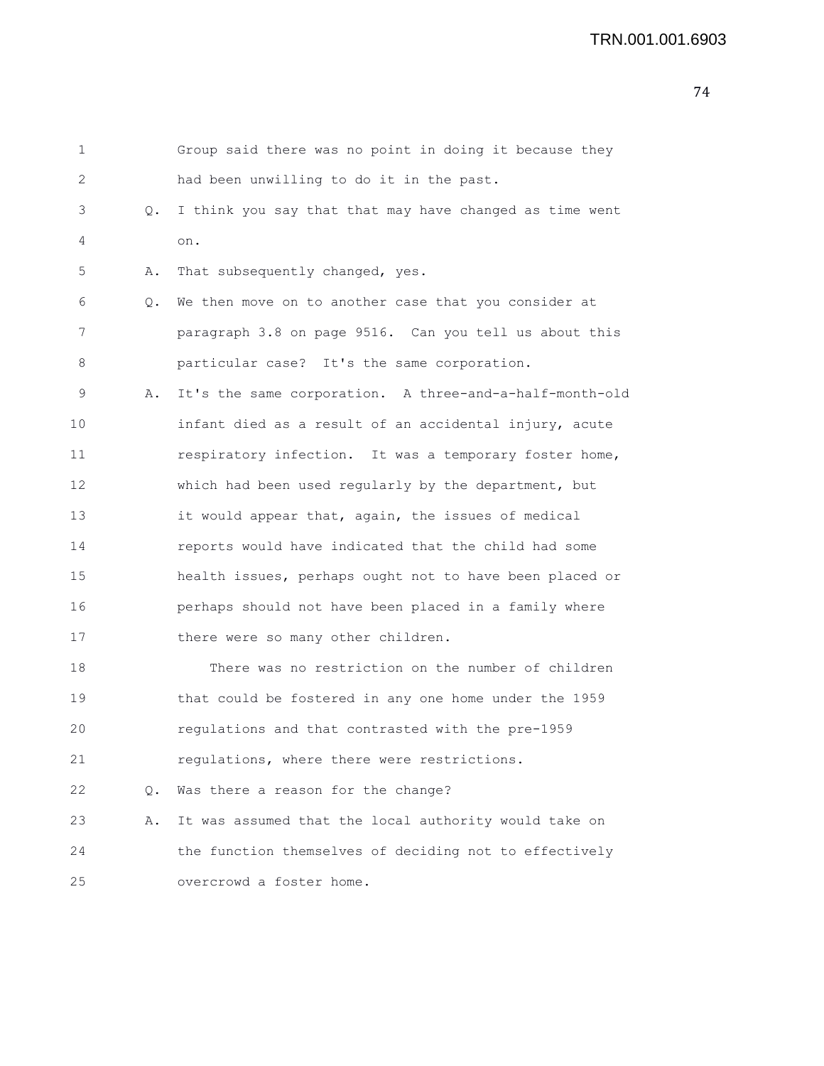```
1 Group said there was no point in doing it because they
2 had been unwilling to do it in the past.
3 Q. I think you say that that may have changed as time went
4 on.
5 A. That subsequently changed, yes.
6 Q. We then move on to another case that you consider at
7 paragraph 3.8 on page 9516. Can you tell us about this
8 particular case? It's the same corporation.
9 A. It's the same corporation. A three-and-a-half-month-old
10 infant died as a result of an accidental injury, acute
11 respiratory infection. It was a temporary foster home,
12 which had been used regularly by the department, but
13 it would appear that, again, the issues of medical
14 reports would have indicated that the child had some
15 health issues, perhaps ought not to have been placed or
16 perhaps should not have been placed in a family where
17 there were so many other children.
18 There was no restriction on the number of children
19 that could be fostered in any one home under the 1959
20 regulations and that contrasted with the pre-1959
21 regulations, where there were restrictions.
22 Q. Was there a reason for the change?
23 A. It was assumed that the local authority would take on
24 the function themselves of deciding not to effectively
25 overcrowd a foster home.
```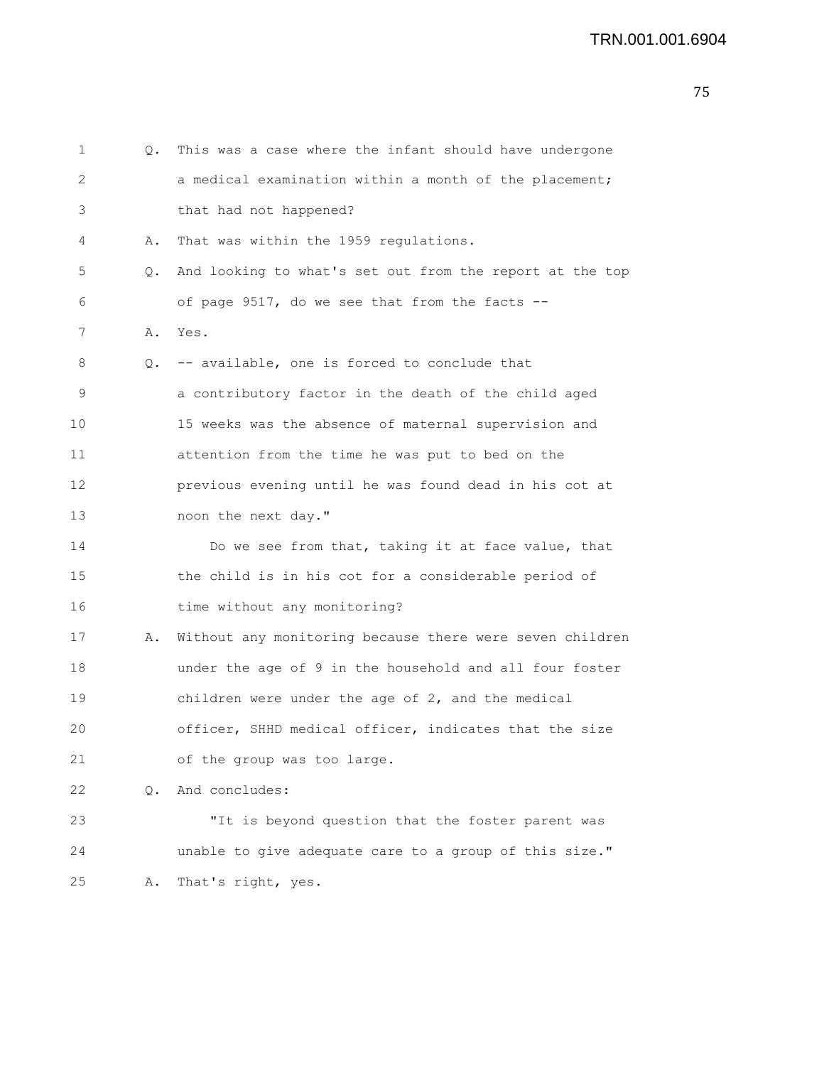```
1 Q. This was a case where the infant should have undergone
2 a medical examination within a month of the placement;
3 that had not happened?
4 A. That was within the 1959 regulations.
5 Q. And looking to what's set out from the report at the top
6 of page 9517, do we see that from the facts --
7 A. Yes.
8 Q. -- available, one is forced to conclude that
9 a contributory factor in the death of the child aged
10 15 weeks was the absence of maternal supervision and
11 attention from the time he was put to bed on the
12 previous evening until he was found dead in his cot at
13 noon the next day."
14 Do we see from that, taking it at face value, that
15 the child is in his cot for a considerable period of
16 time without any monitoring?
17 A. Without any monitoring because there were seven children
18 under the age of 9 in the household and all four foster
19 children were under the age of 2, and the medical
20 officer, SHHD medical officer, indicates that the size
21 of the group was too large.
22 Q. And concludes:
23 "It is beyond question that the foster parent was
24 unable to give adequate care to a group of this size."
25 A. That's right, yes.
```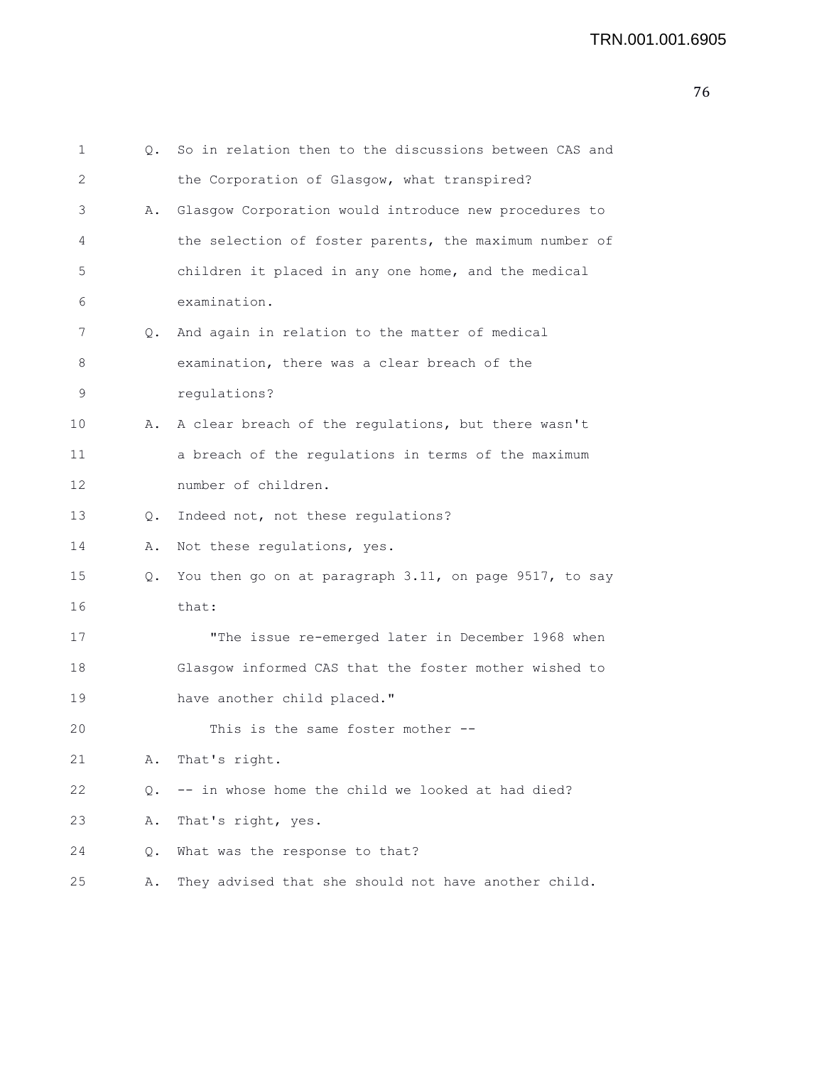| 1  | $\circ$ . | So in relation then to the discussions between CAS and |
|----|-----------|--------------------------------------------------------|
| 2  |           | the Corporation of Glasgow, what transpired?           |
| 3  | Α.        | Glasgow Corporation would introduce new procedures to  |
| 4  |           | the selection of foster parents, the maximum number of |
| 5  |           | children it placed in any one home, and the medical    |
| 6  |           | examination.                                           |
| 7  | Q.        | And again in relation to the matter of medical         |
| 8  |           | examination, there was a clear breach of the           |
| 9  |           | regulations?                                           |
| 10 | Α.        | A clear breach of the regulations, but there wasn't    |
| 11 |           | a breach of the regulations in terms of the maximum    |
| 12 |           | number of children.                                    |
| 13 | Q.        | Indeed not, not these regulations?                     |
| 14 | Α.        | Not these regulations, yes.                            |
| 15 | Q.        | You then go on at paragraph 3.11, on page 9517, to say |
| 16 |           | that:                                                  |
| 17 |           | "The issue re-emerged later in December 1968 when      |
| 18 |           | Glasgow informed CAS that the foster mother wished to  |
| 19 |           | have another child placed."                            |
| 20 |           | This is the same foster mother --                      |
| 21 | Α.        | That's right.                                          |
| 22 | Q.        | -- in whose home the child we looked at had died?      |
| 23 | Α.        | That's right, yes.                                     |
| 24 | Q.        | What was the response to that?                         |
| 25 | Α.        | They advised that she should not have another child.   |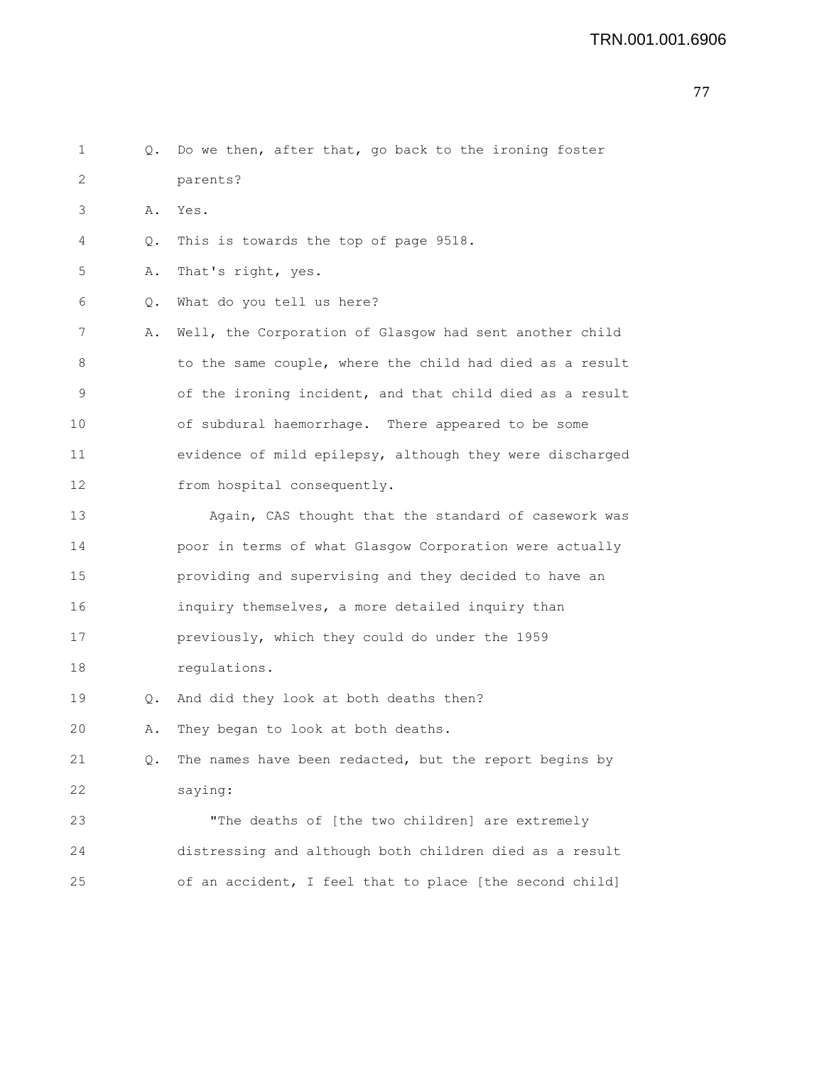- 77
- 1 Q. Do we then, after that, go back to the ironing foster 2 parents? 3 A. Yes. 4 Q. This is towards the top of page 9518. 5 A. That's right, yes. 6 Q. What do you tell us here? 7 A. Well, the Corporation of Glasgow had sent another child 8 to the same couple, where the child had died as a result 9 of the ironing incident, and that child died as a result 10 of subdural haemorrhage. There appeared to be some 11 evidence of mild epilepsy, although they were discharged 12 from hospital consequently. 13 Again, CAS thought that the standard of casework was 14 poor in terms of what Glasgow Corporation were actually 15 providing and supervising and they decided to have an 16 inquiry themselves, a more detailed inquiry than 17 previously, which they could do under the 1959 18 regulations. 19 Q. And did they look at both deaths then? 20 A. They began to look at both deaths. 21 Q. The names have been redacted, but the report begins by 22 saying: 23 "The deaths of [the two children] are extremely 24 distressing and although both children died as a result 25 of an accident, I feel that to place [the second child]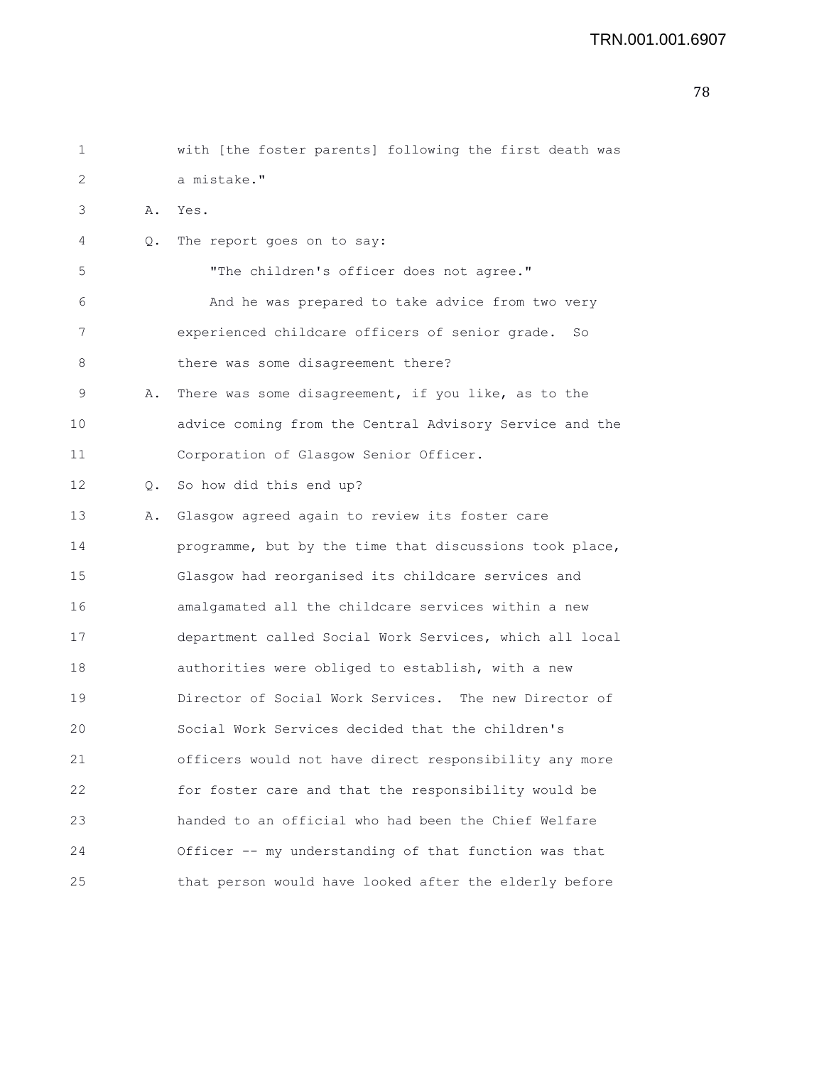```
1 with [the foster parents] following the first death was
2 a mistake."
3 A. Yes.
4 Q. The report goes on to say:
5 "The children's officer does not agree."
6 And he was prepared to take advice from two very
7 experienced childcare officers of senior grade. So
8 there was some disagreement there?
9 A. There was some disagreement, if you like, as to the
10 advice coming from the Central Advisory Service and the
11 Corporation of Glasgow Senior Officer.
12 Q. So how did this end up?
13 A. Glasgow agreed again to review its foster care
14 programme, but by the time that discussions took place,
15 Glasgow had reorganised its childcare services and
16 amalgamated all the childcare services within a new
17 department called Social Work Services, which all local
18 authorities were obliged to establish, with a new
19 Director of Social Work Services. The new Director of
20 Social Work Services decided that the children's
21 officers would not have direct responsibility any more
22 for foster care and that the responsibility would be
23 handed to an official who had been the Chief Welfare
24 Officer -- my understanding of that function was that
25 that person would have looked after the elderly before
```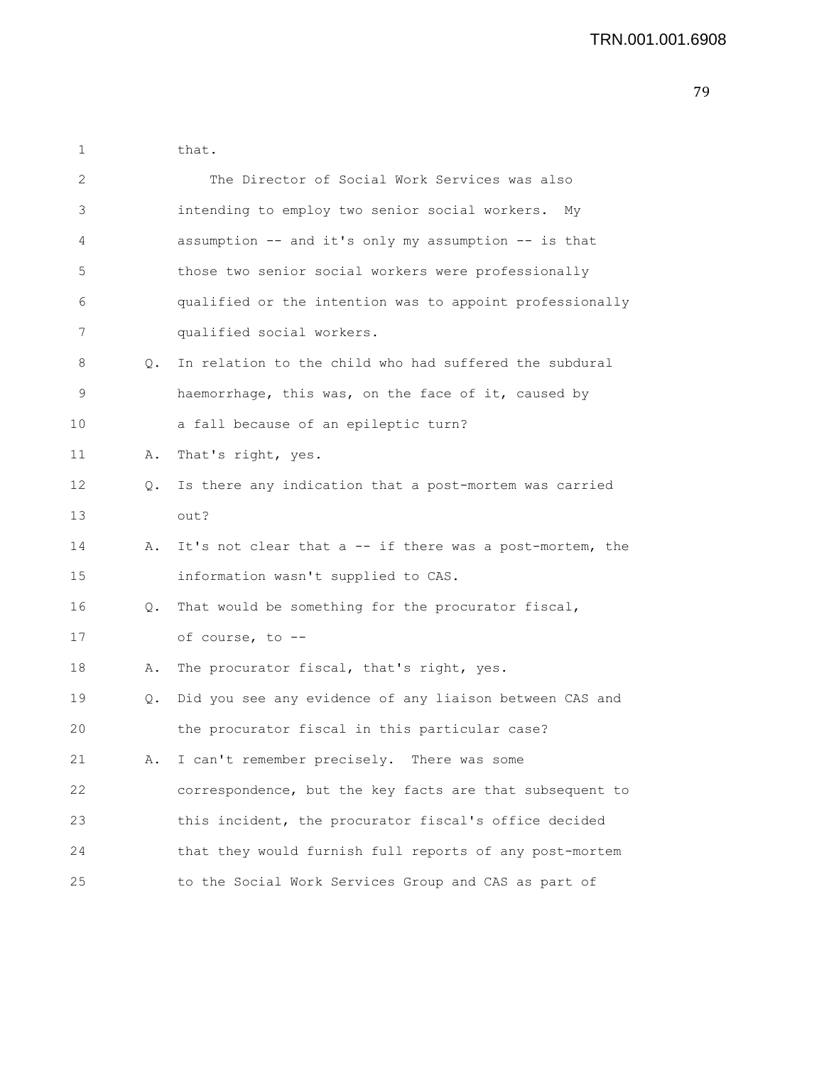1 that. 2 The Director of Social Work Services was also 3 intending to employ two senior social workers. My 4 assumption -- and it's only my assumption -- is that 5 those two senior social workers were professionally 6 qualified or the intention was to appoint professionally 7 qualified social workers. 8 Q. In relation to the child who had suffered the subdural 9 haemorrhage, this was, on the face of it, caused by 10 a fall because of an epileptic turn? 11 A. That's right, yes. 12 Q. Is there any indication that a post-mortem was carried 13 out? 14 A. It's not clear that a -- if there was a post-mortem, the 15 information wasn't supplied to CAS. 16 Q. That would be something for the procurator fiscal, 17 of course, to -- 18 A. The procurator fiscal, that's right, yes. 19 Q. Did you see any evidence of any liaison between CAS and 20 the procurator fiscal in this particular case? 21 A. I can't remember precisely. There was some 22 correspondence, but the key facts are that subsequent to 23 this incident, the procurator fiscal's office decided 24 that they would furnish full reports of any post-mortem 25 to the Social Work Services Group and CAS as part of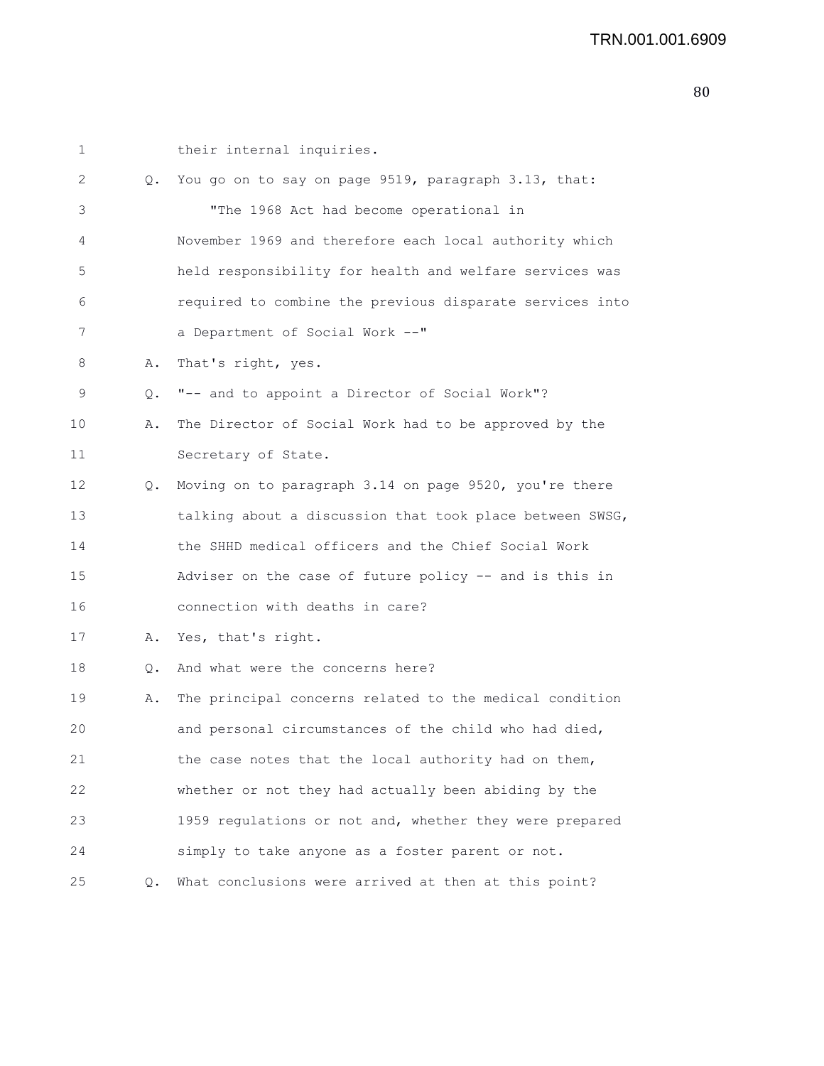```
1 their internal inquiries.
2 Q. You go on to say on page 9519, paragraph 3.13, that:
3 "The 1968 Act had become operational in
4 November 1969 and therefore each local authority which
5 held responsibility for health and welfare services was
6 required to combine the previous disparate services into
7 a Department of Social Work --"
8 A. That's right, yes.
9 Q. "-- and to appoint a Director of Social Work"?
10 A. The Director of Social Work had to be approved by the
11 Secretary of State.
12 Q. Moving on to paragraph 3.14 on page 9520, you're there
13 talking about a discussion that took place between SWSG,
14 the SHHD medical officers and the Chief Social Work
15 Adviser on the case of future policy -- and is this in
16 connection with deaths in care?
17 A. Yes, that's right.
18 Q. And what were the concerns here?
19 A. The principal concerns related to the medical condition
20 and personal circumstances of the child who had died,
21 the case notes that the local authority had on them,
22 whether or not they had actually been abiding by the
23 1959 regulations or not and, whether they were prepared
24 simply to take anyone as a foster parent or not.
25 Q. What conclusions were arrived at then at this point?
```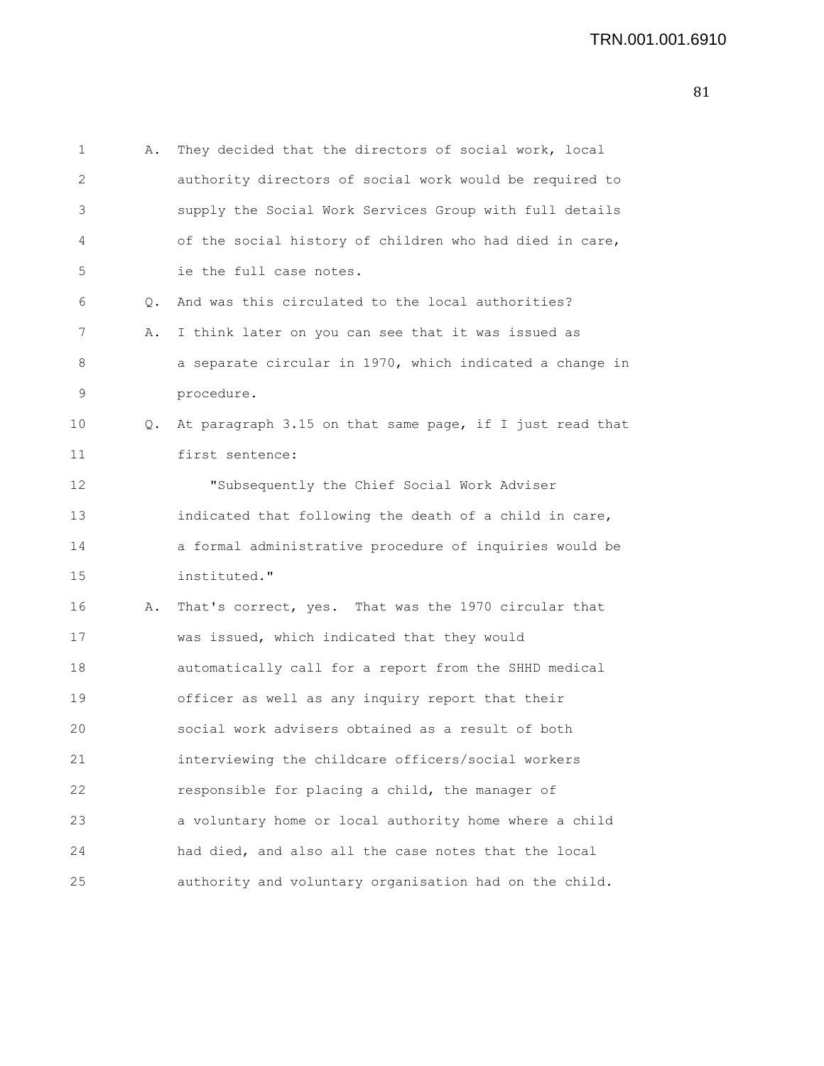1 A. They decided that the directors of social work, local 2 authority directors of social work would be required to 3 supply the Social Work Services Group with full details 4 of the social history of children who had died in care, 5 ie the full case notes. 6 Q. And was this circulated to the local authorities? 7 A. I think later on you can see that it was issued as 8 a separate circular in 1970, which indicated a change in 9 procedure. 10 Q. At paragraph 3.15 on that same page, if I just read that 11 first sentence: 12 "Subsequently the Chief Social Work Adviser 13 indicated that following the death of a child in care, 14 a formal administrative procedure of inquiries would be 15 instituted." 16 A. That's correct, yes. That was the 1970 circular that 17 was issued, which indicated that they would 18 automatically call for a report from the SHHD medical 19 officer as well as any inquiry report that their 20 social work advisers obtained as a result of both 21 interviewing the childcare officers/social workers 22 responsible for placing a child, the manager of 23 a voluntary home or local authority home where a child 24 had died, and also all the case notes that the local 25 authority and voluntary organisation had on the child.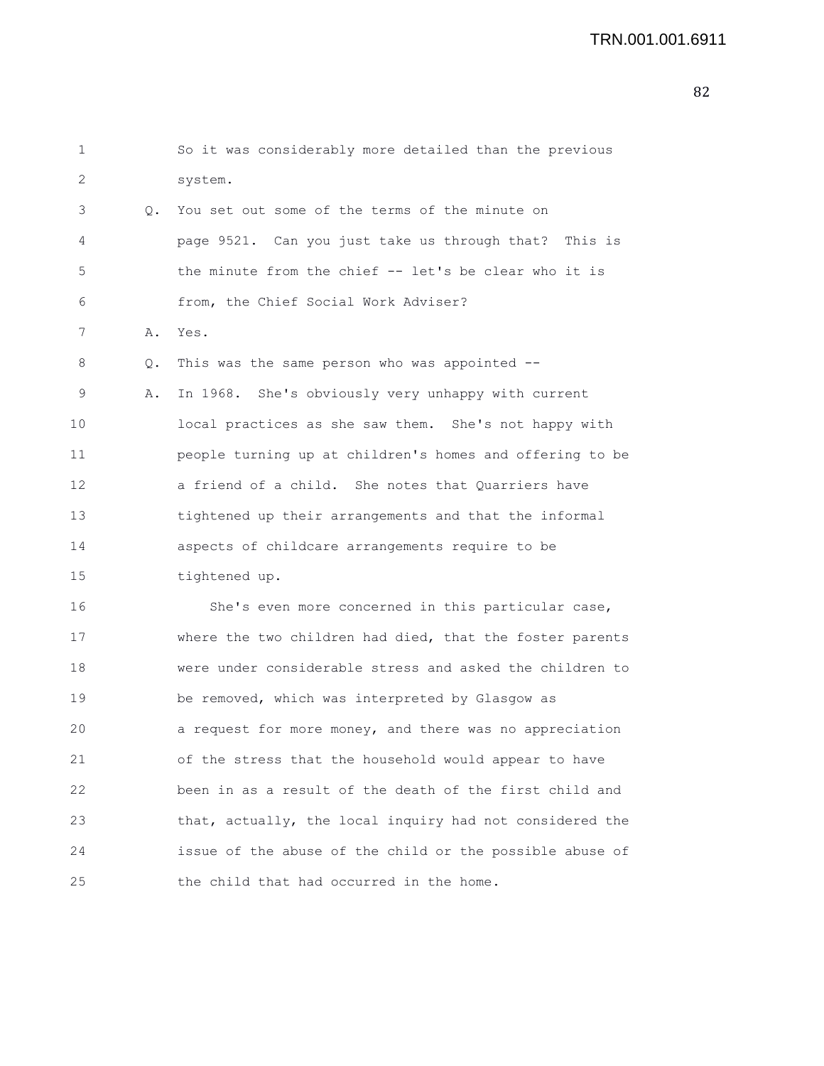```
1 So it was considerably more detailed than the previous
2 system.
3 Q. You set out some of the terms of the minute on
4 page 9521. Can you just take us through that? This is
5 the minute from the chief -- let's be clear who it is
6 from, the Chief Social Work Adviser?
7 A. Yes.
8 Q. This was the same person who was appointed --
9 A. In 1968. She's obviously very unhappy with current
10 local practices as she saw them. She's not happy with
11 people turning up at children's homes and offering to be
12 a friend of a child. She notes that Quarriers have
13 tightened up their arrangements and that the informal
14 aspects of childcare arrangements require to be
15 tightened up.
16 She's even more concerned in this particular case,
17 where the two children had died, that the foster parents
18 were under considerable stress and asked the children to
19 be removed, which was interpreted by Glasgow as
20 a request for more money, and there was no appreciation
21 of the stress that the household would appear to have
22 been in as a result of the death of the first child and
23 that, actually, the local inquiry had not considered the
24 issue of the abuse of the child or the possible abuse of
25 the child that had occurred in the home.
```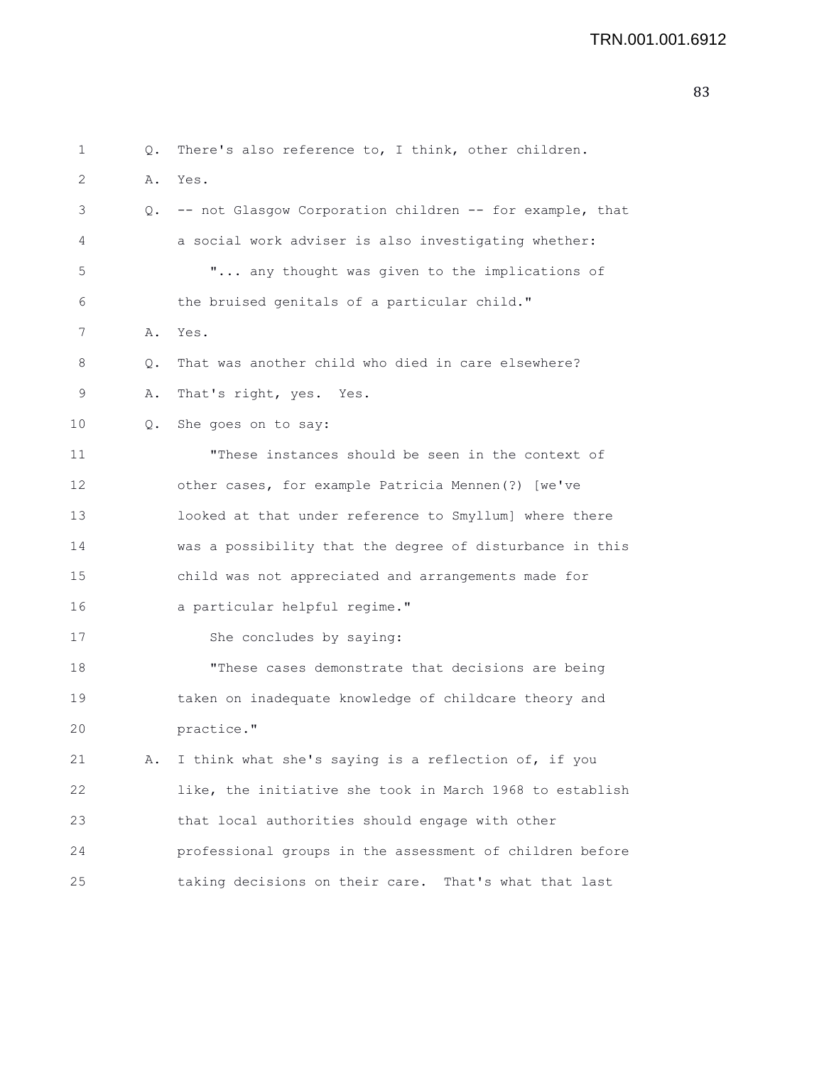## TRN.001.001.6912

| 1  | Q.    | There's also reference to, I think, other children.      |
|----|-------|----------------------------------------------------------|
| 2  | Α.    | Yes.                                                     |
| 3  | Q.    | -- not Glasgow Corporation children -- for example, that |
| 4  |       | a social work adviser is also investigating whether:     |
| 5  |       | " any thought was given to the implications of           |
| 6  |       | the bruised genitals of a particular child."             |
| 7  | Α.    | Yes.                                                     |
| 8  | Q.    | That was another child who died in care elsewhere?       |
| 9  | Α.    | That's right, yes. Yes.                                  |
| 10 | $Q$ . | She goes on to say:                                      |
| 11 |       | "These instances should be seen in the context of        |
| 12 |       | other cases, for example Patricia Mennen(?) [we've       |
| 13 |       | looked at that under reference to Smyllum] where there   |
| 14 |       | was a possibility that the degree of disturbance in this |
| 15 |       | child was not appreciated and arrangements made for      |
| 16 |       | a particular helpful regime."                            |
| 17 |       | She concludes by saying:                                 |
| 18 |       | "These cases demonstrate that decisions are being        |
| 19 |       | taken on inadequate knowledge of childcare theory and    |
| 20 |       | practice."                                               |
| 21 | Α.    | I think what she's saying is a reflection of, if you     |
| 22 |       | like, the initiative she took in March 1968 to establish |
| 23 |       | that local authorities should engage with other          |
| 24 |       | professional groups in the assessment of children before |
| 25 |       | taking decisions on their care.<br>That's what that last |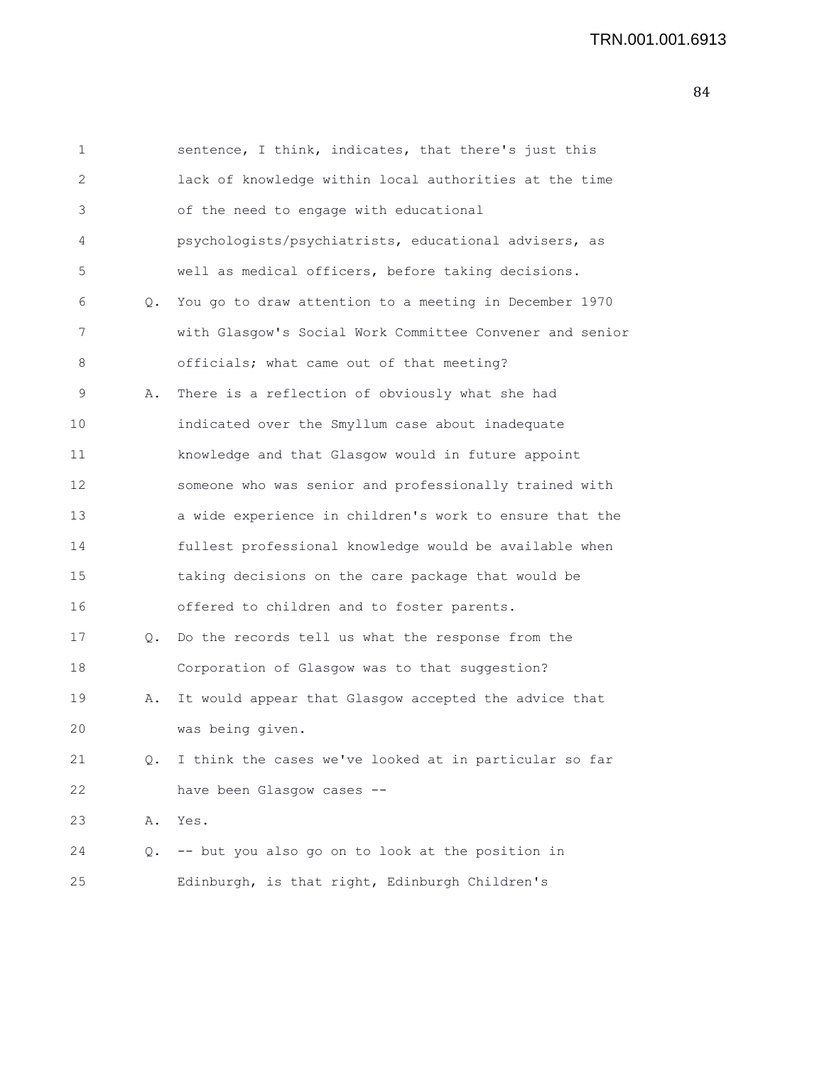| 1            |    | sentence, I think, indicates, that there's just this     |
|--------------|----|----------------------------------------------------------|
| $\mathbf{2}$ |    | lack of knowledge within local authorities at the time   |
| 3            |    | of the need to engage with educational                   |
| 4            |    | psychologists/psychiatrists, educational advisers, as    |
| 5            |    | well as medical officers, before taking decisions.       |
| 6            | Q. | You go to draw attention to a meeting in December 1970   |
| 7            |    | with Glasgow's Social Work Committee Convener and senior |
| 8            |    | officials; what came out of that meeting?                |
| 9            | Α. | There is a reflection of obviously what she had          |
| 10           |    | indicated over the Smyllum case about inadequate         |
| 11           |    | knowledge and that Glasgow would in future appoint       |
| 12           |    | someone who was senior and professionally trained with   |
| 13           |    | a wide experience in children's work to ensure that the  |
| 14           |    | fullest professional knowledge would be available when   |
| 15           |    | taking decisions on the care package that would be       |
| 16           |    | offered to children and to foster parents.               |
| 17           | Q. | Do the records tell us what the response from the        |
| 18           |    | Corporation of Glasgow was to that suggestion?           |
| 19           | Α. | It would appear that Glasgow accepted the advice that    |
| 20           |    | was being given.                                         |
| 21           | Q. | I think the cases we've looked at in particular so far   |
| 22           |    | have been Glasgow cases --                               |
| 23           | Α. | Yes.                                                     |
| 24           | Q. | -- but you also go on to look at the position in         |
| 25           |    | Edinburgh, is that right, Edinburgh Children's           |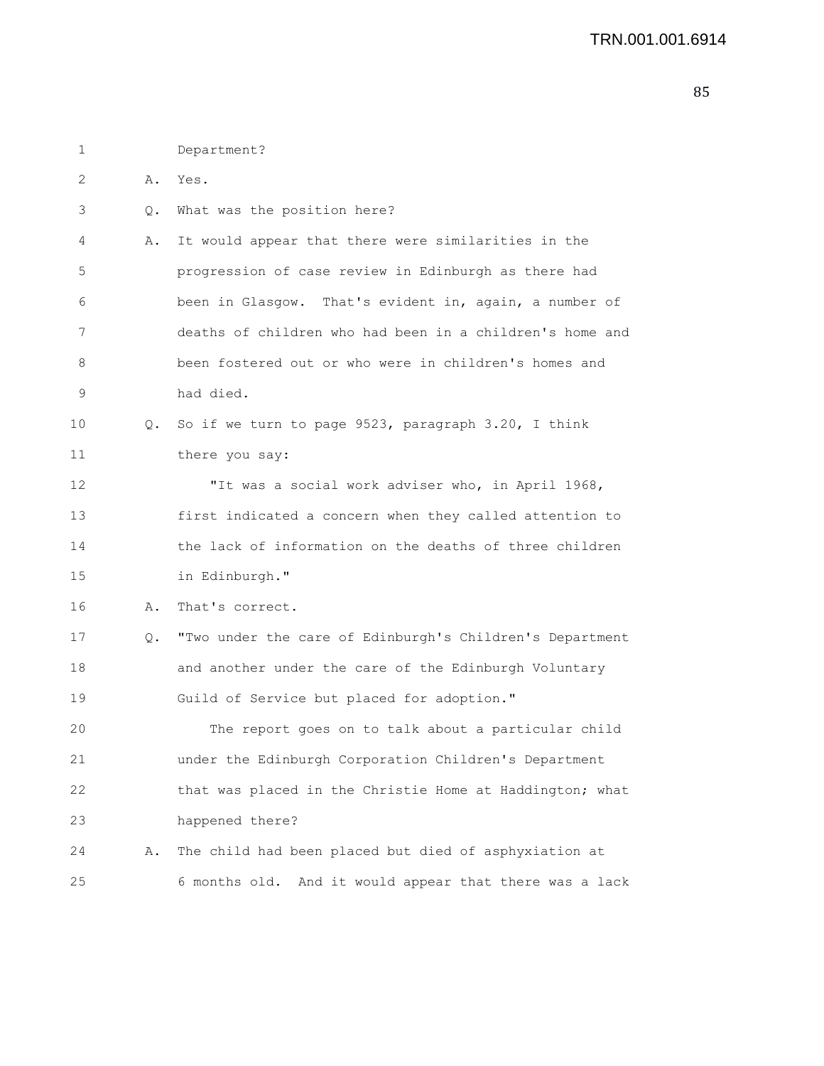| 1  |    | Department?                                              |
|----|----|----------------------------------------------------------|
| 2  | Α. | Yes.                                                     |
| 3  | Q. | What was the position here?                              |
| 4  | Α. | It would appear that there were similarities in the      |
| 5  |    | progression of case review in Edinburgh as there had     |
| 6  |    | been in Glasgow. That's evident in, again, a number of   |
| 7  |    | deaths of children who had been in a children's home and |
| 8  |    | been fostered out or who were in children's homes and    |
| 9  |    | had died.                                                |
| 10 | Q. | So if we turn to page 9523, paragraph 3.20, I think      |
| 11 |    | there you say:                                           |
| 12 |    | "It was a social work adviser who, in April 1968,        |
| 13 |    | first indicated a concern when they called attention to  |
| 14 |    | the lack of information on the deaths of three children  |
| 15 |    | in Edinburgh."                                           |
| 16 | Α. | That's correct.                                          |
| 17 | Q. | "Two under the care of Edinburgh's Children's Department |
| 18 |    | and another under the care of the Edinburgh Voluntary    |
| 19 |    | Guild of Service but placed for adoption."               |
| 20 |    | The report goes on to talk about a particular child      |
| 21 |    | under the Edinburgh Corporation Children's Department    |
| 22 |    | that was placed in the Christie Home at Haddington; what |
| 23 |    | happened there?                                          |
| 24 | Α. | The child had been placed but died of asphyxiation at    |
| 25 |    | 6 months old. And it would appear that there was a lack  |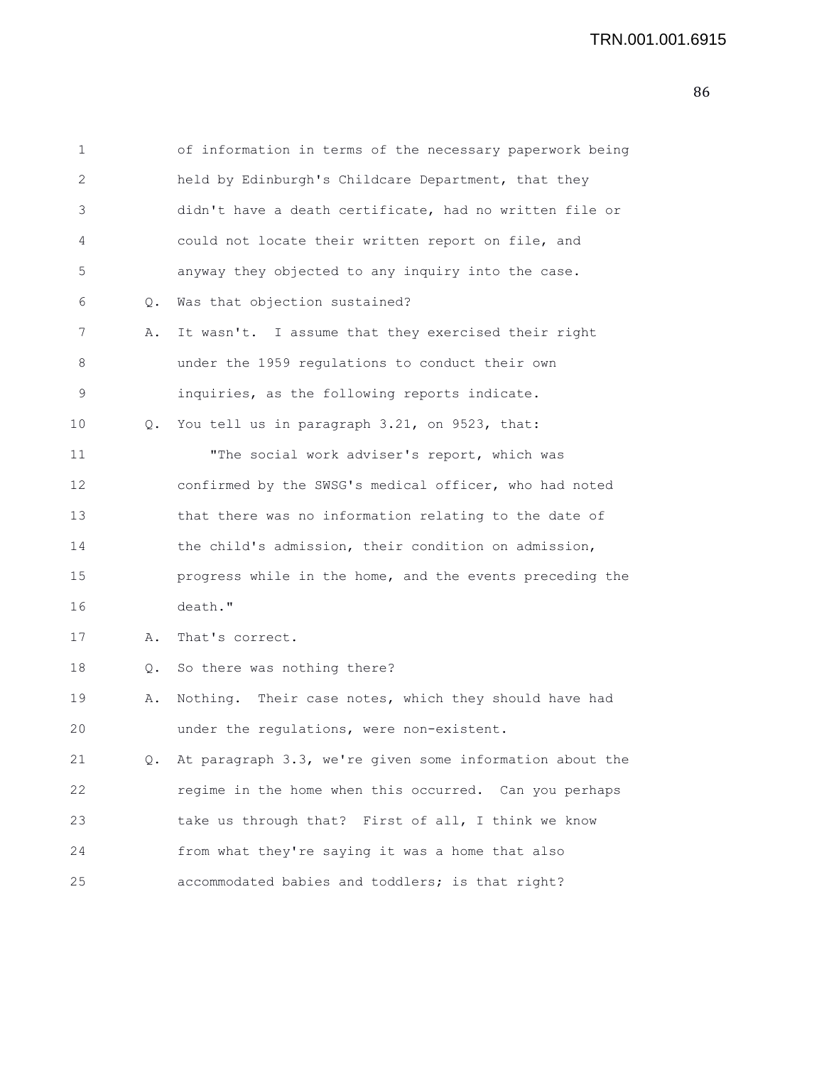1 of information in terms of the necessary paperwork being 2 held by Edinburgh's Childcare Department, that they 3 didn't have a death certificate, had no written file or 4 could not locate their written report on file, and 5 anyway they objected to any inquiry into the case. 6 Q. Was that objection sustained? 7 A. It wasn't. I assume that they exercised their right 8 under the 1959 regulations to conduct their own 9 inquiries, as the following reports indicate. 10 Q. You tell us in paragraph 3.21, on 9523, that: 11 "The social work adviser's report, which was 12 confirmed by the SWSG's medical officer, who had noted 13 that there was no information relating to the date of 14 the child's admission, their condition on admission, 15 progress while in the home, and the events preceding the 16 death." 17 A. That's correct. 18 Q. So there was nothing there? 19 A. Nothing. Their case notes, which they should have had 20 under the regulations, were non-existent. 21 Q. At paragraph 3.3, we're given some information about the 22 regime in the home when this occurred. Can you perhaps

24 from what they're saying it was a home that also

23 take us through that? First of all, I think we know

25 accommodated babies and toddlers; is that right?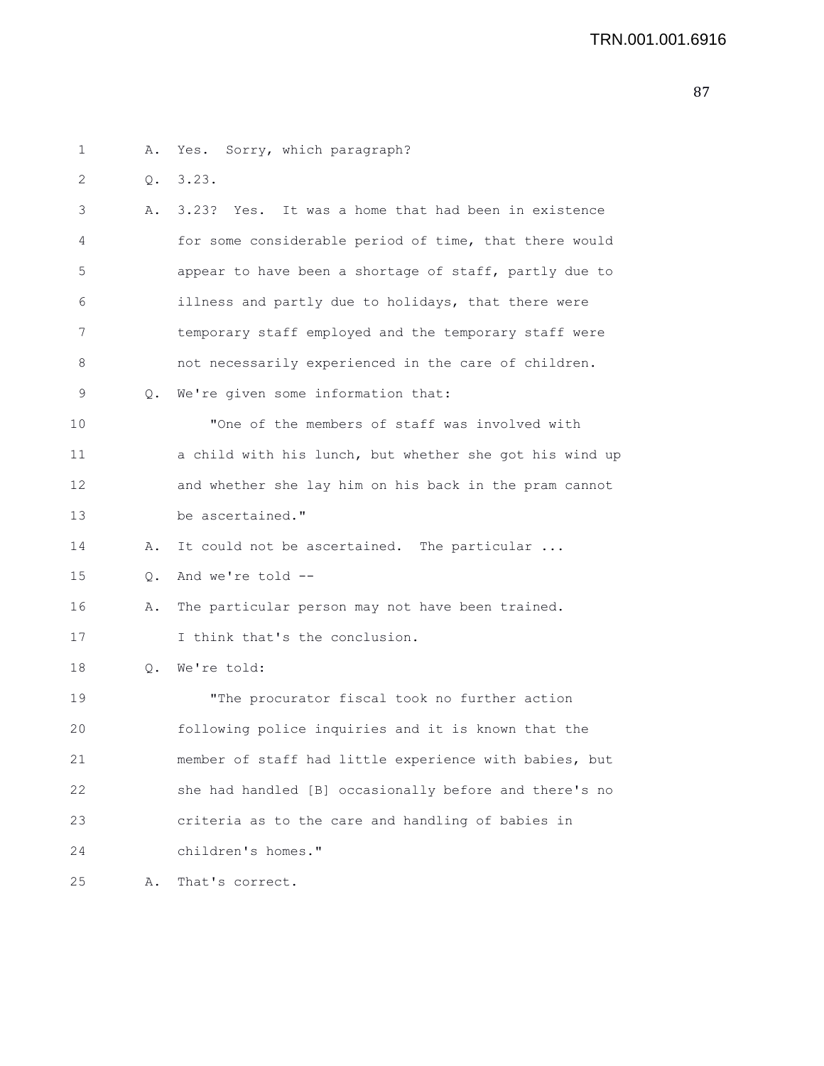1 A. Yes. Sorry, which paragraph? 2 Q. 3.23. 3 A. 3.23? Yes. It was a home that had been in existence 4 for some considerable period of time, that there would 5 appear to have been a shortage of staff, partly due to 6 illness and partly due to holidays, that there were 7 temporary staff employed and the temporary staff were 8 not necessarily experienced in the care of children. 9 Q. We're given some information that: 10 "One of the members of staff was involved with 11 a child with his lunch, but whether she got his wind up 12 and whether she lay him on his back in the pram cannot 13 be ascertained." 14 A. It could not be ascertained. The particular ... 15 Q. And we're told -- 16 A. The particular person may not have been trained. 17 I think that's the conclusion. 18 Q. We're told: 19 "The procurator fiscal took no further action 20 following police inquiries and it is known that the 21 member of staff had little experience with babies, but 22 she had handled [B] occasionally before and there's no 23 criteria as to the care and handling of babies in 24 children's homes." 25 A. That's correct.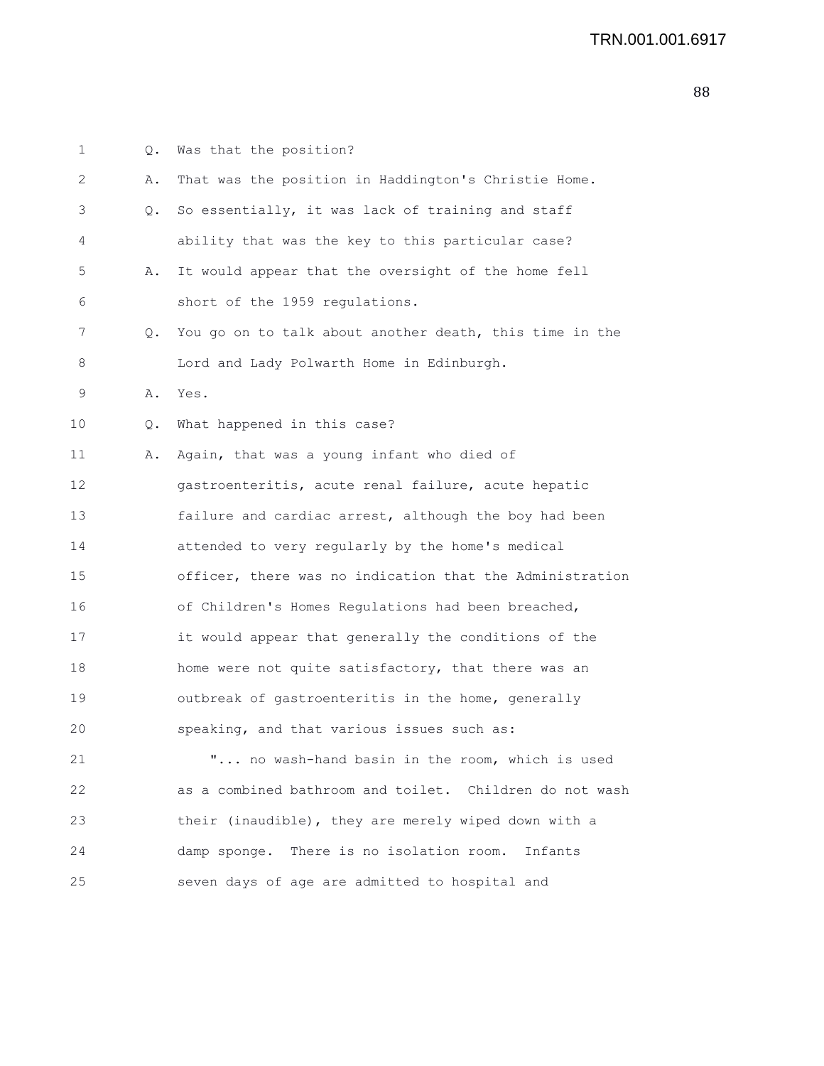| 1  | Q. | Was that the position?                                   |
|----|----|----------------------------------------------------------|
| 2  | Α. | That was the position in Haddington's Christie Home.     |
| 3  | Q. | So essentially, it was lack of training and staff        |
| 4  |    | ability that was the key to this particular case?        |
| 5  | Α. | It would appear that the oversight of the home fell      |
| 6  |    | short of the 1959 regulations.                           |
| 7  | Q. | You go on to talk about another death, this time in the  |
| 8  |    | Lord and Lady Polwarth Home in Edinburgh.                |
| 9  | Α. | Yes.                                                     |
| 10 | Q. | What happened in this case?                              |
| 11 | Α. | Again, that was a young infant who died of               |
| 12 |    | gastroenteritis, acute renal failure, acute hepatic      |
| 13 |    | failure and cardiac arrest, although the boy had been    |
| 14 |    | attended to very regularly by the home's medical         |
| 15 |    | officer, there was no indication that the Administration |
| 16 |    | of Children's Homes Regulations had been breached,       |
| 17 |    | it would appear that generally the conditions of the     |
| 18 |    | home were not quite satisfactory, that there was an      |
| 19 |    | outbreak of gastroenteritis in the home, generally       |
| 20 |    | speaking, and that various issues such as:               |
| 21 |    | " no wash-hand basin in the room, which is used          |
| 22 |    | as a combined bathroom and toilet. Children do not wash  |
| 23 |    | their (inaudible), they are merely wiped down with a     |
| 24 |    | damp sponge.<br>There is no isolation room.<br>Infants   |
| 25 |    | seven days of age are admitted to hospital and           |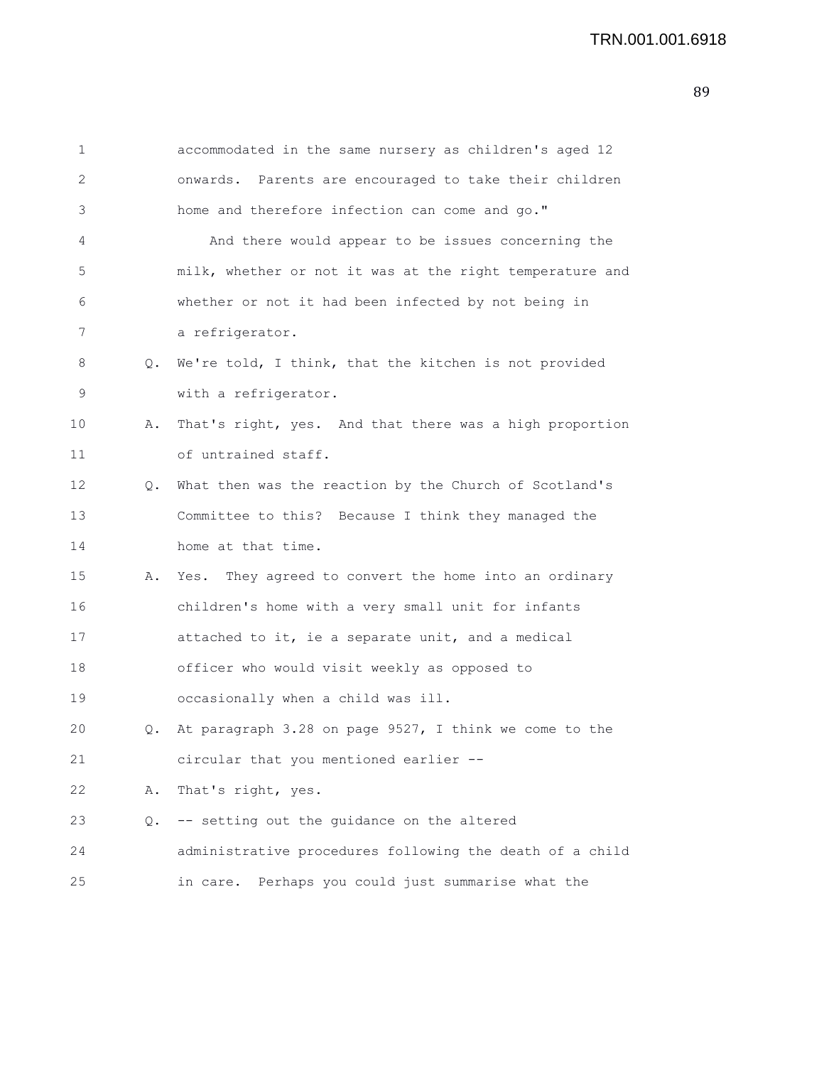| 1  |    | accommodated in the same nursery as children's aged 12   |
|----|----|----------------------------------------------------------|
| 2  |    | onwards. Parents are encouraged to take their children   |
| 3  |    | home and therefore infection can come and go."           |
| 4  |    | And there would appear to be issues concerning the       |
| 5  |    | milk, whether or not it was at the right temperature and |
| 6  |    | whether or not it had been infected by not being in      |
| 7  |    | a refrigerator.                                          |
| 8  | Q. | We're told, I think, that the kitchen is not provided    |
| 9  |    | with a refrigerator.                                     |
| 10 | Α. | That's right, yes. And that there was a high proportion  |
| 11 |    | of untrained staff.                                      |
| 12 | Q. | What then was the reaction by the Church of Scotland's   |
| 13 |    | Committee to this? Because I think they managed the      |
| 14 |    | home at that time.                                       |
| 15 | Α. | Yes. They agreed to convert the home into an ordinary    |
| 16 |    | children's home with a very small unit for infants       |
| 17 |    | attached to it, ie a separate unit, and a medical        |
| 18 |    | officer who would visit weekly as opposed to             |
| 19 |    | occasionally when a child was ill.                       |
| 20 | О. | At paragraph 3.28 on page 9527, I think we come to the   |
| 21 |    | circular that you mentioned earlier --                   |
| 22 | Α. | That's right, yes.                                       |
| 23 | Q. | -- setting out the guidance on the altered               |
| 24 |    | administrative procedures following the death of a child |
| 25 |    | in care. Perhaps you could just summarise what the       |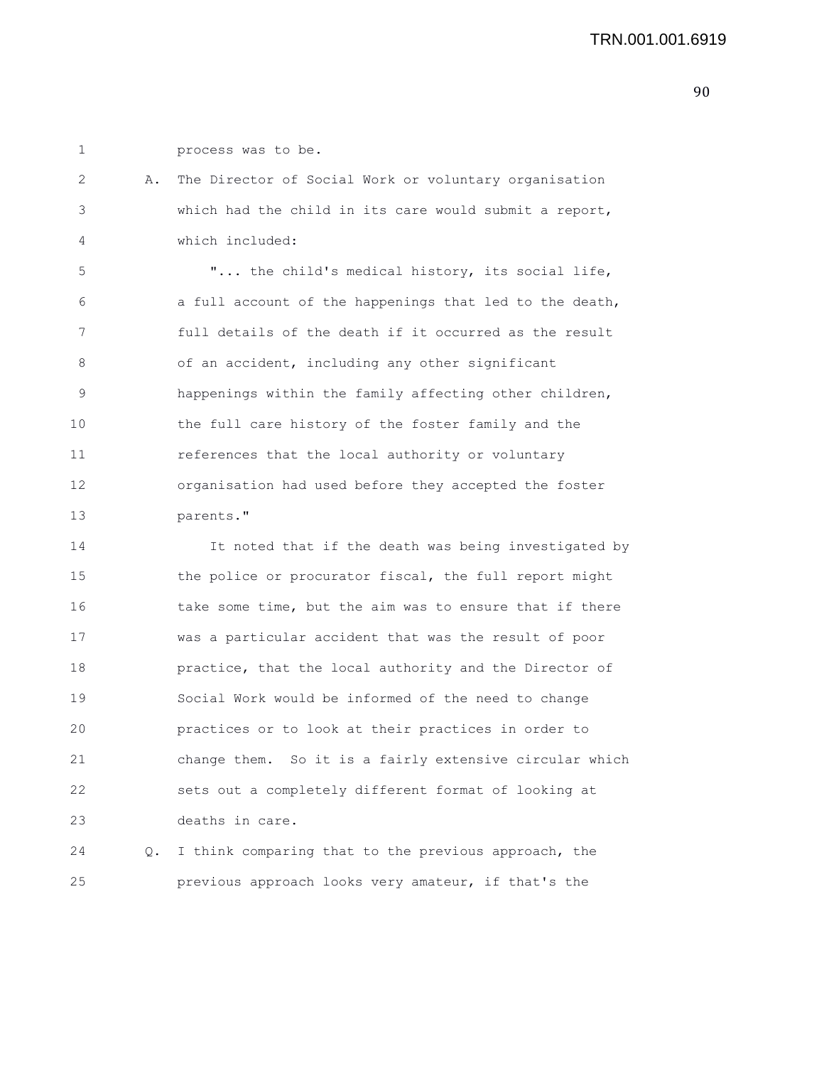1 process was to be.

| 2  | Α. | The Director of Social Work or voluntary organisation   |
|----|----|---------------------------------------------------------|
| 3  |    | which had the child in its care would submit a report,  |
| 4  |    | which included:                                         |
| 5  |    | " the child's medical history, its social life,         |
| 6  |    | a full account of the happenings that led to the death, |
| 7  |    | full details of the death if it occurred as the result  |
| 8  |    | of an accident, including any other significant         |
| 9  |    | happenings within the family affecting other children,  |
| 10 |    | the full care history of the foster family and the      |
| 11 |    | references that the local authority or voluntary        |
| 12 |    | organisation had used before they accepted the foster   |
| 13 |    | parents."                                               |
| 14 |    | It noted that if the death was being investigated by    |
| 15 |    | the police or procurator fiscal, the full report might  |
| 16 |    | take some time, but the aim was to ensure that if there |
| 17 |    | was a particular accident that was the result of poor   |
| 18 |    | practice, that the local authority and the Director of  |
| 19 |    | Social Work would be informed of the need to change     |
| 20 |    | practices or to look at their practices in order to     |

21 change them. So it is a fairly extensive circular which 22 sets out a completely different format of looking at 23 deaths in care.

24 Q. I think comparing that to the previous approach, the 25 previous approach looks very amateur, if that's the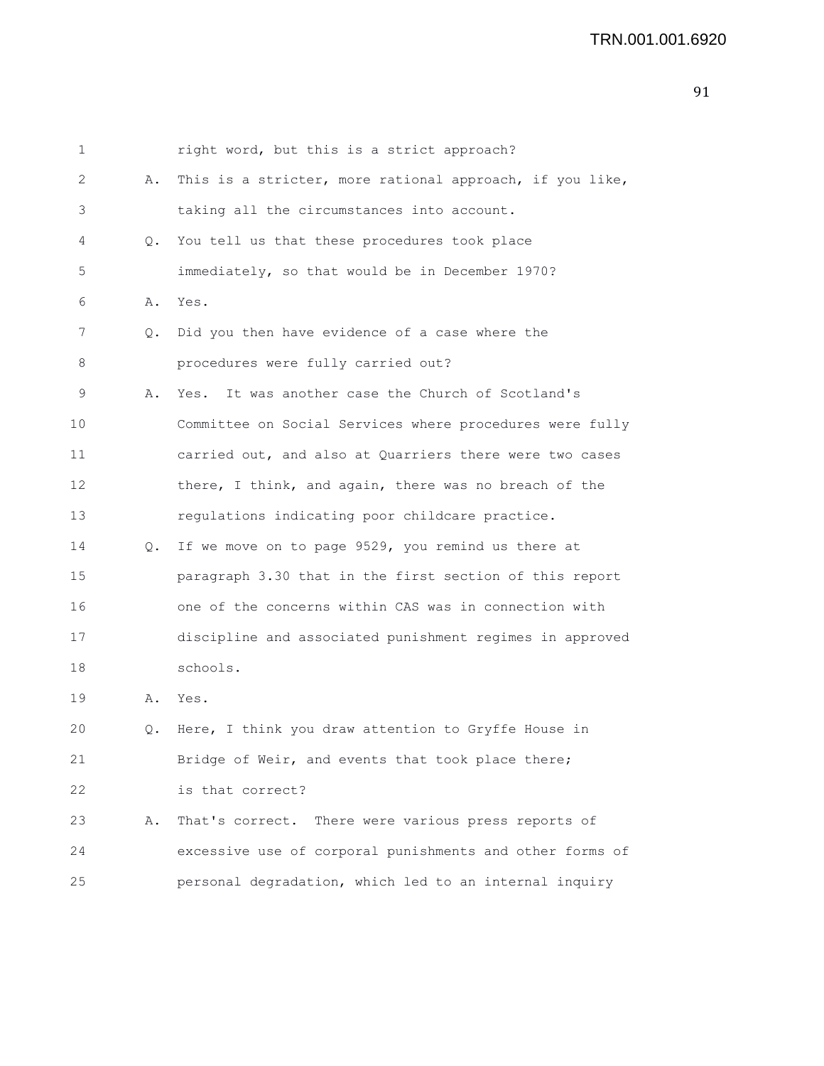| 1  |    | right word, but this is a strict approach?               |
|----|----|----------------------------------------------------------|
| 2  | Α. | This is a stricter, more rational approach, if you like, |
| 3  |    | taking all the circumstances into account.               |
| 4  | Q. | You tell us that these procedures took place             |
| 5  |    | immediately, so that would be in December 1970?          |
| 6  | Α. | Yes.                                                     |
| 7  | Q. | Did you then have evidence of a case where the           |
| 8  |    | procedures were fully carried out?                       |
| 9  | Α. | It was another case the Church of Scotland's<br>Yes.     |
| 10 |    | Committee on Social Services where procedures were fully |
| 11 |    | carried out, and also at Quarriers there were two cases  |
| 12 |    | there, I think, and again, there was no breach of the    |
| 13 |    | regulations indicating poor childcare practice.          |
| 14 | Q. | If we move on to page 9529, you remind us there at       |
| 15 |    | paragraph 3.30 that in the first section of this report  |
| 16 |    | one of the concerns within CAS was in connection with    |
| 17 |    | discipline and associated punishment regimes in approved |
| 18 |    | schools.                                                 |
| 19 | Α. | Yes.                                                     |
| 20 | Q. | Here, I think you draw attention to Gryffe House in      |
| 21 |    | Bridge of Weir, and events that took place there;        |
| 22 |    | is that correct?                                         |
| 23 | Α. | That's correct. There were various press reports of      |
| 24 |    | excessive use of corporal punishments and other forms of |
| 25 |    | personal degradation, which led to an internal inquiry   |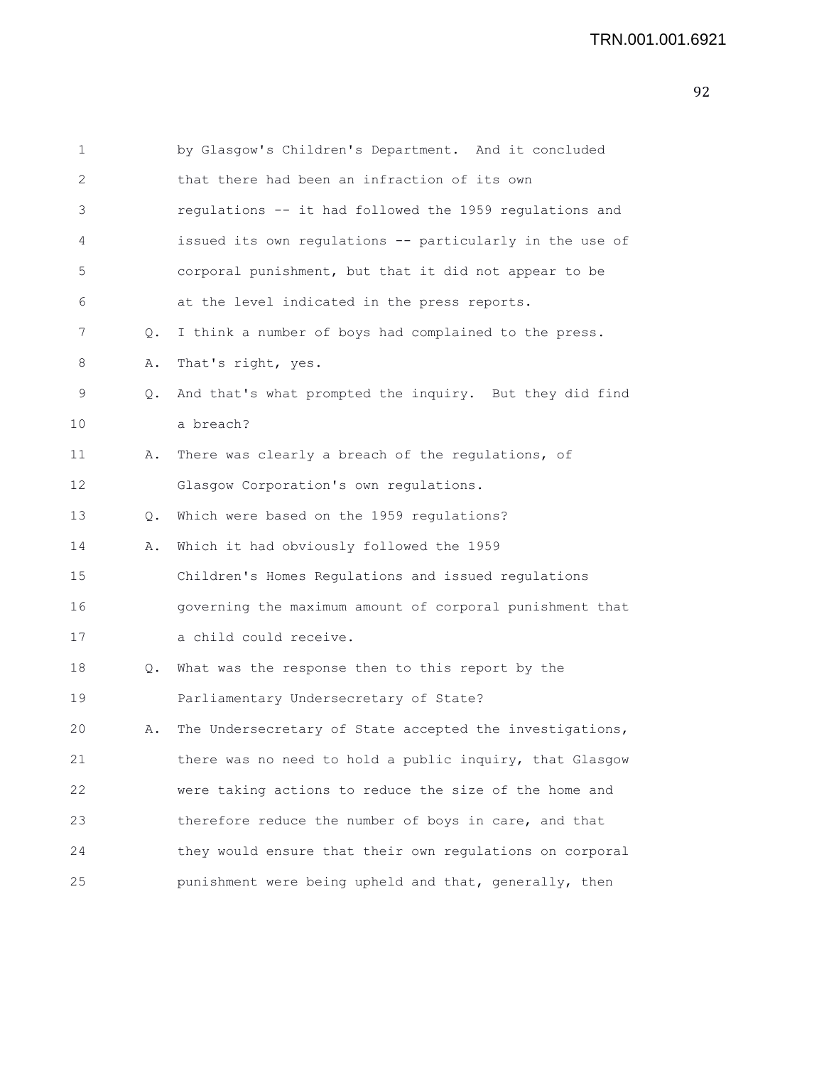| 1  |    | by Glasgow's Children's Department. And it concluded     |
|----|----|----------------------------------------------------------|
| 2  |    | that there had been an infraction of its own             |
| 3  |    | regulations -- it had followed the 1959 regulations and  |
| 4  |    | issued its own regulations -- particularly in the use of |
| 5  |    | corporal punishment, but that it did not appear to be    |
| 6  |    | at the level indicated in the press reports.             |
| 7  | Q. | I think a number of boys had complained to the press.    |
| 8  | Α. | That's right, yes.                                       |
| 9  | Q. | And that's what prompted the inquiry. But they did find  |
| 10 |    | a breach?                                                |
| 11 | Α. | There was clearly a breach of the regulations, of        |
| 12 |    | Glasgow Corporation's own regulations.                   |
| 13 | Q. | Which were based on the 1959 regulations?                |
| 14 | Α. | Which it had obviously followed the 1959                 |
| 15 |    | Children's Homes Regulations and issued regulations      |
| 16 |    | governing the maximum amount of corporal punishment that |
| 17 |    | a child could receive.                                   |
| 18 | Q. | What was the response then to this report by the         |
| 19 |    | Parliamentary Undersecretary of State?                   |
| 20 | Α. | The Undersecretary of State accepted the investigations, |
| 21 |    | there was no need to hold a public inquiry, that Glasgow |
| 22 |    | were taking actions to reduce the size of the home and   |
| 23 |    | therefore reduce the number of boys in care, and that    |
| 24 |    | they would ensure that their own regulations on corporal |
| 25 |    | punishment were being upheld and that, generally, then   |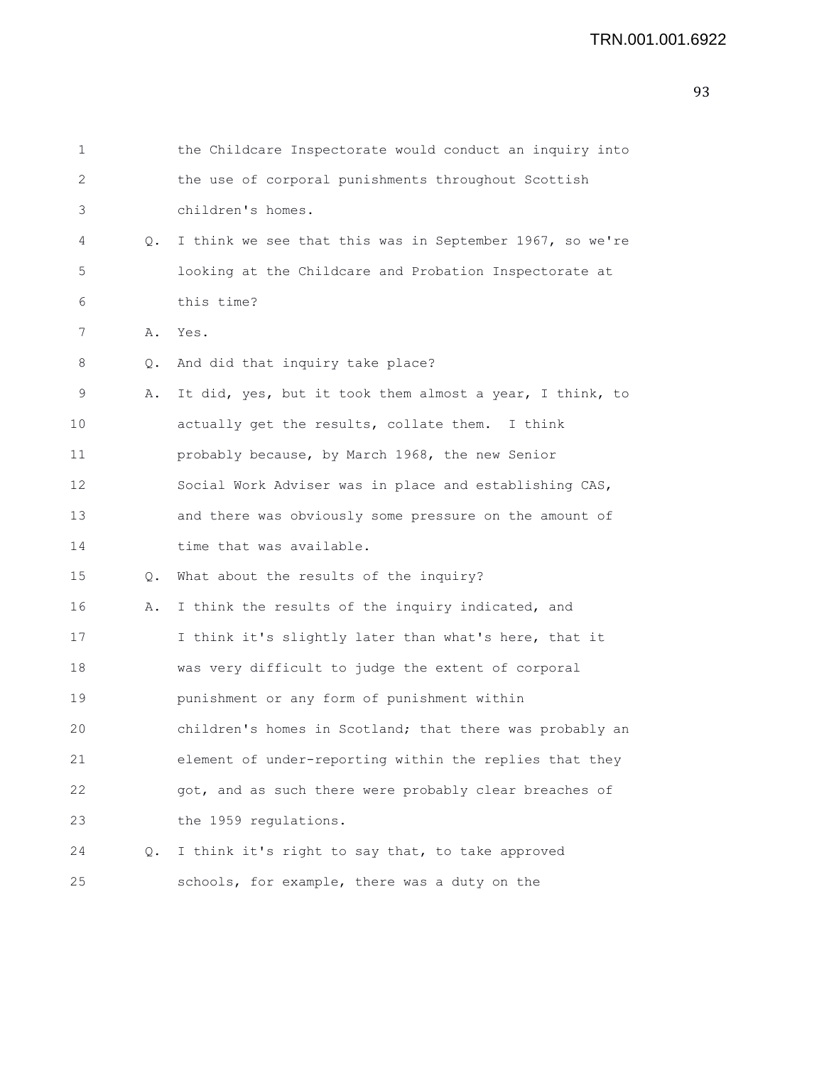| $\mathbf{1}$ |               | the Childcare Inspectorate would conduct an inquiry into |
|--------------|---------------|----------------------------------------------------------|
| 2            |               | the use of corporal punishments throughout Scottish      |
| 3            |               | children's homes.                                        |
| 4            | Q.            | I think we see that this was in September 1967, so we're |
| 5            |               | looking at the Childcare and Probation Inspectorate at   |
| 6            |               | this time?                                               |
| 7            | Α.            | Yes.                                                     |
| 8            | Q.            | And did that inquiry take place?                         |
| 9            | Α.            | It did, yes, but it took them almost a year, I think, to |
| 10           |               | actually get the results, collate them. I think          |
| 11           |               | probably because, by March 1968, the new Senior          |
| 12           |               | Social Work Adviser was in place and establishing CAS,   |
| 13           |               | and there was obviously some pressure on the amount of   |
| 14           |               | time that was available.                                 |
| 15           | $Q_{\bullet}$ | What about the results of the inquiry?                   |
| 16           | Α.            | I think the results of the inquiry indicated, and        |
| 17           |               | I think it's slightly later than what's here, that it    |
| 18           |               | was very difficult to judge the extent of corporal       |
| 19           |               | punishment or any form of punishment within              |
| 20           |               | children's homes in Scotland; that there was probably an |
| 21           |               | element of under-reporting within the replies that they  |
| 22           |               | got, and as such there were probably clear breaches of   |
| 23           |               | the 1959 regulations.                                    |
| 24           | $Q_{\bullet}$ | I think it's right to say that, to take approved         |
| 25           |               | schools, for example, there was a duty on the            |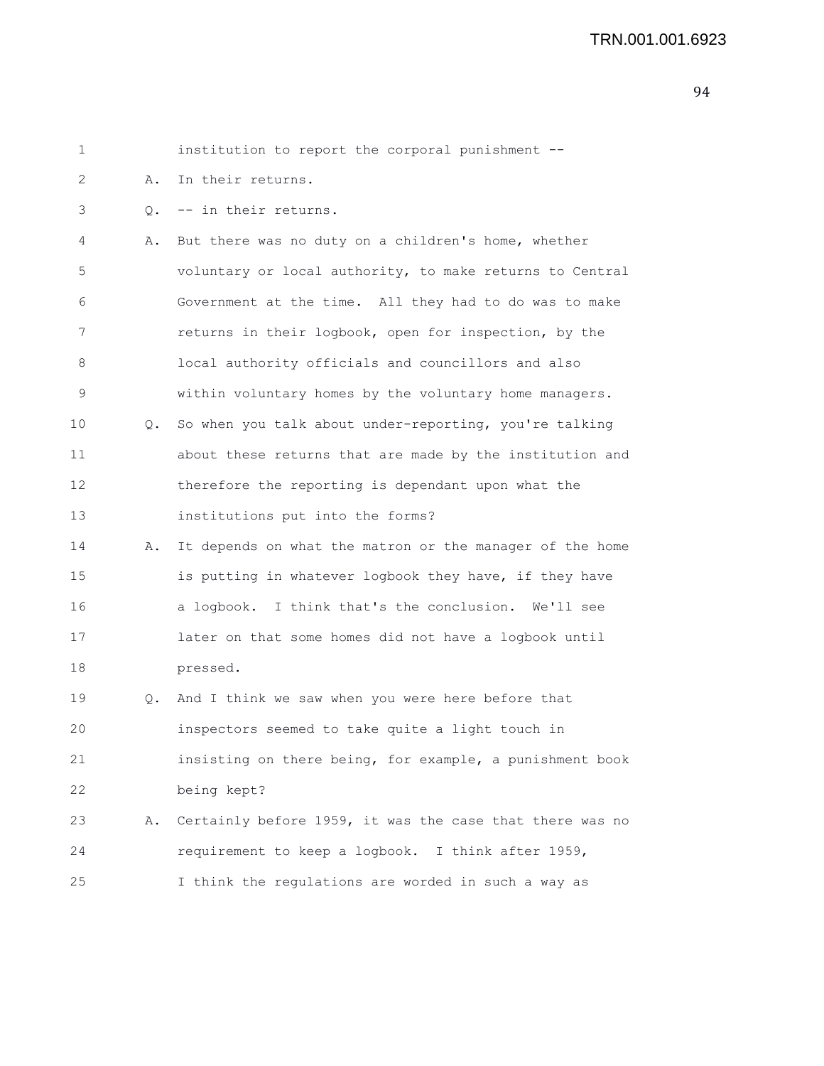| 1  |    | institution to report the corporal punishment --         |
|----|----|----------------------------------------------------------|
| 2  | Α. | In their returns.                                        |
| 3  |    | Q. -- in their returns.                                  |
| 4  | Α. | But there was no duty on a children's home, whether      |
| 5  |    | voluntary or local authority, to make returns to Central |
| 6  |    | Government at the time. All they had to do was to make   |
| 7  |    | returns in their logbook, open for inspection, by the    |
| 8  |    | local authority officials and councillors and also       |
| 9  |    | within voluntary homes by the voluntary home managers.   |
| 10 | Q. | So when you talk about under-reporting, you're talking   |
| 11 |    | about these returns that are made by the institution and |
| 12 |    | therefore the reporting is dependant upon what the       |
| 13 |    | institutions put into the forms?                         |
| 14 | Α. | It depends on what the matron or the manager of the home |
| 15 |    | is putting in whatever logbook they have, if they have   |
| 16 |    | a logbook. I think that's the conclusion. We'll see      |
| 17 |    | later on that some homes did not have a logbook until    |
| 18 |    | pressed.                                                 |
| 19 | Q. | And I think we saw when you were here before that        |
| 20 |    | inspectors seemed to take quite a light touch in         |
| 21 |    | insisting on there being, for example, a punishment book |
| 22 |    | being kept?                                              |
| 23 | Α. | Certainly before 1959, it was the case that there was no |
| 24 |    | requirement to keep a logbook. I think after 1959,       |
| 25 |    | I think the regulations are worded in such a way as      |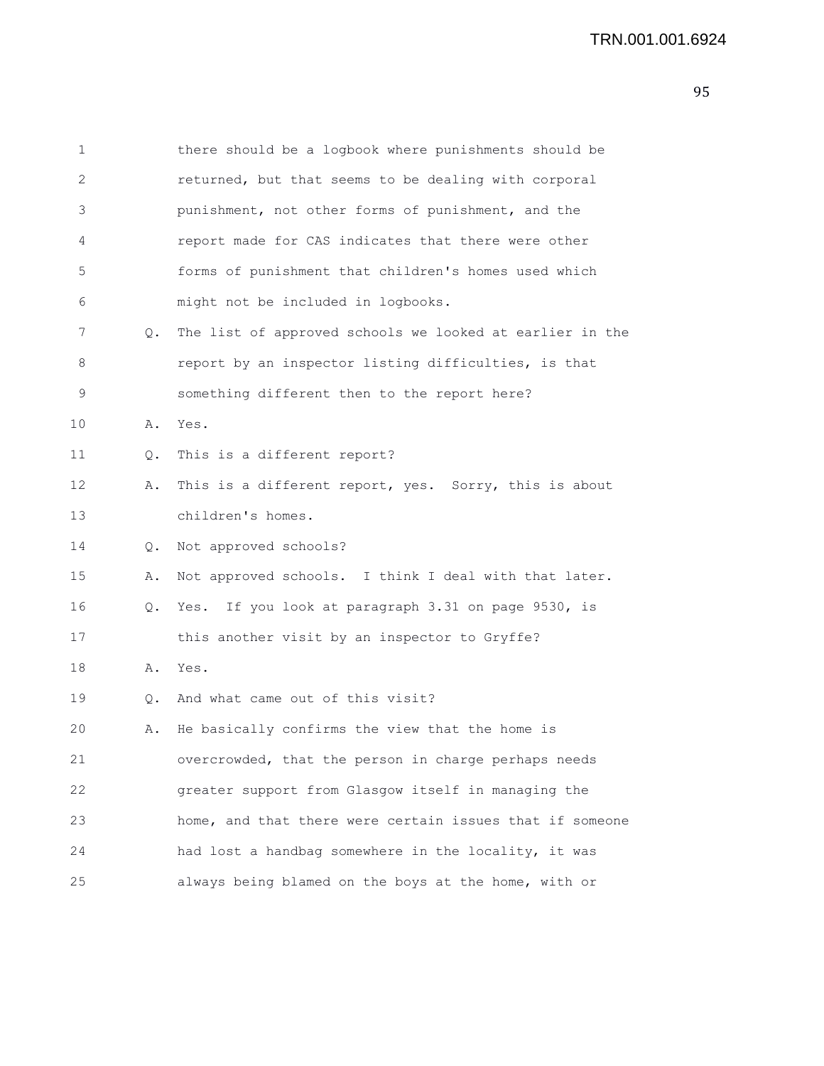| $\mathbf 1$ |           | there should be a logbook where punishments should be    |
|-------------|-----------|----------------------------------------------------------|
| 2           |           | returned, but that seems to be dealing with corporal     |
| 3           |           | punishment, not other forms of punishment, and the       |
| 4           |           | report made for CAS indicates that there were other      |
| 5           |           | forms of punishment that children's homes used which     |
| 6           |           | might not be included in logbooks.                       |
| 7           | Q.        | The list of approved schools we looked at earlier in the |
| 8           |           | report by an inspector listing difficulties, is that     |
| 9           |           | something different then to the report here?             |
| 10          | Α.        | Yes.                                                     |
| 11          | 0.        | This is a different report?                              |
| 12          | Α.        | This is a different report, yes. Sorry, this is about    |
| 13          |           | children's homes.                                        |
| 14          | Q.        | Not approved schools?                                    |
| 15          | Α.        | Not approved schools. I think I deal with that later.    |
| 16          | $\circ$ . | Yes. If you look at paragraph 3.31 on page 9530, is      |
| 17          |           | this another visit by an inspector to Gryffe?            |
| 18          | Α.        | Yes.                                                     |
| 19          |           | Q. And what came out of this visit?                      |
| 20          | Α.        | He basically confirms the view that the home is          |
| 21          |           | overcrowded, that the person in charge perhaps needs     |
| 22          |           | greater support from Glasgow itself in managing the      |
| 23          |           | home, and that there were certain issues that if someone |
| 24          |           | had lost a handbag somewhere in the locality, it was     |
| 25          |           | always being blamed on the boys at the home, with or     |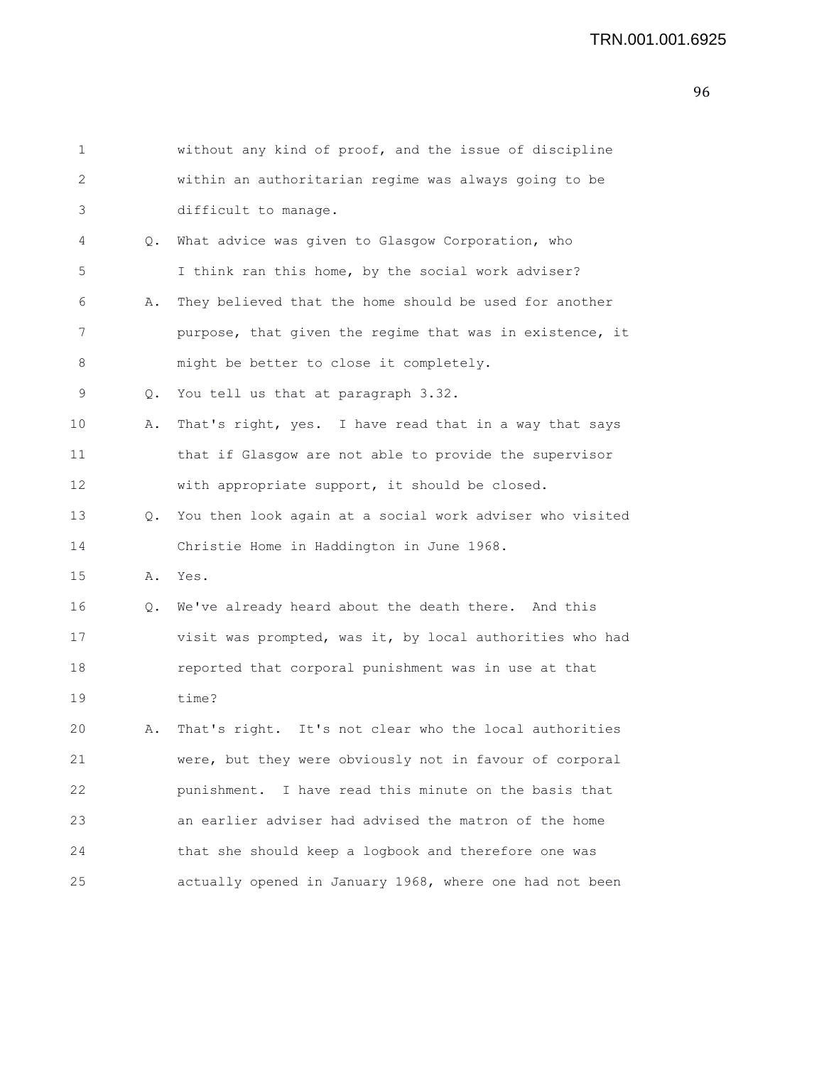| 1  |    | without any kind of proof, and the issue of discipline   |
|----|----|----------------------------------------------------------|
| 2  |    | within an authoritarian regime was always going to be    |
| 3  |    | difficult to manage.                                     |
| 4  |    | Q. What advice was given to Glasgow Corporation, who     |
| 5  |    | I think ran this home, by the social work adviser?       |
| 6  | Α. | They believed that the home should be used for another   |
| 7  |    | purpose, that given the regime that was in existence, it |
| 8  |    | might be better to close it completely.                  |
| 9  | Q. | You tell us that at paragraph 3.32.                      |
| 10 | Α. | That's right, yes. I have read that in a way that says   |
| 11 |    | that if Glasgow are not able to provide the supervisor   |
| 12 |    | with appropriate support, it should be closed.           |
| 13 | Q. | You then look again at a social work adviser who visited |
| 14 |    | Christie Home in Haddington in June 1968.                |
| 15 |    | A. Yes.                                                  |
| 16 | Q. | We've already heard about the death there. And this      |
| 17 |    | visit was prompted, was it, by local authorities who had |
| 18 |    | reported that corporal punishment was in use at that     |
| 19 |    | time?                                                    |
| 20 | Α. | That's right. It's not clear who the local authorities   |
| 21 |    | were, but they were obviously not in favour of corporal  |
| 22 |    | I have read this minute on the basis that<br>punishment. |
| 23 |    | an earlier adviser had advised the matron of the home    |
| 24 |    | that she should keep a logbook and therefore one was     |
| 25 |    | actually opened in January 1968, where one had not been  |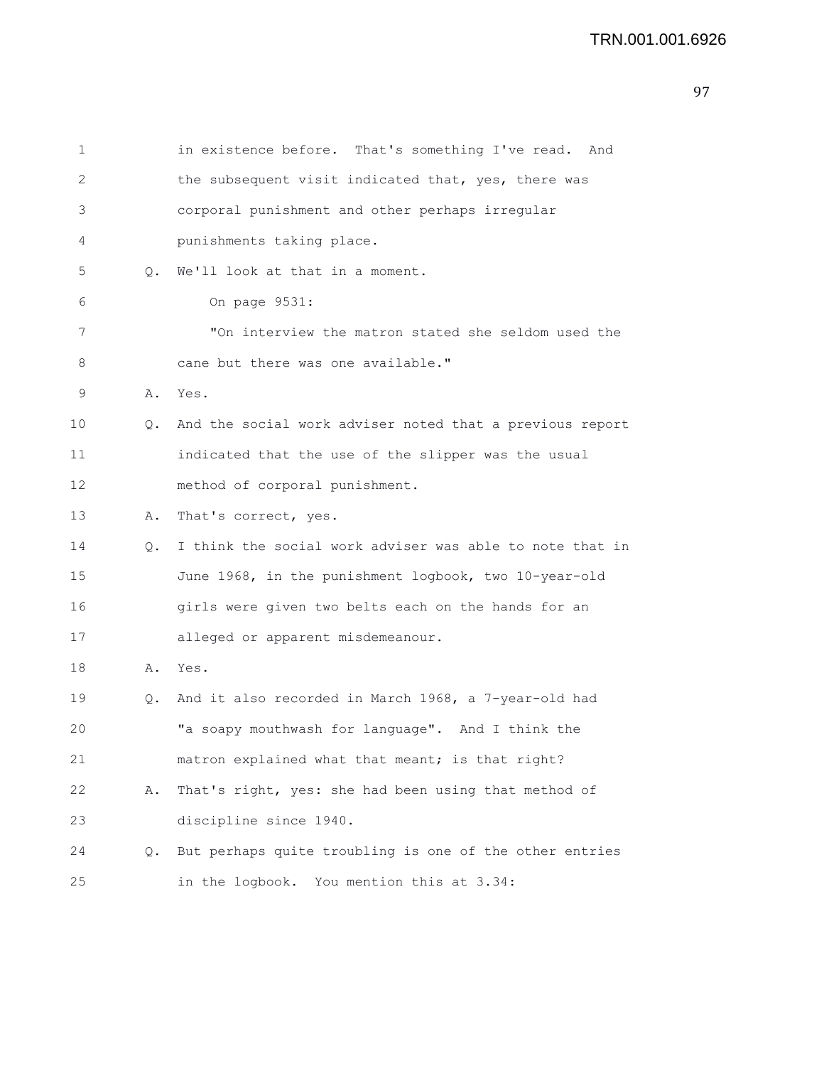| $\mathbf 1$ |    | in existence before. That's something I've read. And     |
|-------------|----|----------------------------------------------------------|
| 2           |    | the subsequent visit indicated that, yes, there was      |
| 3           |    | corporal punishment and other perhaps irregular          |
| 4           |    | punishments taking place.                                |
| 5           | Q. | We'll look at that in a moment.                          |
| 6           |    | On page 9531:                                            |
| 7           |    | "On interview the matron stated she seldom used the      |
| 8           |    | cane but there was one available."                       |
| 9           | Α. | Yes.                                                     |
| 10          | О. | And the social work adviser noted that a previous report |
| 11          |    | indicated that the use of the slipper was the usual      |
| 12          |    | method of corporal punishment.                           |
| 13          | Α. | That's correct, yes.                                     |
| 14          | Q. | I think the social work adviser was able to note that in |
| 15          |    | June 1968, in the punishment logbook, two 10-year-old    |
| 16          |    | girls were given two belts each on the hands for an      |
| 17          |    | alleged or apparent misdemeanour.                        |
| 18          | Α. | Yes.                                                     |
| 19          | О. | And it also recorded in March 1968, a 7-year-old had     |
| 20          |    | "a soapy mouthwash for language". And I think the        |
| 21          |    | matron explained what that meant; is that right?         |
| 22          | Α. | That's right, yes: she had been using that method of     |
| 23          |    | discipline since 1940.                                   |
| 24          | Q. | But perhaps quite troubling is one of the other entries  |
| 25          |    | in the logbook. You mention this at 3.34:                |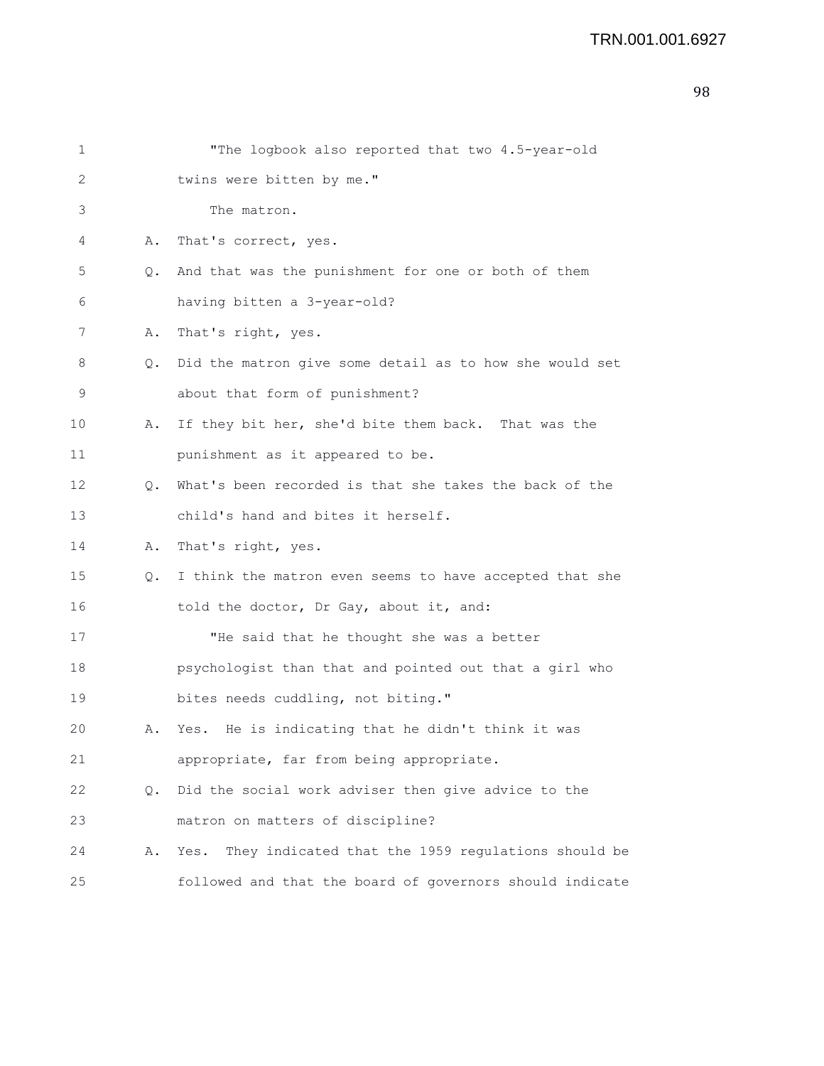```
1 "The logbook also reported that two 4.5-year-old
2 twins were bitten by me."
3 The matron.
4 A. That's correct, yes.
5 Q. And that was the punishment for one or both of them
6 having bitten a 3-year-old?
7 A. That's right, yes.
8 Q. Did the matron give some detail as to how she would set
9 about that form of punishment?
10 A. If they bit her, she'd bite them back. That was the
11 punishment as it appeared to be.
12 Q. What's been recorded is that she takes the back of the
13 child's hand and bites it herself.
14 A. That's right, yes.
15 Q. I think the matron even seems to have accepted that she
16 told the doctor, Dr Gay, about it, and:
17 THe said that he thought she was a better
18 psychologist than that and pointed out that a girl who
19 bites needs cuddling, not biting."
20 A. Yes. He is indicating that he didn't think it was
21 appropriate, far from being appropriate.
22 Q. Did the social work adviser then give advice to the
23 matron on matters of discipline?
24 A. Yes. They indicated that the 1959 regulations should be
25 followed and that the board of governors should indicate
```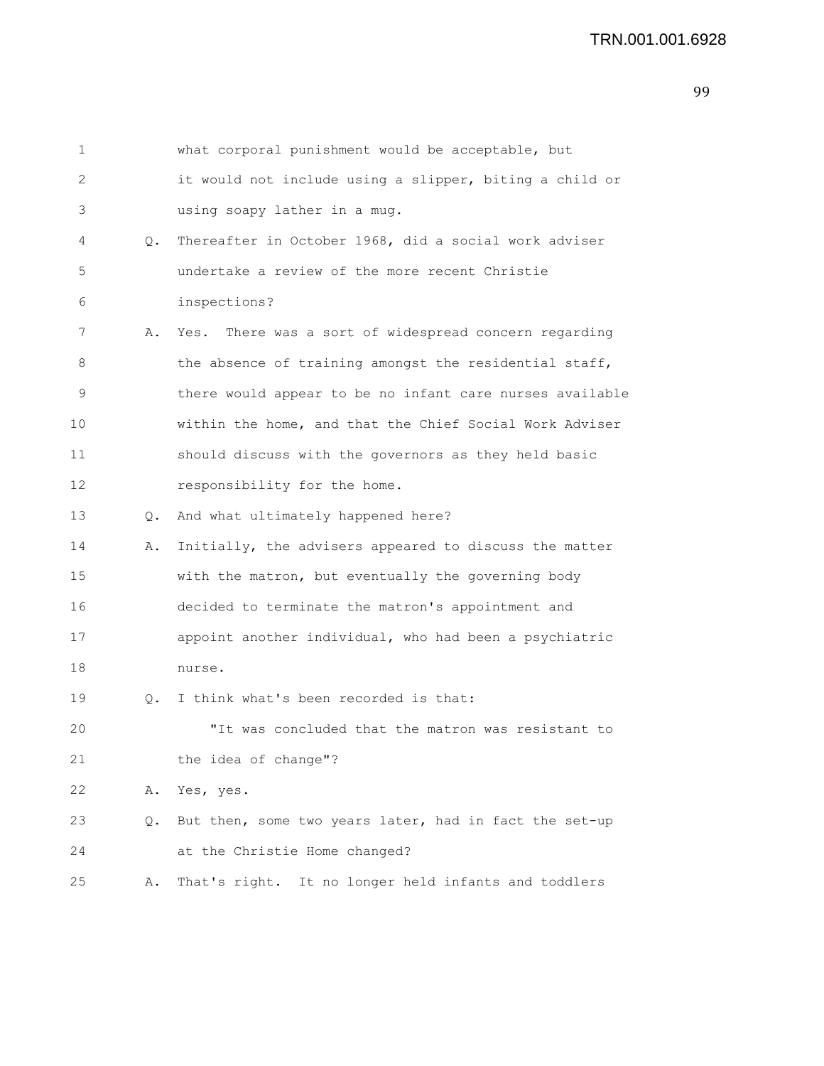| $\mathbf 1$       |    | what corporal punishment would be acceptable, but        |
|-------------------|----|----------------------------------------------------------|
| 2                 |    | it would not include using a slipper, biting a child or  |
| 3                 |    | using soapy lather in a mug.                             |
| 4                 | Q. | Thereafter in October 1968, did a social work adviser    |
| 5                 |    | undertake a review of the more recent Christie           |
| 6                 |    | inspections?                                             |
| 7                 | Α. | Yes. There was a sort of widespread concern regarding    |
| 8                 |    | the absence of training amongst the residential staff,   |
| 9                 |    | there would appear to be no infant care nurses available |
| 10                |    | within the home, and that the Chief Social Work Adviser  |
| 11                |    | should discuss with the governors as they held basic     |
| $12 \overline{ }$ |    | responsibility for the home.                             |
| 13                | О. | And what ultimately happened here?                       |
| 14                | Α. | Initially, the advisers appeared to discuss the matter   |
| 15                |    | with the matron, but eventually the governing body       |
| 16                |    | decided to terminate the matron's appointment and        |
| 17                |    | appoint another individual, who had been a psychiatric   |
| 18                |    | nurse.                                                   |
| 19                | 0. | I think what's been recorded is that:                    |
| 20                |    | "It was concluded that the matron was resistant to       |
| 21                |    | the idea of change"?                                     |
| 22                | Α. | Yes, yes.                                                |
| 23                | Q. | But then, some two years later, had in fact the set-up   |
| 24                |    | at the Christie Home changed?                            |
| 25                | Α. | That's right. It no longer held infants and toddlers     |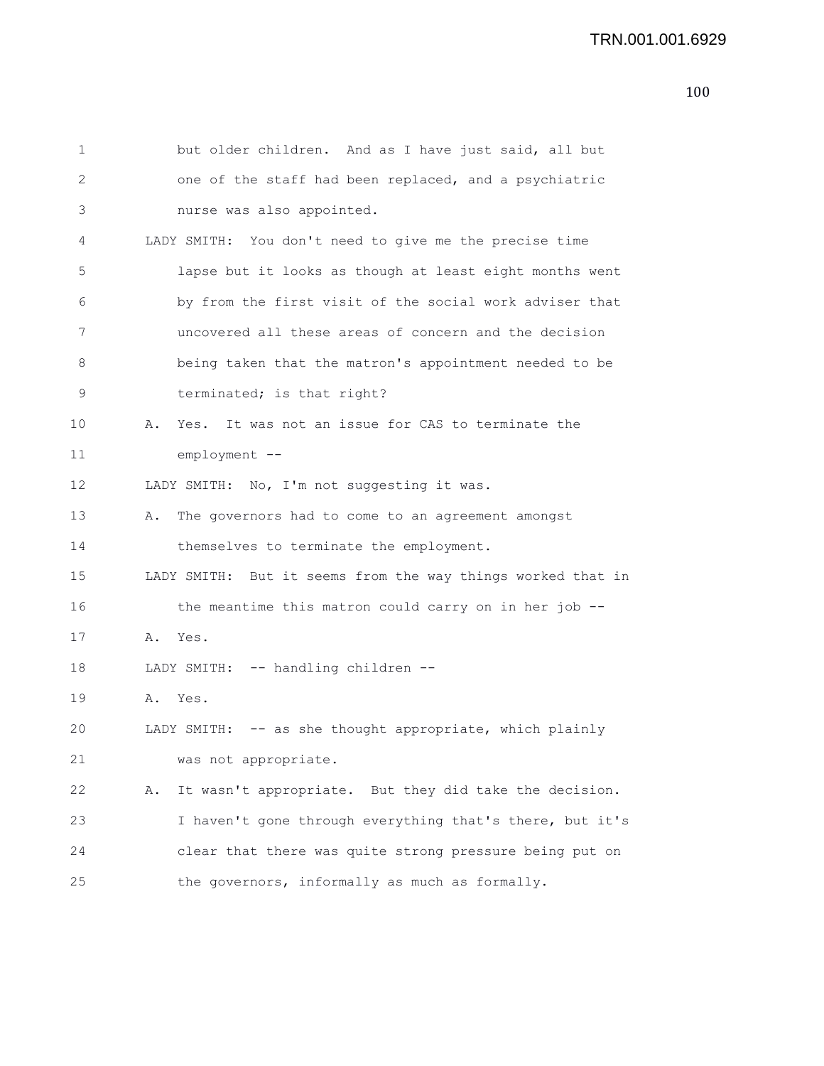```
1 but older children. And as I have just said, all but
2 one of the staff had been replaced, and a psychiatric
3 nurse was also appointed.
4 LADY SMITH: You don't need to give me the precise time
5 lapse but it looks as though at least eight months went
6 by from the first visit of the social work adviser that
7 uncovered all these areas of concern and the decision
8 being taken that the matron's appointment needed to be
9 terminated; is that right?
10 A. Yes. It was not an issue for CAS to terminate the
11 employment --
12 LADY SMITH: No, I'm not suggesting it was.
13 A. The governors had to come to an agreement amongst
14 themselves to terminate the employment.
15 LADY SMITH: But it seems from the way things worked that in
16 the meantime this matron could carry on in her job --
17 A. Yes.
18 LADY SMITH: -- handling children --
19 A. Yes.
20 LADY SMITH: -- as she thought appropriate, which plainly
21 was not appropriate.
22 A. It wasn't appropriate. But they did take the decision.
23 I haven't gone through everything that's there, but it's
24 clear that there was quite strong pressure being put on
25 the governors, informally as much as formally.
```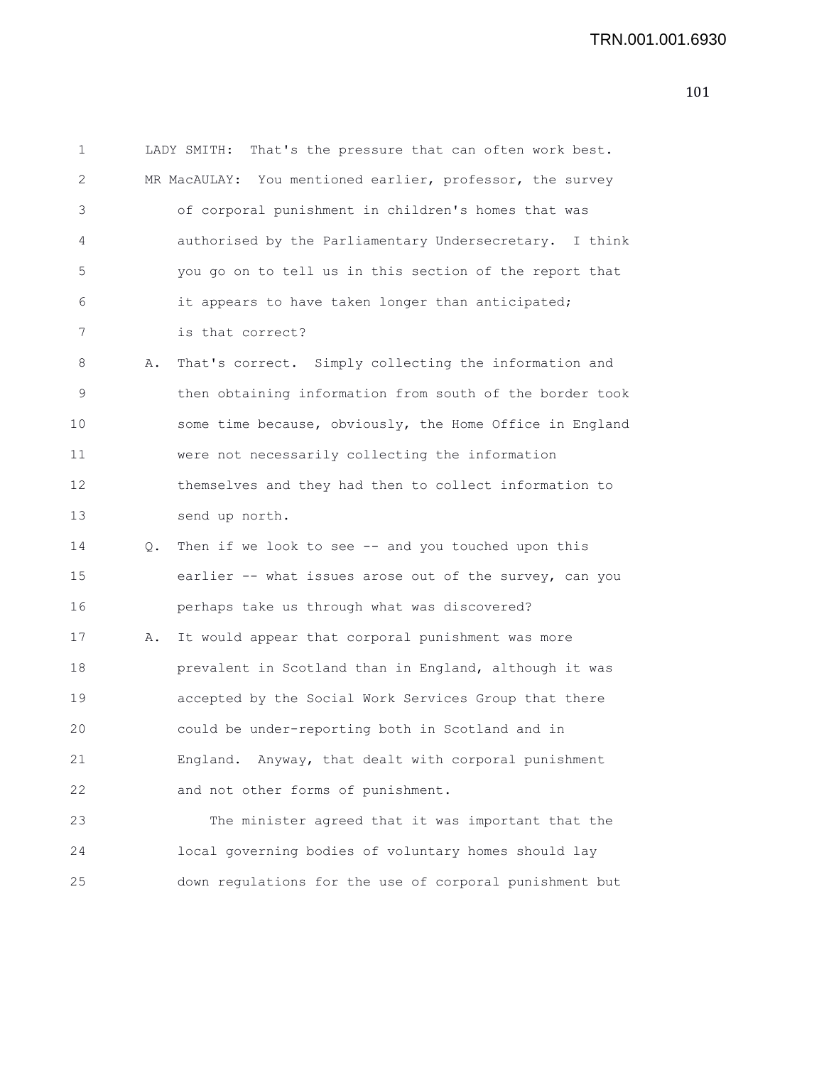```
1 LADY SMITH: That's the pressure that can often work best.
2 MR MacAULAY: You mentioned earlier, professor, the survey
3 of corporal punishment in children's homes that was
4 authorised by the Parliamentary Undersecretary. I think
5 you go on to tell us in this section of the report that
6 it appears to have taken longer than anticipated;
7 is that correct?
8 A. That's correct. Simply collecting the information and
9 then obtaining information from south of the border took
10 some time because, obviously, the Home Office in England
11 were not necessarily collecting the information
12 themselves and they had then to collect information to
13 send up north.
14 Q. Then if we look to see -- and you touched upon this
15 earlier -- what issues arose out of the survey, can you
16 perhaps take us through what was discovered?
17 A. It would appear that corporal punishment was more
18 prevalent in Scotland than in England, although it was
19 accepted by the Social Work Services Group that there
20 could be under-reporting both in Scotland and in
21 England. Anyway, that dealt with corporal punishment
22 and not other forms of punishment.
23 The minister agreed that it was important that the
24 local governing bodies of voluntary homes should lay
25 down regulations for the use of corporal punishment but
```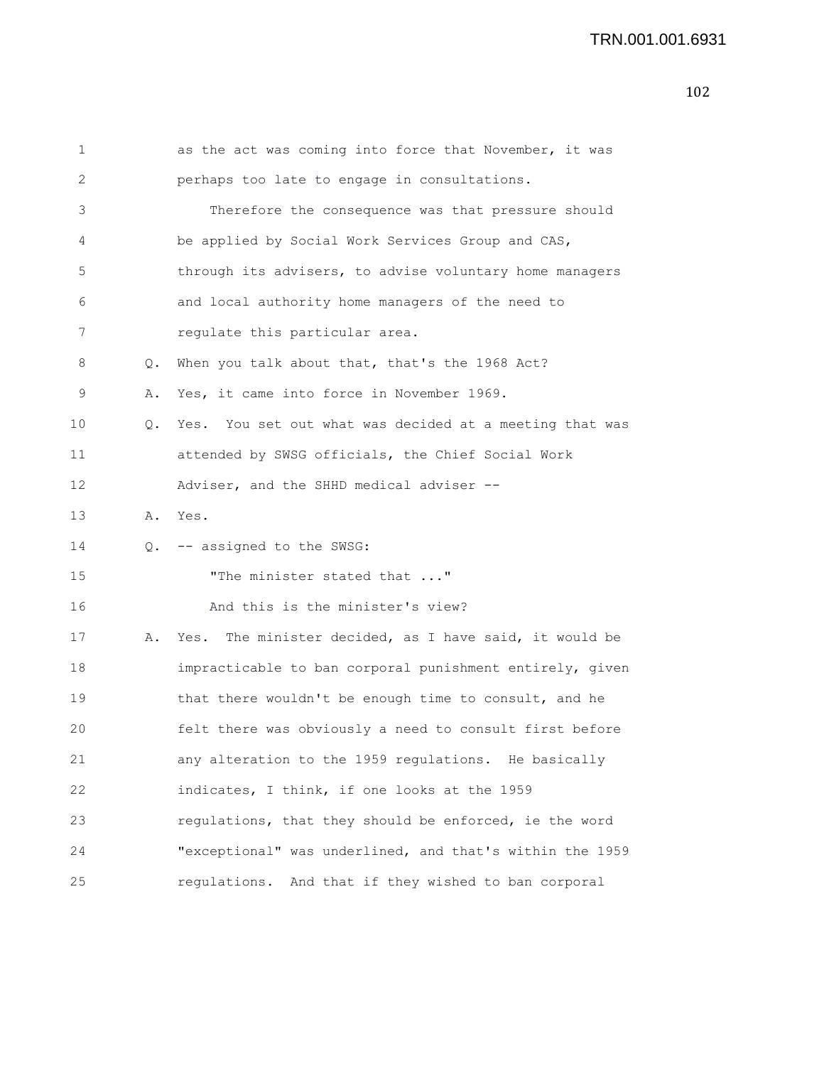| 1  |           | as the act was coming into force that November, it was    |
|----|-----------|-----------------------------------------------------------|
| 2  |           | perhaps too late to engage in consultations.              |
| 3  |           | Therefore the consequence was that pressure should        |
| 4  |           | be applied by Social Work Services Group and CAS,         |
| 5  |           | through its advisers, to advise voluntary home managers   |
| 6  |           | and local authority home managers of the need to          |
| 7  |           | regulate this particular area.                            |
| 8  | $\circ$ . | When you talk about that, that's the 1968 Act?            |
| 9  | Α.        | Yes, it came into force in November 1969.                 |
| 10 | О.        | Yes. You set out what was decided at a meeting that was   |
| 11 |           | attended by SWSG officials, the Chief Social Work         |
| 12 |           | Adviser, and the SHHD medical adviser --                  |
| 13 | Α.        | Yes.                                                      |
| 14 |           | Q. -- assigned to the SWSG:                               |
| 15 |           | "The minister stated that "                               |
| 16 |           | And this is the minister's view?                          |
| 17 | Α.        | The minister decided, as I have said, it would be<br>Yes. |
| 18 |           | impracticable to ban corporal punishment entirely, given  |
| 19 |           | that there wouldn't be enough time to consult, and he     |
| 20 |           | felt there was obviously a need to consult first before   |
| 21 |           | any alteration to the 1959 regulations. He basically      |
| 22 |           | indicates, I think, if one looks at the 1959              |
| 23 |           | regulations, that they should be enforced, ie the word    |
| 24 |           | "exceptional" was underlined, and that's within the 1959  |
| 25 |           | regulations. And that if they wished to ban corporal      |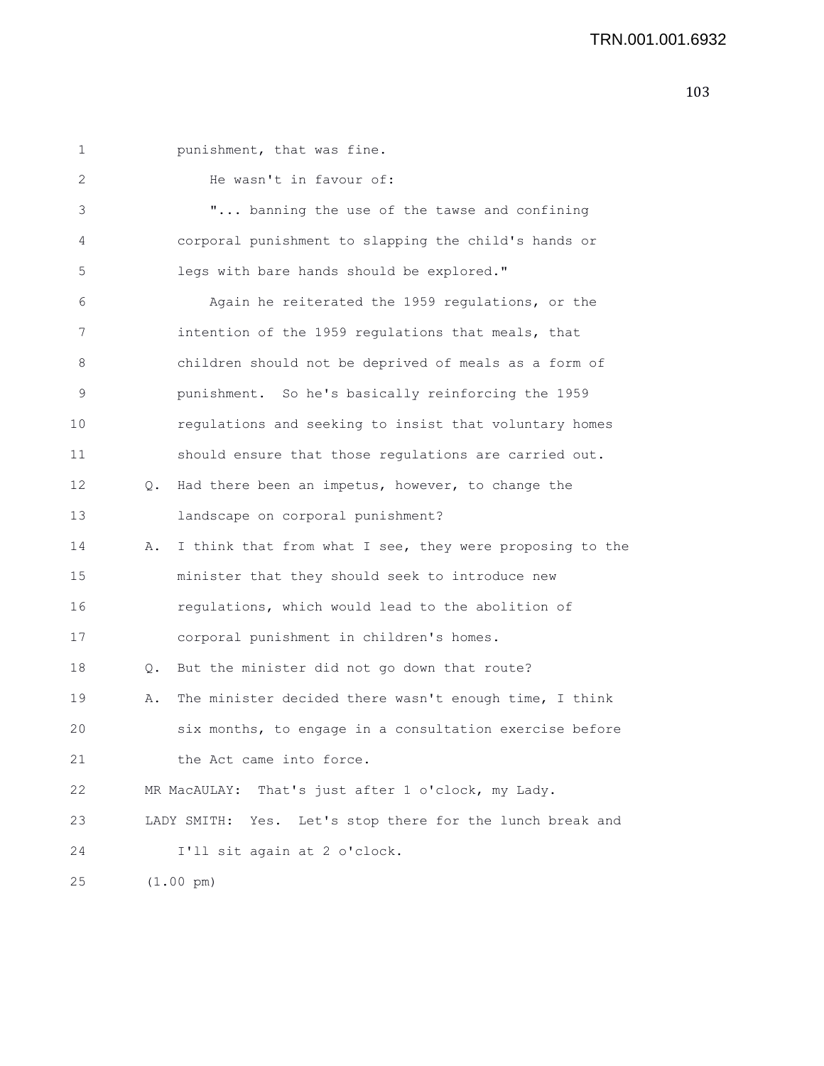| $\mathbf 1$ |    | punishment, that was fine.                                   |
|-------------|----|--------------------------------------------------------------|
| 2           |    | He wasn't in favour of:                                      |
| 3           |    | " banning the use of the tawse and confining                 |
| 4           |    | corporal punishment to slapping the child's hands or         |
| 5           |    | legs with bare hands should be explored."                    |
| 6           |    | Again he reiterated the 1959 regulations, or the             |
| 7           |    | intention of the 1959 regulations that meals, that           |
| 8           |    | children should not be deprived of meals as a form of        |
| 9           |    | punishment. So he's basically reinforcing the 1959           |
| 10          |    | regulations and seeking to insist that voluntary homes       |
| 11          |    | should ensure that those regulations are carried out.        |
| 12          | Q. | Had there been an impetus, however, to change the            |
| 13          |    | landscape on corporal punishment?                            |
| 14          | Α. | I think that from what I see, they were proposing to the     |
| 15          |    | minister that they should seek to introduce new              |
| 16          |    | regulations, which would lead to the abolition of            |
| 17          |    | corporal punishment in children's homes.                     |
| 18          | Q. | But the minister did not go down that route?                 |
| 19          | Α. | The minister decided there wasn't enough time, I think       |
| 20          |    | six months, to engage in a consultation exercise before      |
| 21          |    | the Act came into force.                                     |
| 22          |    | That's just after 1 o'clock, my Lady.<br>MR MacAULAY:        |
| 23          |    | Yes. Let's stop there for the lunch break and<br>LADY SMITH: |
| 24          |    | I'll sit again at 2 o'clock.                                 |
| 25          |    | $(1.00 \text{ pm})$                                          |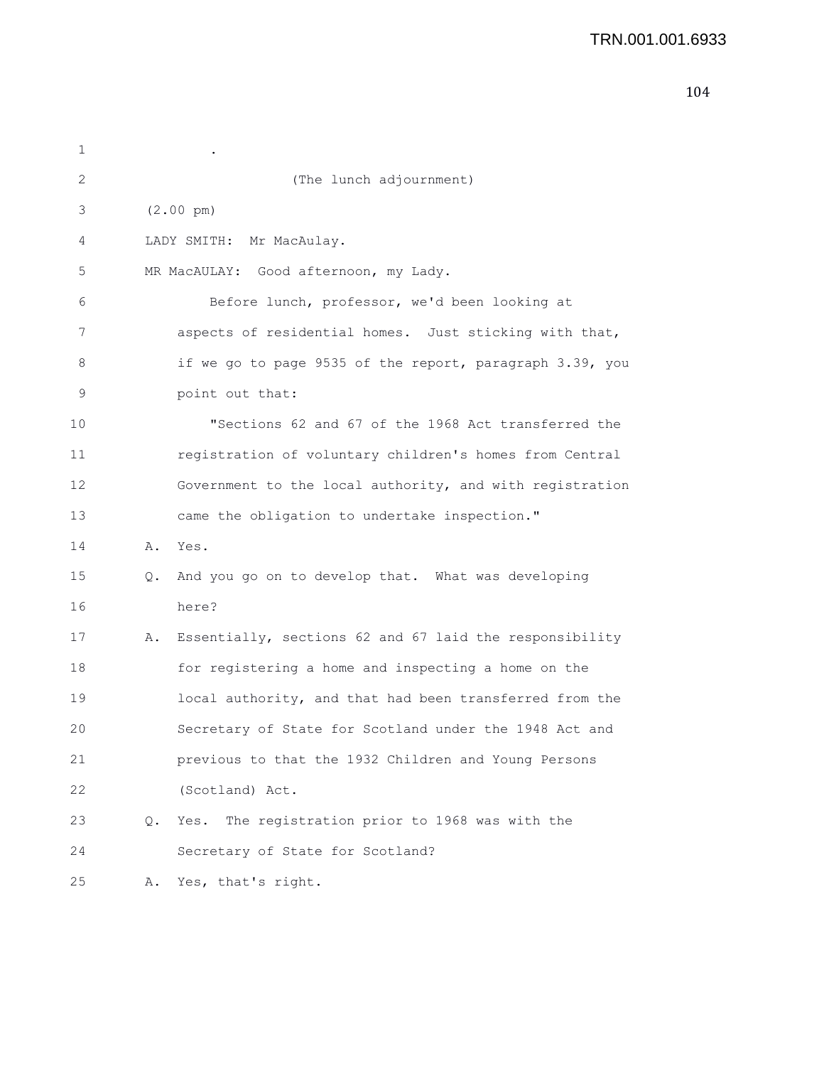| 1  |    |                                                          |
|----|----|----------------------------------------------------------|
| 2  |    | (The lunch adjournment)                                  |
| 3  |    | $(2.00 \text{ pm})$                                      |
| 4  |    | LADY SMITH: Mr MacAulay.                                 |
| 5  |    | MR MacAULAY: Good afternoon, my Lady.                    |
| 6  |    | Before lunch, professor, we'd been looking at            |
| 7  |    | aspects of residential homes. Just sticking with that,   |
| 8  |    | if we go to page 9535 of the report, paragraph 3.39, you |
| 9  |    | point out that:                                          |
| 10 |    | "Sections 62 and 67 of the 1968 Act transferred the      |
| 11 |    | registration of voluntary children's homes from Central  |
| 12 |    | Government to the local authority, and with registration |
| 13 |    | came the obligation to undertake inspection."            |
| 14 | Α. | Yes.                                                     |
| 15 | Q. | And you go on to develop that. What was developing       |
| 16 |    | here?                                                    |
| 17 | Α. | Essentially, sections 62 and 67 laid the responsibility  |
| 18 |    | for registering a home and inspecting a home on the      |
| 19 |    | local authority, and that had been transferred from the  |
| 20 |    | Secretary of State for Scotland under the 1948 Act and   |
| 21 |    | previous to that the 1932 Children and Young Persons     |
| 22 |    | (Scotland) Act.                                          |
| 23 | Q. | The registration prior to 1968 was with the<br>Yes.      |
| 24 |    | Secretary of State for Scotland?                         |
| 25 | Α. | Yes, that's right.                                       |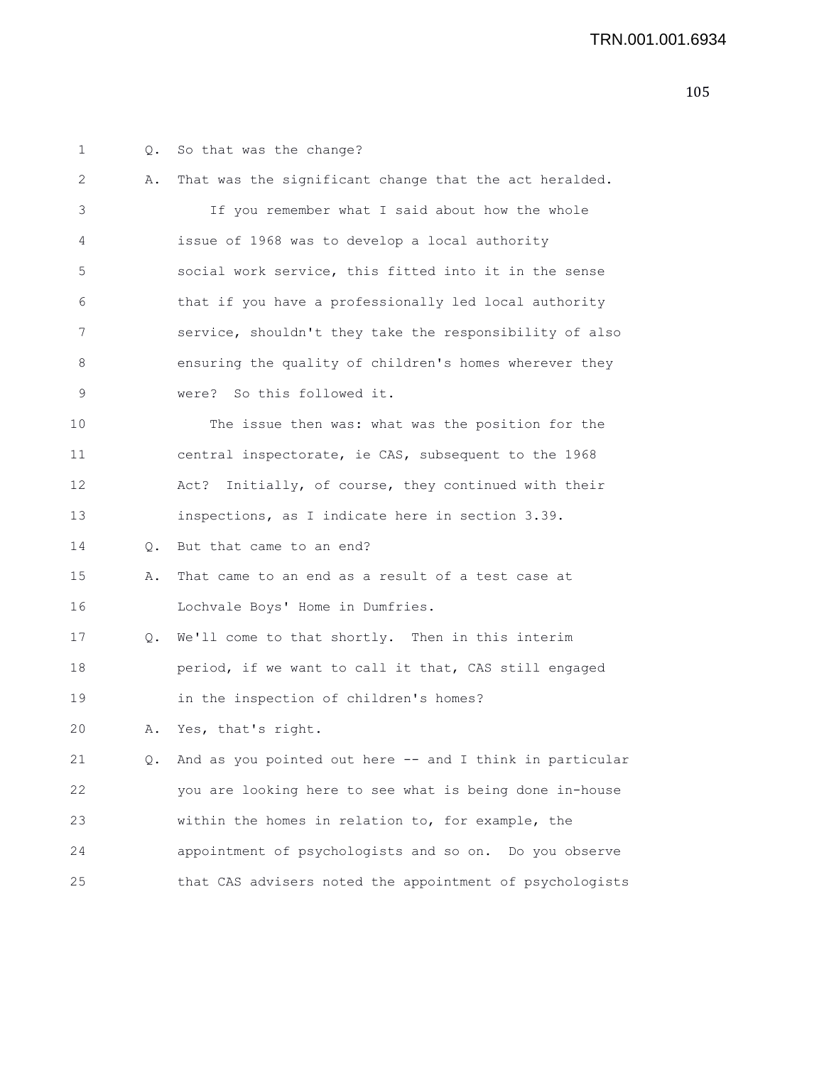| 1  | Q. | So that was the change?                                  |
|----|----|----------------------------------------------------------|
| 2  | Α. | That was the significant change that the act heralded.   |
| 3  |    | If you remember what I said about how the whole          |
| 4  |    | issue of 1968 was to develop a local authority           |
| 5  |    | social work service, this fitted into it in the sense    |
| 6  |    | that if you have a professionally led local authority    |
| 7  |    | service, shouldn't they take the responsibility of also  |
| 8  |    | ensuring the quality of children's homes wherever they   |
| 9  |    | were? So this followed it.                               |
| 10 |    | The issue then was: what was the position for the        |
| 11 |    | central inspectorate, ie CAS, subsequent to the 1968     |
| 12 |    | Initially, of course, they continued with their<br>Act?  |
| 13 |    | inspections, as I indicate here in section 3.39.         |
| 14 | Q. | But that came to an end?                                 |
| 15 | Α. | That came to an end as a result of a test case at        |
| 16 |    | Lochvale Boys' Home in Dumfries.                         |
| 17 |    | Q. We'll come to that shortly. Then in this interim      |
| 18 |    | period, if we want to call it that, CAS still engaged    |
| 19 |    | in the inspection of children's homes?                   |
| 20 | Α. | Yes, that's right.                                       |
| 21 | Q. | And as you pointed out here -- and I think in particular |
| 22 |    | you are looking here to see what is being done in-house  |
| 23 |    | within the homes in relation to, for example, the        |
| 24 |    | appointment of psychologists and so on. Do you observe   |
| 25 |    | that CAS advisers noted the appointment of psychologists |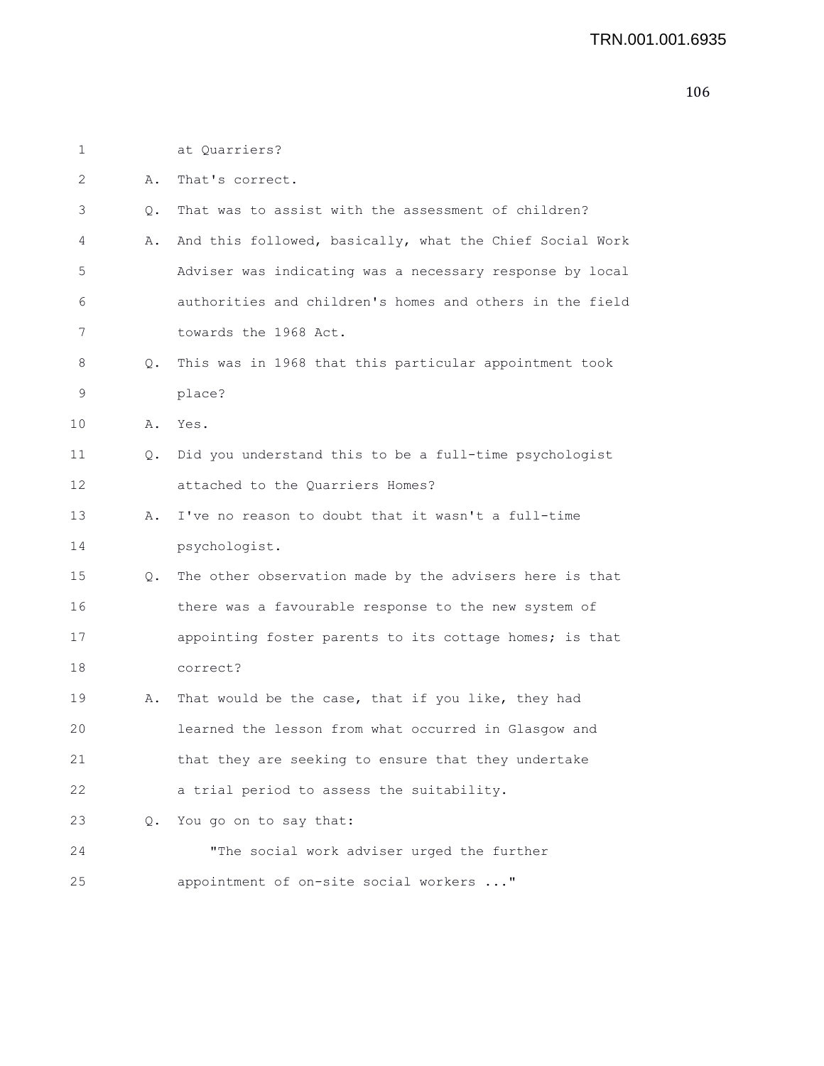| 1  |           | at Quarriers?                                              |
|----|-----------|------------------------------------------------------------|
| 2  | Α.        | That's correct.                                            |
| 3  | Q.        | That was to assist with the assessment of children?        |
| 4  | Α.        | And this followed, basically, what the Chief Social Work   |
| 5  |           | Adviser was indicating was a necessary response by local   |
| 6  |           | authorities and children's homes and others in the field   |
| 7  |           | towards the 1968 Act.                                      |
| 8  | Q.        | This was in 1968 that this particular appointment took     |
| 9  |           | place?                                                     |
| 10 |           | A. Yes.                                                    |
| 11 |           | Q. Did you understand this to be a full-time psychologist  |
| 12 |           | attached to the Quarriers Homes?                           |
| 13 | Α.        | I've no reason to doubt that it wasn't a full-time         |
| 14 |           | psychologist.                                              |
| 15 |           | Q. The other observation made by the advisers here is that |
| 16 |           | there was a favourable response to the new system of       |
| 17 |           | appointing foster parents to its cottage homes; is that    |
| 18 |           | correct?                                                   |
| 19 | Α.        | That would be the case, that if you like, they had         |
| 20 |           | learned the lesson from what occurred in Glasgow and       |
| 21 |           | that they are seeking to ensure that they undertake        |
| 22 |           | a trial period to assess the suitability.                  |
| 23 | $\circ$ . | You go on to say that:                                     |
| 24 |           | "The social work adviser urged the further                 |
| 25 |           | appointment of on-site social workers "                    |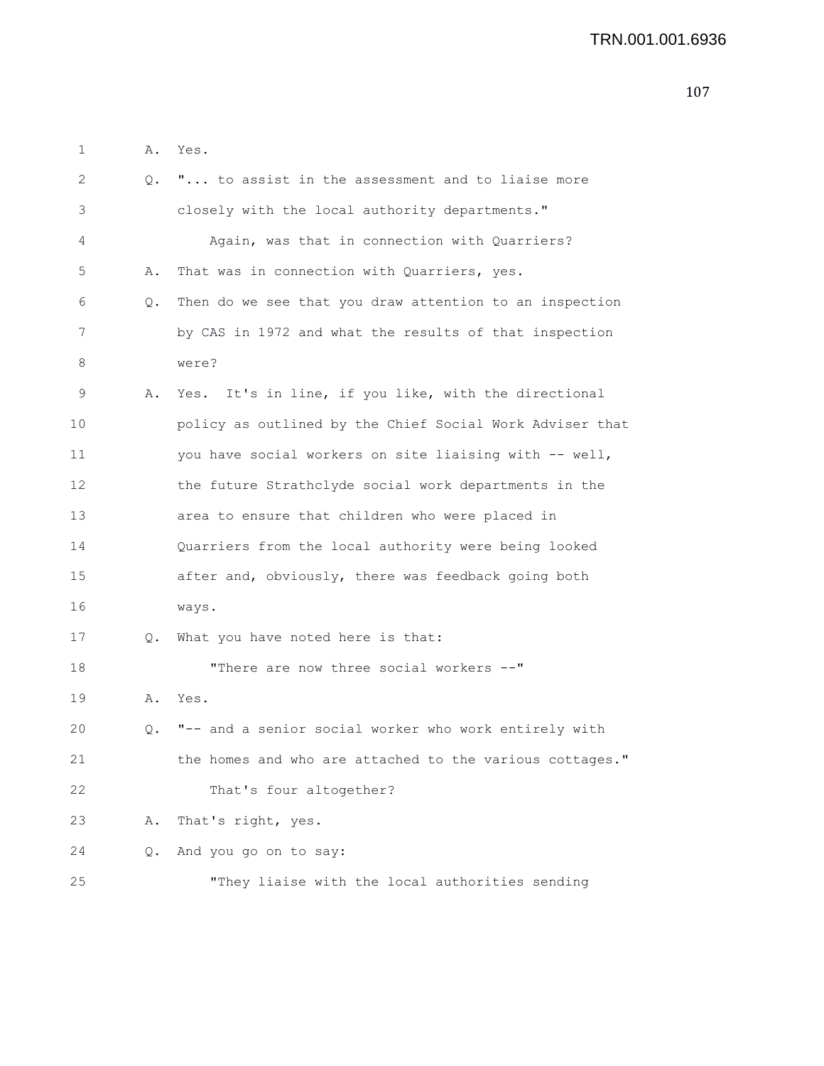| 1  | Α. | Yes.                                                     |
|----|----|----------------------------------------------------------|
| 2  | Q. | " to assist in the assessment and to liaise more         |
| 3  |    | closely with the local authority departments."           |
| 4  |    | Again, was that in connection with Quarriers?            |
| 5  | Α. | That was in connection with Quarriers, yes.              |
| 6  | Q. | Then do we see that you draw attention to an inspection  |
| 7  |    | by CAS in 1972 and what the results of that inspection   |
| 8  |    | were?                                                    |
| 9  | Α. | Yes. It's in line, if you like, with the directional     |
| 10 |    | policy as outlined by the Chief Social Work Adviser that |
| 11 |    | you have social workers on site liaising with -- well,   |
| 12 |    | the future Strathclyde social work departments in the    |
| 13 |    | area to ensure that children who were placed in          |
| 14 |    | Quarriers from the local authority were being looked     |
| 15 |    | after and, obviously, there was feedback going both      |
| 16 |    | ways.                                                    |
| 17 | Q. | What you have noted here is that:                        |
| 18 |    | "There are now three social workers --"                  |
| 19 | Α. | Yes.                                                     |
| 20 | О. | "-- and a senior social worker who work entirely with    |
| 21 |    | the homes and who are attached to the various cottages." |
| 22 |    | That's four altogether?                                  |
| 23 | Α. | That's right, yes.                                       |
| 24 | Q. | And you go on to say:                                    |
| 25 |    | "They liaise with the local authorities sending          |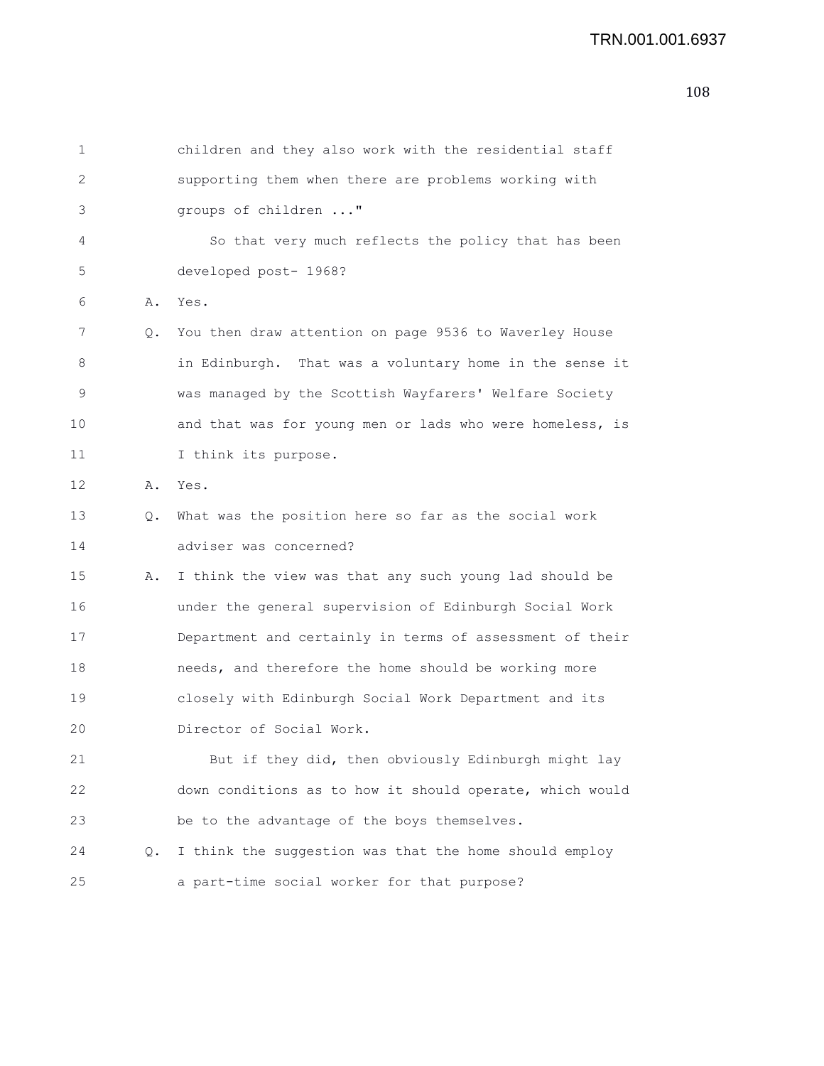```
1 children and they also work with the residential staff
2 supporting them when there are problems working with
3 groups of children ..."
4 So that very much reflects the policy that has been
5 developed post- 1968?
6 A. Yes.
7 Q. You then draw attention on page 9536 to Waverley House
8 in Edinburgh. That was a voluntary home in the sense it
9 was managed by the Scottish Wayfarers' Welfare Society
10 and that was for young men or lads who were homeless, is
11 I think its purpose.
12 A. Yes.
13 Q. What was the position here so far as the social work
14 adviser was concerned?
15 A. I think the view was that any such young lad should be
16 under the general supervision of Edinburgh Social Work
17 Department and certainly in terms of assessment of their
18 needs, and therefore the home should be working more
19 closely with Edinburgh Social Work Department and its
20 Director of Social Work.
21 But if they did, then obviously Edinburgh might lay
22 down conditions as to how it should operate, which would
23 be to the advantage of the boys themselves.
24 Q. I think the suggestion was that the home should employ
25 a part-time social worker for that purpose?
```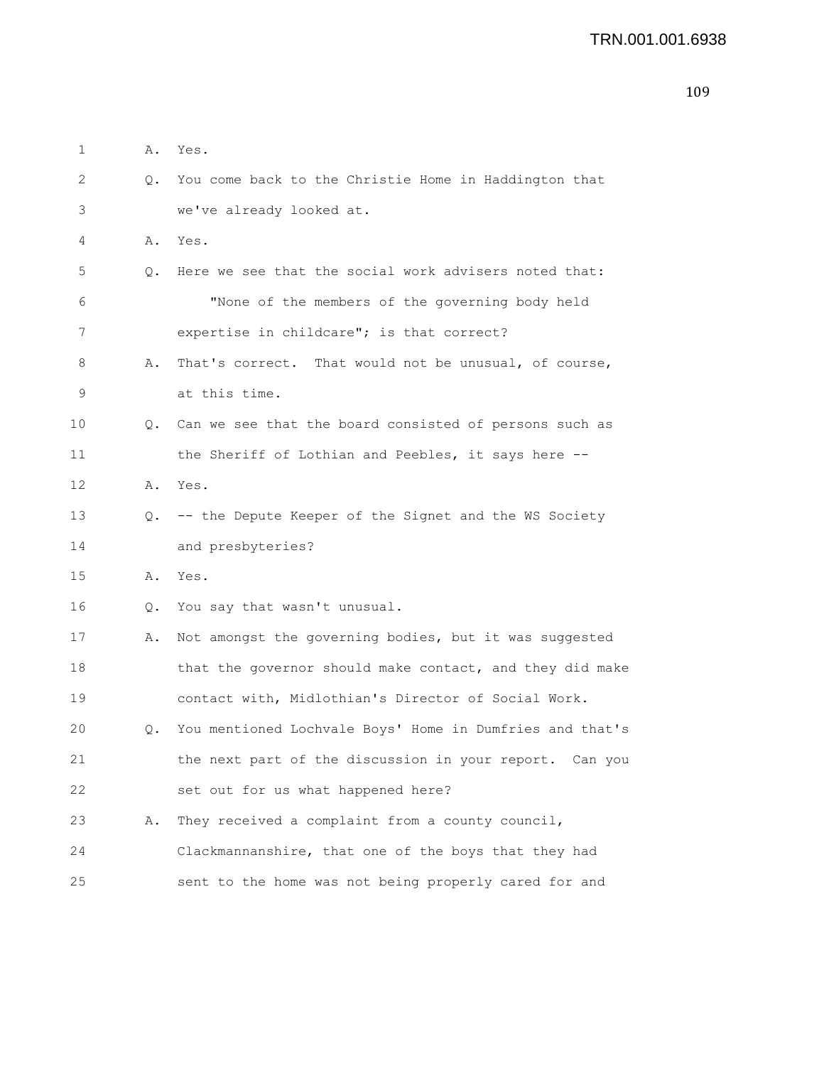| 1  | Α.        | Yes.                                                     |
|----|-----------|----------------------------------------------------------|
| 2  | Q.        | You come back to the Christie Home in Haddington that    |
| 3  |           | we've already looked at.                                 |
| 4  | Α.        | Yes.                                                     |
| 5  | 0.        | Here we see that the social work advisers noted that:    |
| 6  |           | "None of the members of the governing body held          |
| 7  |           | expertise in childcare"; is that correct?                |
| 8  | Α.        | That's correct. That would not be unusual, of course,    |
| 9  |           | at this time.                                            |
| 10 | $\circ$ . | Can we see that the board consisted of persons such as   |
| 11 |           | the Sheriff of Lothian and Peebles, it says here --      |
| 12 | Α.        | Yes.                                                     |
| 13 | Q.        | -- the Depute Keeper of the Signet and the WS Society    |
| 14 |           | and presbyteries?                                        |
| 15 | Α.        | Yes.                                                     |
| 16 | Q.        | You say that wasn't unusual.                             |
| 17 | Α.        | Not amongst the governing bodies, but it was suggested   |
| 18 |           | that the governor should make contact, and they did make |
| 19 |           | contact with, Midlothian's Director of Social Work.      |
| 20 | Q.        | You mentioned Lochvale Boys' Home in Dumfries and that's |
| 21 |           | the next part of the discussion in your report. Can you  |
| 22 |           | set out for us what happened here?                       |
| 23 | Α.        | They received a complaint from a county council,         |
| 24 |           | Clackmannanshire, that one of the boys that they had     |
| 25 |           | sent to the home was not being properly cared for and    |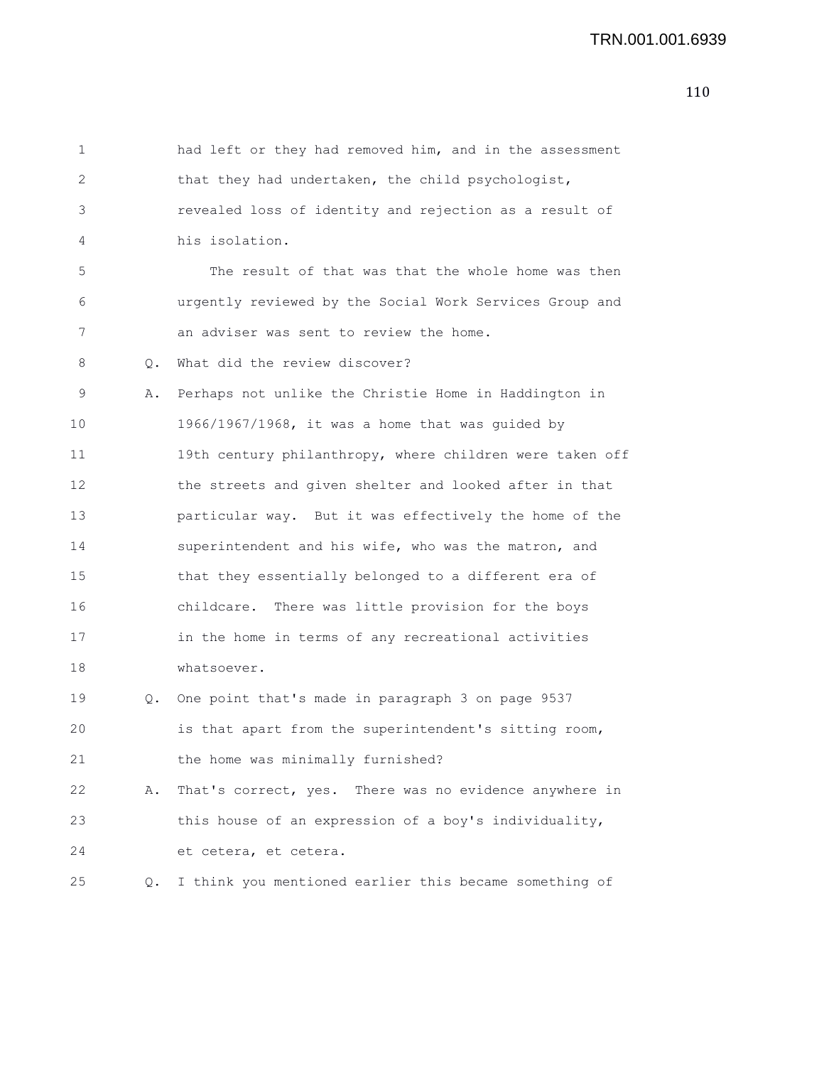| 1  |    | had left or they had removed him, and in the assessment  |
|----|----|----------------------------------------------------------|
| 2  |    | that they had undertaken, the child psychologist,        |
| 3  |    | revealed loss of identity and rejection as a result of   |
| 4  |    | his isolation.                                           |
| 5  |    | The result of that was that the whole home was then      |
| 6  |    | urgently reviewed by the Social Work Services Group and  |
| 7  |    | an adviser was sent to review the home.                  |
| 8  | Q. | What did the review discover?                            |
| 9  | Α. | Perhaps not unlike the Christie Home in Haddington in    |
| 10 |    | 1966/1967/1968, it was a home that was guided by         |
| 11 |    | 19th century philanthropy, where children were taken off |
| 12 |    | the streets and given shelter and looked after in that   |
| 13 |    | particular way. But it was effectively the home of the   |
| 14 |    | superintendent and his wife, who was the matron, and     |
| 15 |    | that they essentially belonged to a different era of     |
| 16 |    | childcare. There was little provision for the boys       |
| 17 |    | in the home in terms of any recreational activities      |
| 18 |    | whatsoever.                                              |
| 19 | Q. | One point that's made in paragraph 3 on page 9537        |
| 20 |    | is that apart from the superintendent's sitting room,    |
| 21 |    | the home was minimally furnished?                        |
| 22 | Α. | That's correct, yes. There was no evidence anywhere in   |
| 23 |    | this house of an expression of a boy's individuality,    |
| 24 |    | et cetera, et cetera.                                    |
| 25 | Q. | I think you mentioned earlier this became something of   |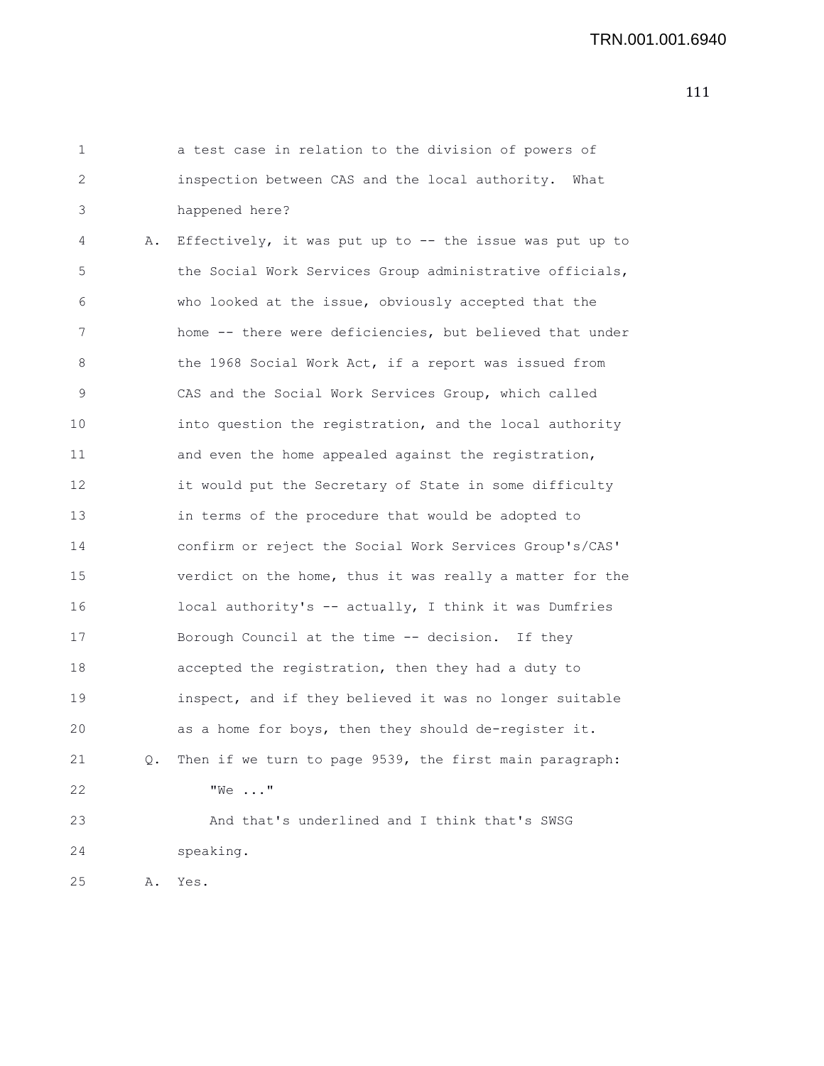1 a test case in relation to the division of powers of 2 inspection between CAS and the local authority. What 3 happened here?

4 A. Effectively, it was put up to -- the issue was put up to 5 the Social Work Services Group administrative officials, 6 who looked at the issue, obviously accepted that the 7 home -- there were deficiencies, but believed that under 8 the 1968 Social Work Act, if a report was issued from 9 CAS and the Social Work Services Group, which called 10 into question the registration, and the local authority 11 and even the home appealed against the registration, 12 it would put the Secretary of State in some difficulty 13 in terms of the procedure that would be adopted to 14 confirm or reject the Social Work Services Group's/CAS' 15 verdict on the home, thus it was really a matter for the 16 local authority's -- actually, I think it was Dumfries 17 Borough Council at the time -- decision. If they 18 accepted the registration, then they had a duty to 19 inspect, and if they believed it was no longer suitable 20 as a home for boys, then they should de-register it. 21 Q. Then if we turn to page 9539, the first main paragraph: 22 "We ..." 23 And that's underlined and I think that's SWSG 24 speaking. 25 A. Yes.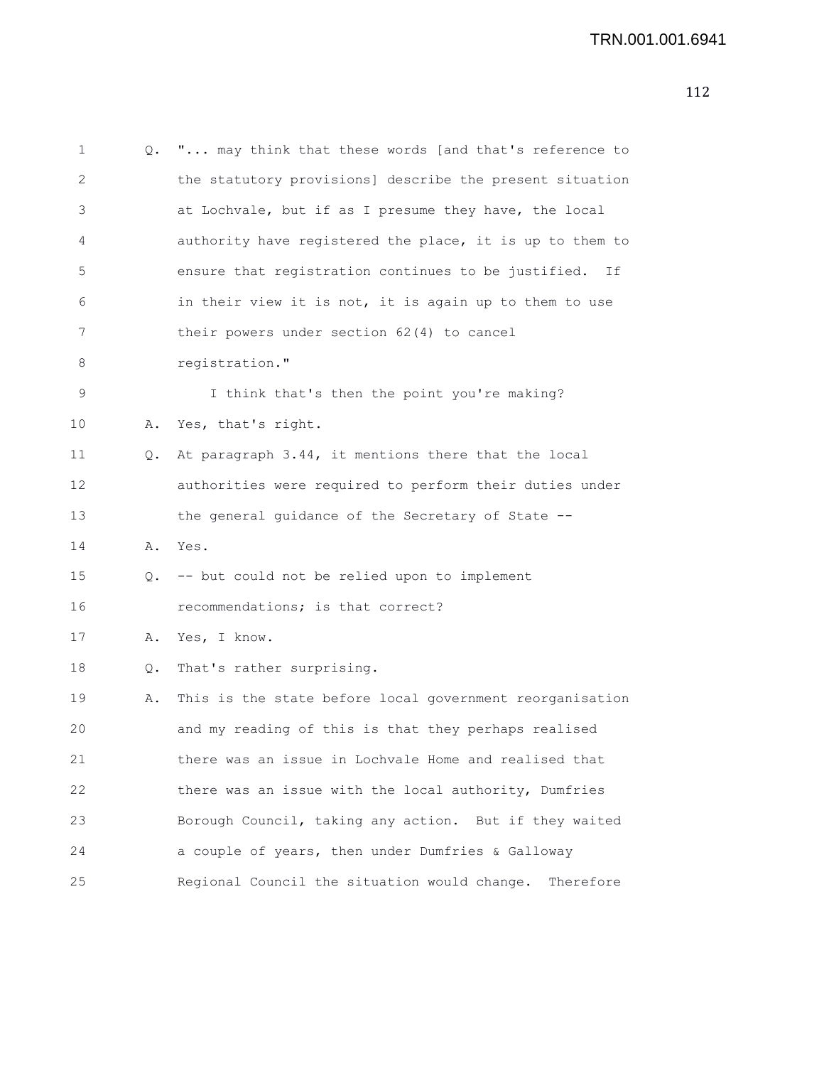```
1 Q. "... may think that these words [and that's reference to
2 the statutory provisions] describe the present situation
3 at Lochvale, but if as I presume they have, the local
4 authority have registered the place, it is up to them to
5 ensure that registration continues to be justified. If
6 in their view it is not, it is again up to them to use
7 their powers under section 62(4) to cancel
8 registration."
9 I think that's then the point you're making?
10 A. Yes, that's right.
11 Q. At paragraph 3.44, it mentions there that the local
12 authorities were required to perform their duties under
13 the general guidance of the Secretary of State --
14 A. Yes.
15 Q. -- but could not be relied upon to implement
16 recommendations; is that correct?
17 A. Yes, I know.
18 Q. That's rather surprising.
19 A. This is the state before local government reorganisation
20 and my reading of this is that they perhaps realised
21 there was an issue in Lochvale Home and realised that
22 there was an issue with the local authority, Dumfries
23 Borough Council, taking any action. But if they waited
24 a couple of years, then under Dumfries & Galloway
25 Regional Council the situation would change. Therefore
```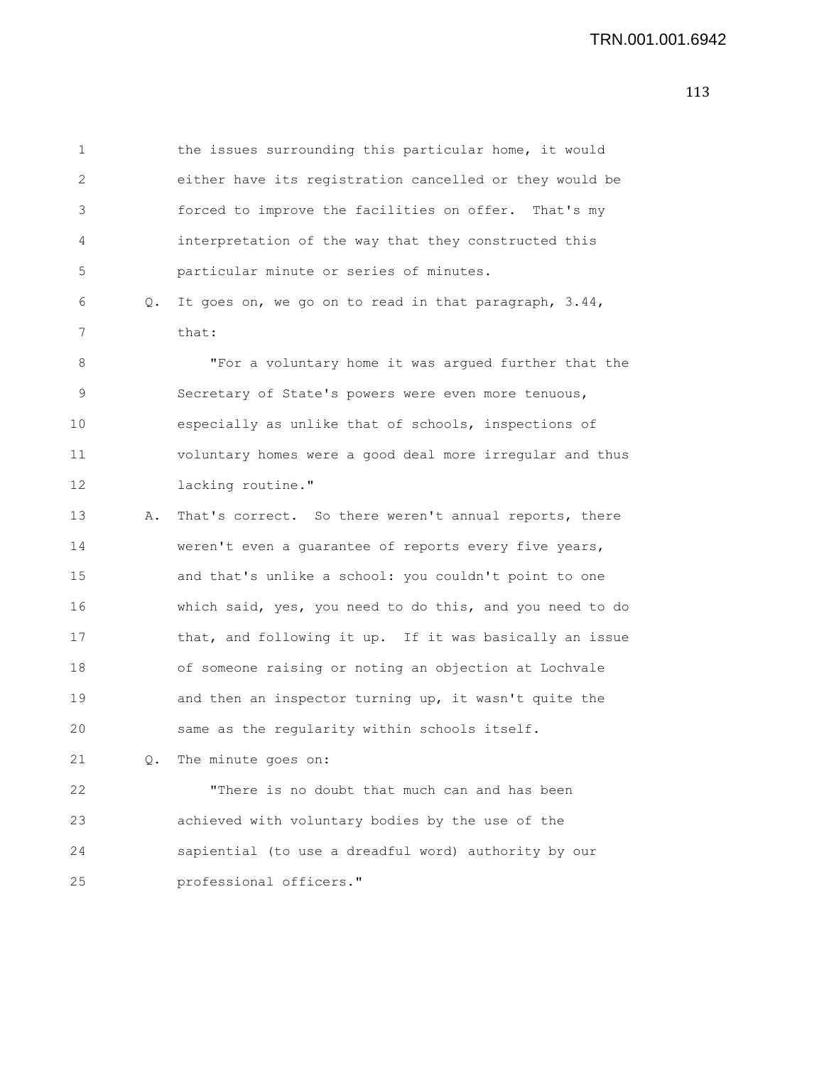| 1           |    | the issues surrounding this particular home, it would    |
|-------------|----|----------------------------------------------------------|
| 2           |    | either have its registration cancelled or they would be  |
| 3           |    | forced to improve the facilities on offer. That's my     |
| 4           |    | interpretation of the way that they constructed this     |
| 5           |    | particular minute or series of minutes.                  |
| 6           | Q. | It goes on, we go on to read in that paragraph, 3.44,    |
| 7           |    | that:                                                    |
| 8           |    | "For a voluntary home it was argued further that the     |
| $\mathsf 9$ |    | Secretary of State's powers were even more tenuous,      |
| 10          |    | especially as unlike that of schools, inspections of     |
| 11          |    | voluntary homes were a good deal more irregular and thus |
| 12          |    | lacking routine."                                        |
| 13          | Α. | That's correct. So there weren't annual reports, there   |
| 14          |    | weren't even a guarantee of reports every five years,    |
| 15          |    | and that's unlike a school: you couldn't point to one    |
| 16          |    | which said, yes, you need to do this, and you need to do |
| 17          |    | that, and following it up. If it was basically an issue  |
| 18          |    | of someone raising or noting an objection at Lochvale    |
| 19          |    | and then an inspector turning up, it wasn't quite the    |
| 20          |    | same as the regularity within schools itself.            |
| 21          | Q. | The minute goes on:                                      |
| 22          |    | "There is no doubt that much can and has been            |
| 23          |    | achieved with voluntary bodies by the use of the         |
| 24          |    | sapiential (to use a dreadful word) authority by our     |
| 25          |    | professional officers."                                  |
|             |    |                                                          |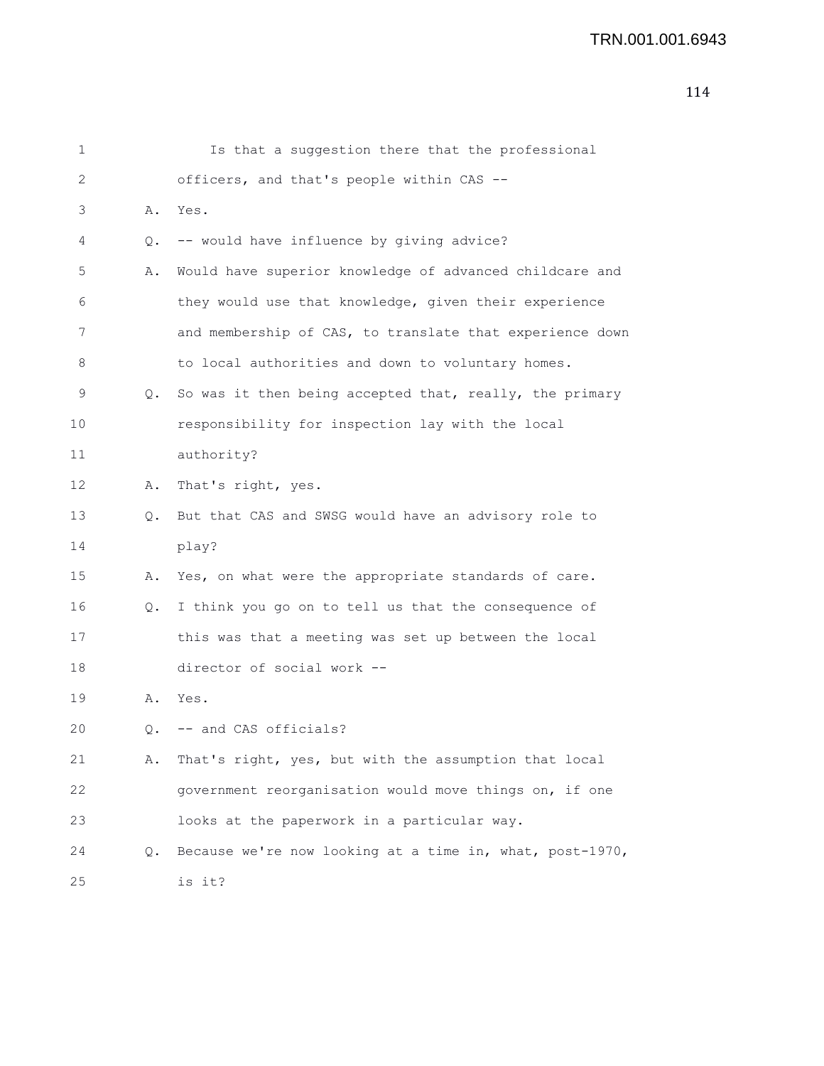| 1               |    | Is that a suggestion there that the professional         |
|-----------------|----|----------------------------------------------------------|
| 2               |    | officers, and that's people within CAS --                |
| 3               | Α. | Yes.                                                     |
| 4               | Q. | -- would have influence by giving advice?                |
| 5               | Α. | Would have superior knowledge of advanced childcare and  |
| 6               |    | they would use that knowledge, given their experience    |
| 7               |    | and membership of CAS, to translate that experience down |
| 8               |    | to local authorities and down to voluntary homes.        |
| 9               | Q. | So was it then being accepted that, really, the primary  |
| 10              |    | responsibility for inspection lay with the local         |
| 11              |    | authority?                                               |
| 12 <sup>°</sup> | Α. | That's right, yes.                                       |
| 13              | Q. | But that CAS and SWSG would have an advisory role to     |
| 14              |    | play?                                                    |
| 15              | Α. | Yes, on what were the appropriate standards of care.     |
| 16              | Q. | I think you go on to tell us that the consequence of     |
| 17              |    | this was that a meeting was set up between the local     |
| 18              |    | director of social work --                               |
| 19              | Α. | Yes.                                                     |
| 20              |    | Q. -- and CAS officials?                                 |
| 21              | Α. | That's right, yes, but with the assumption that local    |
| 22              |    | government reorganisation would move things on, if one   |
| 23              |    | looks at the paperwork in a particular way.              |
| 24              | Q. | Because we're now looking at a time in, what, post-1970, |
| 25              |    | is it?                                                   |
|                 |    |                                                          |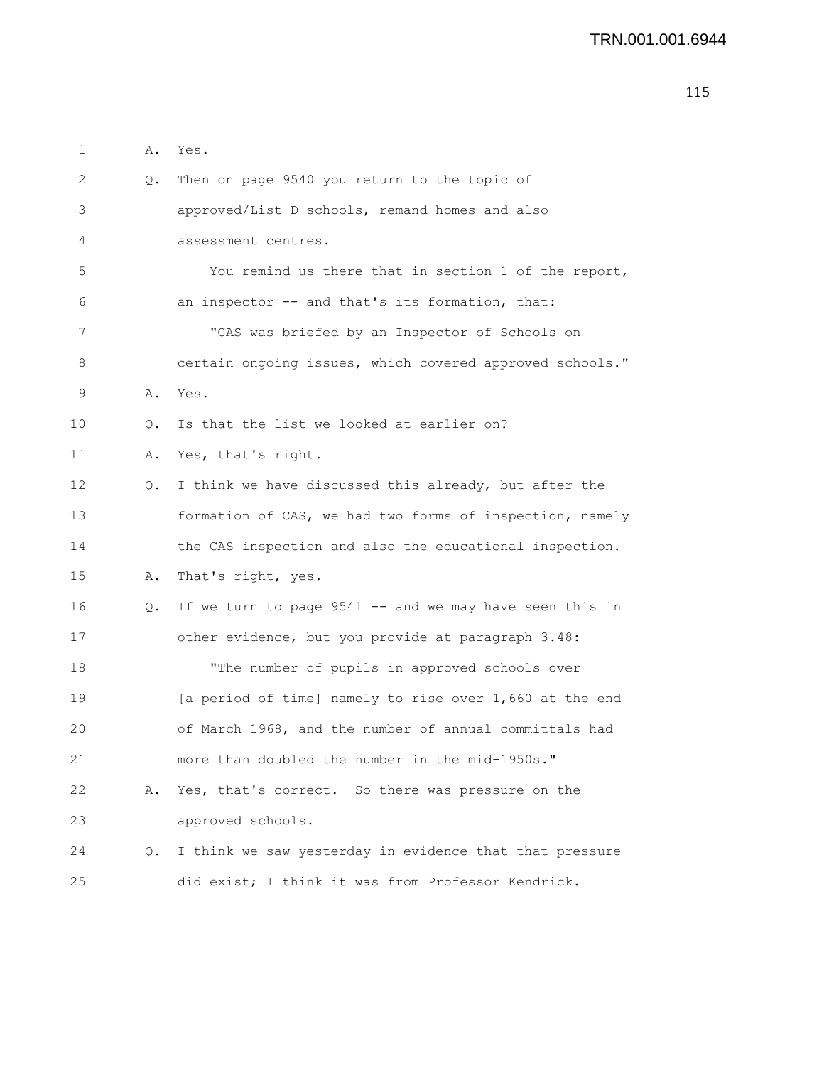| 1  | Α. | Yes.                                                     |
|----|----|----------------------------------------------------------|
| 2  | Q. | Then on page 9540 you return to the topic of             |
| 3  |    | approved/List D schools, remand homes and also           |
| 4  |    | assessment centres.                                      |
| 5  |    | You remind us there that in section 1 of the report,     |
| 6  |    | an inspector -- and that's its formation, that:          |
| 7  |    | "CAS was briefed by an Inspector of Schools on           |
| 8  |    | certain ongoing issues, which covered approved schools." |
| 9  | Α. | Yes.                                                     |
| 10 | Q. | Is that the list we looked at earlier on?                |
| 11 | Α. | Yes, that's right.                                       |
| 12 | Q. | I think we have discussed this already, but after the    |
| 13 |    | formation of CAS, we had two forms of inspection, namely |
| 14 |    | the CAS inspection and also the educational inspection.  |
| 15 | Α. | That's right, yes.                                       |
| 16 | Q. | If we turn to page 9541 -- and we may have seen this in  |
| 17 |    | other evidence, but you provide at paragraph 3.48:       |
| 18 |    | "The number of pupils in approved schools over           |
| 19 |    | [a period of time] namely to rise over 1,660 at the end  |
| 20 |    | of March 1968, and the number of annual committals had   |
| 21 |    | more than doubled the number in the mid-1950s."          |
| 22 | Α. | Yes, that's correct. So there was pressure on the        |
| 23 |    | approved schools.                                        |
| 24 | Q. | I think we saw yesterday in evidence that that pressure  |
| 25 |    | did exist; I think it was from Professor Kendrick.       |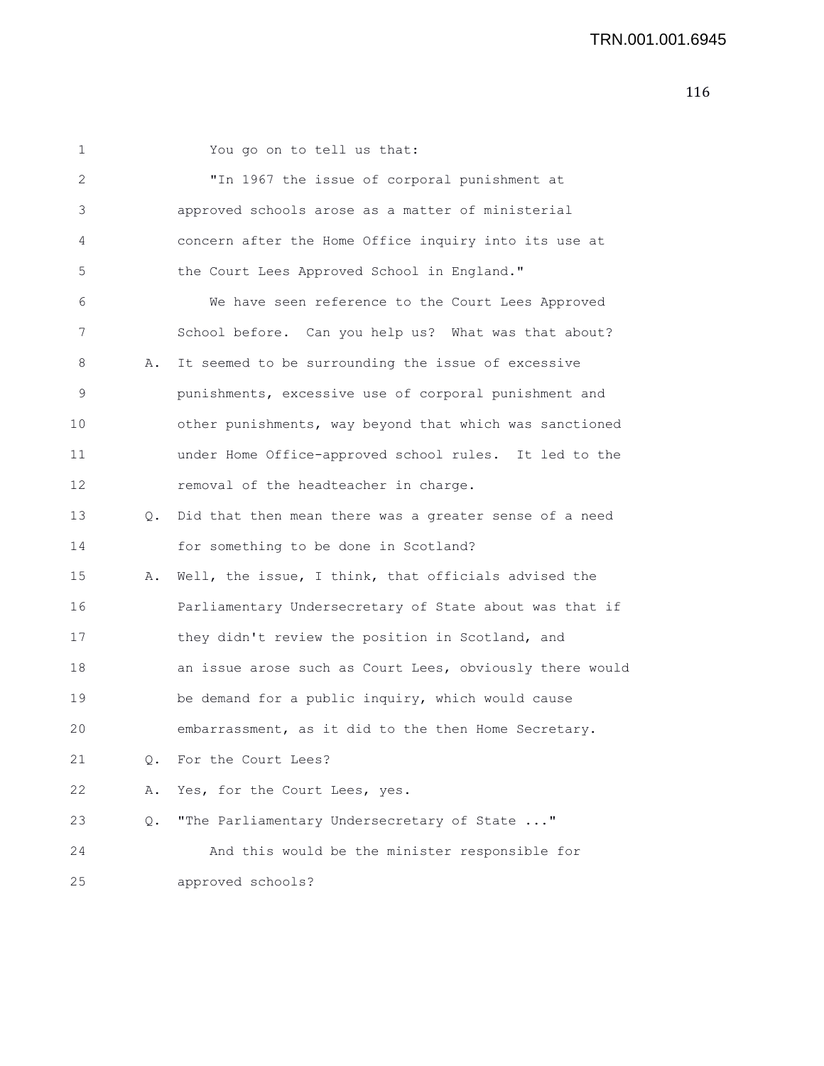1 You go on to tell us that: 2 "In 1967 the issue of corporal punishment at 3 approved schools arose as a matter of ministerial 4 concern after the Home Office inquiry into its use at 5 the Court Lees Approved School in England." 6 We have seen reference to the Court Lees Approved 7 School before. Can you help us? What was that about? 8 A. It seemed to be surrounding the issue of excessive 9 punishments, excessive use of corporal punishment and 10 other punishments, way beyond that which was sanctioned 11 under Home Office-approved school rules. It led to the 12 removal of the headteacher in charge. 13 Q. Did that then mean there was a greater sense of a need 14 for something to be done in Scotland? 15 A. Well, the issue, I think, that officials advised the 16 Parliamentary Undersecretary of State about was that if 17 they didn't review the position in Scotland, and 18 an issue arose such as Court Lees, obviously there would 19 be demand for a public inquiry, which would cause 20 embarrassment, as it did to the then Home Secretary. 21 0. For the Court Lees? 22 A. Yes, for the Court Lees, yes. 23 Q. "The Parliamentary Undersecretary of State ..." 24 And this would be the minister responsible for 25 approved schools?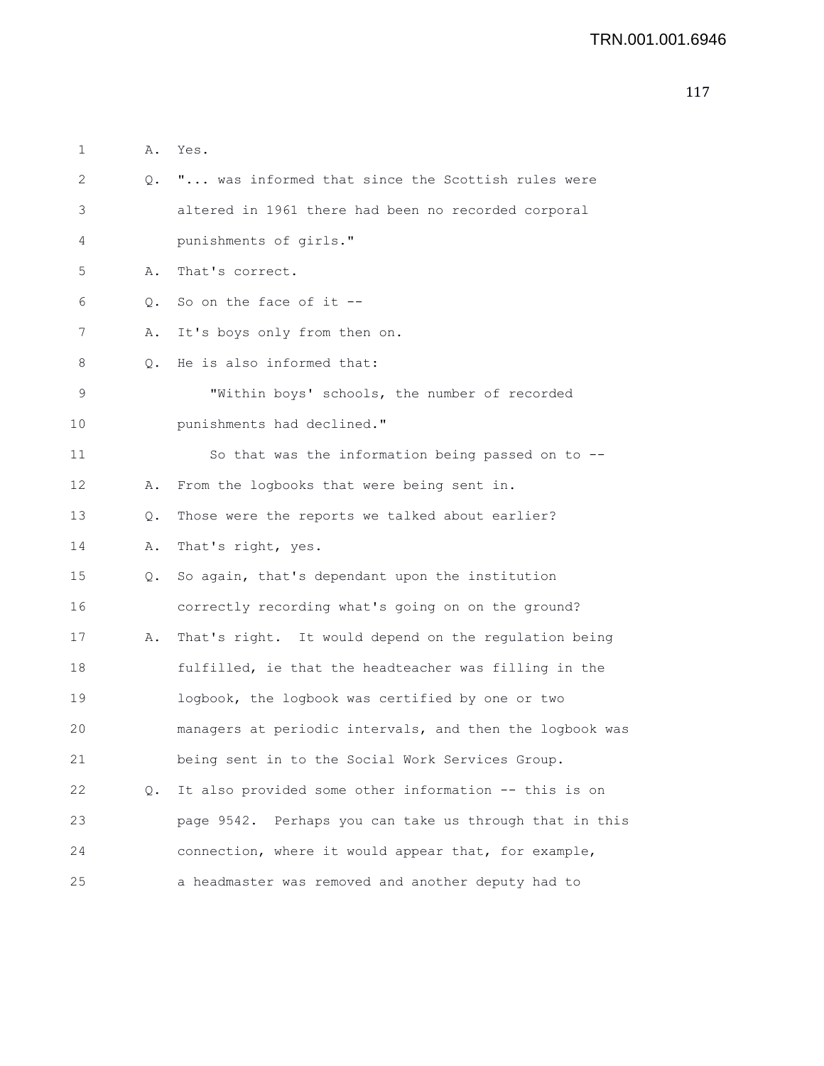```
117
```

| $\mathbf 1$ | Α. | Yes.                                                       |
|-------------|----|------------------------------------------------------------|
| 2           |    | Q. " was informed that since the Scottish rules were       |
| 3           |    | altered in 1961 there had been no recorded corporal        |
| 4           |    | punishments of girls."                                     |
| 5           | Α. | That's correct.                                            |
| 6           | Q. | So on the face of it $-$ -                                 |
| 7           | Α. | It's boys only from then on.                               |
| 8           | 0. | He is also informed that:                                  |
| 9           |    | "Within boys' schools, the number of recorded              |
| 10          |    | punishments had declined."                                 |
| 11          |    | So that was the information being passed on to --          |
| 12          | Α. | From the logbooks that were being sent in.                 |
| 13          | Q. | Those were the reports we talked about earlier?            |
| 14          | Α. | That's right, yes.                                         |
| 15          | Q. | So again, that's dependant upon the institution            |
| 16          |    | correctly recording what's going on on the ground?         |
| 17          | Α. | That's right. It would depend on the regulation being      |
| 18          |    | fulfilled, ie that the headteacher was filling in the      |
| 19          |    | logbook, the logbook was certified by one or two           |
| 20          |    | managers at periodic intervals, and then the logbook was   |
| 21          |    | being sent in to the Social Work Services Group.           |
| 22          | Q. | It also provided some other information -- this is on      |
| 23          |    | Perhaps you can take us through that in this<br>page 9542. |
| 24          |    | connection, where it would appear that, for example,       |
| 25          |    | a headmaster was removed and another deputy had to         |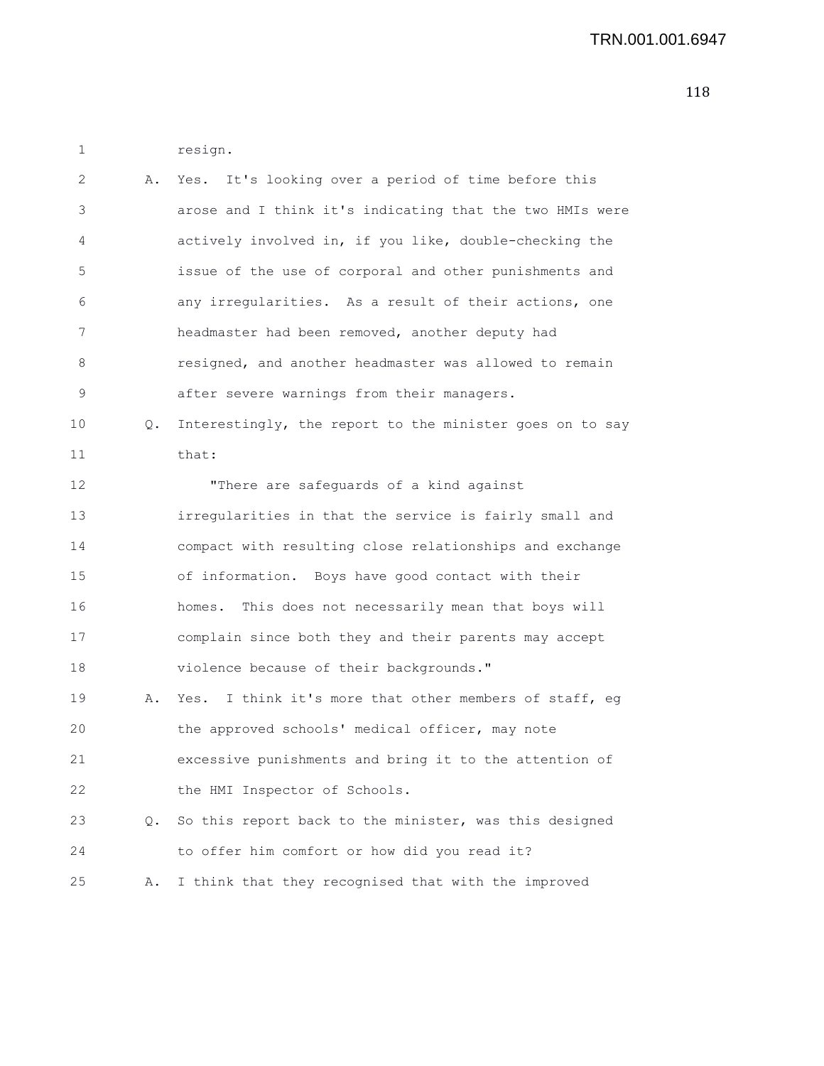| 2  | Α. | Yes. It's looking over a period of time before this      |
|----|----|----------------------------------------------------------|
| 3  |    | arose and I think it's indicating that the two HMIs were |
| 4  |    | actively involved in, if you like, double-checking the   |
| 5  |    | issue of the use of corporal and other punishments and   |
| 6  |    | any irregularities. As a result of their actions, one    |
| 7  |    | headmaster had been removed, another deputy had          |
| 8  |    | resigned, and another headmaster was allowed to remain   |
| 9  |    | after severe warnings from their managers.               |
| 10 | Q. | Interestingly, the report to the minister goes on to say |
| 11 |    | that:                                                    |
| 12 |    | "There are safeguards of a kind against                  |
| 13 |    | irregularities in that the service is fairly small and   |
| 14 |    | compact with resulting close relationships and exchange  |
| 15 |    | of information. Boys have good contact with their        |
| 16 |    | This does not necessarily mean that boys will<br>homes.  |
| 17 |    | complain since both they and their parents may accept    |
| 18 |    | violence because of their backgrounds."                  |
| 19 | Α. | Yes. I think it's more that other members of staff, eg   |
| 20 |    | the approved schools' medical officer, may note          |
| 21 |    | excessive punishments and bring it to the attention of   |
| 22 |    | the HMI Inspector of Schools.                            |
| 23 | Q. | So this report back to the minister, was this designed   |
| 24 |    | to offer him comfort or how did you read it?             |
| 25 | Α. | I think that they recognised that with the improved      |

1 resign.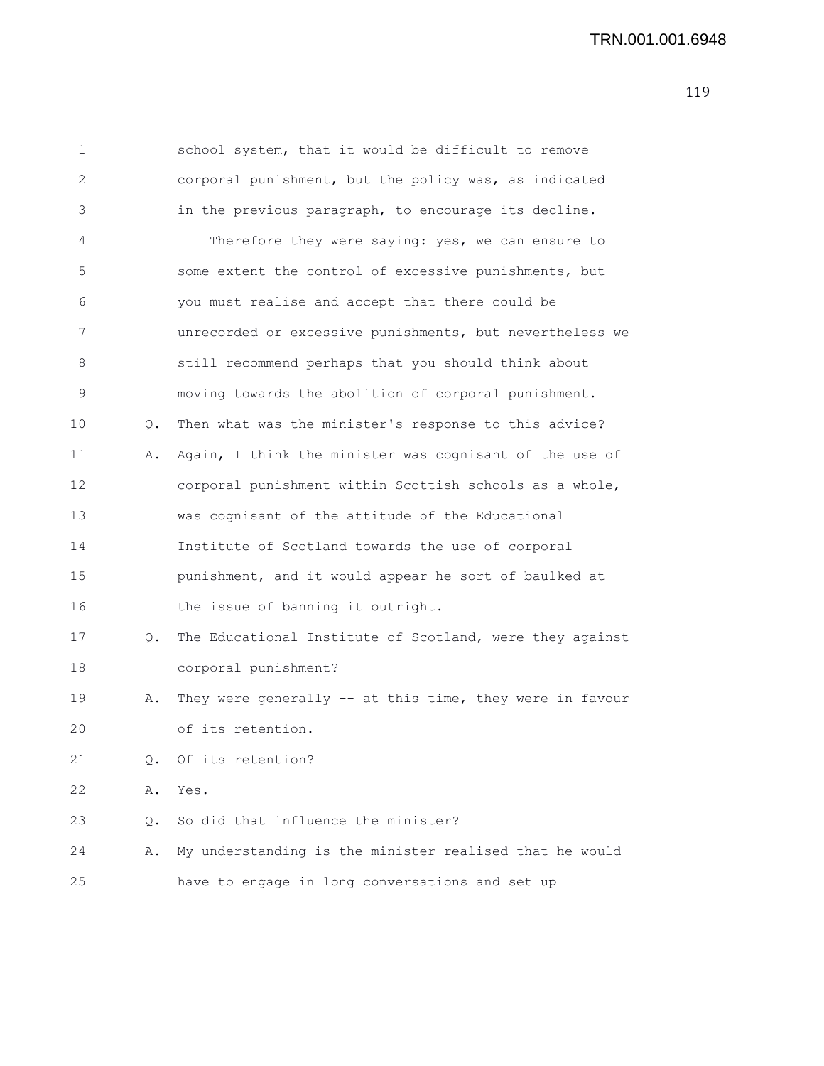## TRN.001.001.6948

| 1  |    | school system, that it would be difficult to remove      |
|----|----|----------------------------------------------------------|
| 2  |    | corporal punishment, but the policy was, as indicated    |
| 3  |    | in the previous paragraph, to encourage its decline.     |
| 4  |    | Therefore they were saying: yes, we can ensure to        |
| 5  |    | some extent the control of excessive punishments, but    |
| 6  |    | you must realise and accept that there could be          |
| 7  |    | unrecorded or excessive punishments, but nevertheless we |
| 8  |    | still recommend perhaps that you should think about      |
| 9  |    | moving towards the abolition of corporal punishment.     |
| 10 | Q. | Then what was the minister's response to this advice?    |
| 11 | Α. | Again, I think the minister was cognisant of the use of  |
| 12 |    | corporal punishment within Scottish schools as a whole,  |
| 13 |    | was cognisant of the attitude of the Educational         |
| 14 |    | Institute of Scotland towards the use of corporal        |
| 15 |    | punishment, and it would appear he sort of baulked at    |
| 16 |    | the issue of banning it outright.                        |
| 17 | Q. | The Educational Institute of Scotland, were they against |
| 18 |    | corporal punishment?                                     |
| 19 | Α. | They were generally -- at this time, they were in favour |
| 20 |    | of its retention.                                        |
| 21 | О. | Of its retention?                                        |
| 22 | Α. | Yes.                                                     |
| 23 | Q. | So did that influence the minister?                      |
| 24 | Α. | My understanding is the minister realised that he would  |
| 25 |    | have to engage in long conversations and set up          |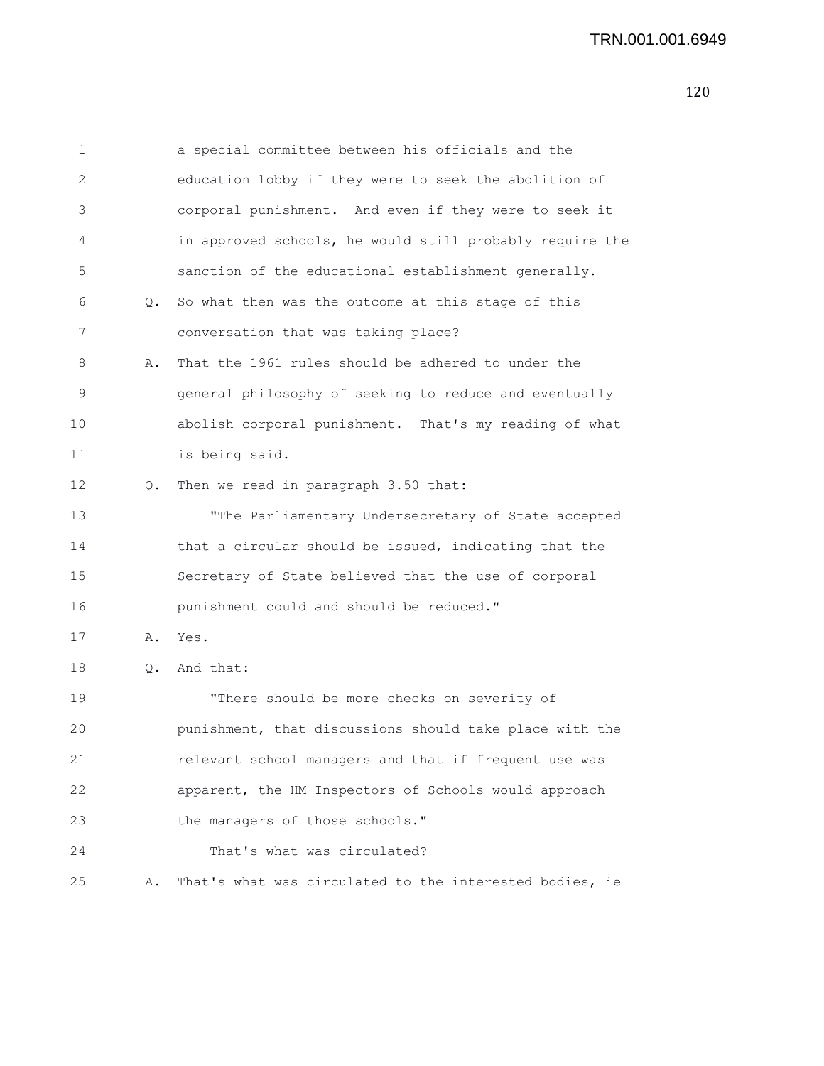1 a special committee between his officials and the 2 education lobby if they were to seek the abolition of 3 corporal punishment. And even if they were to seek it 4 in approved schools, he would still probably require the 5 sanction of the educational establishment generally. 6 Q. So what then was the outcome at this stage of this 7 conversation that was taking place? 8 A. That the 1961 rules should be adhered to under the 9 general philosophy of seeking to reduce and eventually 10 abolish corporal punishment. That's my reading of what 11 is being said. 12 Q. Then we read in paragraph 3.50 that: 13 "The Parliamentary Undersecretary of State accepted 14 that a circular should be issued, indicating that the 15 Secretary of State believed that the use of corporal 16 punishment could and should be reduced." 17 A. Yes. 18 Q. And that: 19 "There should be more checks on severity of 20 punishment, that discussions should take place with the 21 relevant school managers and that if frequent use was 22 apparent, the HM Inspectors of Schools would approach 23 the managers of those schools." 24 That's what was circulated? 25 A. That's what was circulated to the interested bodies, ie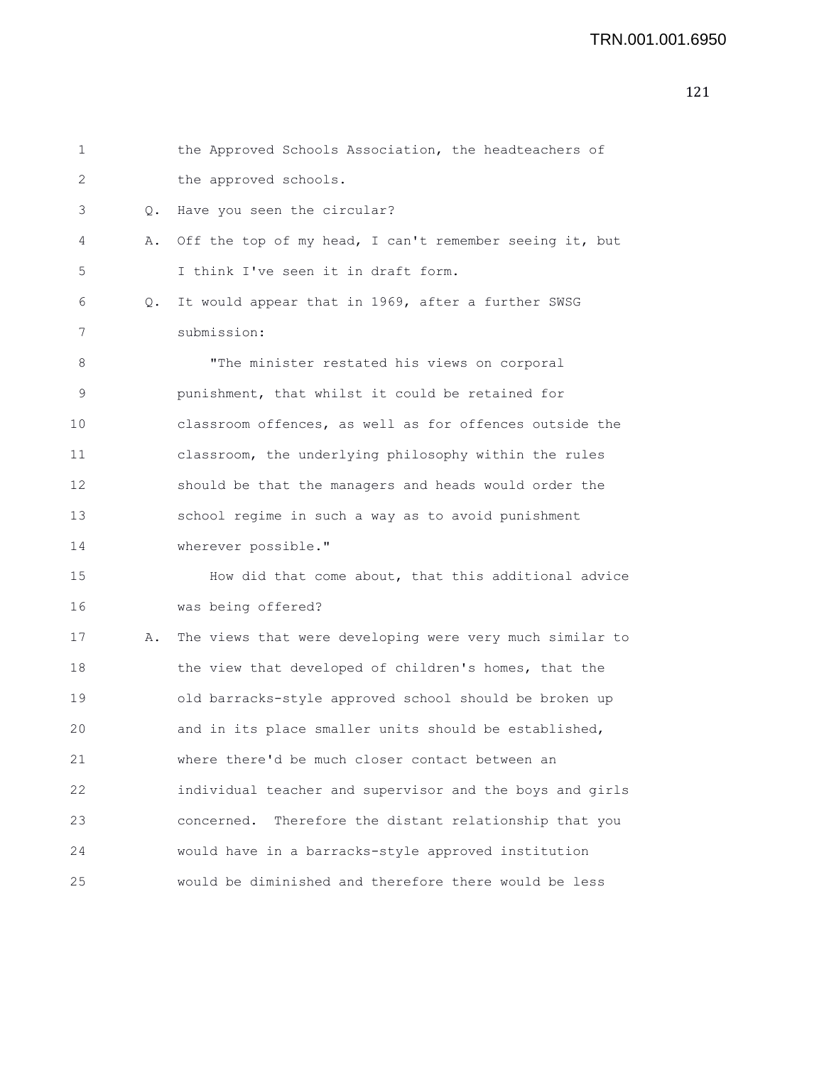## TRN.001.001.6950

| $\mathbf 1$ |    | the Approved Schools Association, the headteachers of     |
|-------------|----|-----------------------------------------------------------|
| 2           |    | the approved schools.                                     |
| 3           | 0. | Have you seen the circular?                               |
| 4           | Α. | Off the top of my head, I can't remember seeing it, but   |
| 5           |    | I think I've seen it in draft form.                       |
| 6           | Q. | It would appear that in 1969, after a further SWSG        |
| 7           |    | submission:                                               |
| 8           |    | "The minister restated his views on corporal              |
| 9           |    | punishment, that whilst it could be retained for          |
| 10          |    | classroom offences, as well as for offences outside the   |
| 11          |    | classroom, the underlying philosophy within the rules     |
| 12          |    | should be that the managers and heads would order the     |
| 13          |    | school regime in such a way as to avoid punishment        |
| 14          |    | wherever possible."                                       |
| 15          |    | How did that come about, that this additional advice      |
| 16          |    | was being offered?                                        |
| 17          | Α. | The views that were developing were very much similar to  |
| 18          |    | the view that developed of children's homes, that the     |
| 19          |    | old barracks-style approved school should be broken up    |
| 20          |    | and in its place smaller units should be established,     |
| 21          |    | where there'd be much closer contact between an           |
| 22          |    | individual teacher and supervisor and the boys and girls  |
| 23          |    | Therefore the distant relationship that you<br>concerned. |
| 24          |    | would have in a barracks-style approved institution       |
| 25          |    | would be diminished and therefore there would be less     |
|             |    |                                                           |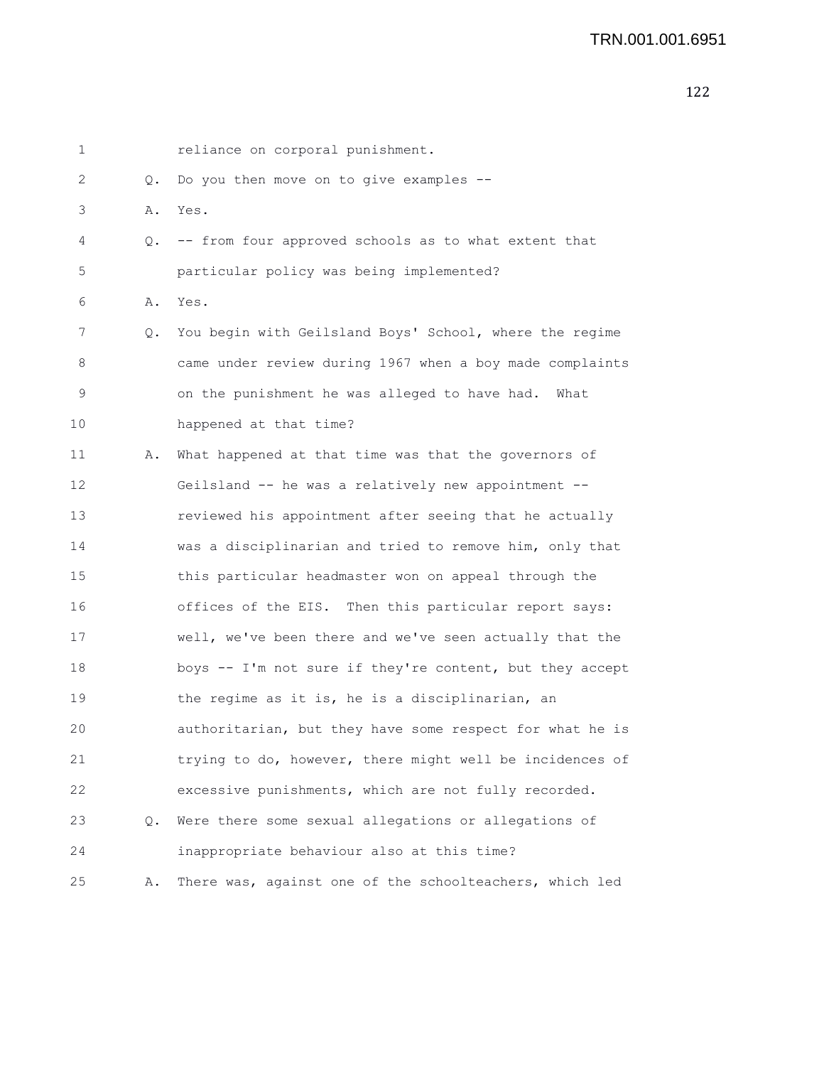| 1  |       | reliance on corporal punishment.                         |
|----|-------|----------------------------------------------------------|
| 2  | Q.    | Do you then move on to give examples --                  |
| 3  | Α.    | Yes.                                                     |
| 4  | Q.    | -- from four approved schools as to what extent that     |
| 5  |       | particular policy was being implemented?                 |
| 6  | Α.    | Yes.                                                     |
| 7  | Q.    | You begin with Geilsland Boys' School, where the regime  |
| 8  |       | came under review during 1967 when a boy made complaints |
| 9  |       | on the punishment he was alleged to have had.<br>What    |
| 10 |       | happened at that time?                                   |
| 11 | Α.    | What happened at that time was that the governors of     |
| 12 |       | Geilsland -- he was a relatively new appointment --      |
| 13 |       | reviewed his appointment after seeing that he actually   |
| 14 |       | was a disciplinarian and tried to remove him, only that  |
| 15 |       | this particular headmaster won on appeal through the     |
| 16 |       | offices of the EIS. Then this particular report says:    |
| 17 |       | well, we've been there and we've seen actually that the  |
| 18 |       | boys -- I'm not sure if they're content, but they accept |
| 19 |       | the regime as it is, he is a disciplinarian, an          |
| 20 |       | authoritarian, but they have some respect for what he is |
| 21 |       | trying to do, however, there might well be incidences of |
| 22 |       | excessive punishments, which are not fully recorded.     |
| 23 | $Q$ . | Were there some sexual allegations or allegations of     |
| 24 |       | inappropriate behaviour also at this time?               |
| 25 | Α.    | There was, against one of the schoolteachers, which led  |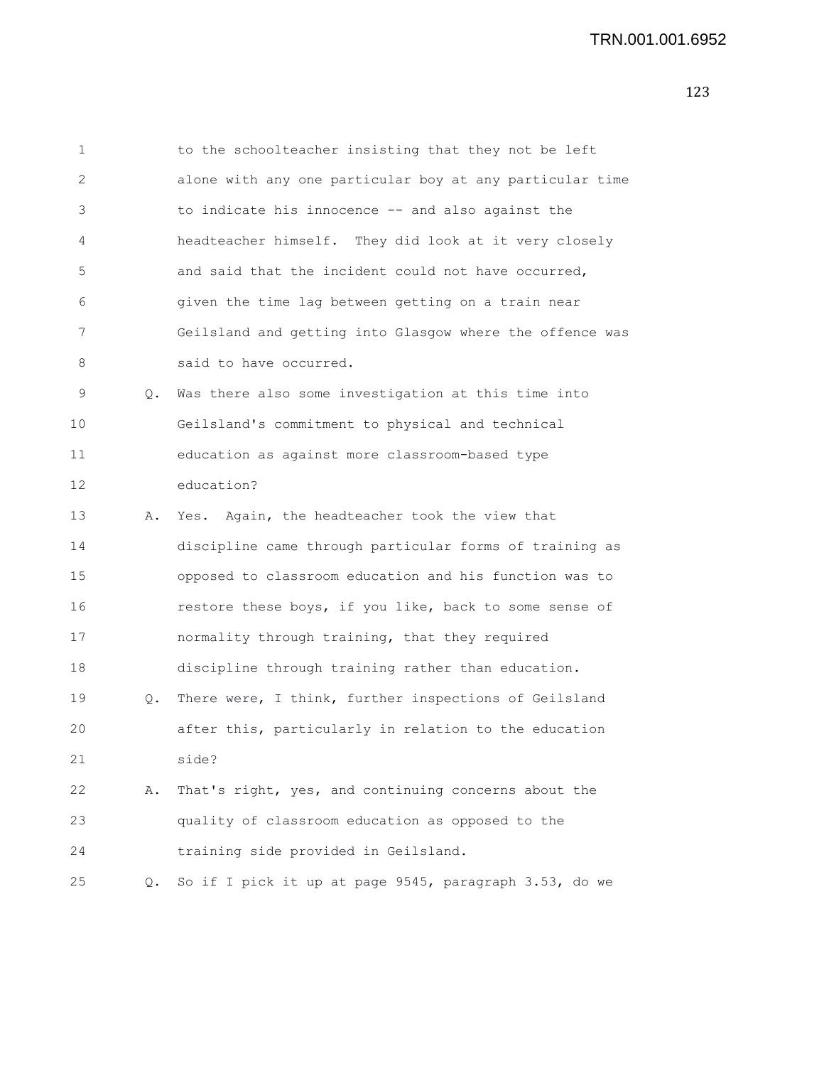| 1  |    | to the schoolteacher insisting that they not be left     |
|----|----|----------------------------------------------------------|
| 2  |    | alone with any one particular boy at any particular time |
| 3  |    | to indicate his innocence -- and also against the        |
| 4  |    | headteacher himself. They did look at it very closely    |
| 5  |    | and said that the incident could not have occurred,      |
| 6  |    | given the time lag between getting on a train near       |
| 7  |    | Geilsland and getting into Glasgow where the offence was |
| 8  |    | said to have occurred.                                   |
| 9  | Q. | Was there also some investigation at this time into      |
| 10 |    | Geilsland's commitment to physical and technical         |
| 11 |    | education as against more classroom-based type           |
| 12 |    | education?                                               |
| 13 | Α. | Yes. Again, the headteacher took the view that           |
| 14 |    | discipline came through particular forms of training as  |
| 15 |    | opposed to classroom education and his function was to   |
| 16 |    | restore these boys, if you like, back to some sense of   |
| 17 |    | normality through training, that they required           |
| 18 |    | discipline through training rather than education.       |
| 19 | Q. | There were, I think, further inspections of Geilsland    |
| 20 |    | after this, particularly in relation to the education    |
| 21 |    | side?                                                    |
| 22 | Α. | That's right, yes, and continuing concerns about the     |
| 23 |    | quality of classroom education as opposed to the         |
| 24 |    | training side provided in Geilsland.                     |
| 25 | Q. | So if I pick it up at page 9545, paragraph 3.53, do we   |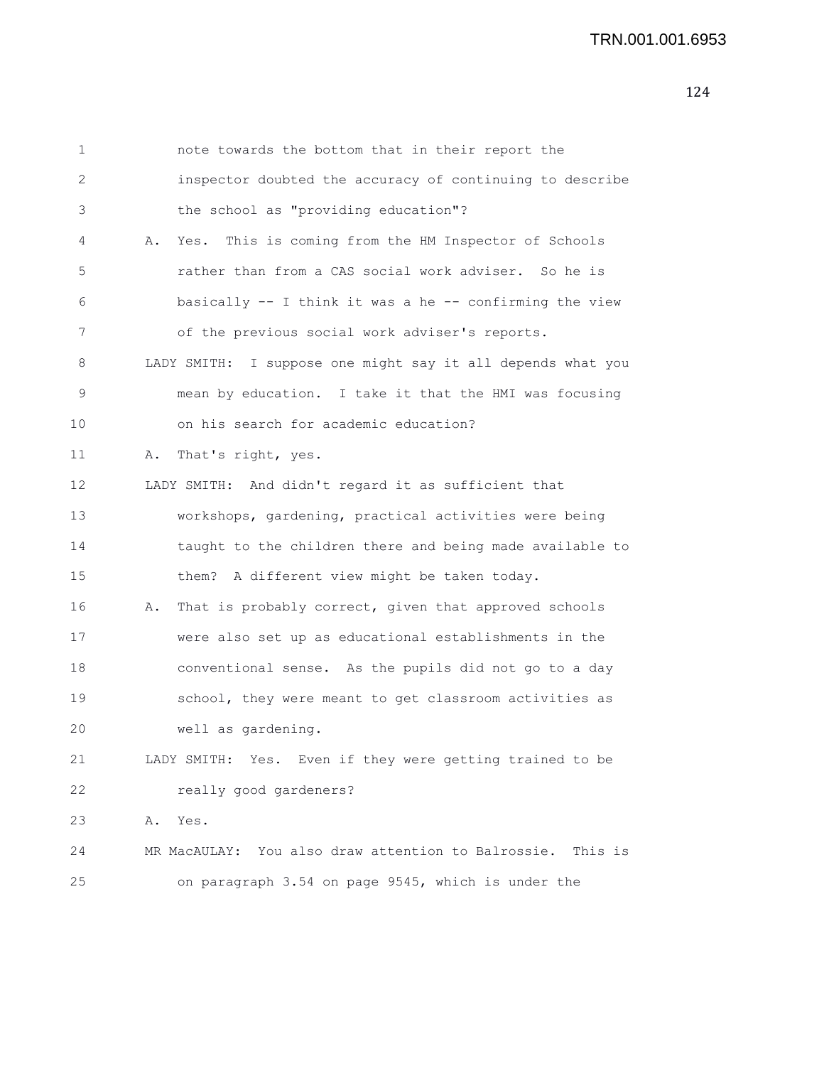| 1  |    | note towards the bottom that in their report the              |
|----|----|---------------------------------------------------------------|
| 2  |    | inspector doubted the accuracy of continuing to describe      |
| 3  |    | the school as "providing education"?                          |
| 4  |    | A. Yes. This is coming from the HM Inspector of Schools       |
| 5  |    | rather than from a CAS social work adviser. So he is          |
| 6  |    | basically -- I think it was a he -- confirming the view       |
| 7  |    | of the previous social work adviser's reports.                |
| 8  |    | LADY SMITH: I suppose one might say it all depends what you   |
| 9  |    | mean by education. I take it that the HMI was focusing        |
| 10 |    | on his search for academic education?                         |
| 11 | Α. | That's right, yes.                                            |
| 12 |    | LADY SMITH: And didn't regard it as sufficient that           |
| 13 |    | workshops, gardening, practical activities were being         |
| 14 |    | taught to the children there and being made available to      |
| 15 |    | them? A different view might be taken today.                  |
| 16 | Α. | That is probably correct, given that approved schools         |
| 17 |    | were also set up as educational establishments in the         |
| 18 |    | conventional sense. As the pupils did not go to a day         |
| 19 |    | school, they were meant to get classroom activities as        |
| 20 |    | well as gardening.                                            |
| 21 |    | LADY SMITH: Yes. Even if they were getting trained to be      |
| 22 |    | really good gardeners?                                        |
| 23 | Α. | Yes.                                                          |
| 24 |    | MR MacAULAY: You also draw attention to Balrossie.<br>This is |
| 25 |    | on paragraph 3.54 on page 9545, which is under the            |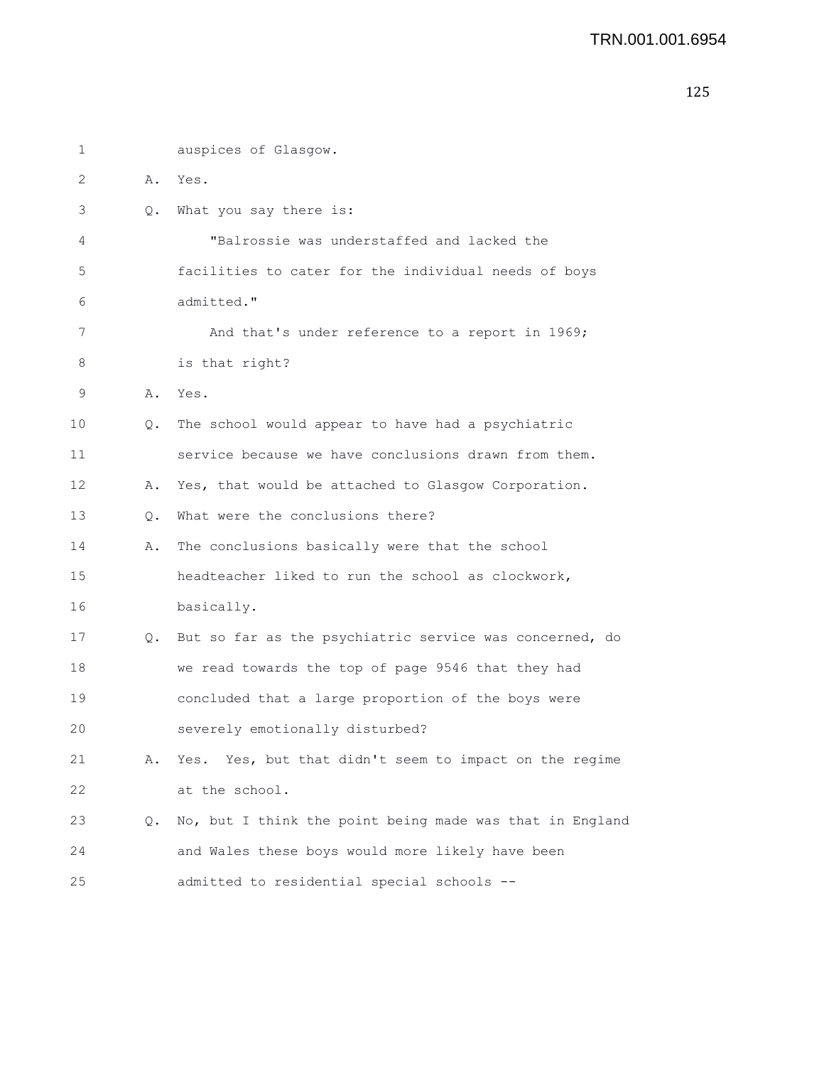```
1 auspices of Glasgow.
2 A. Yes.
3 Q. What you say there is:
4 "Balrossie was understaffed and lacked the
5 facilities to cater for the individual needs of boys
6 admitted."
7 and that's under reference to a report in 1969;
8 is that right?
9 A. Yes.
10 Q. The school would appear to have had a psychiatric
11 service because we have conclusions drawn from them.
12 A. Yes, that would be attached to Glasgow Corporation.
13 Q. What were the conclusions there?
14 A. The conclusions basically were that the school
15 headteacher liked to run the school as clockwork,
16 basically.
17 Q. But so far as the psychiatric service was concerned, do
18 we read towards the top of page 9546 that they had
19 concluded that a large proportion of the boys were
20 severely emotionally disturbed?
21 A. Yes. Yes, but that didn't seem to impact on the regime
22 at the school.
23 Q. No, but I think the point being made was that in England
24 and Wales these boys would more likely have been
25 admitted to residential special schools --
```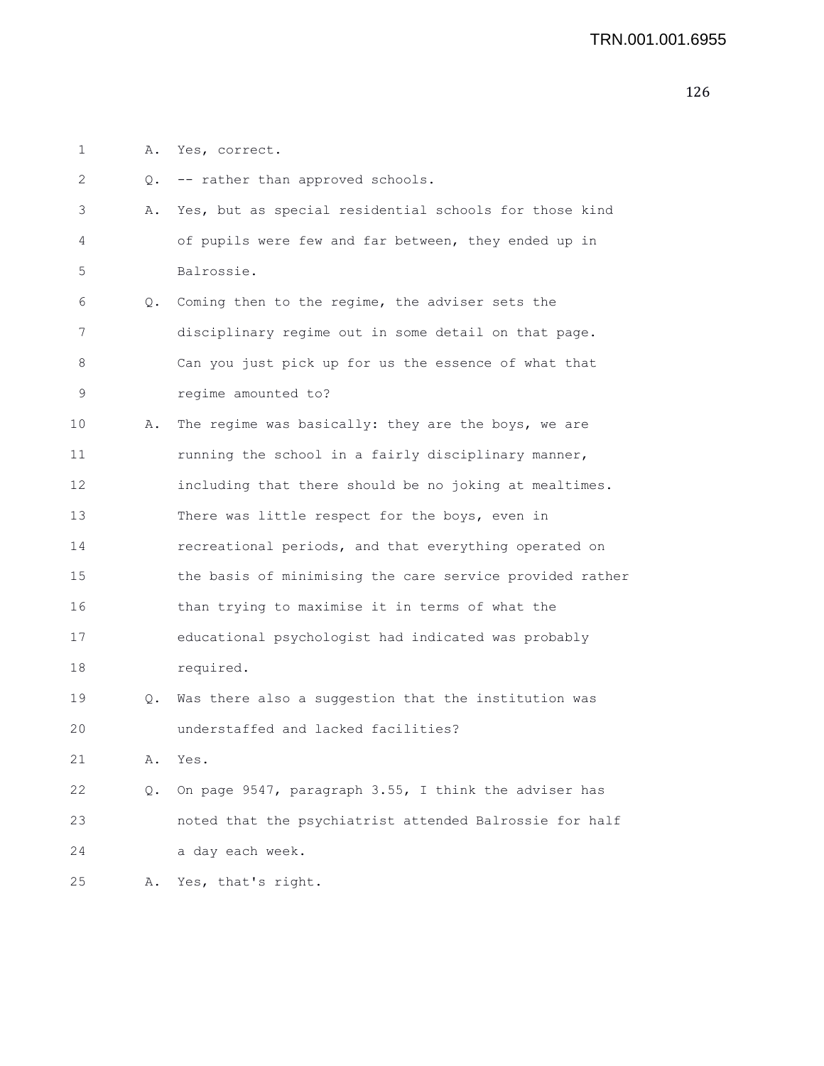- 1 A. Yes, correct.
- 2 Q. -- rather than approved schools. 3 A. Yes, but as special residential schools for those kind 4 of pupils were few and far between, they ended up in 5 Balrossie. 6 Q. Coming then to the regime, the adviser sets the 7 disciplinary regime out in some detail on that page. 8 Can you just pick up for us the essence of what that 9 regime amounted to? 10 A. The regime was basically: they are the boys, we are 11 **running the school in a fairly disciplinary manner,** 12 including that there should be no joking at mealtimes. 13 There was little respect for the boys, even in 14 recreational periods, and that everything operated on 15 the basis of minimising the care service provided rather 16 than trying to maximise it in terms of what the 17 educational psychologist had indicated was probably 18 required. 19 Q. Was there also a suggestion that the institution was 20 understaffed and lacked facilities? 21 A. Yes. 22 Q. On page 9547, paragraph 3.55, I think the adviser has 23 noted that the psychiatrist attended Balrossie for half 24 a day each week. 25 A. Yes, that's right.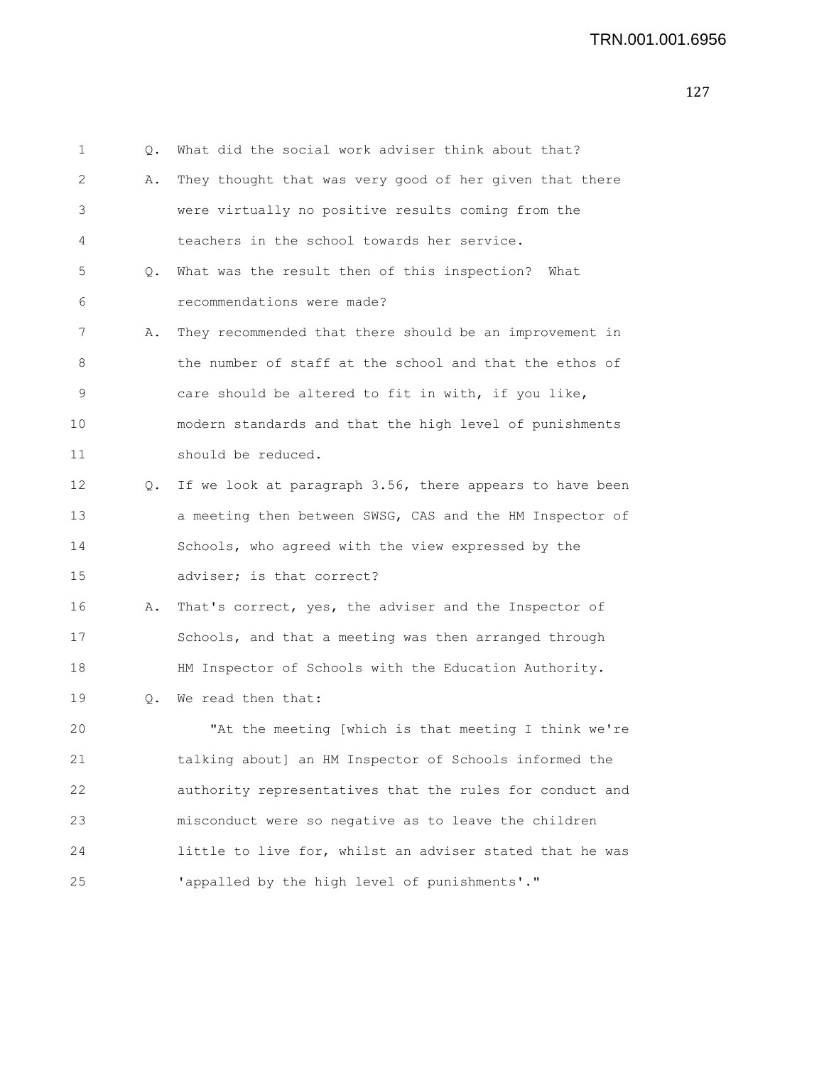1 Q. What did the social work adviser think about that? 2 A. They thought that was very good of her given that there 3 were virtually no positive results coming from the 4 teachers in the school towards her service. 5 Q. What was the result then of this inspection? What 6 recommendations were made? 7 A. They recommended that there should be an improvement in 8 the number of staff at the school and that the ethos of 9 care should be altered to fit in with, if you like, 10 modern standards and that the high level of punishments 11 should be reduced. 12 Q. If we look at paragraph 3.56, there appears to have been 13 a meeting then between SWSG, CAS and the HM Inspector of 14 Schools, who agreed with the view expressed by the 15 adviser; is that correct?

16 A. That's correct, yes, the adviser and the Inspector of 17 Schools, and that a meeting was then arranged through 18 HM Inspector of Schools with the Education Authority.

19 Q. We read then that:

20 "At the meeting [which is that meeting I think we're 21 talking about] an HM Inspector of Schools informed the 22 authority representatives that the rules for conduct and 23 misconduct were so negative as to leave the children 24 little to live for, whilst an adviser stated that he was 25 'appalled by the high level of punishments'."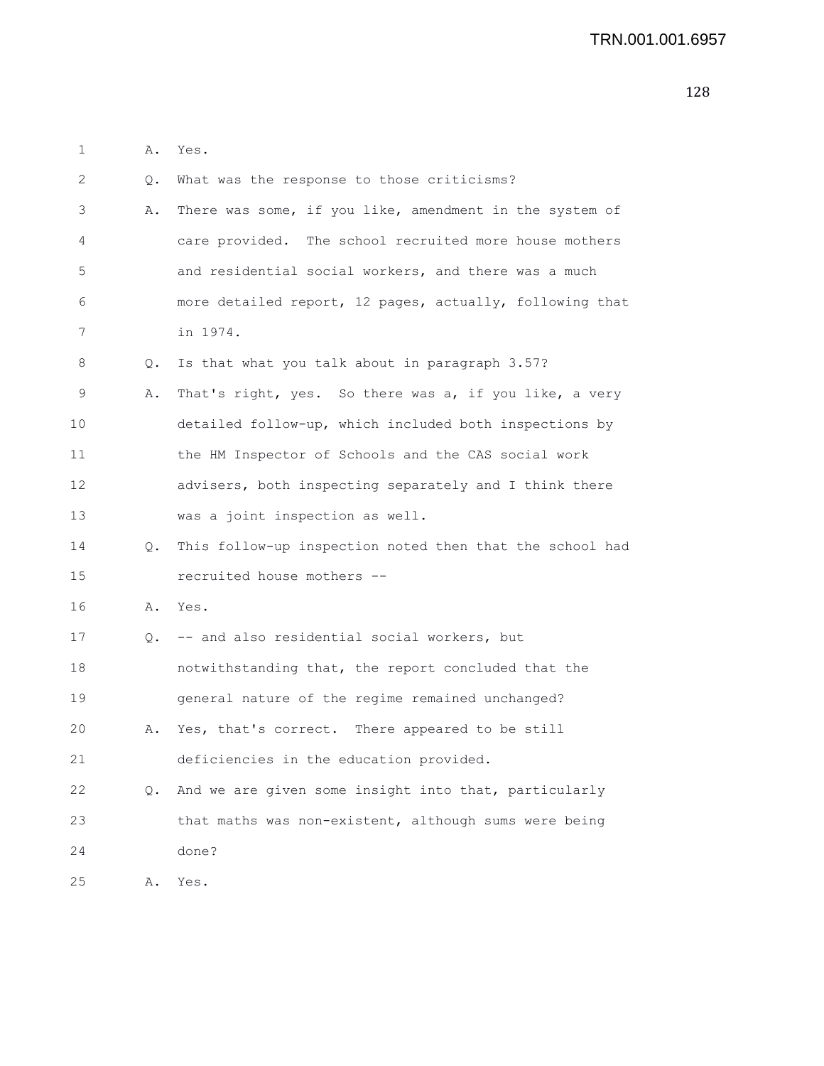| 1  | Α. | Yes.                                                     |
|----|----|----------------------------------------------------------|
| 2  | О. | What was the response to those criticisms?               |
| 3  | Α. | There was some, if you like, amendment in the system of  |
| 4  |    | care provided. The school recruited more house mothers   |
| 5  |    | and residential social workers, and there was a much     |
| 6  |    | more detailed report, 12 pages, actually, following that |
| 7  |    | in 1974.                                                 |
| 8  | Q. | Is that what you talk about in paragraph 3.57?           |
| 9  | Α. | That's right, yes. So there was a, if you like, a very   |
| 10 |    | detailed follow-up, which included both inspections by   |
| 11 |    | the HM Inspector of Schools and the CAS social work      |
| 12 |    | advisers, both inspecting separately and I think there   |
| 13 |    | was a joint inspection as well.                          |
| 14 | Q. | This follow-up inspection noted then that the school had |
| 15 |    | recruited house mothers --                               |
| 16 | Α. | Yes.                                                     |
| 17 | Q. | -- and also residential social workers, but              |
| 18 |    | notwithstanding that, the report concluded that the      |
| 19 |    | general nature of the regime remained unchanged?         |
| 20 | Α. | Yes, that's correct. There appeared to be still          |
| 21 |    | deficiencies in the education provided.                  |
| 22 | Q. | And we are given some insight into that, particularly    |
| 23 |    | that maths was non-existent, although sums were being    |

24 done?

25 A. Yes.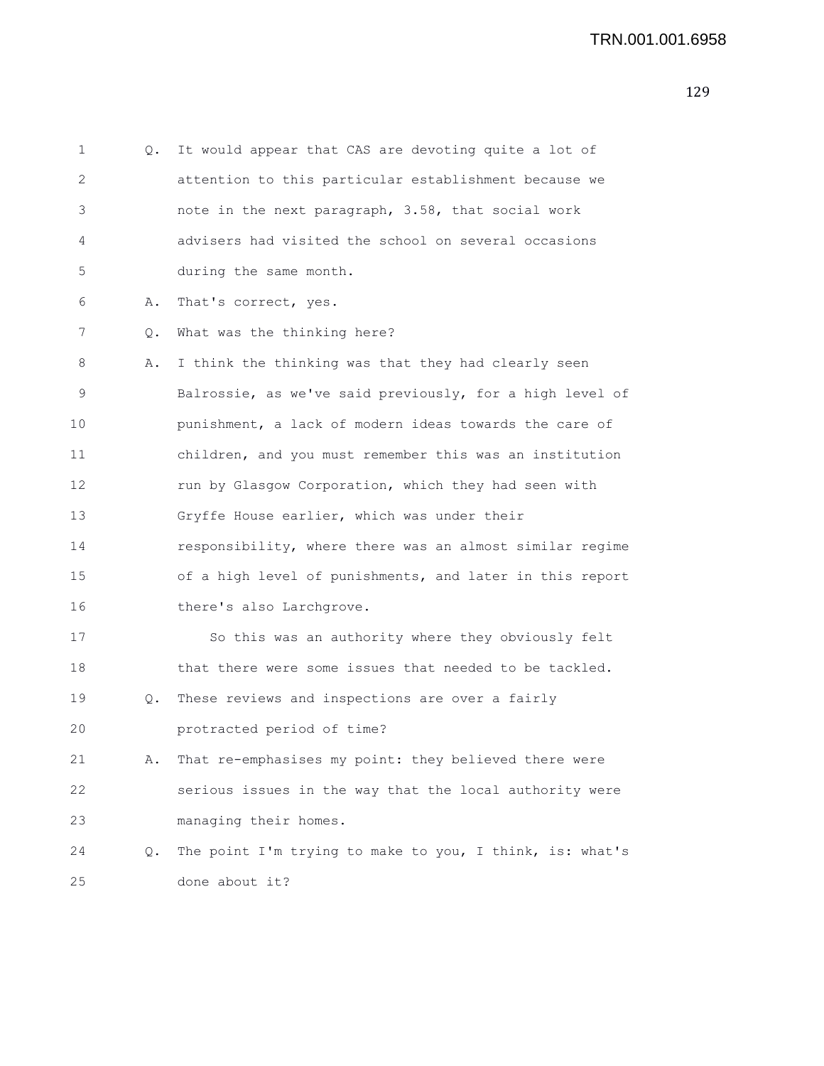1 Q. It would appear that CAS are devoting quite a lot of 2 attention to this particular establishment because we 3 note in the next paragraph, 3.58, that social work 4 advisers had visited the school on several occasions 5 during the same month. 6 A. That's correct, yes. 7 Q. What was the thinking here? 8 A. I think the thinking was that they had clearly seen 9 Balrossie, as we've said previously, for a high level of 10 punishment, a lack of modern ideas towards the care of 11 children, and you must remember this was an institution 12 run by Glasgow Corporation, which they had seen with 13 Gryffe House earlier, which was under their 14 responsibility, where there was an almost similar regime 15 of a high level of punishments, and later in this report 16 there's also Larchgrove. 17 So this was an authority where they obviously felt 18 that there were some issues that needed to be tackled. 19 Q. These reviews and inspections are over a fairly 20 protracted period of time? 21 A. That re-emphasises my point: they believed there were 22 serious issues in the way that the local authority were 23 managing their homes. 24 Q. The point I'm trying to make to you, I think, is: what's 25 done about it?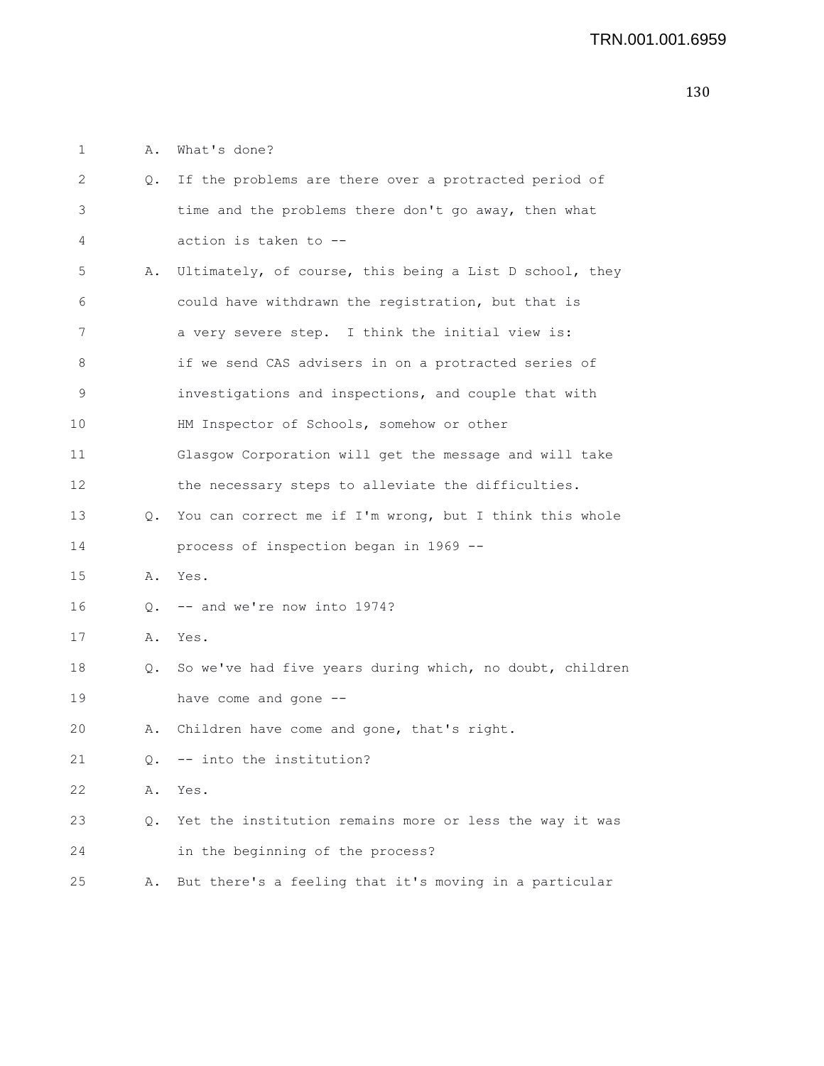1 A. What's done?

| 2  | Q.        | If the problems are there over a protracted period of    |
|----|-----------|----------------------------------------------------------|
| 3  |           | time and the problems there don't go away, then what     |
| 4  |           | action is taken to --                                    |
| 5  | Α.        | Ultimately, of course, this being a List D school, they  |
| 6  |           | could have withdrawn the registration, but that is       |
| 7  |           | a very severe step. I think the initial view is:         |
| 8  |           | if we send CAS advisers in on a protracted series of     |
| 9  |           | investigations and inspections, and couple that with     |
| 10 |           | HM Inspector of Schools, somehow or other                |
| 11 |           | Glasgow Corporation will get the message and will take   |
| 12 |           | the necessary steps to alleviate the difficulties.       |
| 13 | Q.        | You can correct me if I'm wrong, but I think this whole  |
| 14 |           | process of inspection began in 1969 --                   |
| 15 | Α.        | Yes.                                                     |
| 16 | Q.        | -- and we're now into 1974?                              |
| 17 | Α.        | Yes.                                                     |
| 18 | Q.        | So we've had five years during which, no doubt, children |
| 19 |           | have come and gone --                                    |
| 20 | Α.        | Children have come and gone, that's right.               |
| 21 | $\circ$ . | -- into the institution?                                 |
| 22 | Α.        | Yes.                                                     |
| 23 | Q.        | Yet the institution remains more or less the way it was  |
| 24 |           | in the beginning of the process?                         |
| 25 | Α.        | But there's a feeling that it's moving in a particular   |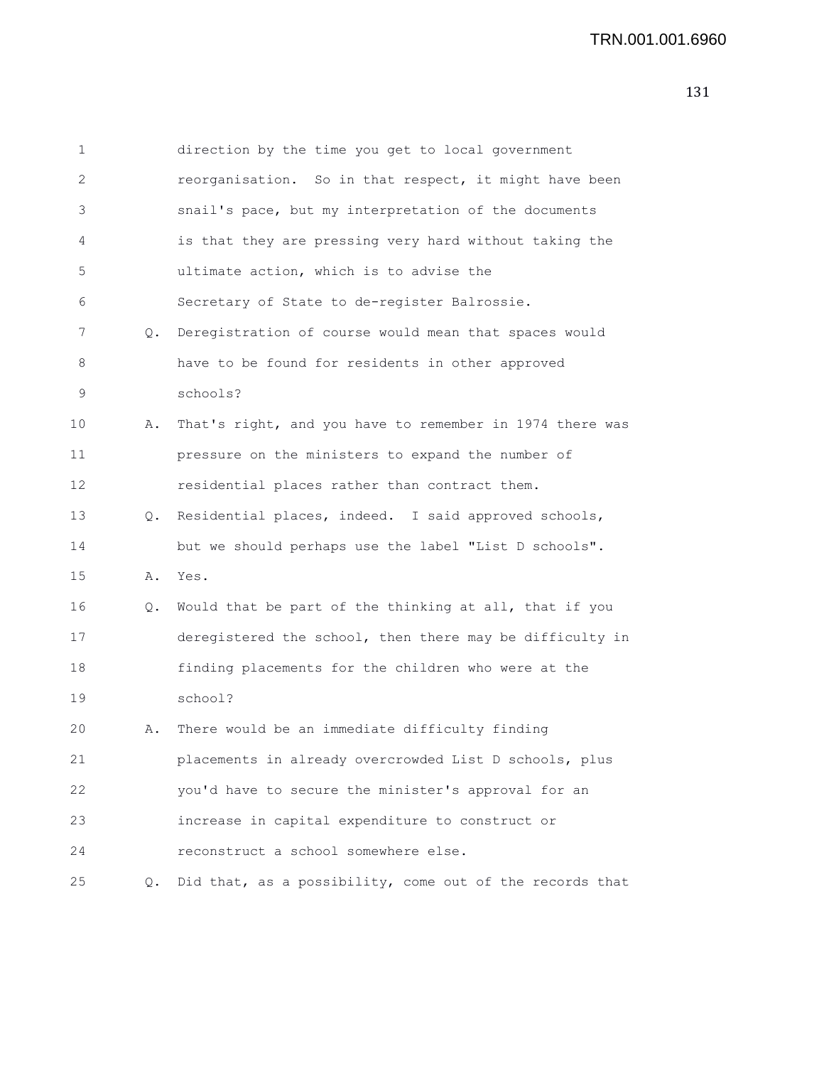| 1  |    | direction by the time you get to local government        |
|----|----|----------------------------------------------------------|
| 2  |    | reorganisation. So in that respect, it might have been   |
| 3  |    | snail's pace, but my interpretation of the documents     |
| 4  |    | is that they are pressing very hard without taking the   |
| 5  |    | ultimate action, which is to advise the                  |
| 6  |    | Secretary of State to de-register Balrossie.             |
| 7  | Q. | Deregistration of course would mean that spaces would    |
| 8  |    | have to be found for residents in other approved         |
| 9  |    | schools?                                                 |
| 10 | Α. | That's right, and you have to remember in 1974 there was |
| 11 |    | pressure on the ministers to expand the number of        |
| 12 |    | residential places rather than contract them.            |
| 13 | Q. | Residential places, indeed. I said approved schools,     |
| 14 |    | but we should perhaps use the label "List D schools".    |
| 15 | Α. | Yes.                                                     |
| 16 | Q. | Would that be part of the thinking at all, that if you   |
| 17 |    | deregistered the school, then there may be difficulty in |
| 18 |    | finding placements for the children who were at the      |
| 19 |    | school?                                                  |
| 20 | Α. | There would be an immediate difficulty finding           |
| 21 |    | placements in already overcrowded List D schools, plus   |
| 22 |    | you'd have to secure the minister's approval for an      |
| 23 |    | increase in capital expenditure to construct or          |
| 24 |    | reconstruct a school somewhere else.                     |
| 25 | Q. | Did that, as a possibility, come out of the records that |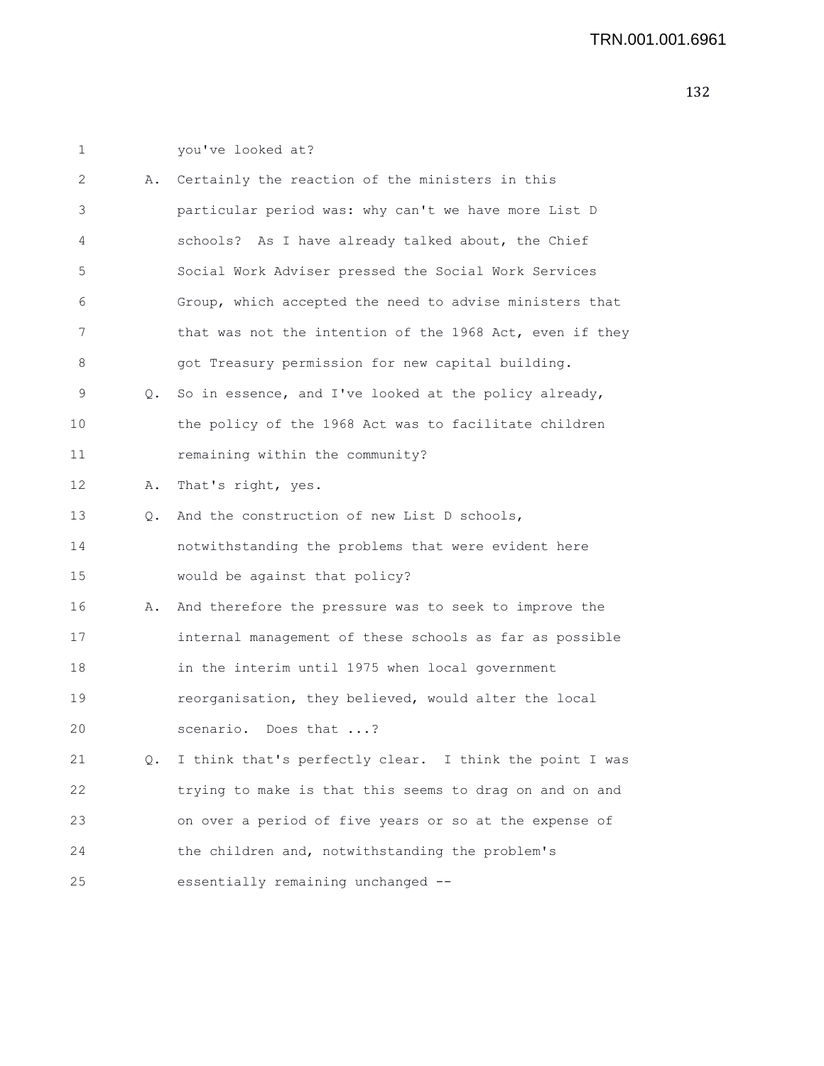| 1 |  |  |  |
|---|--|--|--|
|   |  |  |  |

1 you've looked at?

| 2  | Α. | Certainly the reaction of the ministers in this          |
|----|----|----------------------------------------------------------|
| 3  |    | particular period was: why can't we have more List D     |
| 4  |    | schools? As I have already talked about, the Chief       |
| 5  |    | Social Work Adviser pressed the Social Work Services     |
| 6  |    | Group, which accepted the need to advise ministers that  |
| 7  |    | that was not the intention of the 1968 Act, even if they |
| 8  |    | got Treasury permission for new capital building.        |
| 9  | Q. | So in essence, and I've looked at the policy already,    |
| 10 |    | the policy of the 1968 Act was to facilitate children    |
| 11 |    | remaining within the community?                          |
| 12 | Α. | That's right, yes.                                       |
| 13 | Q. | And the construction of new List D schools,              |
| 14 |    | notwithstanding the problems that were evident here      |
| 15 |    | would be against that policy?                            |
| 16 | Α. | And therefore the pressure was to seek to improve the    |
| 17 |    | internal management of these schools as far as possible  |
| 18 |    | in the interim until 1975 when local government          |
| 19 |    | reorganisation, they believed, would alter the local     |
| 20 |    | scenario. Does that ?                                    |
| 21 | Q. | I think that's perfectly clear. I think the point I was  |
| 22 |    | trying to make is that this seems to drag on and on and  |
| 23 |    | on over a period of five years or so at the expense of   |
| 24 |    | the children and, notwithstanding the problem's          |
| 25 |    | essentially remaining unchanged --                       |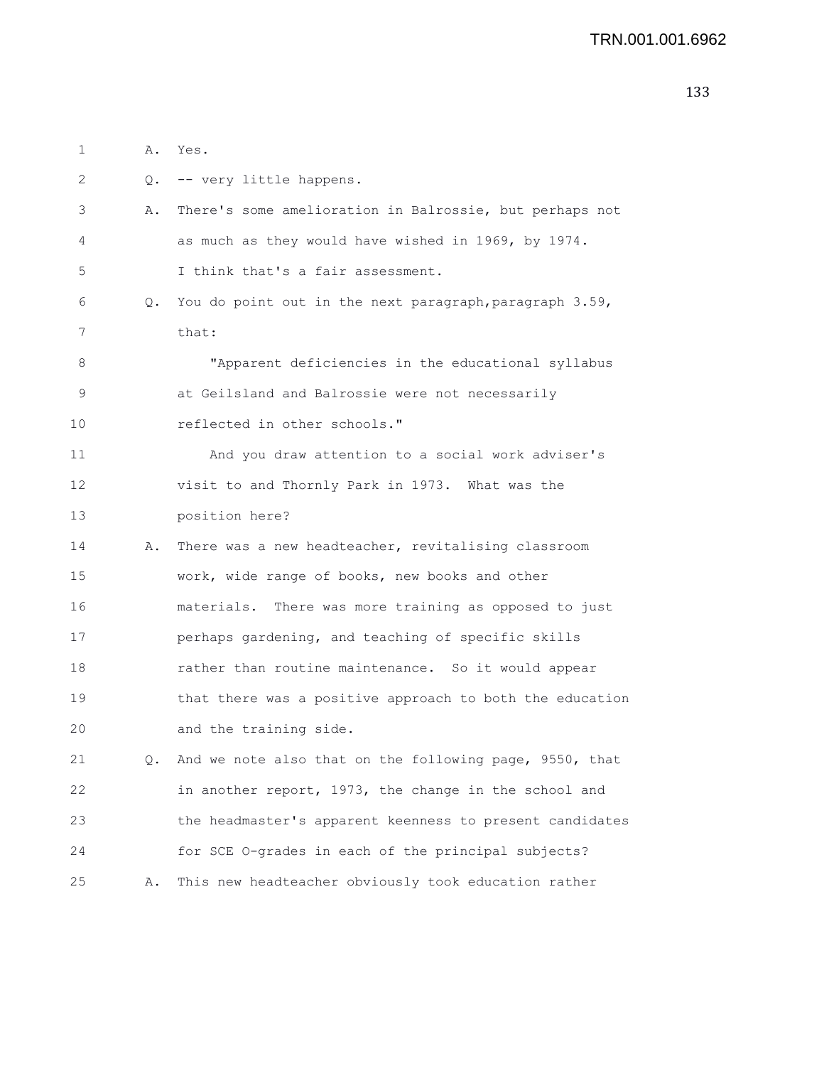1 A. Yes. 2 Q. -- very little happens. 3 A. There's some amelioration in Balrossie, but perhaps not 4 as much as they would have wished in 1969, by 1974. 5 I think that's a fair assessment. 6 Q. You do point out in the next paragraph,paragraph 3.59, 7 that: 8 "Apparent deficiencies in the educational syllabus 9 at Geilsland and Balrossie were not necessarily 10 reflected in other schools." 11 And you draw attention to a social work adviser's 12 visit to and Thornly Park in 1973. What was the 13 position here? 14 A. There was a new headteacher, revitalising classroom 15 work, wide range of books, new books and other 16 materials. There was more training as opposed to just 17 perhaps gardening, and teaching of specific skills 18 rather than routine maintenance. So it would appear 19 that there was a positive approach to both the education 20 and the training side. 21 Q. And we note also that on the following page, 9550, that 22 in another report, 1973, the change in the school and 23 the headmaster's apparent keenness to present candidates 24 for SCE O-grades in each of the principal subjects? 25 A. This new headteacher obviously took education rather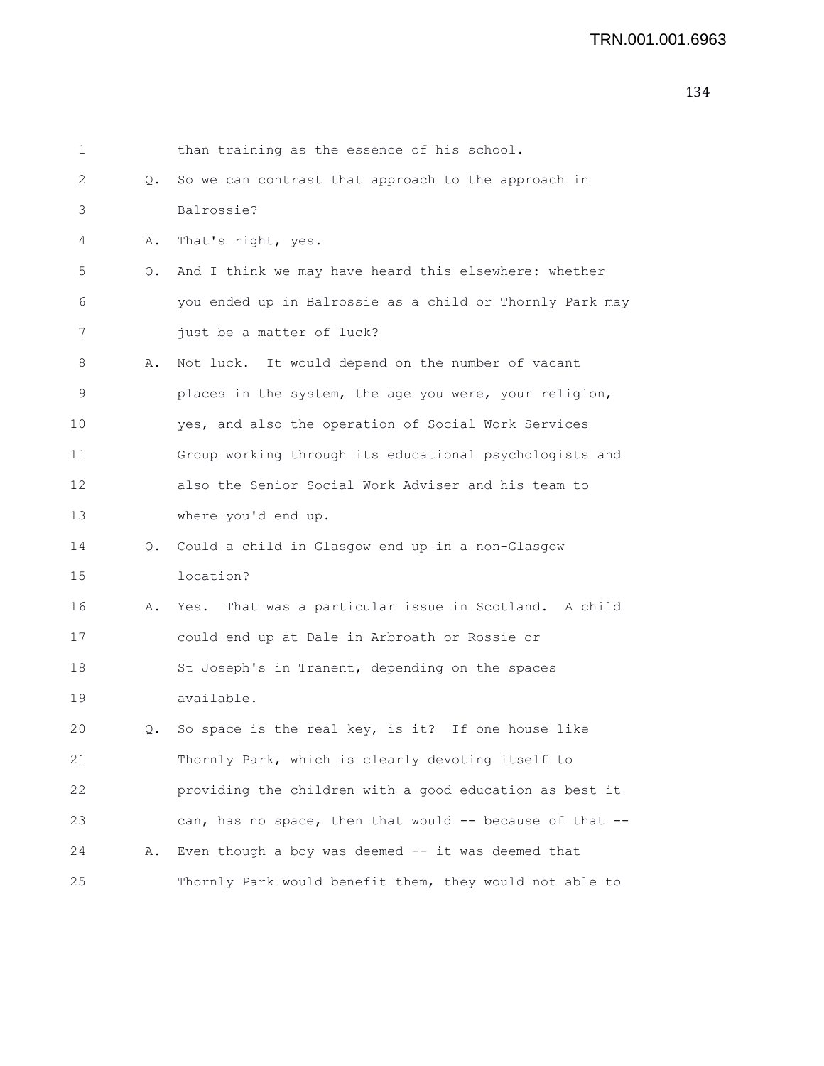| 1  |    | than training as the essence of his school.              |
|----|----|----------------------------------------------------------|
| 2  | Q. | So we can contrast that approach to the approach in      |
| 3  |    | Balrossie?                                               |
| 4  | Α. | That's right, yes.                                       |
| 5  | Q. | And I think we may have heard this elsewhere: whether    |
| 6  |    | you ended up in Balrossie as a child or Thornly Park may |
| 7  |    | just be a matter of luck?                                |
| 8  | Α. | Not luck. It would depend on the number of vacant        |
| 9  |    | places in the system, the age you were, your religion,   |
| 10 |    | yes, and also the operation of Social Work Services      |
| 11 |    | Group working through its educational psychologists and  |
| 12 |    | also the Senior Social Work Adviser and his team to      |
| 13 |    | where you'd end up.                                      |
| 14 | Q. | Could a child in Glasgow end up in a non-Glasgow         |
| 15 |    | location?                                                |
| 16 | Α. | That was a particular issue in Scotland. A child<br>Yes. |
| 17 |    | could end up at Dale in Arbroath or Rossie or            |
| 18 |    | St Joseph's in Tranent, depending on the spaces          |
| 19 |    | available.                                               |
| 20 | Q. | So space is the real key, is it? If one house like       |
| 21 |    | Thornly Park, which is clearly devoting itself to        |
| 22 |    | providing the children with a good education as best it  |
| 23 |    | can, has no space, then that would -- because of that -- |
| 24 | Α. | Even though a boy was deemed $--$ it was deemed that     |
| 25 |    | Thornly Park would benefit them, they would not able to  |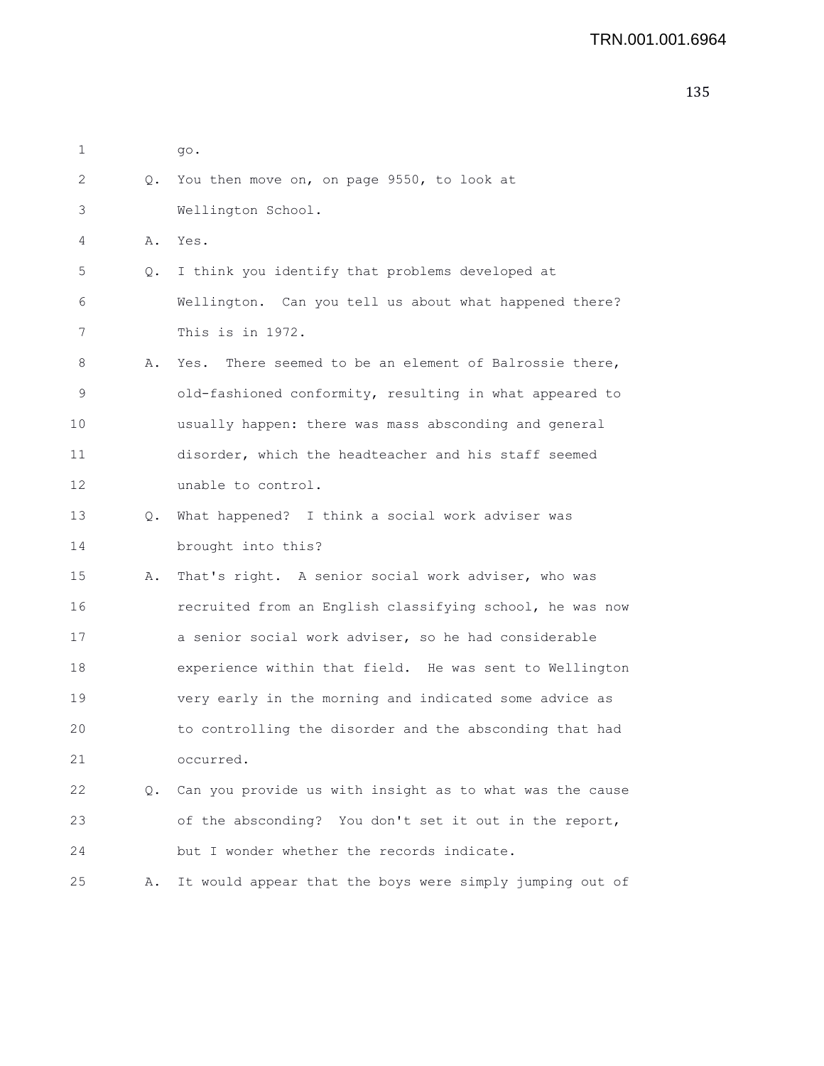| 1  |    | go.                                                      |
|----|----|----------------------------------------------------------|
| 2  | Q. | You then move on, on page 9550, to look at               |
| 3  |    | Wellington School.                                       |
| 4  | Α. | Yes.                                                     |
| 5  | Q. | I think you identify that problems developed at          |
| 6  |    | Wellington. Can you tell us about what happened there?   |
| 7  |    | This is in 1972.                                         |
| 8  | Α. | Yes. There seemed to be an element of Balrossie there,   |
| 9  |    | old-fashioned conformity, resulting in what appeared to  |
| 10 |    | usually happen: there was mass absconding and general    |
| 11 |    | disorder, which the headteacher and his staff seemed     |
| 12 |    | unable to control.                                       |
| 13 | Q. | What happened? I think a social work adviser was         |
| 14 |    | brought into this?                                       |
| 15 | Α. | That's right. A senior social work adviser, who was      |
| 16 |    | recruited from an English classifying school, he was now |
| 17 |    | a senior social work adviser, so he had considerable     |
| 18 |    | experience within that field. He was sent to Wellington  |
| 19 |    | very early in the morning and indicated some advice as   |
| 20 |    | to controlling the disorder and the absconding that had  |
| 21 |    | occurred.                                                |
| 22 | Q. | Can you provide us with insight as to what was the cause |
| 23 |    | of the absconding? You don't set it out in the report,   |
| 24 |    | but I wonder whether the records indicate.               |
| 25 | Α. | It would appear that the boys were simply jumping out of |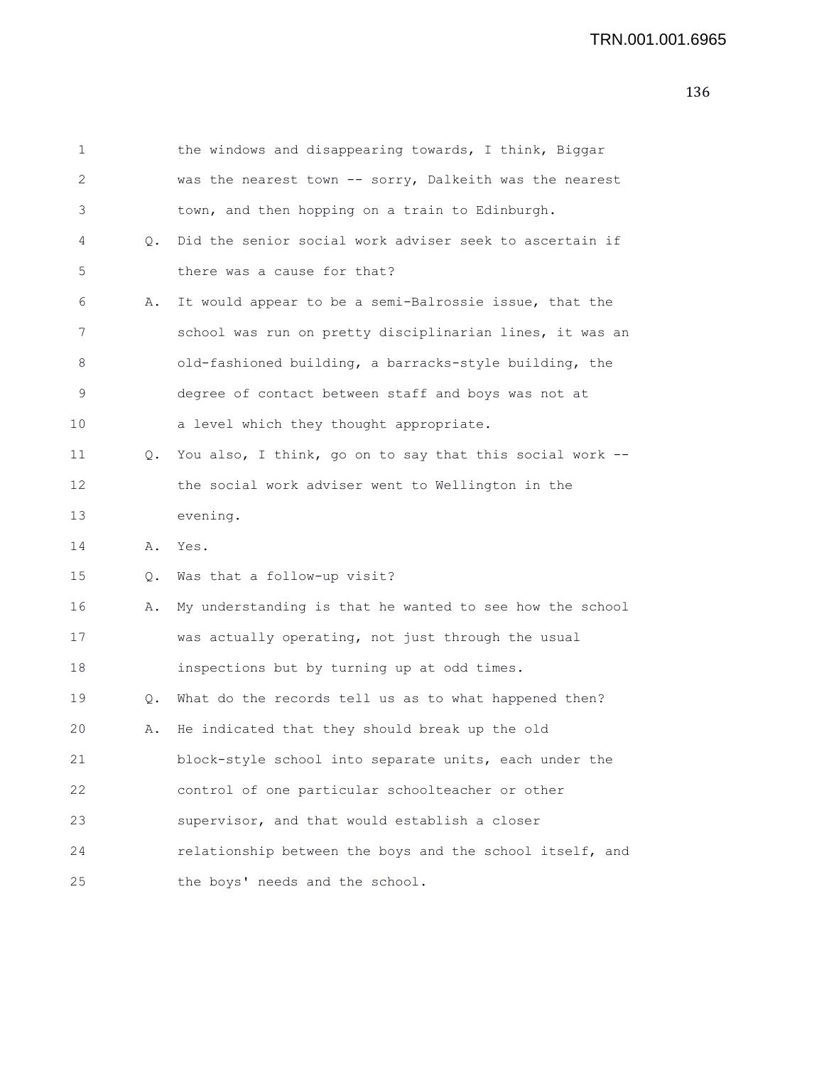```
1 the windows and disappearing towards, I think, Biggar
2 was the nearest town -- sorry, Dalkeith was the nearest
3 town, and then hopping on a train to Edinburgh.
4 Q. Did the senior social work adviser seek to ascertain if
5 there was a cause for that?
6 A. It would appear to be a semi-Balrossie issue, that the
7 school was run on pretty disciplinarian lines, it was an
8 old-fashioned building, a barracks-style building, the
9 degree of contact between staff and boys was not at
10 a level which they thought appropriate.
11 Q. You also, I think, go on to say that this social work --
12 the social work adviser went to Wellington in the
13 evening.
14 A. Yes.
15 Q. Was that a follow-up visit?
16 A. My understanding is that he wanted to see how the school
17 was actually operating, not just through the usual
18 inspections but by turning up at odd times.
19 Q. What do the records tell us as to what happened then?
20 A. He indicated that they should break up the old
21 block-style school into separate units, each under the
22 control of one particular schoolteacher or other
23 supervisor, and that would establish a closer
24 relationship between the boys and the school itself, and
25 the boys' needs and the school.
```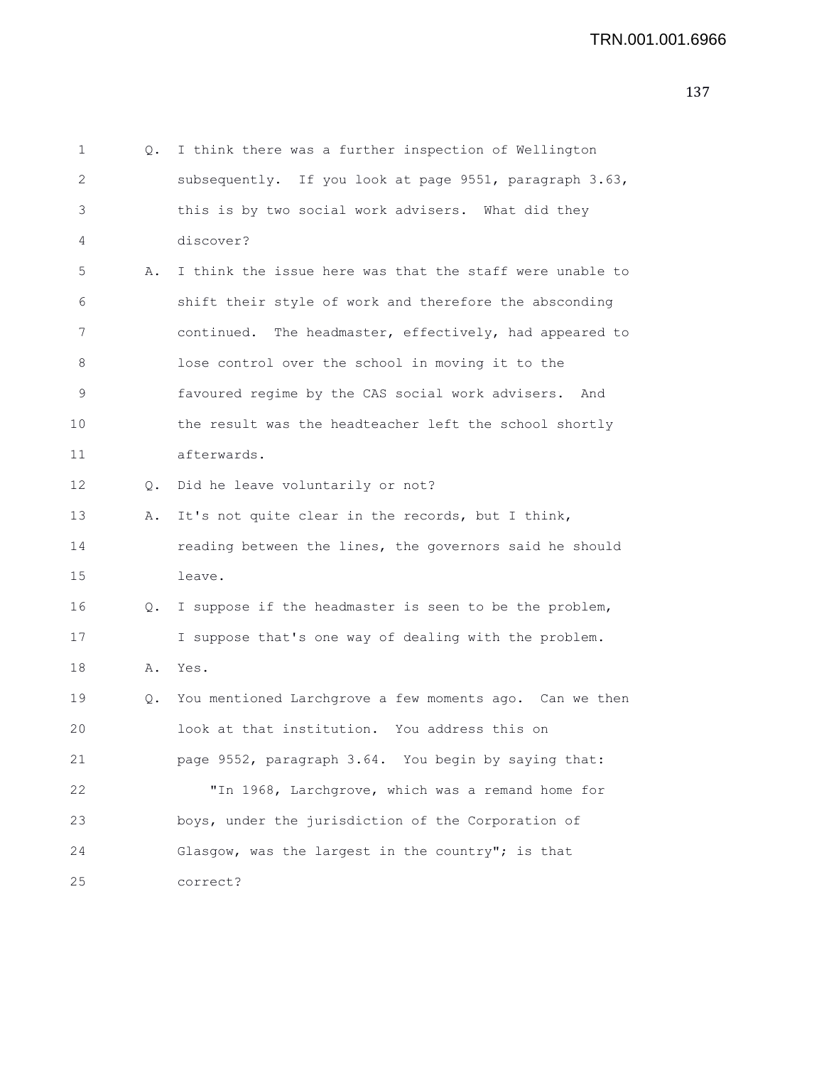1 Q. I think there was a further inspection of Wellington 2 subsequently. If you look at page 9551, paragraph 3.63, 3 this is by two social work advisers. What did they 4 discover? 5 A. I think the issue here was that the staff were unable to 6 shift their style of work and therefore the absconding 7 continued. The headmaster, effectively, had appeared to 8 lose control over the school in moving it to the 9 favoured regime by the CAS social work advisers. And 10 the result was the headteacher left the school shortly 11 afterwards. 12 Q. Did he leave voluntarily or not? 13 A. It's not quite clear in the records, but I think, 14 reading between the lines, the governors said he should 15 leave. 16 Q. I suppose if the headmaster is seen to be the problem, 17 I suppose that's one way of dealing with the problem. 18 A. Yes. 19 Q. You mentioned Larchgrove a few moments ago. Can we then 20 look at that institution. You address this on 21 page 9552, paragraph 3.64. You begin by saying that: 22 "In 1968, Larchgrove, which was a remand home for 23 boys, under the jurisdiction of the Corporation of 24 Glasgow, was the largest in the country"; is that 25 correct?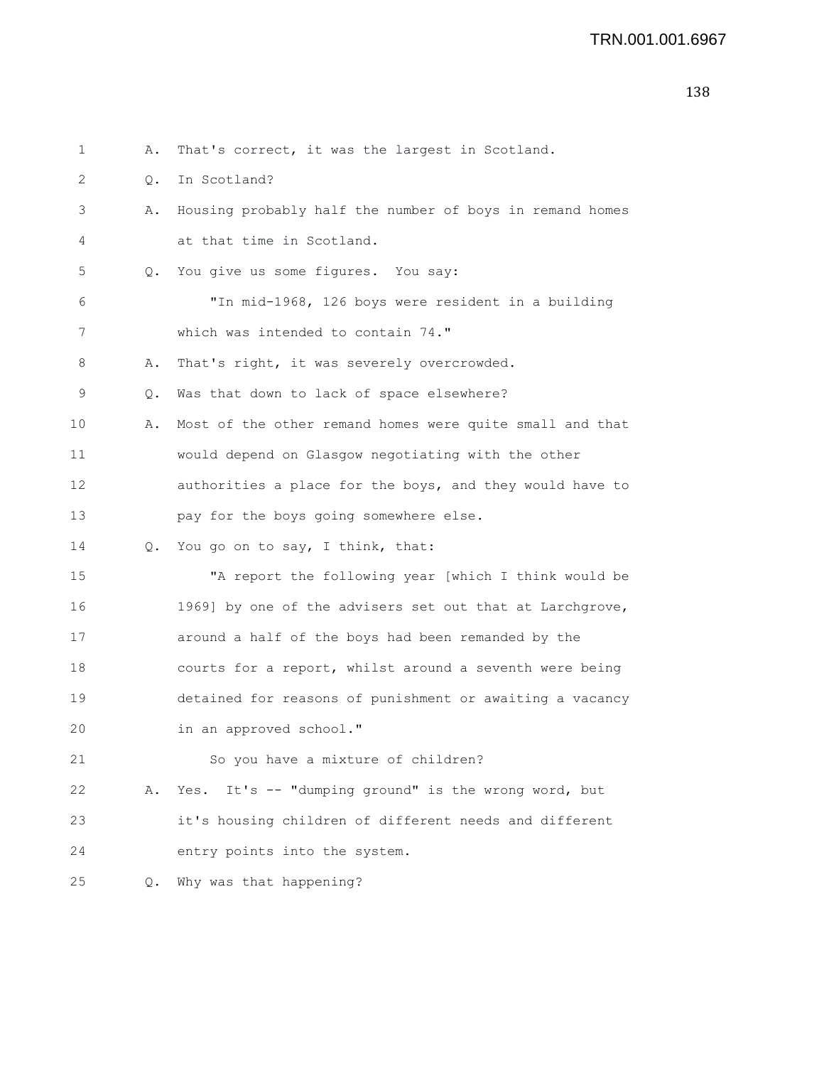| 1  | Α.            | That's correct, it was the largest in Scotland.          |
|----|---------------|----------------------------------------------------------|
| 2  | $Q_{\bullet}$ | In Scotland?                                             |
| 3  | Α.            | Housing probably half the number of boys in remand homes |
| 4  |               | at that time in Scotland.                                |
| 5  | Q.            | You give us some figures. You say:                       |
| 6  |               | "In mid-1968, 126 boys were resident in a building       |
| 7  |               | which was intended to contain 74."                       |
| 8  | Α.            | That's right, it was severely overcrowded.               |
| 9  | Q.            | Was that down to lack of space elsewhere?                |
| 10 | Α.            | Most of the other remand homes were quite small and that |
| 11 |               | would depend on Glasgow negotiating with the other       |
| 12 |               | authorities a place for the boys, and they would have to |
| 13 |               | pay for the boys going somewhere else.                   |
| 14 | Q.            | You go on to say, I think, that:                         |
| 15 |               | "A report the following year [which I think would be     |
| 16 |               | 1969] by one of the advisers set out that at Larchgrove, |
| 17 |               | around a half of the boys had been remanded by the       |
| 18 |               | courts for a report, whilst around a seventh were being  |
| 19 |               | detained for reasons of punishment or awaiting a vacancy |
| 20 |               | in an approved school."                                  |
| 21 |               | So you have a mixture of children?                       |
| 22 | Α.            | It's -- "dumping ground" is the wrong word, but<br>Yes.  |
| 23 |               | it's housing children of different needs and different   |
| 24 |               | entry points into the system.                            |
| 25 | Q.            | Why was that happening?                                  |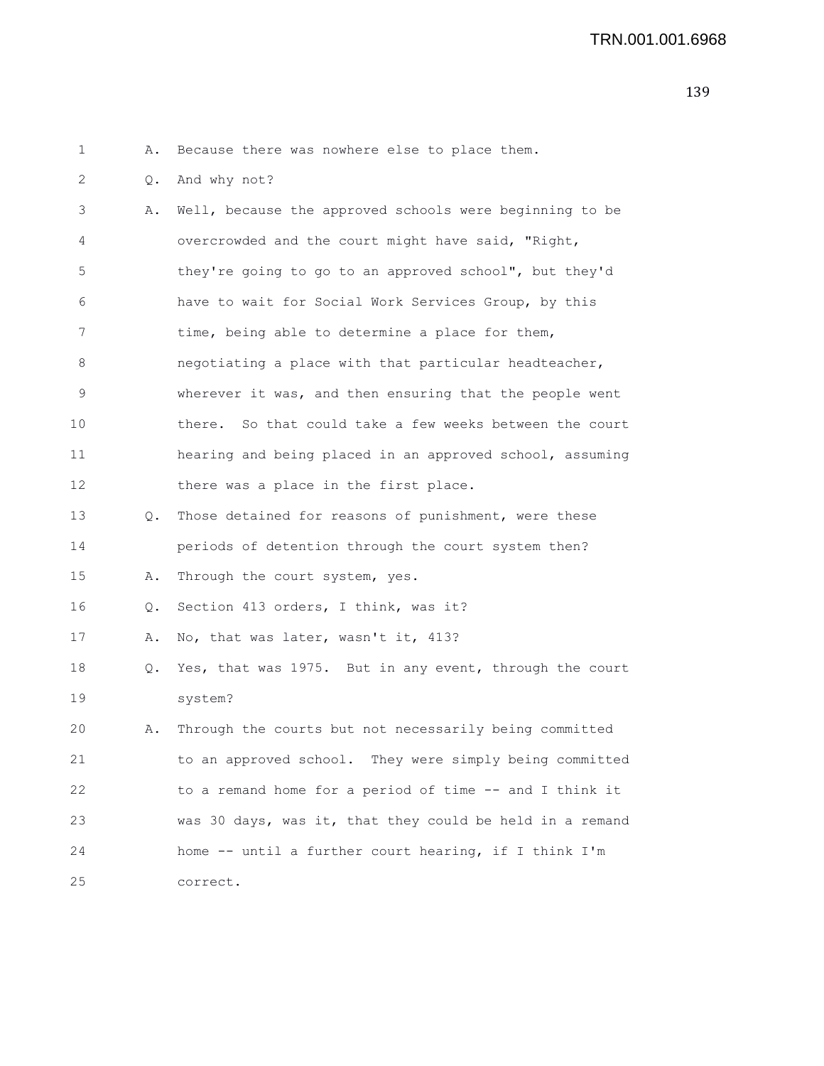1 A. Because there was nowhere else to place them.

2 Q. And why not?

3 A. Well, because the approved schools were beginning to be 4 overcrowded and the court might have said, "Right, 5 they're going to go to an approved school", but they'd 6 have to wait for Social Work Services Group, by this 7 time, being able to determine a place for them, 8 negotiating a place with that particular headteacher, 9 wherever it was, and then ensuring that the people went 10 there. So that could take a few weeks between the court 11 hearing and being placed in an approved school, assuming 12 there was a place in the first place. 13 Q. Those detained for reasons of punishment, were these 14 periods of detention through the court system then? 15 A. Through the court system, yes. 16 Q. Section 413 orders, I think, was it? 17 A. No, that was later, wasn't it, 413? 18 Q. Yes, that was 1975. But in any event, through the court 19 system? 20 A. Through the courts but not necessarily being committed 21 to an approved school. They were simply being committed 22 to a remand home for a period of time -- and I think it 23 was 30 days, was it, that they could be held in a remand 24 home -- until a further court hearing, if I think I'm 25 correct.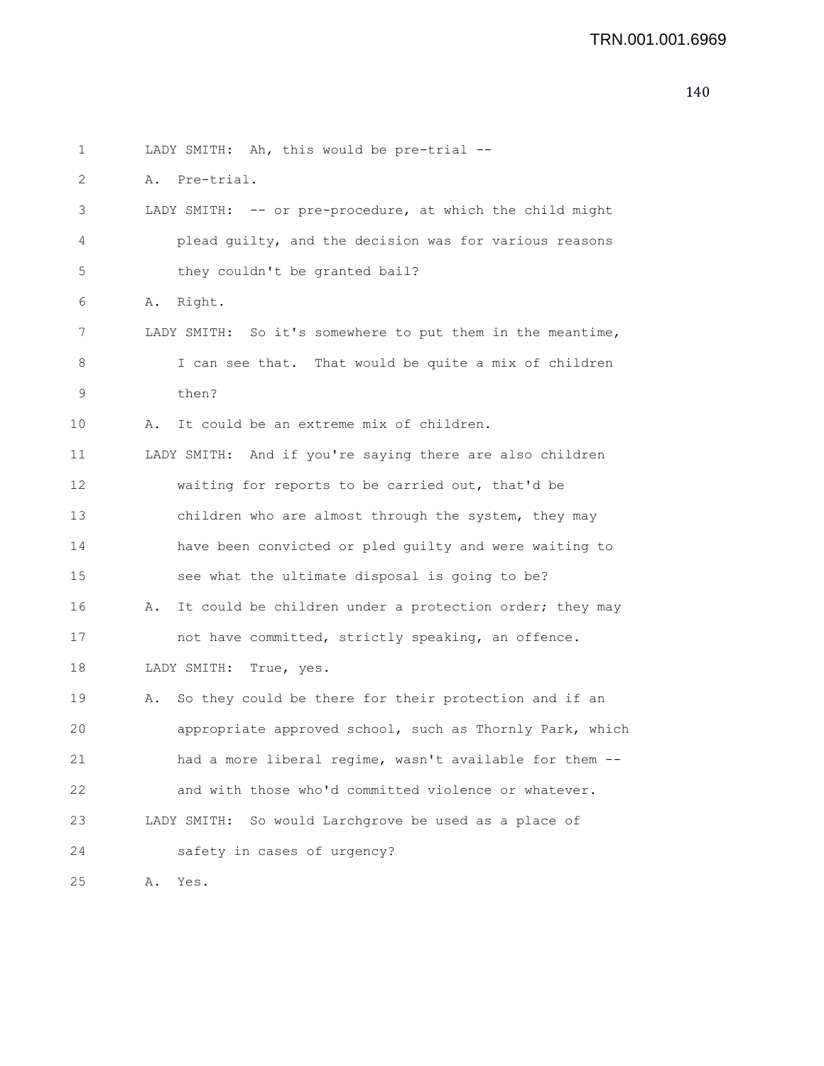```
1 LADY SMITH: Ah, this would be pre-trial --
2 A. Pre-trial.
3 LADY SMITH: -- or pre-procedure, at which the child might
4 plead guilty, and the decision was for various reasons
5 they couldn't be granted bail?
6 A. Right.
7 LADY SMITH: So it's somewhere to put them in the meantime,
8 I can see that. That would be quite a mix of children
9 then?
10 A. It could be an extreme mix of children.
11 LADY SMITH: And if you're saying there are also children
12 waiting for reports to be carried out, that'd be
13 children who are almost through the system, they may
14 have been convicted or pled guilty and were waiting to
15 see what the ultimate disposal is going to be?
16 A. It could be children under a protection order; they may
17 not have committed, strictly speaking, an offence.
18 LADY SMITH: True, yes.
19 A. So they could be there for their protection and if an
20 appropriate approved school, such as Thornly Park, which
21 had a more liberal regime, wasn't available for them --
22 and with those who'd committed violence or whatever.
23 LADY SMITH: So would Larchgrove be used as a place of
24 safety in cases of urgency?
25 A. Yes.
```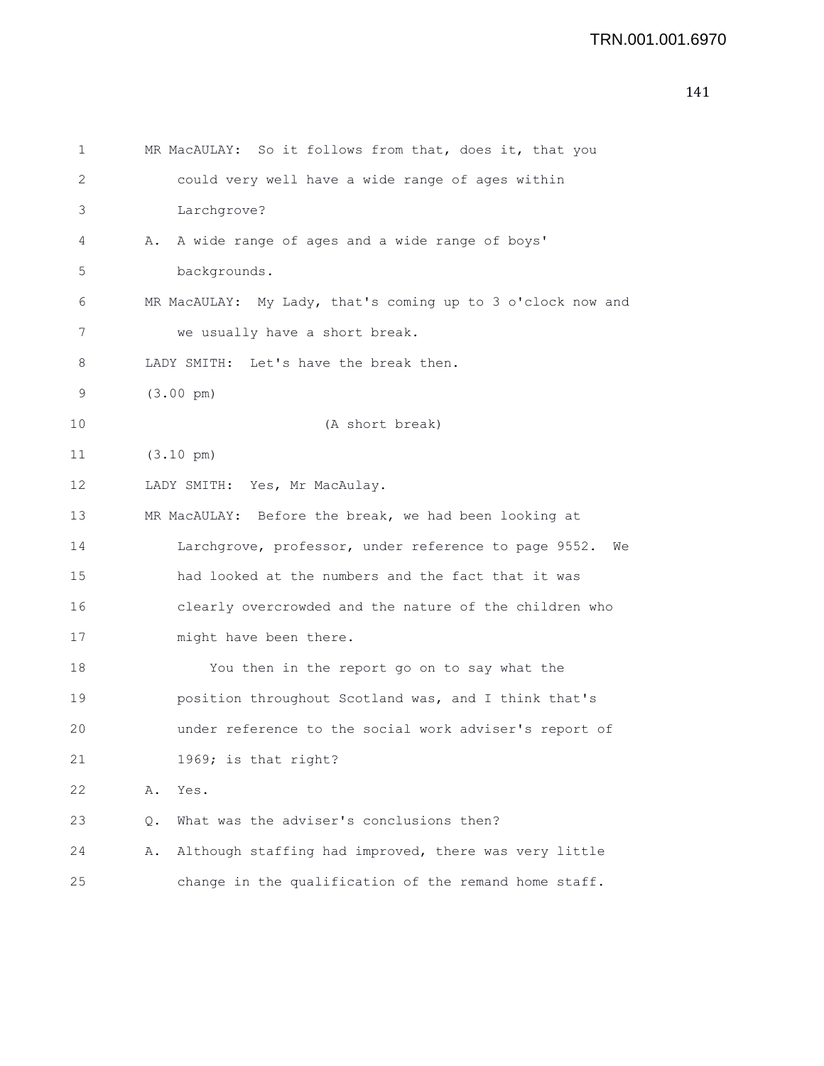```
141
```

| 1  | MR MacAULAY: So it follows from that, does it, that you     |
|----|-------------------------------------------------------------|
| 2  | could very well have a wide range of ages within            |
| 3  | Larchgrove?                                                 |
| 4  | A wide range of ages and a wide range of boys'<br>Α.        |
| 5  | backgrounds.                                                |
| 6  | MR MacAULAY: My Lady, that's coming up to 3 o'clock now and |
| 7  | we usually have a short break.                              |
| 8  | LADY SMITH: Let's have the break then.                      |
| 9  | $(3.00 \text{ pm})$                                         |
| 10 | (A short break)                                             |
| 11 | $(3.10 \text{ pm})$                                         |
| 12 | LADY SMITH: Yes, Mr MacAulay.                               |
| 13 | MR MacAULAY: Before the break, we had been looking at       |
| 14 | Larchgrove, professor, under reference to page 9552.<br>We  |
| 15 | had looked at the numbers and the fact that it was          |
| 16 | clearly overcrowded and the nature of the children who      |
| 17 | might have been there.                                      |
| 18 | You then in the report go on to say what the                |
| 19 | position throughout Scotland was, and I think that's        |
| 20 | under reference to the social work adviser's report of      |
| 21 | 1969; is that right?                                        |
| 22 | Α.<br>Yes.                                                  |
| 23 | What was the adviser's conclusions then?<br>Q.              |
| 24 | Although staffing had improved, there was very little<br>Α. |
| 25 | change in the qualification of the remand home staff.       |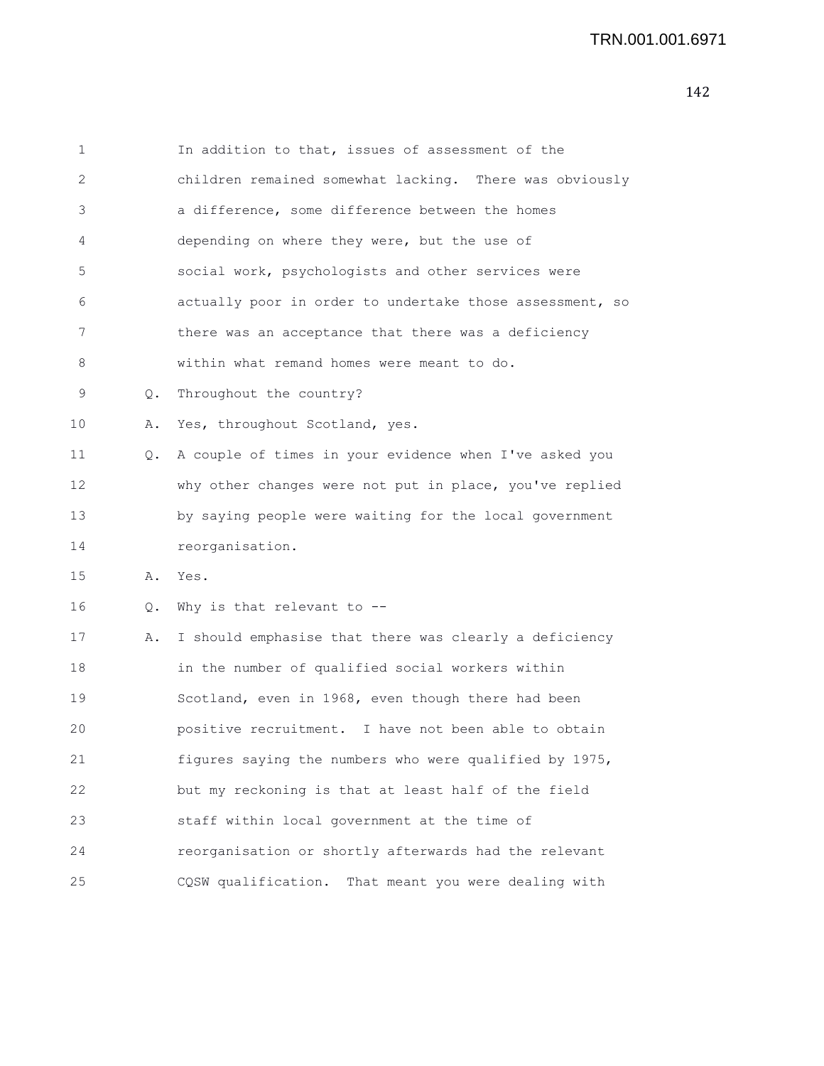| 1  |    | In addition to that, issues of assessment of the         |
|----|----|----------------------------------------------------------|
| 2  |    | children remained somewhat lacking. There was obviously  |
| 3  |    | a difference, some difference between the homes          |
| 4  |    | depending on where they were, but the use of             |
| 5  |    | social work, psychologists and other services were       |
| 6  |    | actually poor in order to undertake those assessment, so |
| 7  |    | there was an acceptance that there was a deficiency      |
| 8  |    | within what remand homes were meant to do.               |
| 9  | О. | Throughout the country?                                  |
| 10 | Α. | Yes, throughout Scotland, yes.                           |
| 11 | Q. | A couple of times in your evidence when I've asked you   |
| 12 |    | why other changes were not put in place, you've replied  |
| 13 |    | by saying people were waiting for the local government   |
| 14 |    | reorganisation.                                          |
| 15 | Α. | Yes.                                                     |
| 16 | Q. | Why is that relevant to --                               |
| 17 | Α. | I should emphasise that there was clearly a deficiency   |
| 18 |    | in the number of qualified social workers within         |
| 19 |    | Scotland, even in 1968, even though there had been       |
| 20 |    | positive recruitment. I have not been able to obtain     |
| 21 |    | figures saying the numbers who were qualified by 1975,   |
| 22 |    | but my reckoning is that at least half of the field      |
| 23 |    | staff within local government at the time of             |
| 24 |    | reorganisation or shortly afterwards had the relevant    |
| 25 |    | CQSW qualification. That meant you were dealing with     |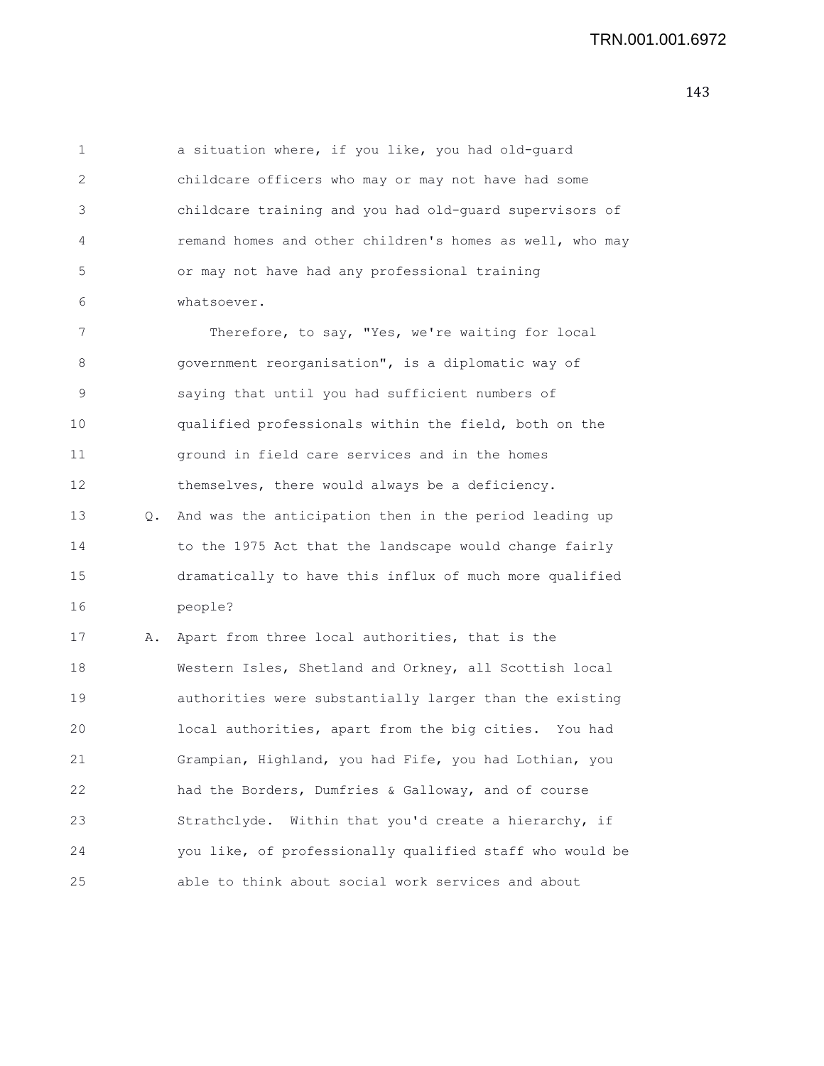1 a situation where, if you like, you had old-guard 2 childcare officers who may or may not have had some 3 childcare training and you had old-guard supervisors of 4 remand homes and other children's homes as well, who may 5 or may not have had any professional training 6 whatsoever.

7 Therefore, to say, "Yes, we're waiting for local 8 government reorganisation", is a diplomatic way of 9 saying that until you had sufficient numbers of 10 qualified professionals within the field, both on the 11 ground in field care services and in the homes 12 themselves, there would always be a deficiency.

13 Q. And was the anticipation then in the period leading up 14 to the 1975 Act that the landscape would change fairly 15 dramatically to have this influx of much more qualified 16 people?

17 A. Apart from three local authorities, that is the 18 Western Isles, Shetland and Orkney, all Scottish local 19 authorities were substantially larger than the existing 20 local authorities, apart from the big cities. You had 21 Grampian, Highland, you had Fife, you had Lothian, you 22 had the Borders, Dumfries & Galloway, and of course 23 Strathclyde. Within that you'd create a hierarchy, if 24 you like, of professionally qualified staff who would be 25 able to think about social work services and about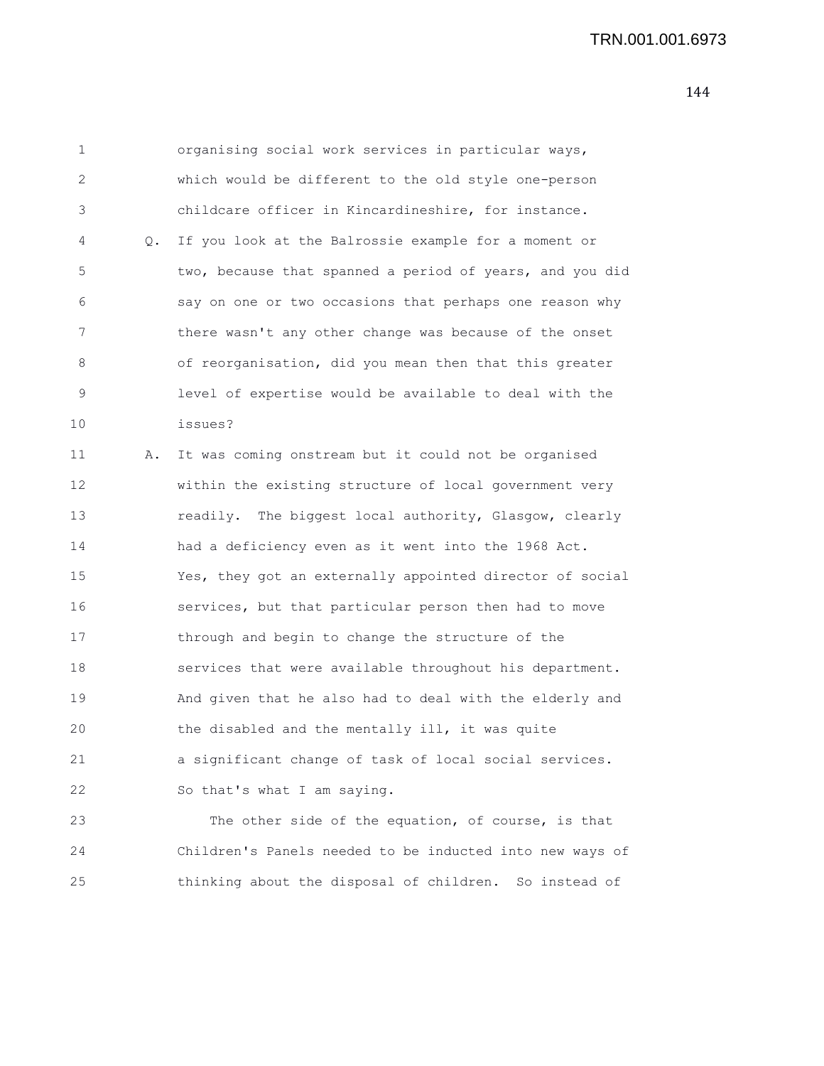| 1  |    | organising social work services in particular ways,      |
|----|----|----------------------------------------------------------|
| 2  |    | which would be different to the old style one-person     |
| 3  |    | childcare officer in Kincardineshire, for instance.      |
| 4  | Q. | If you look at the Balrossie example for a moment or     |
| 5  |    | two, because that spanned a period of years, and you did |
| 6  |    | say on one or two occasions that perhaps one reason why  |
| 7  |    | there wasn't any other change was because of the onset   |
| 8  |    | of reorganisation, did you mean then that this greater   |
| 9  |    | level of expertise would be available to deal with the   |
| 10 |    | issues?                                                  |
| 11 | Α. | It was coming onstream but it could not be organised     |
| 12 |    | within the existing structure of local government very   |
| 13 |    | readily. The biggest local authority, Glasgow, clearly   |
| 14 |    | had a deficiency even as it went into the 1968 Act.      |
| 15 |    | Yes, they got an externally appointed director of social |
| 16 |    | services, but that particular person then had to move    |
| 17 |    | through and begin to change the structure of the         |
| 18 |    | services that were available throughout his department.  |
| 19 |    | And given that he also had to deal with the elderly and  |
| 20 |    | the disabled and the mentally ill, it was quite          |
| 21 |    | a significant change of task of local social services.   |
| 22 |    | So that's what I am saying.                              |
| 23 |    | The other side of the equation, of course, is that       |
| 24 |    | Children's Panels needed to be inducted into new ways of |
| 25 |    | thinking about the disposal of children. So instead of   |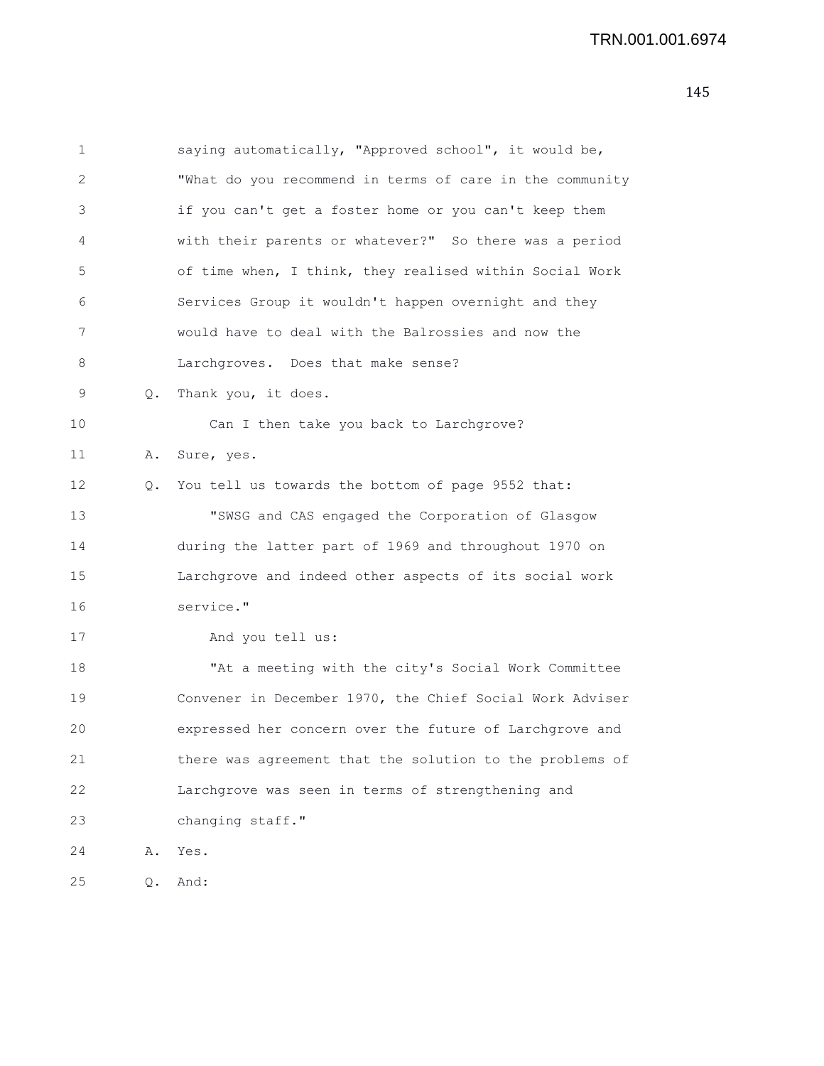| 1            |           | saying automatically, "Approved school", it would be,    |
|--------------|-----------|----------------------------------------------------------|
| $\mathbf{2}$ |           | "What do you recommend in terms of care in the community |
| 3            |           | if you can't get a foster home or you can't keep them    |
| 4            |           | with their parents or whatever?" So there was a period   |
| 5            |           | of time when, I think, they realised within Social Work  |
| 6            |           | Services Group it wouldn't happen overnight and they     |
| 7            |           | would have to deal with the Balrossies and now the       |
| 8            |           | Larchgroves. Does that make sense?                       |
| 9            | Q.        | Thank you, it does.                                      |
| 10           |           | Can I then take you back to Larchgrove?                  |
| 11           | Α.        | Sure, yes.                                               |
| 12           | $\circ$ . | You tell us towards the bottom of page 9552 that:        |
| 13           |           | "SWSG and CAS engaged the Corporation of Glasgow         |
| 14           |           | during the latter part of 1969 and throughout 1970 on    |
| 15           |           | Larchgrove and indeed other aspects of its social work   |
| 16           |           | service."                                                |
| 17           |           | And you tell us:                                         |
| 18           |           | "At a meeting with the city's Social Work Committee      |
| 19           |           | Convener in December 1970, the Chief Social Work Adviser |
| 20           |           | expressed her concern over the future of Larchgrove and  |
| 21           |           | there was agreement that the solution to the problems of |
| 22           |           | Larchgrove was seen in terms of strengthening and        |
| 23           |           | changing staff."                                         |
| 24           | Α.        | Yes.                                                     |
| 25           | Q.        | And:                                                     |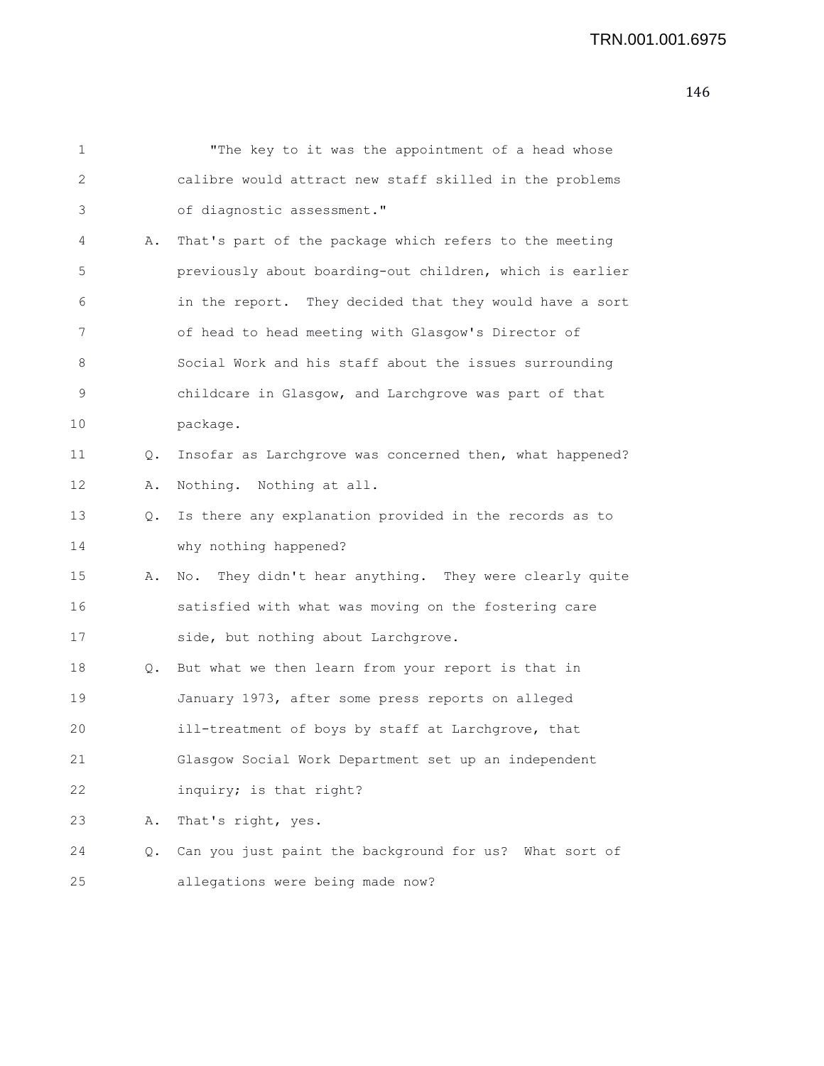| $\mathbf 1$ |           | "The key to it was the appointment of a head whose        |
|-------------|-----------|-----------------------------------------------------------|
| 2           |           | calibre would attract new staff skilled in the problems   |
| 3           |           | of diagnostic assessment."                                |
| 4           | Α.        | That's part of the package which refers to the meeting    |
| 5           |           | previously about boarding-out children, which is earlier  |
| 6           |           | in the report. They decided that they would have a sort   |
| 7           |           | of head to head meeting with Glasgow's Director of        |
| 8           |           | Social Work and his staff about the issues surrounding    |
| 9           |           | childcare in Glasgow, and Larchgrove was part of that     |
| 10          |           | package.                                                  |
| 11          | $\circ$ . | Insofar as Larchgrove was concerned then, what happened?  |
| 12          | Α.        | Nothing. Nothing at all.                                  |
| 13          | Q.        | Is there any explanation provided in the records as to    |
| 14          |           | why nothing happened?                                     |
| 15          | Α.        | They didn't hear anything. They were clearly quite<br>No. |
| 16          |           | satisfied with what was moving on the fostering care      |
| 17          |           | side, but nothing about Larchgrove.                       |
| 18          |           | Q. But what we then learn from your report is that in     |
| 19          |           | January 1973, after some press reports on alleged         |
| 20          |           | ill-treatment of boys by staff at Larchgrove, that        |
| 21          |           | Glasgow Social Work Department set up an independent      |
| 22          |           | inquiry; is that right?                                   |
| 23          | Α.        | That's right, yes.                                        |
| 24          | Q.        | Can you just paint the background for us? What sort of    |
| 25          |           | allegations were being made now?                          |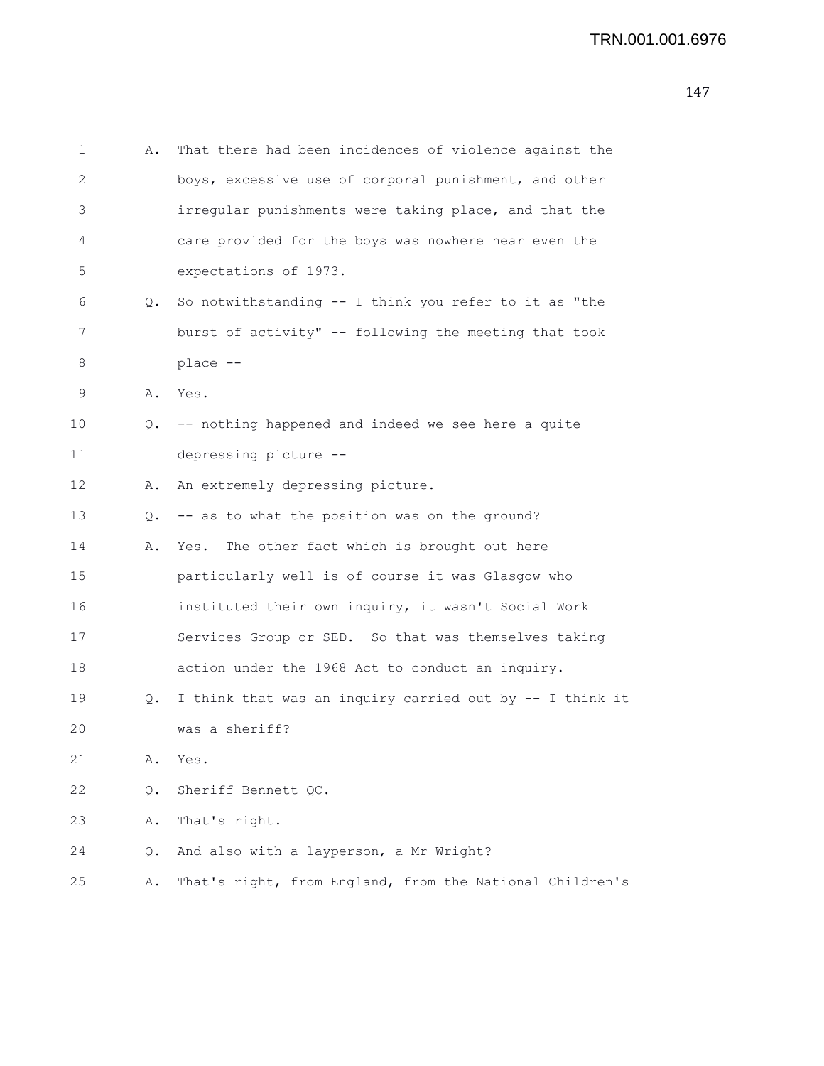| 1  | Α. | That there had been incidences of violence against the   |
|----|----|----------------------------------------------------------|
| 2  |    | boys, excessive use of corporal punishment, and other    |
| 3  |    | irregular punishments were taking place, and that the    |
| 4  |    | care provided for the boys was nowhere near even the     |
| 5  |    | expectations of 1973.                                    |
| 6  |    | Q. So notwithstanding -- I think you refer to it as "the |
| 7  |    | burst of activity" -- following the meeting that took    |
| 8  |    | place --                                                 |
| 9  |    | A. Yes.                                                  |
| 10 |    | Q. -- nothing happened and indeed we see here a quite    |
| 11 |    | depressing picture --                                    |
| 12 | Α. | An extremely depressing picture.                         |
| 13 |    | Q. -- as to what the position was on the ground?         |
| 14 | Α. | Yes. The other fact which is brought out here            |
| 15 |    | particularly well is of course it was Glasgow who        |
| 16 |    | instituted their own inquiry, it wasn't Social Work      |
| 17 |    | Services Group or SED. So that was themselves taking     |
| 18 |    | action under the 1968 Act to conduct an inquiry.         |
| 19 | Q. | I think that was an inquiry carried out by -- I think it |
| 20 |    | was a sheriff?                                           |
| 21 | Α. | Yes.                                                     |
| 22 | Q. | Sheriff Bennett QC.                                      |
| 23 | Α. | That's right.                                            |
| 24 | Q. | And also with a layperson, a Mr Wright?                  |
| 25 | Α. | That's right, from England, from the National Children's |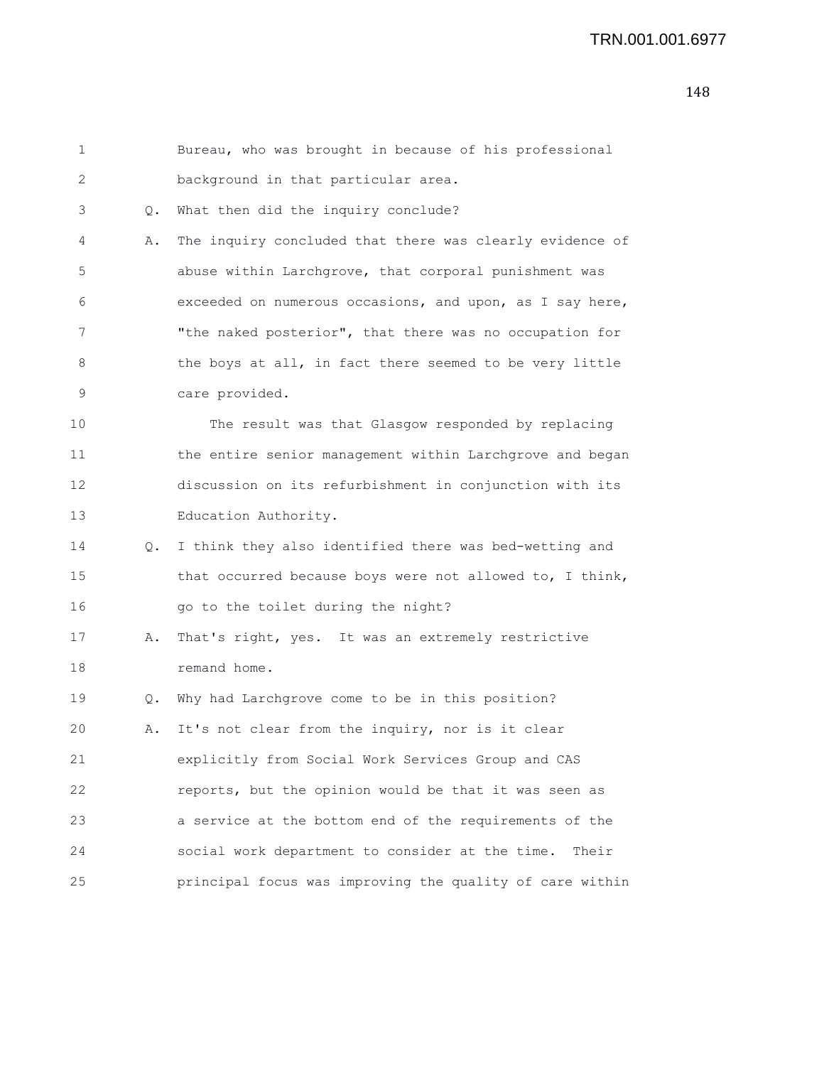| 1  |           | Bureau, who was brought in because of his professional   |
|----|-----------|----------------------------------------------------------|
| 2  |           | background in that particular area.                      |
| 3  | Q.        | What then did the inquiry conclude?                      |
| 4  | Α.        | The inquiry concluded that there was clearly evidence of |
| 5  |           | abuse within Larchgrove, that corporal punishment was    |
| 6  |           | exceeded on numerous occasions, and upon, as I say here, |
| 7  |           | "the naked posterior", that there was no occupation for  |
| 8  |           | the boys at all, in fact there seemed to be very little  |
| 9  |           | care provided.                                           |
| 10 |           | The result was that Glasgow responded by replacing       |
| 11 |           | the entire senior management within Larchgrove and began |
| 12 |           | discussion on its refurbishment in conjunction with its  |
| 13 |           | Education Authority.                                     |
| 14 | $\circ$ . | I think they also identified there was bed-wetting and   |
| 15 |           | that occurred because boys were not allowed to, I think, |
| 16 |           | go to the toilet during the night?                       |
| 17 | Α.        | That's right, yes. It was an extremely restrictive       |
| 18 |           | remand home.                                             |
| 19 | Q.        | Why had Larchgrove come to be in this position?          |
| 20 | Α.        | It's not clear from the inquiry, nor is it clear         |
| 21 |           | explicitly from Social Work Services Group and CAS       |
| 22 |           | reports, but the opinion would be that it was seen as    |
| 23 |           | a service at the bottom end of the requirements of the   |
| 24 |           | social work department to consider at the time.<br>Their |
| 25 |           | principal focus was improving the quality of care within |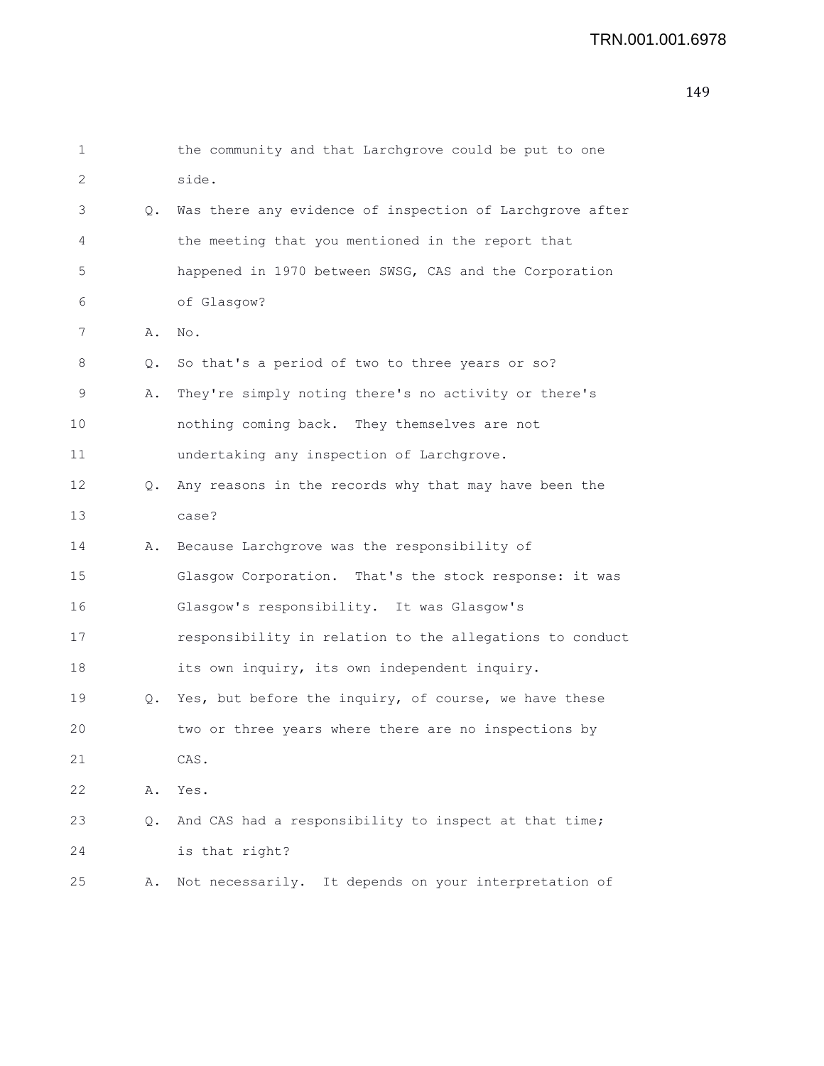```
1 the community and that Larchgrove could be put to one
2 side.
3 Q. Was there any evidence of inspection of Larchgrove after
4 the meeting that you mentioned in the report that
5 happened in 1970 between SWSG, CAS and the Corporation
6 of Glasgow?
7 A. No.
8 Q. So that's a period of two to three years or so?
9 A. They're simply noting there's no activity or there's
10 nothing coming back. They themselves are not
11 undertaking any inspection of Larchgrove.
12 Q. Any reasons in the records why that may have been the
13 case?
14 A. Because Larchgrove was the responsibility of
15 Glasgow Corporation. That's the stock response: it was
16 Glasgow's responsibility. It was Glasgow's
17 responsibility in relation to the allegations to conduct
18 its own inquiry, its own independent inquiry.
19 Q. Yes, but before the inquiry, of course, we have these
20 two or three years where there are no inspections by
21 CAS.
22 A. Yes.
23 Q. And CAS had a responsibility to inspect at that time;
24 is that right?
25 A. Not necessarily. It depends on your interpretation of
```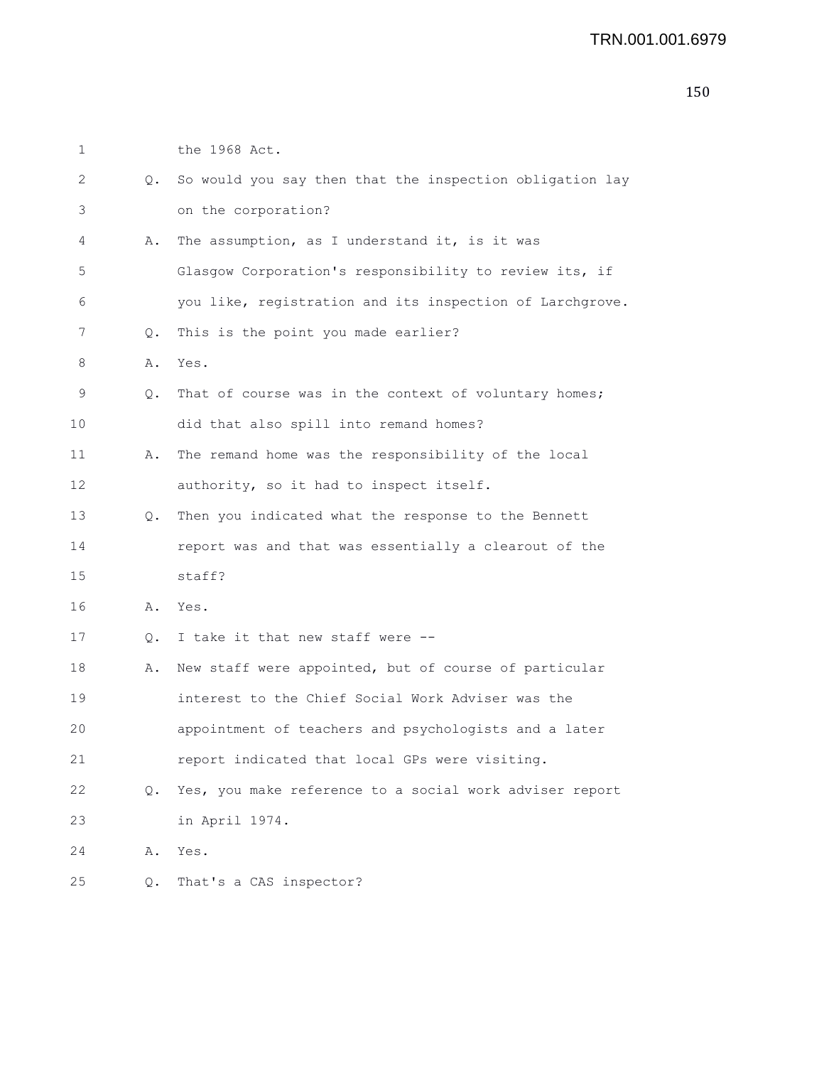| 1  |           | the 1968 Act.                                            |
|----|-----------|----------------------------------------------------------|
| 2  | $\circ$ . | So would you say then that the inspection obligation lay |
| 3  |           | on the corporation?                                      |
| 4  | Α.        | The assumption, as I understand it, is it was            |
| 5  |           | Glasgow Corporation's responsibility to review its, if   |
| 6  |           | you like, registration and its inspection of Larchgrove. |
| 7  | Q.        | This is the point you made earlier?                      |
| 8  | Α.        | Yes.                                                     |
| 9  | Q.        | That of course was in the context of voluntary homes;    |
| 10 |           | did that also spill into remand homes?                   |
| 11 | Α.        | The remand home was the responsibility of the local      |
| 12 |           | authority, so it had to inspect itself.                  |
| 13 | $\circ$ . | Then you indicated what the response to the Bennett      |
| 14 |           | report was and that was essentially a clearout of the    |
| 15 |           | staff?                                                   |
| 16 | Α.        | Yes.                                                     |
| 17 | Q.        | I take it that new staff were --                         |
| 18 | Α.        | New staff were appointed, but of course of particular    |
| 19 |           | interest to the Chief Social Work Adviser was the        |
| 20 |           | appointment of teachers and psychologists and a later    |
| 21 |           | report indicated that local GPs were visiting.           |
| 22 | $\circ$ . | Yes, you make reference to a social work adviser report  |
| 23 |           | in April 1974.                                           |
| 24 | Α.        | Yes.                                                     |
| 25 | Q.        | That's a CAS inspector?                                  |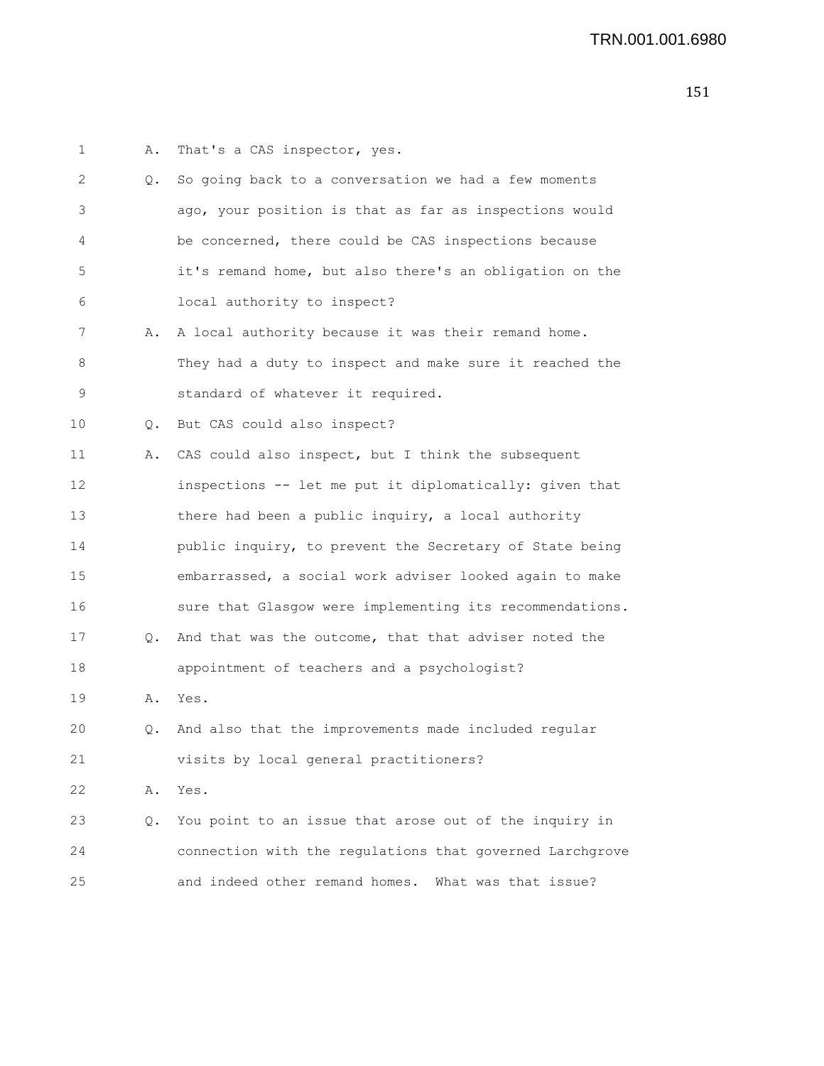| 1  | Α. | That's a CAS inspector, yes.                             |
|----|----|----------------------------------------------------------|
| 2  | Q. | So going back to a conversation we had a few moments     |
| 3  |    | ago, your position is that as far as inspections would   |
| 4  |    | be concerned, there could be CAS inspections because     |
| 5  |    | it's remand home, but also there's an obligation on the  |
| 6  |    | local authority to inspect?                              |
| 7  | Α. | A local authority because it was their remand home.      |
| 8  |    | They had a duty to inspect and make sure it reached the  |
| 9  |    | standard of whatever it required.                        |
| 10 | Q. | But CAS could also inspect?                              |
| 11 | Α. | CAS could also inspect, but I think the subsequent       |
| 12 |    | inspections -- let me put it diplomatically: given that  |
| 13 |    | there had been a public inquiry, a local authority       |
| 14 |    | public inquiry, to prevent the Secretary of State being  |
| 15 |    | embarrassed, a social work adviser looked again to make  |
| 16 |    | sure that Glasgow were implementing its recommendations. |
| 17 | Q. | And that was the outcome, that that adviser noted the    |
| 18 |    | appointment of teachers and a psychologist?              |
| 19 | Α. | Yes.                                                     |
| 20 |    | Q. And also that the improvements made included regular  |
| 21 |    | visits by local general practitioners?                   |
| 22 | Α. | Yes.                                                     |
| 23 | Q. | You point to an issue that arose out of the inquiry in   |
| 24 |    | connection with the regulations that governed Larchgrove |
| 25 |    | and indeed other remand homes. What was that issue?      |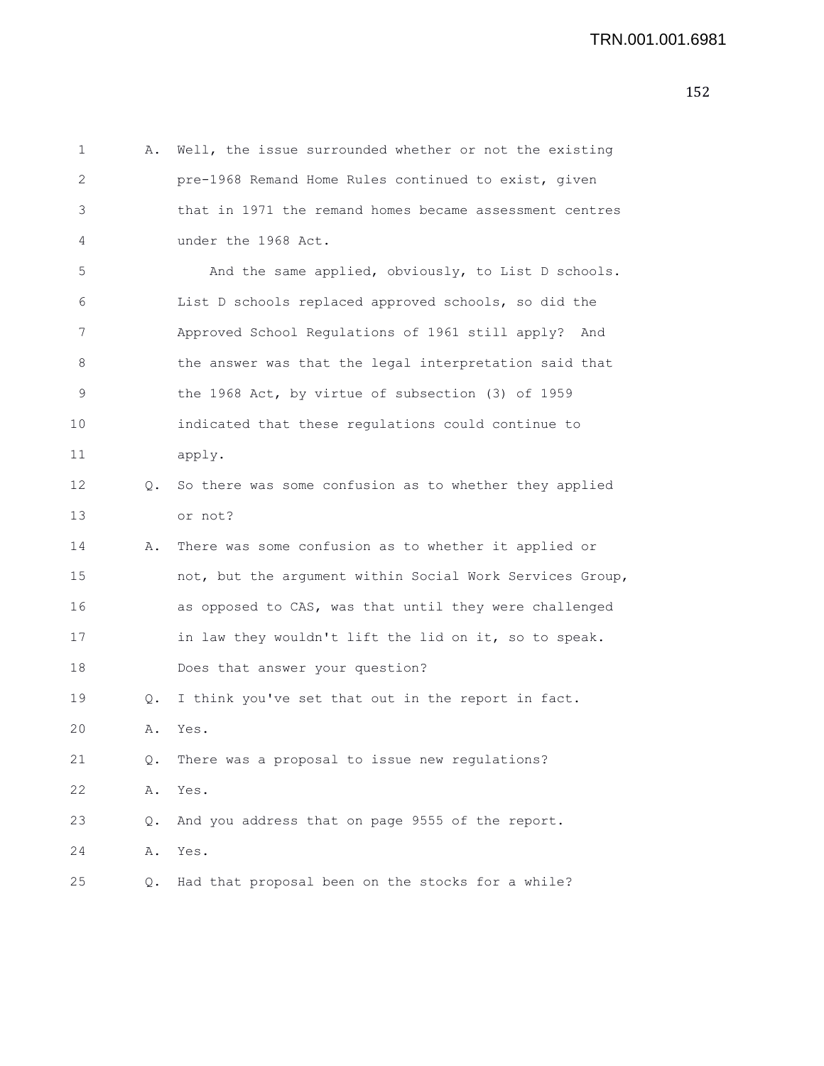| 1  | Α. | Well, the issue surrounded whether or not the existing   |
|----|----|----------------------------------------------------------|
| 2  |    | pre-1968 Remand Home Rules continued to exist, given     |
| 3  |    | that in 1971 the remand homes became assessment centres  |
| 4  |    | under the 1968 Act.                                      |
| 5  |    | And the same applied, obviously, to List D schools.      |
| 6  |    | List D schools replaced approved schools, so did the     |
| 7  |    | Approved School Regulations of 1961 still apply?<br>And  |
| 8  |    | the answer was that the legal interpretation said that   |
| 9  |    | the 1968 Act, by virtue of subsection (3) of 1959        |
| 10 |    | indicated that these regulations could continue to       |
| 11 |    | apply.                                                   |
| 12 | Q. | So there was some confusion as to whether they applied   |
| 13 |    | or not?                                                  |
| 14 | Α. | There was some confusion as to whether it applied or     |
| 15 |    | not, but the argument within Social Work Services Group, |
| 16 |    | as opposed to CAS, was that until they were challenged   |
| 17 |    | in law they wouldn't lift the lid on it, so to speak.    |
| 18 |    | Does that answer your question?                          |
| 19 | Q. | I think you've set that out in the report in fact.       |
| 20 | Α. | Yes.                                                     |
| 21 | Q. | There was a proposal to issue new regulations?           |
| 22 | Α. | Yes.                                                     |
| 23 | Q. | And you address that on page 9555 of the report.         |
| 24 | Α. | Yes.                                                     |
| 25 | Q. | Had that proposal been on the stocks for a while?        |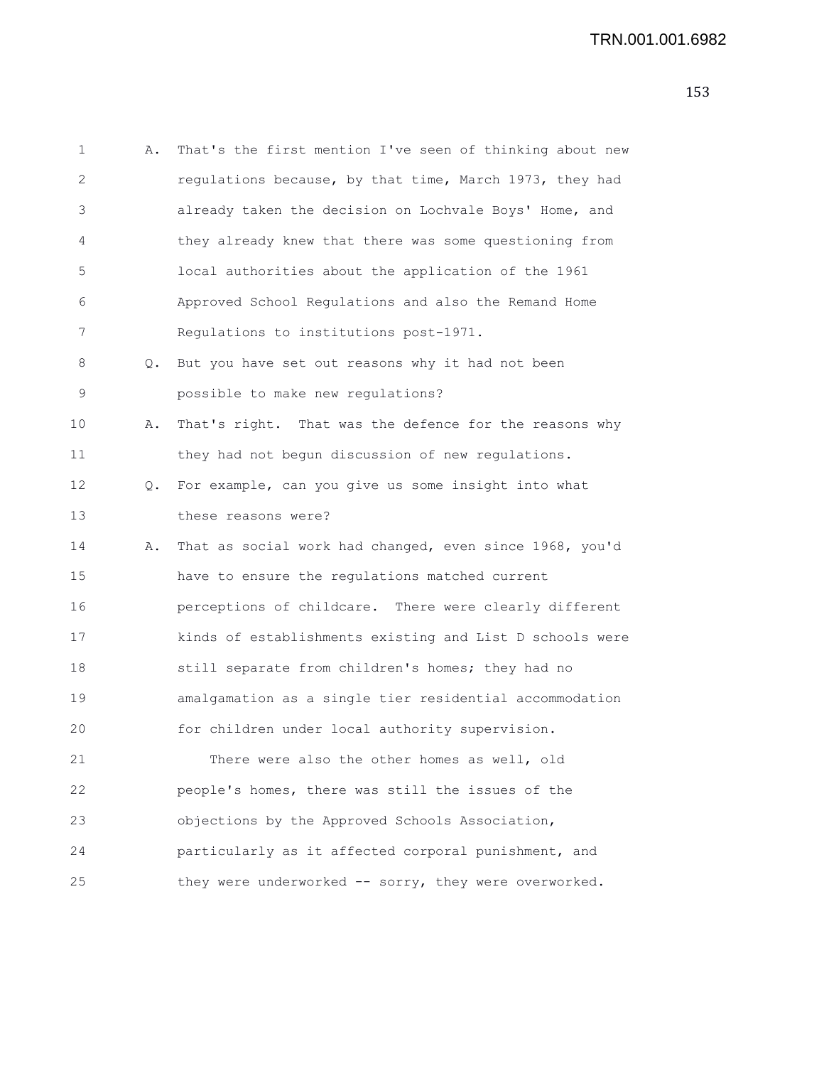```
1 A. That's the first mention I've seen of thinking about new
2 regulations because, by that time, March 1973, they had
3 already taken the decision on Lochvale Boys' Home, and
4 they already knew that there was some questioning from
5 local authorities about the application of the 1961
6 Approved School Regulations and also the Remand Home
7 Regulations to institutions post-1971.
8 Q. But you have set out reasons why it had not been
9 possible to make new regulations?
10 A. That's right. That was the defence for the reasons why
11 they had not begun discussion of new regulations.
12 Q. For example, can you give us some insight into what
13 these reasons were?
14 A. That as social work had changed, even since 1968, you'd
15 have to ensure the regulations matched current
16 perceptions of childcare. There were clearly different
17 kinds of establishments existing and List D schools were
18 still separate from children's homes; they had no
19 amalgamation as a single tier residential accommodation
20 for children under local authority supervision.
21 There were also the other homes as well, old
22 people's homes, there was still the issues of the
23 objections by the Approved Schools Association,
24 particularly as it affected corporal punishment, and
25 they were underworked -- sorry, they were overworked.
```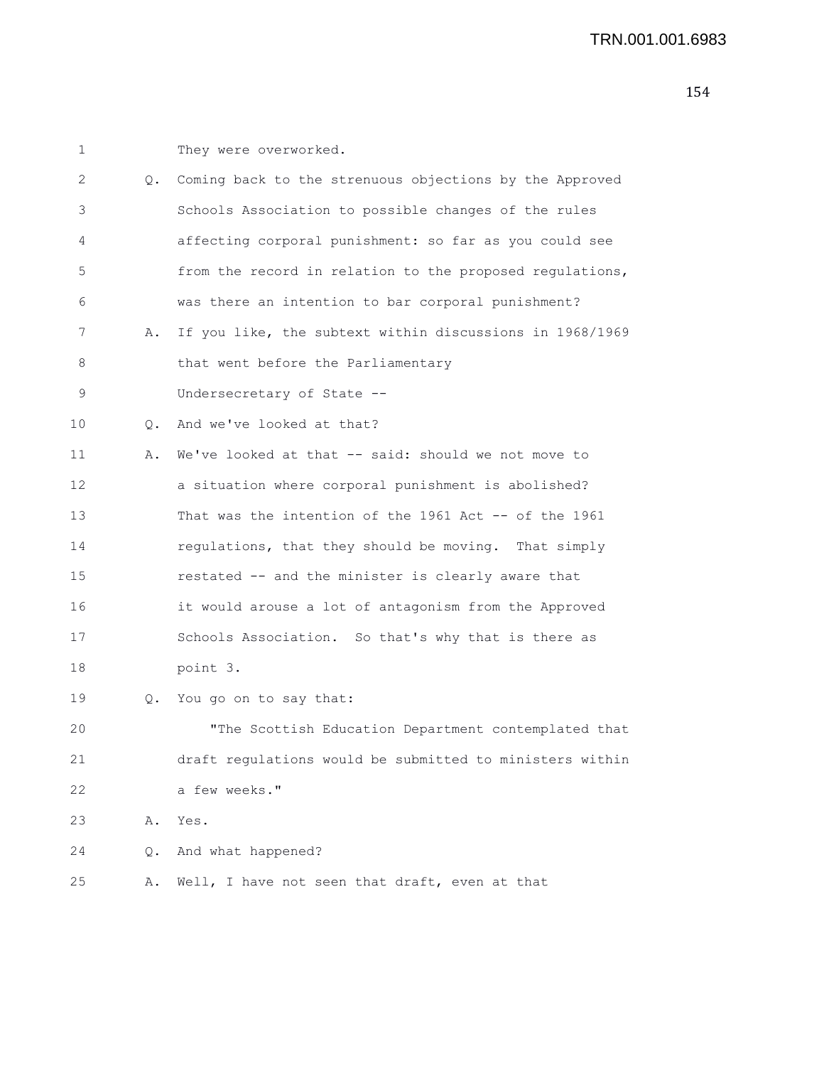| 1  |           | They were overworked.                                    |
|----|-----------|----------------------------------------------------------|
| 2  | $\circ$ . | Coming back to the strenuous objections by the Approved  |
| 3  |           | Schools Association to possible changes of the rules     |
| 4  |           | affecting corporal punishment: so far as you could see   |
| 5  |           | from the record in relation to the proposed regulations, |
| 6  |           | was there an intention to bar corporal punishment?       |
| 7  | Α.        | If you like, the subtext within discussions in 1968/1969 |
| 8  |           | that went before the Parliamentary                       |
| 9  |           | Undersecretary of State --                               |
| 10 | $\circ$ . | And we've looked at that?                                |
| 11 | Α.        | We've looked at that -- said: should we not move to      |
| 12 |           | a situation where corporal punishment is abolished?      |
| 13 |           | That was the intention of the 1961 Act -- of the 1961    |
| 14 |           | regulations, that they should be moving. That simply     |
| 15 |           | restated -- and the minister is clearly aware that       |
| 16 |           | it would arouse a lot of antagonism from the Approved    |
| 17 |           | Schools Association. So that's why that is there as      |
| 18 |           | point 3.                                                 |
| 19 | Q.        | You go on to say that:                                   |
| 20 |           | "The Scottish Education Department contemplated that     |
| 21 |           | draft requlations would be submitted to ministers within |
| 22 |           | a few weeks."                                            |
| 23 | Α.        | Yes.                                                     |
| 24 | Q.        | And what happened?                                       |
| 25 | Α.        | Well, I have not seen that draft, even at that           |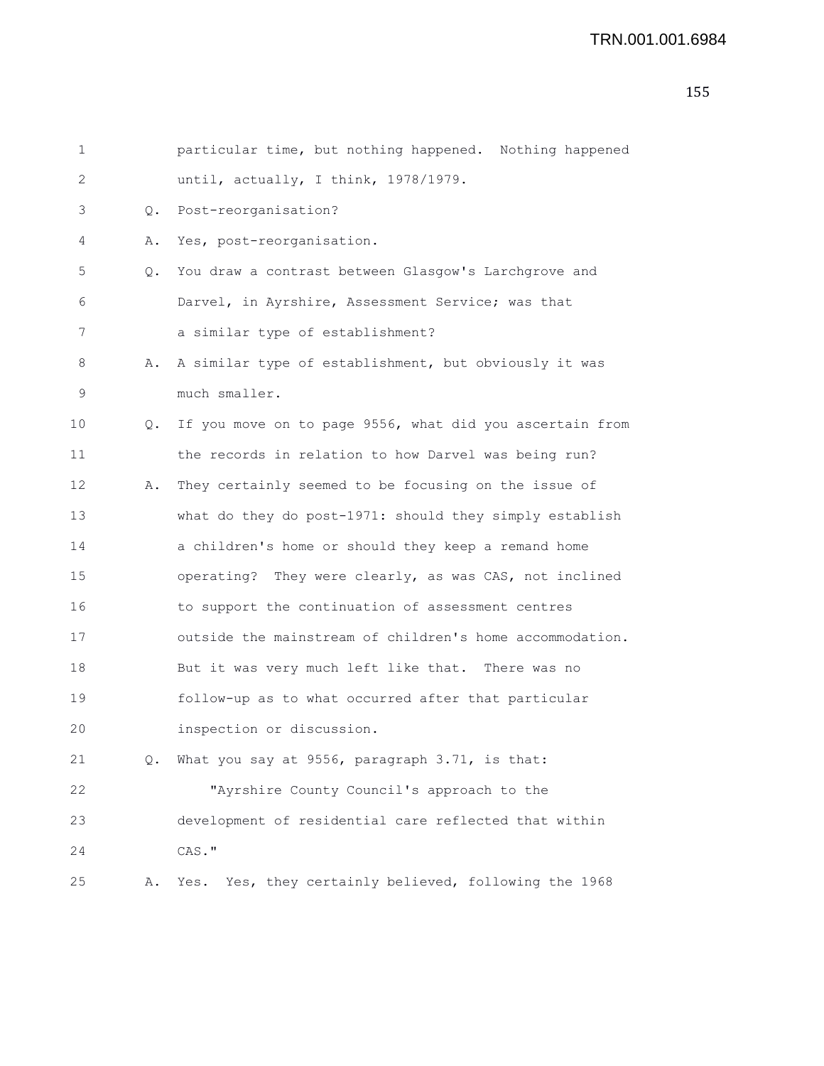```
1 particular time, but nothing happened. Nothing happened
2 until, actually, I think, 1978/1979.
3 Q. Post-reorganisation?
4 A. Yes, post-reorganisation.
5 Q. You draw a contrast between Glasgow's Larchgrove and
6 Darvel, in Ayrshire, Assessment Service; was that
7 a similar type of establishment?
8 A. A similar type of establishment, but obviously it was
9 much smaller.
10 Q. If you move on to page 9556, what did you ascertain from
11 the records in relation to how Darvel was being run?
12 A. They certainly seemed to be focusing on the issue of
13 what do they do post-1971: should they simply establish
14 a children's home or should they keep a remand home
15 operating? They were clearly, as was CAS, not inclined
16 to support the continuation of assessment centres
17 outside the mainstream of children's home accommodation.
18 But it was very much left like that. There was no
19 follow-up as to what occurred after that particular
20 inspection or discussion.
21 Q. What you say at 9556, paragraph 3.71, is that:
22 "Ayrshire County Council's approach to the
23 development of residential care reflected that within
24 CAS."
25 A. Yes. Yes, they certainly believed, following the 1968
```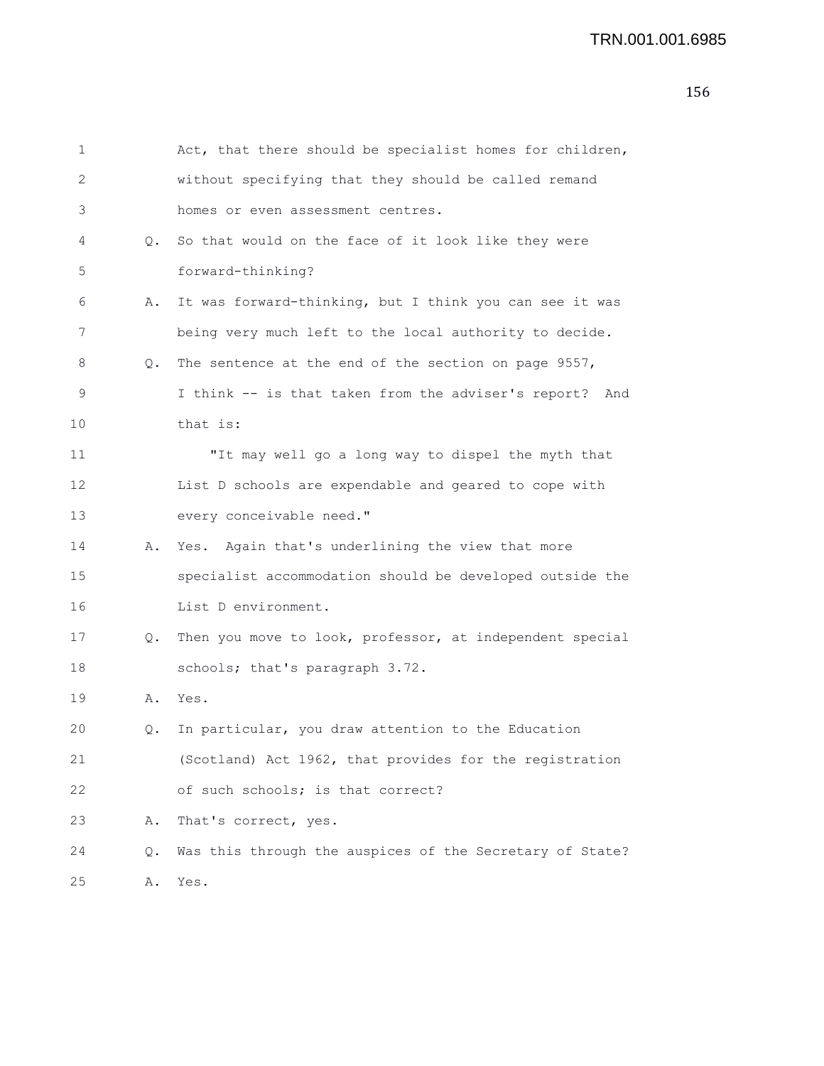| 1  |    | Act, that there should be specialist homes for children, |
|----|----|----------------------------------------------------------|
| 2  |    | without specifying that they should be called remand     |
| 3  |    | homes or even assessment centres.                        |
| 4  | Q. | So that would on the face of it look like they were      |
| 5  |    | forward-thinking?                                        |
| 6  | Α. | It was forward-thinking, but I think you can see it was  |
| 7  |    | being very much left to the local authority to decide.   |
| 8  | Q. | The sentence at the end of the section on page 9557,     |
| 9  |    | I think -- is that taken from the adviser's report? And  |
| 10 |    | that is:                                                 |
| 11 |    | "It may well go a long way to dispel the myth that       |
| 12 |    | List D schools are expendable and geared to cope with    |
| 13 |    | every conceivable need."                                 |
| 14 | Α. | Yes. Again that's underlining the view that more         |
| 15 |    | specialist accommodation should be developed outside the |
| 16 |    | List D environment.                                      |
| 17 | Q. | Then you move to look, professor, at independent special |
| 18 |    | schools; that's paragraph 3.72.                          |
| 19 | Α. | Yes.                                                     |
| 20 | Q. | In particular, you draw attention to the Education       |
| 21 |    | (Scotland) Act 1962, that provides for the registration  |
| 22 |    | of such schools; is that correct?                        |
| 23 | Α. | That's correct, yes.                                     |
| 24 | Q. | Was this through the auspices of the Secretary of State? |
| 25 | Α. | Yes.                                                     |
|    |    |                                                          |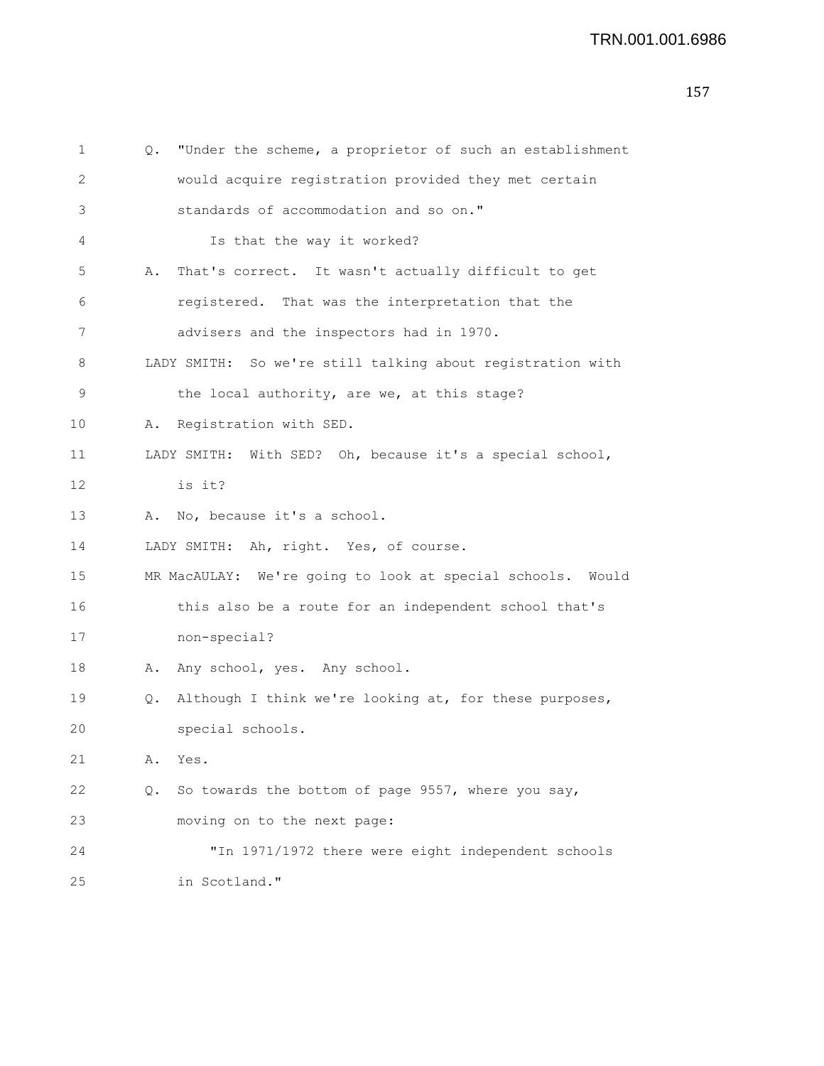| 1  | Q. | "Under the scheme, a proprietor of such an establishment   |
|----|----|------------------------------------------------------------|
| 2  |    | would acquire registration provided they met certain       |
| 3  |    | standards of accommodation and so on."                     |
| 4  |    | Is that the way it worked?                                 |
| 5  | Α. | That's correct. It wasn't actually difficult to get        |
| 6  |    | registered. That was the interpretation that the           |
| 7  |    | advisers and the inspectors had in 1970.                   |
| 8  |    | LADY SMITH: So we're still talking about registration with |
| 9  |    | the local authority, are we, at this stage?                |
| 10 | Α. | Registration with SED.                                     |
| 11 |    | LADY SMITH: With SED? Oh, because it's a special school,   |
| 12 |    | is it?                                                     |
| 13 |    | A. No, because it's a school.                              |
| 14 |    | LADY SMITH: Ah, right. Yes, of course.                     |
| 15 |    | MR MacAULAY: We're going to look at special schools. Would |
| 16 |    | this also be a route for an independent school that's      |
| 17 |    | non-special?                                               |
| 18 | Α. | Any school, yes. Any school.                               |
| 19 | Q. | Although I think we're looking at, for these purposes,     |
| 20 |    | special schools.                                           |
| 21 | Α. | Yes.                                                       |
| 22 | Q. | So towards the bottom of page 9557, where you say,         |
| 23 |    | moving on to the next page:                                |
| 24 |    | "In 1971/1972 there were eight independent schools         |
| 25 |    | in Scotland."                                              |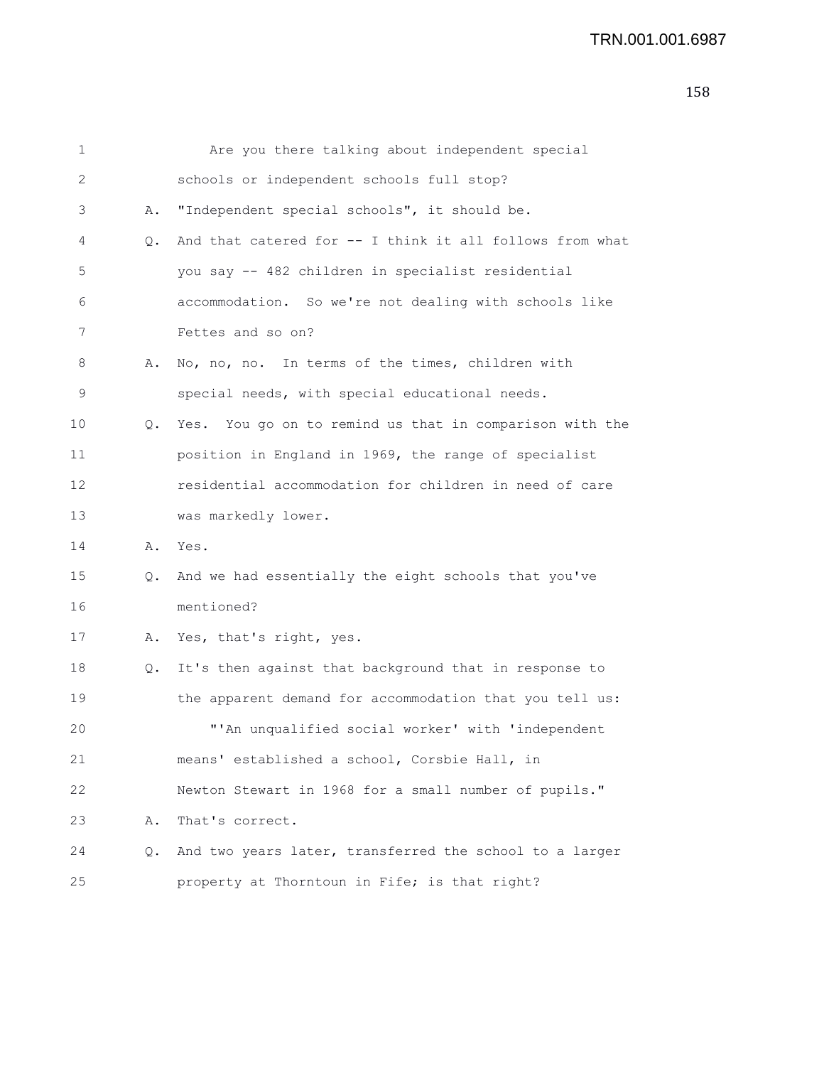| 1  |    | Are you there talking about independent special          |
|----|----|----------------------------------------------------------|
| 2  |    | schools or independent schools full stop?                |
| 3  | Α. | "Independent special schools", it should be.             |
| 4  | Q. | And that catered for -- I think it all follows from what |
| 5  |    | you say -- 482 children in specialist residential        |
| 6  |    | accommodation. So we're not dealing with schools like    |
| 7  |    | Fettes and so on?                                        |
| 8  | Α. | No, no, no. In terms of the times, children with         |
| 9  |    | special needs, with special educational needs.           |
| 10 | Q. | Yes. You go on to remind us that in comparison with the  |
| 11 |    | position in England in 1969, the range of specialist     |
| 12 |    | residential accommodation for children in need of care   |
| 13 |    | was markedly lower.                                      |
| 14 | Α. | Yes.                                                     |
| 15 | Q. | And we had essentially the eight schools that you've     |
| 16 |    | mentioned?                                               |
| 17 |    | A. Yes, that's right, yes.                               |
| 18 | Q. | It's then against that background that in response to    |
| 19 |    | the apparent demand for accommodation that you tell us:  |
| 20 |    | "'An unqualified social worker' with 'independent        |
| 21 |    | means' established a school, Corsbie Hall, in            |
| 22 |    | Newton Stewart in 1968 for a small number of pupils."    |
| 23 | Α. | That's correct.                                          |
| 24 | Q. | And two years later, transferred the school to a larger  |
| 25 |    | property at Thorntoun in Fife; is that right?            |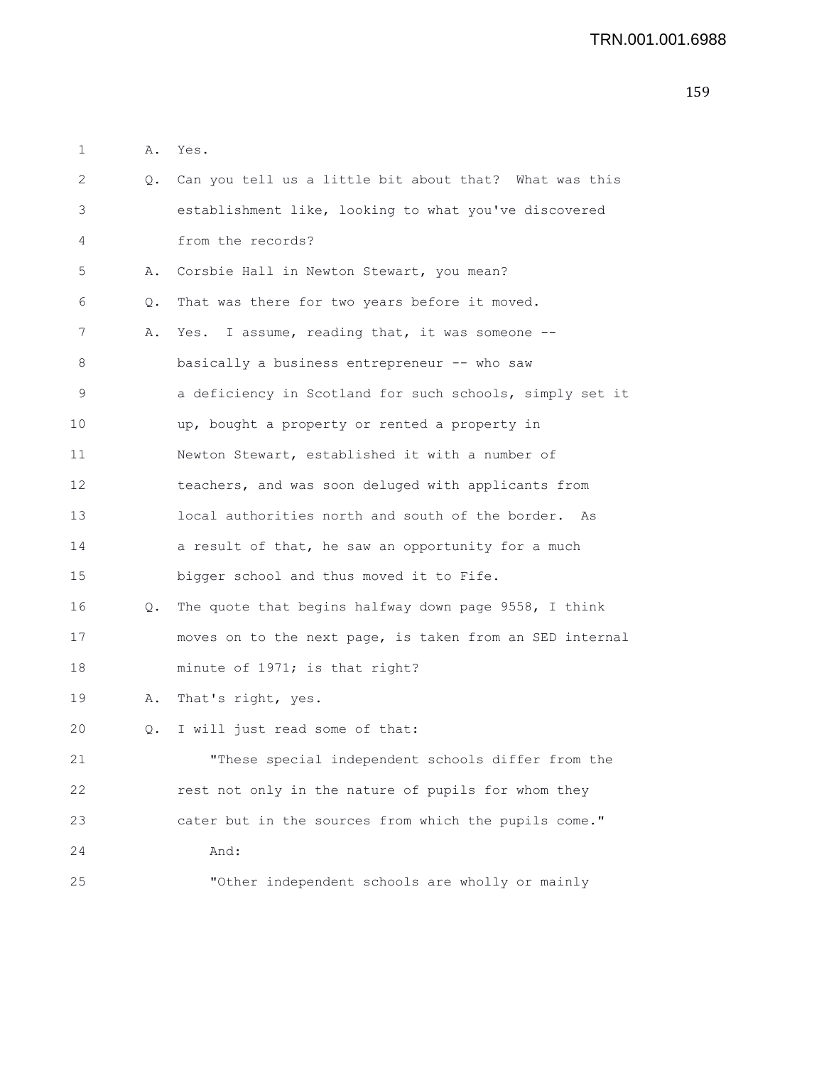| 1  | Α. | Yes.                                                     |
|----|----|----------------------------------------------------------|
| 2  | Q. | Can you tell us a little bit about that? What was this   |
| 3  |    | establishment like, looking to what you've discovered    |
| 4  |    | from the records?                                        |
| 5  | Α. | Corsbie Hall in Newton Stewart, you mean?                |
| 6  | Q. | That was there for two years before it moved.            |
| 7  | Α. | Yes. I assume, reading that, it was someone --           |
| 8  |    | basically a business entrepreneur -- who saw             |
| 9  |    | a deficiency in Scotland for such schools, simply set it |
| 10 |    | up, bought a property or rented a property in            |
| 11 |    | Newton Stewart, established it with a number of          |
| 12 |    | teachers, and was soon deluged with applicants from      |
| 13 |    | local authorities north and south of the border. As      |
| 14 |    | a result of that, he saw an opportunity for a much       |
| 15 |    | bigger school and thus moved it to Fife.                 |
| 16 | Q. | The quote that begins halfway down page 9558, I think    |
| 17 |    | moves on to the next page, is taken from an SED internal |
| 18 |    | minute of 1971; is that right?                           |
| 19 | Α. | That's right, yes.                                       |
| 20 | Q. | I will just read some of that:                           |
| 21 |    | "These special independent schools differ from the       |
| 22 |    | rest not only in the nature of pupils for whom they      |
| 23 |    | cater but in the sources from which the pupils come."    |
| 24 |    | And:                                                     |
| 25 |    | "Other independent schools are wholly or mainly          |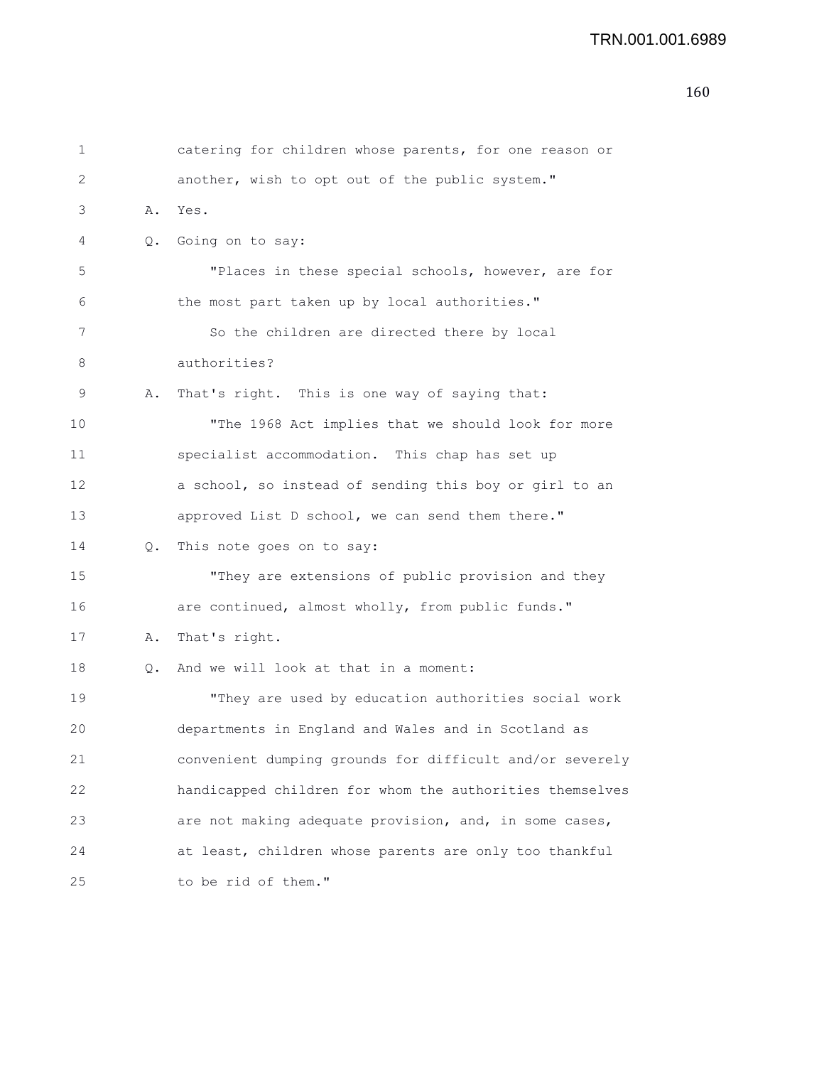```
1 catering for children whose parents, for one reason or
2 another, wish to opt out of the public system."
3 A. Yes.
4 Q. Going on to say:
5 "Places in these special schools, however, are for
6 the most part taken up by local authorities."
7 So the children are directed there by local
8 authorities?
9 A. That's right. This is one way of saying that:
10 "The 1968 Act implies that we should look for more
11 specialist accommodation. This chap has set up
12 a school, so instead of sending this boy or girl to an
13 approved List D school, we can send them there."
14 Q. This note goes on to say:
15 "They are extensions of public provision and they
16 are continued, almost wholly, from public funds."
17 A. That's right.
18 Q. And we will look at that in a moment:
19 "They are used by education authorities social work
20 departments in England and Wales and in Scotland as
21 convenient dumping grounds for difficult and/or severely
22 handicapped children for whom the authorities themselves
23 are not making adequate provision, and, in some cases,
24 at least, children whose parents are only too thankful
25 to be rid of them."
```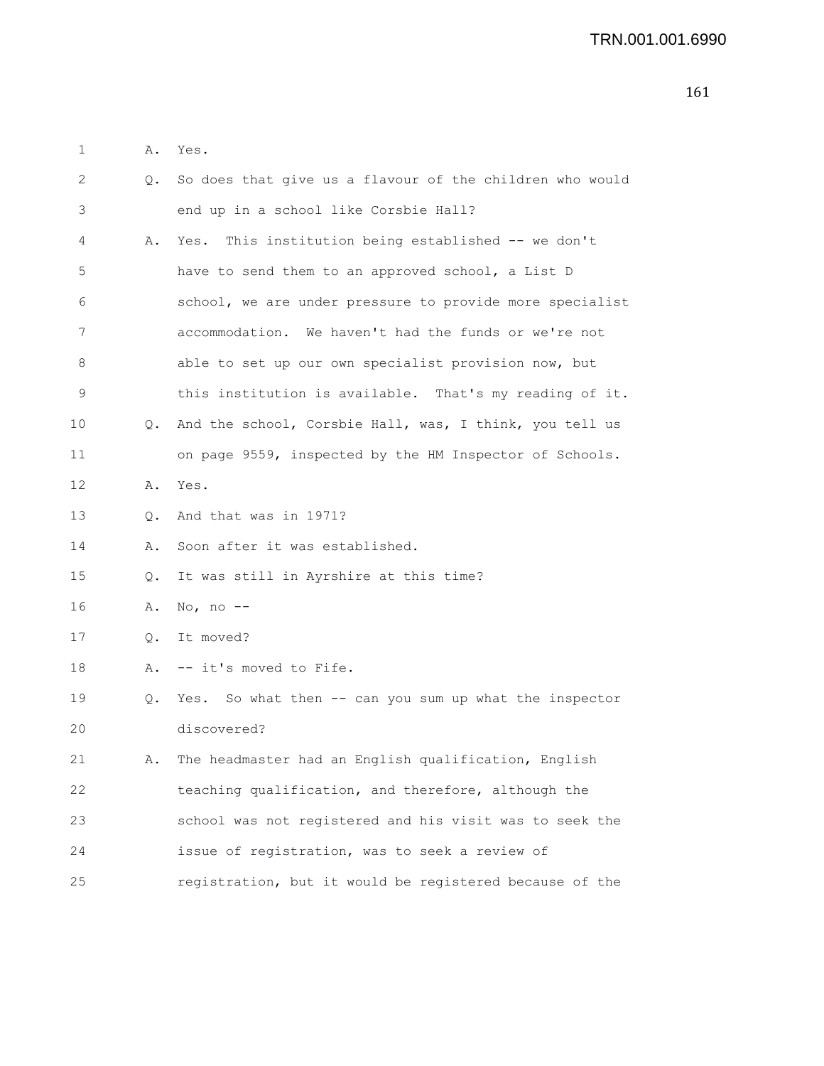| ٠ | д. | Yes<br>$\bullet$ |
|---|----|------------------|
|   |    |                  |

| 2  | Q.            | So does that give us a flavour of the children who would |
|----|---------------|----------------------------------------------------------|
| 3  |               | end up in a school like Corsbie Hall?                    |
| 4  | Α.            | Yes. This institution being established -- we don't      |
| 5  |               | have to send them to an approved school, a List D        |
| 6  |               | school, we are under pressure to provide more specialist |
| 7  |               | accommodation. We haven't had the funds or we're not     |
| 8  |               | able to set up our own specialist provision now, but     |
| 9  |               | this institution is available. That's my reading of it.  |
| 10 | 0.            | And the school, Corsbie Hall, was, I think, you tell us  |
| 11 |               | on page 9559, inspected by the HM Inspector of Schools.  |
| 12 | Α.            | Yes.                                                     |
| 13 | 0.            | And that was in 1971?                                    |
| 14 | Α.            | Soon after it was established.                           |
| 15 | $Q_{\bullet}$ | It was still in Ayrshire at this time?                   |
| 16 | Α.            | No, no $--$                                              |
| 17 | $Q_{\bullet}$ | It moved?                                                |
| 18 | Α.            | -- it's moved to Fife.                                   |
| 19 | Q.            | Yes. So what then -- can you sum up what the inspector   |
| 20 |               | discovered?                                              |
| 21 | Α.            | The headmaster had an English qualification, English     |
| 22 |               | teaching qualification, and therefore, although the      |
| 23 |               | school was not registered and his visit was to seek the  |
| 24 |               | issue of registration, was to seek a review of           |
| 25 |               | registration, but it would be registered because of the  |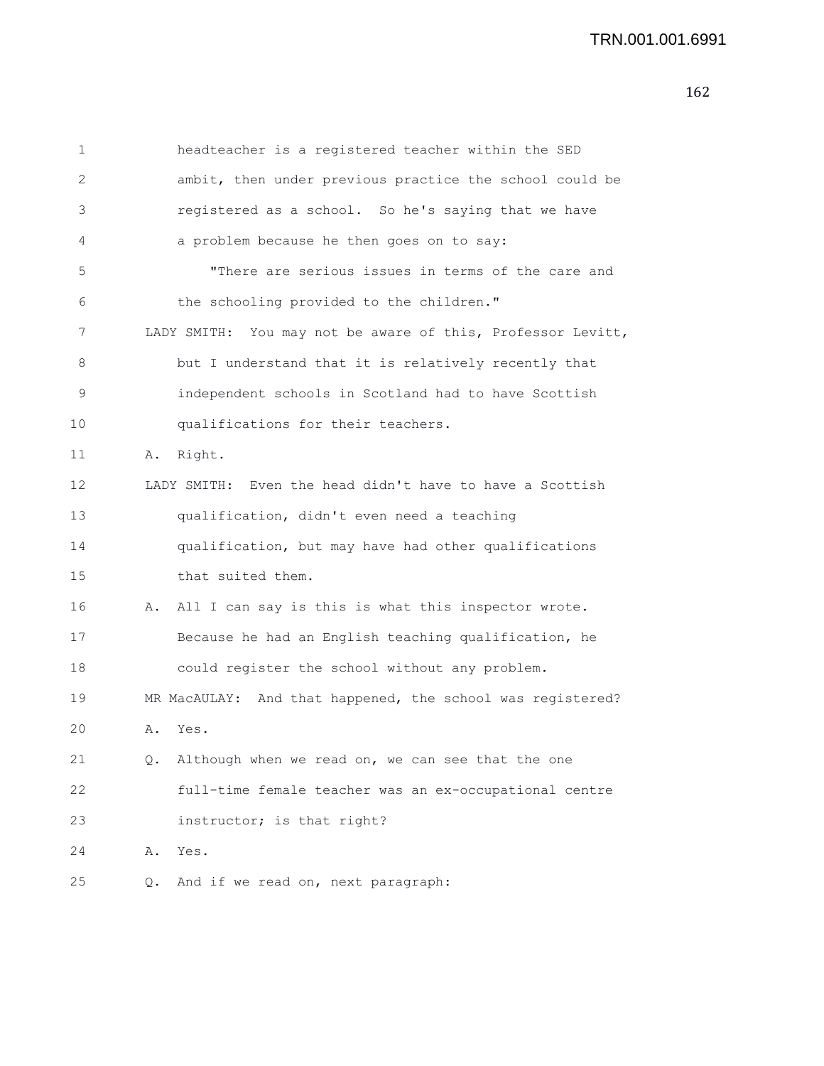| 1  | headteacher is a registered teacher within the SED          |  |
|----|-------------------------------------------------------------|--|
| 2  | ambit, then under previous practice the school could be     |  |
| 3  | registered as a school. So he's saying that we have         |  |
| 4  | a problem because he then goes on to say:                   |  |
| 5  | "There are serious issues in terms of the care and          |  |
| 6  | the schooling provided to the children."                    |  |
| 7  | LADY SMITH: You may not be aware of this, Professor Levitt, |  |
| 8  | but I understand that it is relatively recently that        |  |
| 9  | independent schools in Scotland had to have Scottish        |  |
| 10 | qualifications for their teachers.                          |  |
| 11 | Α.<br>Right.                                                |  |
| 12 | LADY SMITH: Even the head didn't have to have a Scottish    |  |
| 13 | qualification, didn't even need a teaching                  |  |
| 14 | qualification, but may have had other qualifications        |  |
| 15 | that suited them.                                           |  |
| 16 | All I can say is this is what this inspector wrote.<br>Α.   |  |
| 17 | Because he had an English teaching qualification, he        |  |
| 18 | could register the school without any problem.              |  |
| 19 | MR MacAULAY: And that happened, the school was registered?  |  |
| 20 | Α.<br>Yes.                                                  |  |
| 21 | Although when we read on, we can see that the one<br>Q.     |  |
| 22 | full-time female teacher was an ex-occupational centre      |  |
| 23 | instructor; is that right?                                  |  |
| 24 | Α.<br>Yes.                                                  |  |
| 25 | And if we read on, next paragraph:<br>Q.                    |  |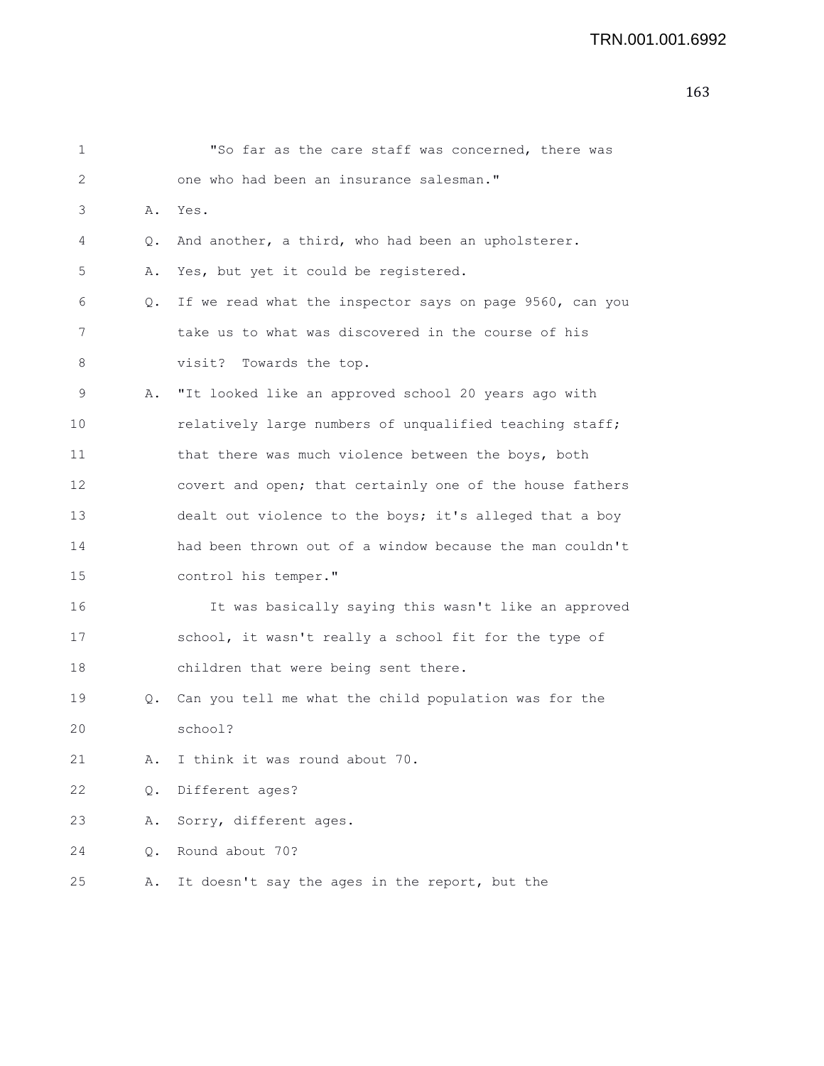| 1  |           | "So far as the care staff was concerned, there was       |
|----|-----------|----------------------------------------------------------|
| 2  |           | one who had been an insurance salesman."                 |
| 3  |           | A. Yes.                                                  |
| 4  | $\circ$ . | And another, a third, who had been an upholsterer.       |
| 5  | Α.        | Yes, but yet it could be registered.                     |
| 6  | Q.        | If we read what the inspector says on page 9560, can you |
| 7  |           | take us to what was discovered in the course of his      |
| 8  |           | visit? Towards the top.                                  |
| 9  | Α.        | "It looked like an approved school 20 years ago with     |
| 10 |           | relatively large numbers of unqualified teaching staff;  |
| 11 |           | that there was much violence between the boys, both      |
| 12 |           | covert and open; that certainly one of the house fathers |
| 13 |           | dealt out violence to the boys; it's alleged that a boy  |
| 14 |           | had been thrown out of a window because the man couldn't |
| 15 |           | control his temper."                                     |
| 16 |           | It was basically saying this wasn't like an approved     |
| 17 |           | school, it wasn't really a school fit for the type of    |
| 18 |           | children that were being sent there.                     |
| 19 | Q.        | Can you tell me what the child population was for the    |
| 20 |           | school?                                                  |
| 21 | Α.        | I think it was round about 70.                           |
| 22 | Q.        | Different ages?                                          |
| 23 | Α.        | Sorry, different ages.                                   |
| 24 | Q.        | Round about 70?                                          |
| 25 | Α.        | It doesn't say the ages in the report, but the           |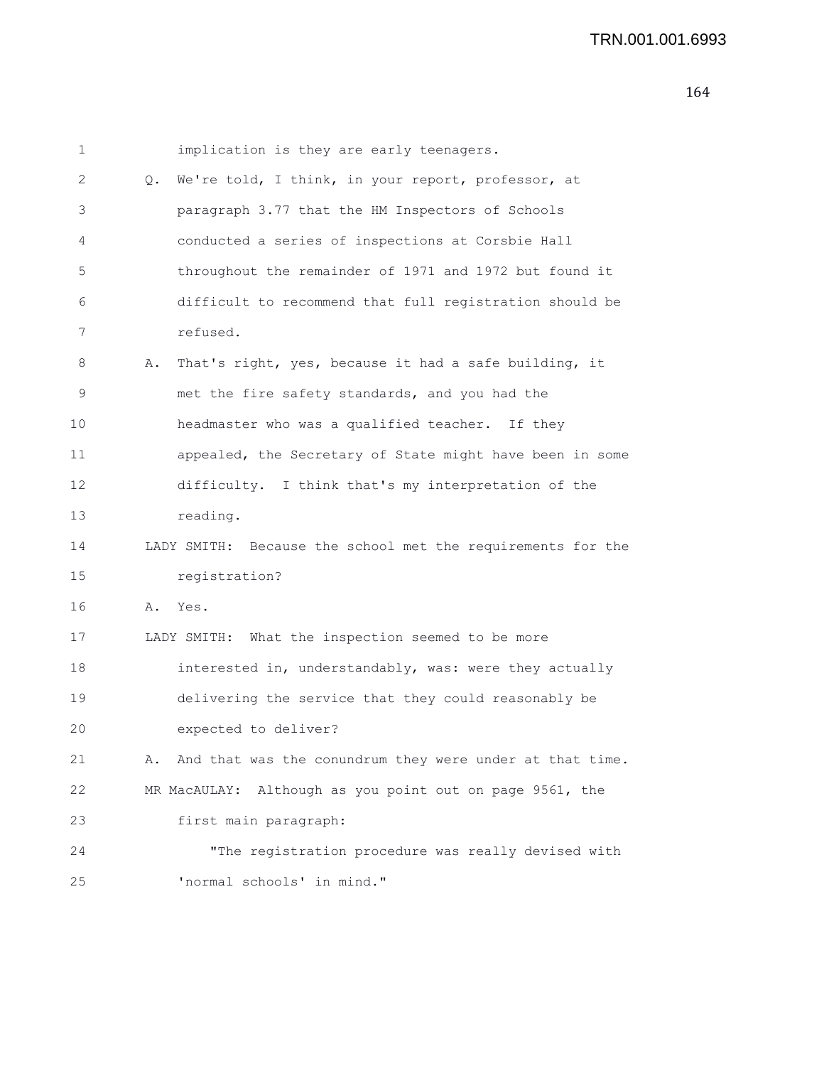| 1  |    | implication is they are early teenagers.                    |
|----|----|-------------------------------------------------------------|
| 2  | Q. | We're told, I think, in your report, professor, at          |
| 3  |    | paragraph 3.77 that the HM Inspectors of Schools            |
| 4  |    | conducted a series of inspections at Corsbie Hall           |
| 5  |    | throughout the remainder of 1971 and 1972 but found it      |
| 6  |    | difficult to recommend that full registration should be     |
| 7  |    | refused.                                                    |
| 8  | Α. | That's right, yes, because it had a safe building, it       |
| 9  |    | met the fire safety standards, and you had the              |
| 10 |    | headmaster who was a qualified teacher. If they             |
| 11 |    | appealed, the Secretary of State might have been in some    |
| 12 |    | difficulty. I think that's my interpretation of the         |
| 13 |    | reading.                                                    |
| 14 |    | LADY SMITH: Because the school met the requirements for the |
| 15 |    | registration?                                               |
| 16 | Α. | Yes.                                                        |
| 17 |    | LADY SMITH: What the inspection seemed to be more           |
| 18 |    | interested in, understandably, was: were they actually      |
| 19 |    | delivering the service that they could reasonably be        |
| 20 |    | expected to deliver?                                        |
| 21 | Α. | And that was the conundrum they were under at that time.    |
| 22 |    | Although as you point out on page 9561, the<br>MR MacAULAY: |
| 23 |    | first main paragraph:                                       |
| 24 |    | "The registration procedure was really devised with         |
| 25 |    | 'normal schools' in mind."                                  |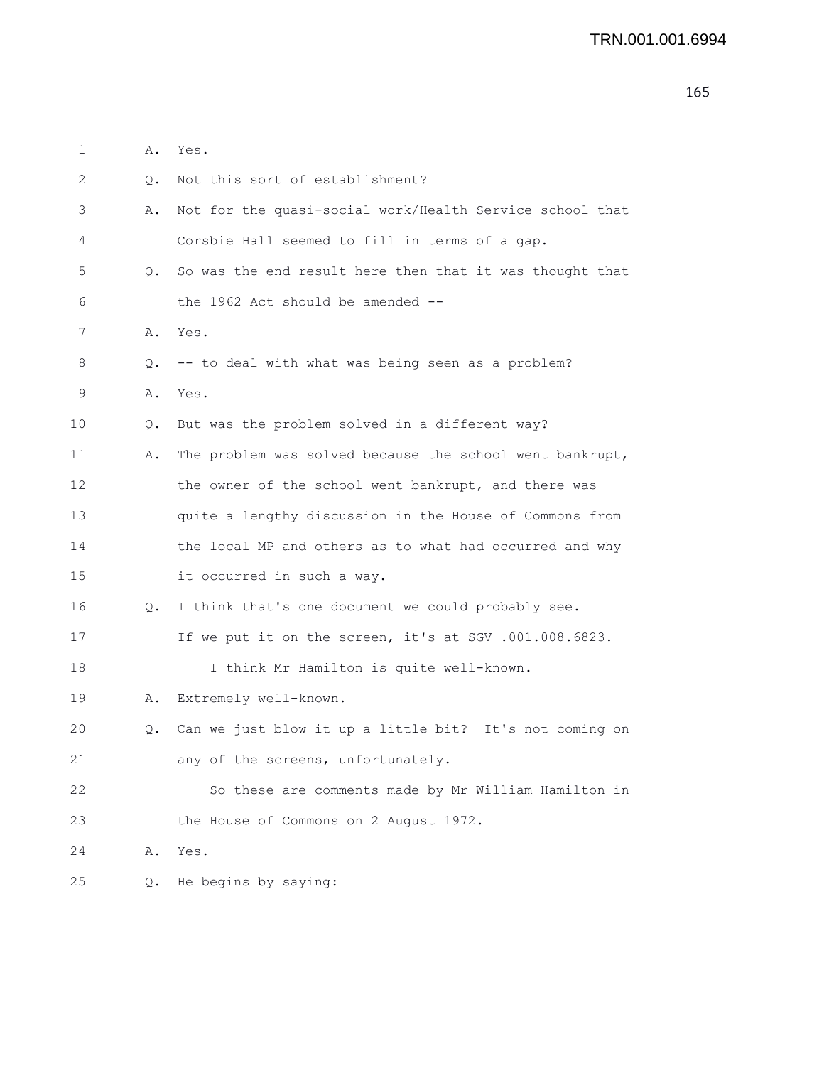| 1  | Α. | Yes.                                                     |
|----|----|----------------------------------------------------------|
| 2  | О. | Not this sort of establishment?                          |
| 3  | Α. | Not for the quasi-social work/Health Service school that |
| 4  |    | Corsbie Hall seemed to fill in terms of a gap.           |
| 5  | Q. | So was the end result here then that it was thought that |
| 6  |    | the 1962 Act should be amended $-$ -                     |
| 7  | Α. | Yes.                                                     |
| 8  | Q. | -- to deal with what was being seen as a problem?        |
| 9  | Α. | Yes.                                                     |
| 10 | Q. | But was the problem solved in a different way?           |
| 11 | Α. | The problem was solved because the school went bankrupt, |
| 12 |    | the owner of the school went bankrupt, and there was     |
| 13 |    | quite a lengthy discussion in the House of Commons from  |
| 14 |    | the local MP and others as to what had occurred and why  |
| 15 |    | it occurred in such a way.                               |
| 16 | Q. | I think that's one document we could probably see.       |
| 17 |    | If we put it on the screen, it's at SGV .001.008.6823.   |
| 18 |    | I think Mr Hamilton is quite well-known.                 |
| 19 | Α. | Extremely well-known.                                    |
| 20 | Q. | Can we just blow it up a little bit? It's not coming on  |
| 21 |    | any of the screens, unfortunately.                       |
| 22 |    | So these are comments made by Mr William Hamilton in     |
| 23 |    | the House of Commons on 2 August 1972.                   |
| 24 |    | A. Yes.                                                  |

25 Q. He begins by saying:

 $24$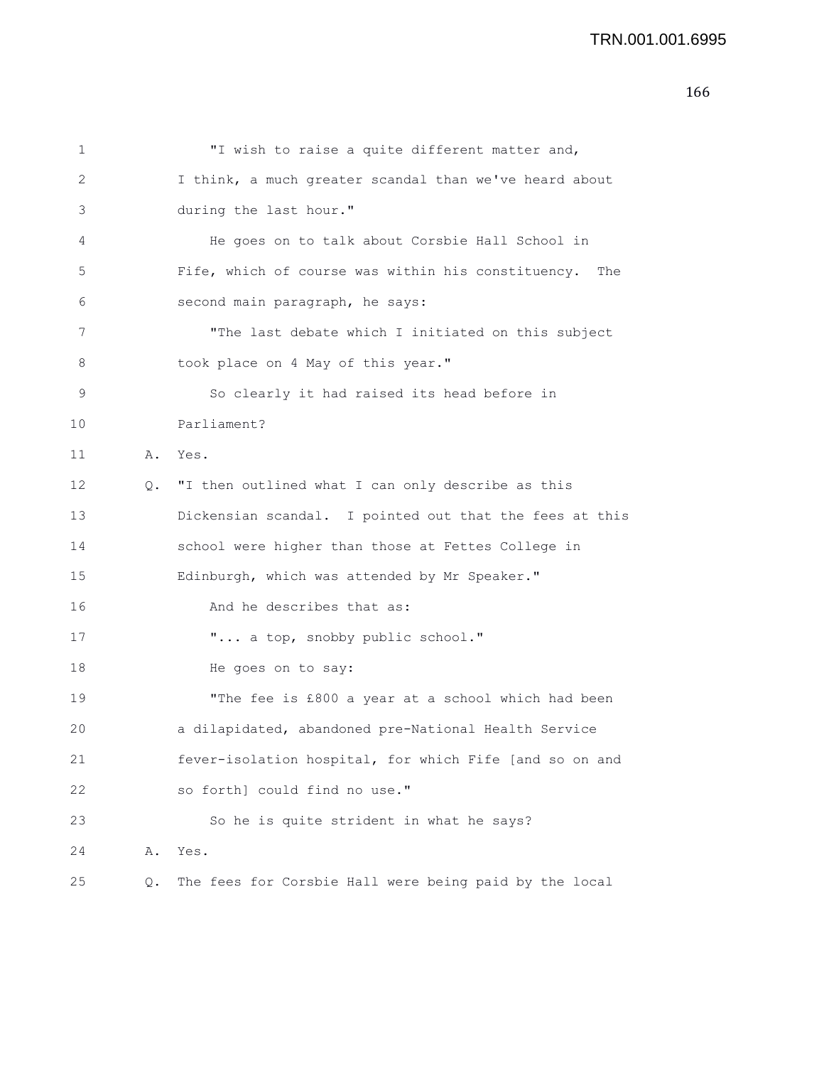```
1 "I wish to raise a quite different matter and,
2 I think, a much greater scandal than we've heard about
3 during the last hour."
4 He goes on to talk about Corsbie Hall School in
5 Fife, which of course was within his constituency. The
6 second main paragraph, he says:
7 "The last debate which I initiated on this subject
8 took place on 4 May of this year."
9 So clearly it had raised its head before in
10 Parliament?
11 A. Yes.
12 Q. "I then outlined what I can only describe as this
13 Dickensian scandal. I pointed out that the fees at this
14 school were higher than those at Fettes College in
15 Edinburgh, which was attended by Mr Speaker."
16 And he describes that as:
17 \ldots a top, snobby public school."
18 He goes on to say:
19 "The fee is £800 a year at a school which had been
20 a dilapidated, abandoned pre-National Health Service
21 fever-isolation hospital, for which Fife [and so on and
22 so forth] could find no use."
23 So he is quite strident in what he says?
24 A. Yes.
25 Q. The fees for Corsbie Hall were being paid by the local
```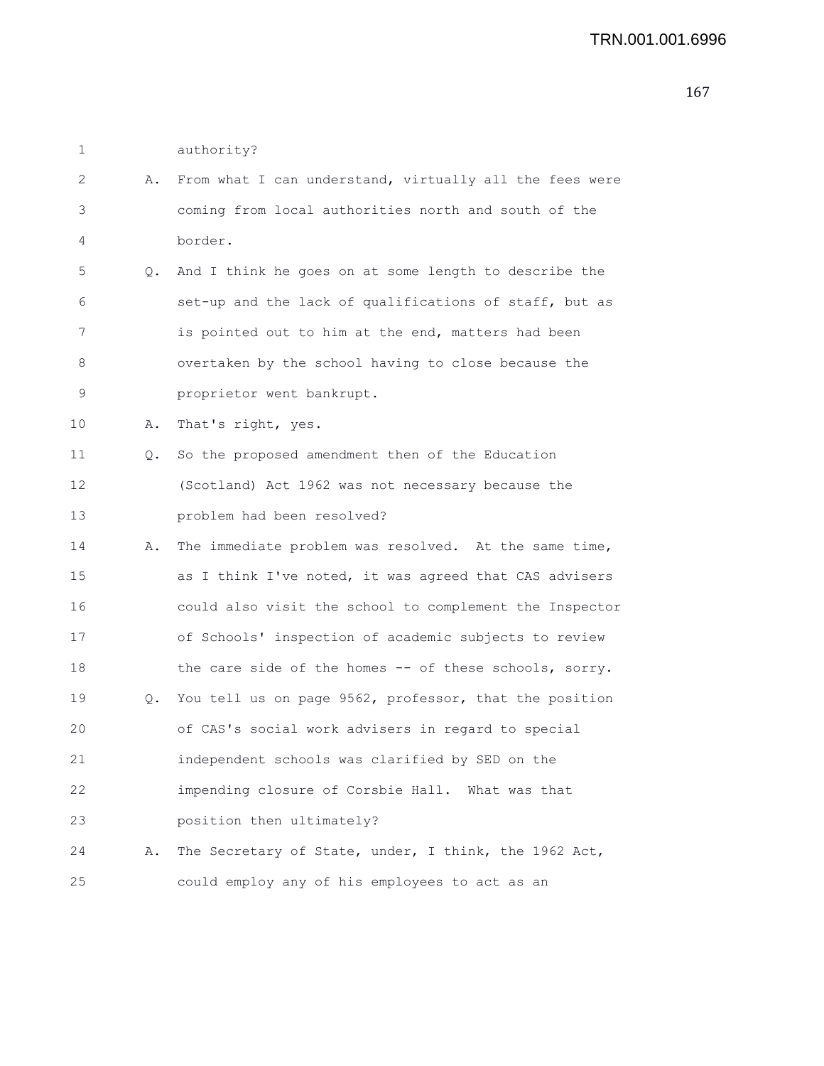| authority? |
|------------|
|            |

| 2  | Α. | From what I can understand, virtually all the fees were |
|----|----|---------------------------------------------------------|
| 3  |    | coming from local authorities north and south of the    |
| 4  |    | border.                                                 |
| 5  | Q. | And I think he goes on at some length to describe the   |
| 6  |    | set-up and the lack of qualifications of staff, but as  |
| 7  |    | is pointed out to him at the end, matters had been      |
| 8  |    | overtaken by the school having to close because the     |
| 9  |    | proprietor went bankrupt.                               |
| 10 | Α. | That's right, yes.                                      |
| 11 | Q. | So the proposed amendment then of the Education         |
| 12 |    | (Scotland) Act 1962 was not necessary because the       |
| 13 |    | problem had been resolved?                              |
| 14 | Α. | The immediate problem was resolved. At the same time,   |
| 15 |    | as I think I've noted, it was agreed that CAS advisers  |
| 16 |    | could also visit the school to complement the Inspector |
| 17 |    | of Schools' inspection of academic subjects to review   |
| 18 |    | the care side of the homes -- of these schools, sorry.  |
| 19 | Q. | You tell us on page 9562, professor, that the position  |
| 20 |    | of CAS's social work advisers in regard to special      |
| 21 |    | independent schools was clarified by SED on the         |
| 22 |    | impending closure of Corsbie Hall. What was that        |
| 23 |    | position then ultimately?                               |
| 24 | Α. | The Secretary of State, under, I think, the 1962 Act,   |
| 25 |    | could employ any of his employees to act as an          |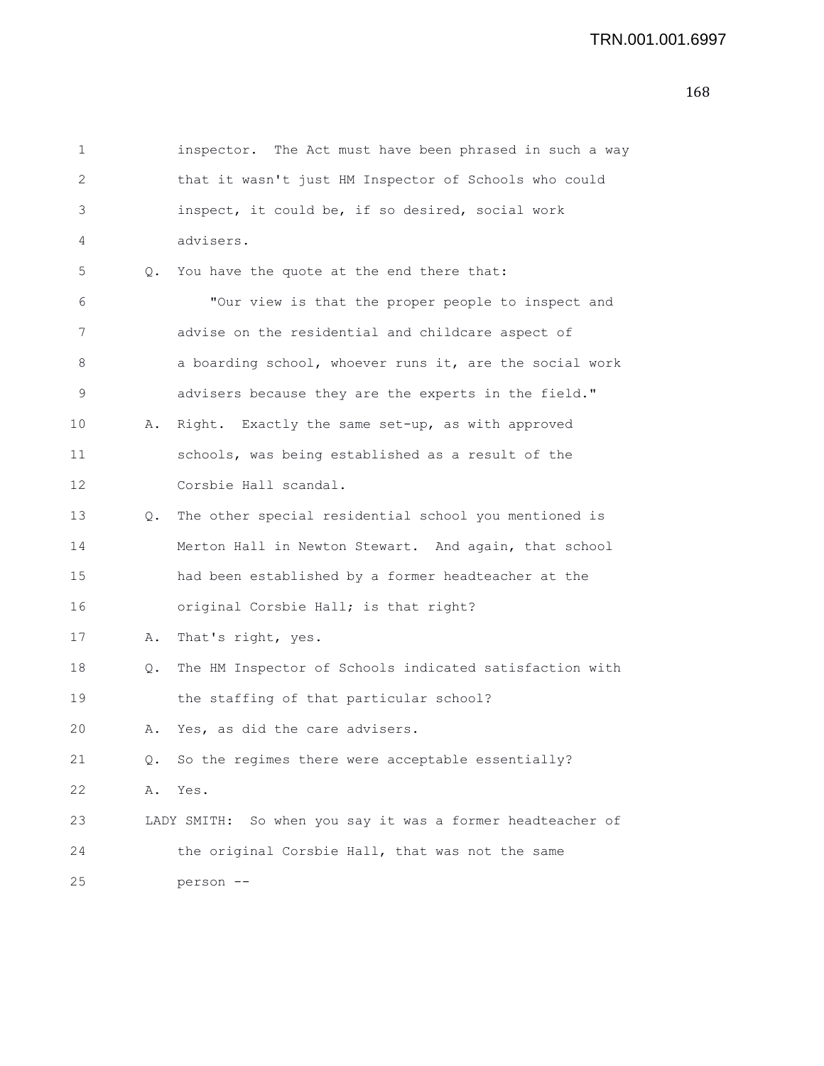1 inspector. The Act must have been phrased in such a way 2 that it wasn't just HM Inspector of Schools who could 3 inspect, it could be, if so desired, social work 4 advisers. 5 Q. You have the quote at the end there that: 6 "Our view is that the proper people to inspect and 7 advise on the residential and childcare aspect of 8 **a** boarding school, whoever runs it, are the social work 9 advisers because they are the experts in the field." 10 A. Right. Exactly the same set-up, as with approved 11 schools, was being established as a result of the 12 Corsbie Hall scandal. 13 Q. The other special residential school you mentioned is 14 Merton Hall in Newton Stewart. And again, that school 15 had been established by a former headteacher at the 16 original Corsbie Hall; is that right? 17 A. That's right, yes. 18 Q. The HM Inspector of Schools indicated satisfaction with 19 the staffing of that particular school? 20 A. Yes, as did the care advisers. 21 Q. So the regimes there were acceptable essentially? 22 A. Yes. 23 LADY SMITH: So when you say it was a former headteacher of 24 the original Corsbie Hall, that was not the same 25 person --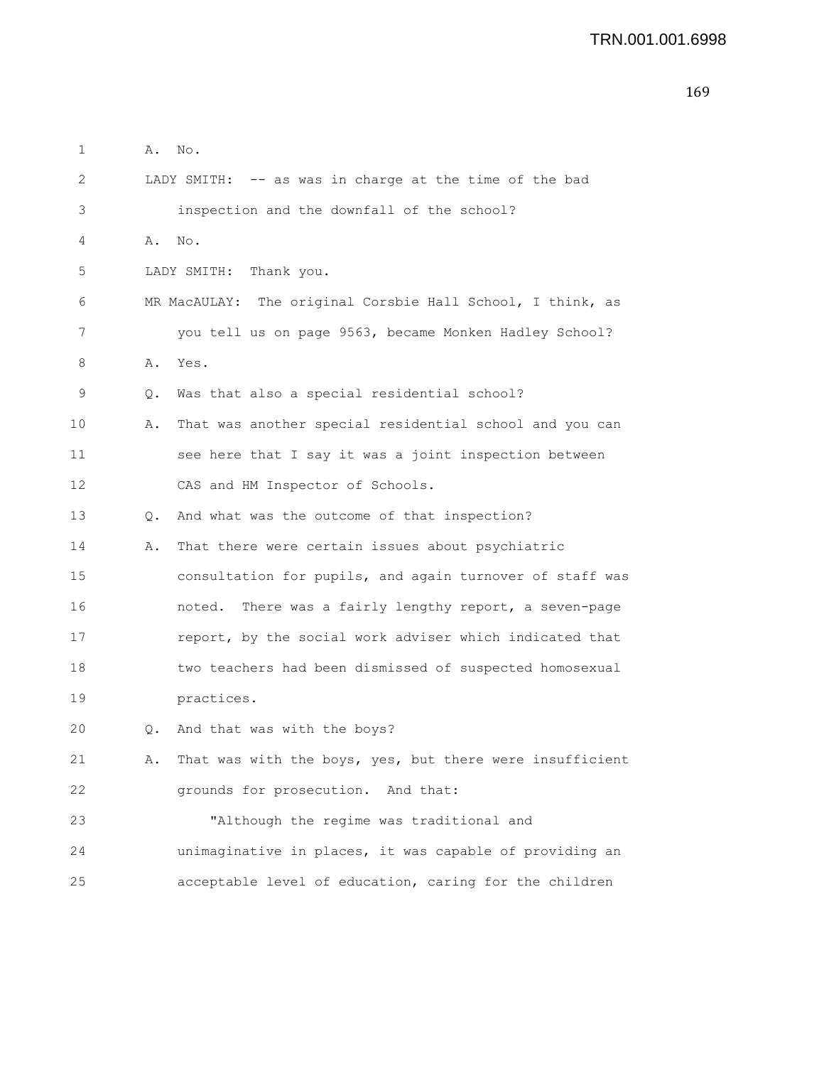```
1 A. No.
2 LADY SMITH: -- as was in charge at the time of the bad
3 inspection and the downfall of the school?
4 A. No.
5 LADY SMITH: Thank you.
6 MR MacAULAY: The original Corsbie Hall School, I think, as
7 you tell us on page 9563, became Monken Hadley School?
8 A. Yes.
9 Q. Was that also a special residential school?
10 A. That was another special residential school and you can
11 see here that I say it was a joint inspection between
12 CAS and HM Inspector of Schools.
13 Q. And what was the outcome of that inspection?
14 A. That there were certain issues about psychiatric
15 consultation for pupils, and again turnover of staff was
16 noted. There was a fairly lengthy report, a seven-page
17 report, by the social work adviser which indicated that
18 two teachers had been dismissed of suspected homosexual
19 practices.
20 Q. And that was with the boys?
21 A. That was with the boys, yes, but there were insufficient
22 grounds for prosecution. And that:
23 "Although the regime was traditional and
24 unimaginative in places, it was capable of providing an
25 acceptable level of education, caring for the children
```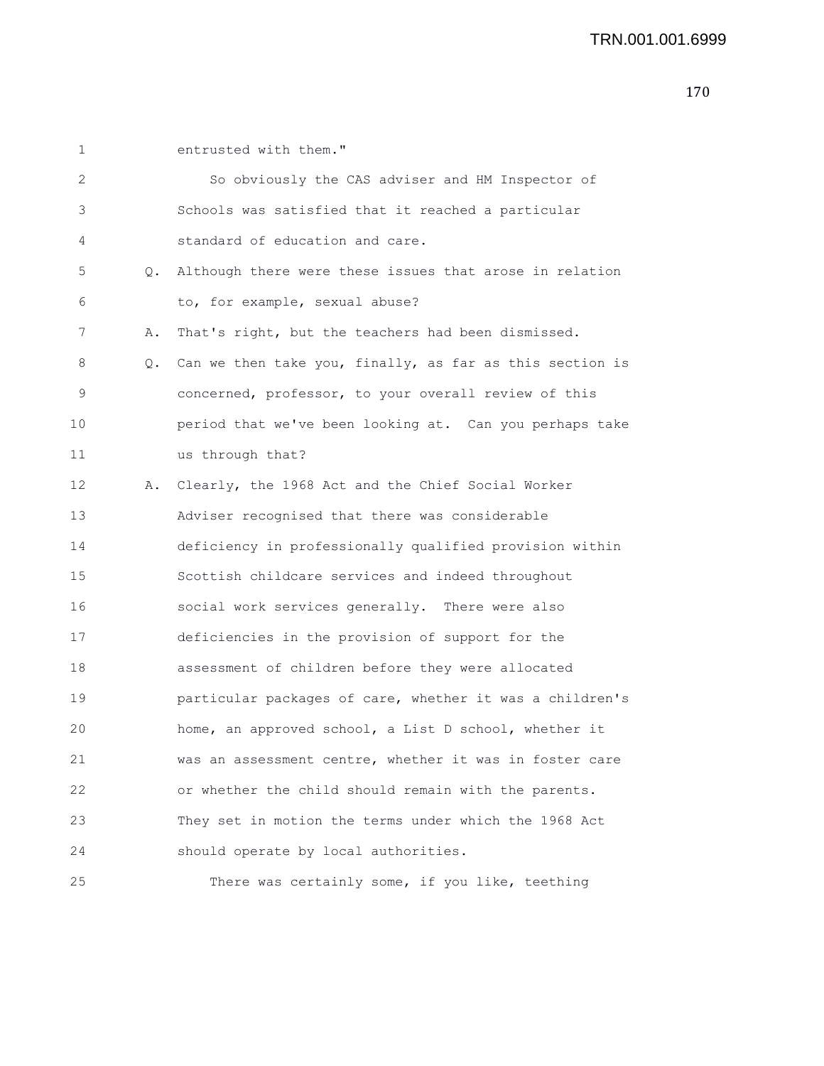1 entrusted with them."

| 2  |    | So obviously the CAS adviser and HM Inspector of         |
|----|----|----------------------------------------------------------|
| 3  |    | Schools was satisfied that it reached a particular       |
| 4  |    | standard of education and care.                          |
| 5  | Q. | Although there were these issues that arose in relation  |
| 6  |    | to, for example, sexual abuse?                           |
| 7  | Α. | That's right, but the teachers had been dismissed.       |
| 8  | Q. | Can we then take you, finally, as far as this section is |
| 9  |    | concerned, professor, to your overall review of this     |
| 10 |    | period that we've been looking at. Can you perhaps take  |
| 11 |    | us through that?                                         |
| 12 | Α. | Clearly, the 1968 Act and the Chief Social Worker        |
| 13 |    | Adviser recognised that there was considerable           |
| 14 |    | deficiency in professionally qualified provision within  |
| 15 |    | Scottish childcare services and indeed throughout        |
| 16 |    | social work services generally. There were also          |
| 17 |    | deficiencies in the provision of support for the         |
| 18 |    | assessment of children before they were allocated        |
| 19 |    | particular packages of care, whether it was a children's |
| 20 |    | home, an approved school, a List D school, whether it    |
| 21 |    | was an assessment centre, whether it was in foster care  |
| 22 |    | or whether the child should remain with the parents.     |
| 23 |    | They set in motion the terms under which the 1968 Act    |
| 24 |    | should operate by local authorities.                     |
| 25 |    | There was certainly some, if you like, teething          |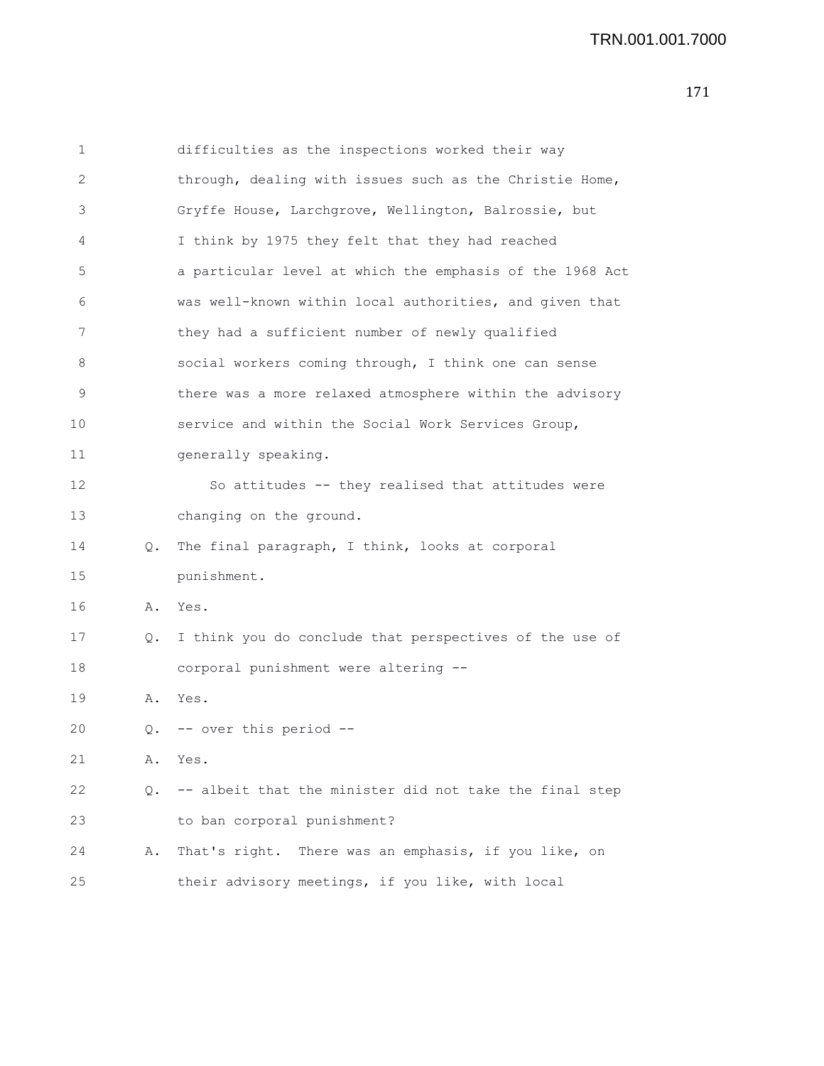| 1            |    | difficulties as the inspections worked their way         |
|--------------|----|----------------------------------------------------------|
| $\mathbf{2}$ |    | through, dealing with issues such as the Christie Home,  |
| 3            |    | Gryffe House, Larchgrove, Wellington, Balrossie, but     |
| 4            |    | I think by 1975 they felt that they had reached          |
| 5            |    | a particular level at which the emphasis of the 1968 Act |
| 6            |    | was well-known within local authorities, and given that  |
| 7            |    | they had a sufficient number of newly qualified          |
| 8            |    | social workers coming through, I think one can sense     |
| 9            |    | there was a more relaxed atmosphere within the advisory  |
| 10           |    | service and within the Social Work Services Group,       |
| 11           |    | generally speaking.                                      |
| 12           |    | So attitudes -- they realised that attitudes were        |
| 13           |    | changing on the ground.                                  |
| 14           | Q. | The final paragraph, I think, looks at corporal          |
| 15           |    | punishment.                                              |
| 16           | Α. | Yes.                                                     |
| 17           | Q. | I think you do conclude that perspectives of the use of  |
| 18           |    | corporal punishment were altering --                     |
| 19           | Α. | Yes.                                                     |
| 20           |    | Q. -- over this period --                                |
| 21           | Α. | Yes.                                                     |
| 22           | Q. | -- albeit that the minister did not take the final step  |
| 23           |    | to ban corporal punishment?                              |
| 24           | Α. | That's right. There was an emphasis, if you like, on     |
| 25           |    | their advisory meetings, if you like, with local         |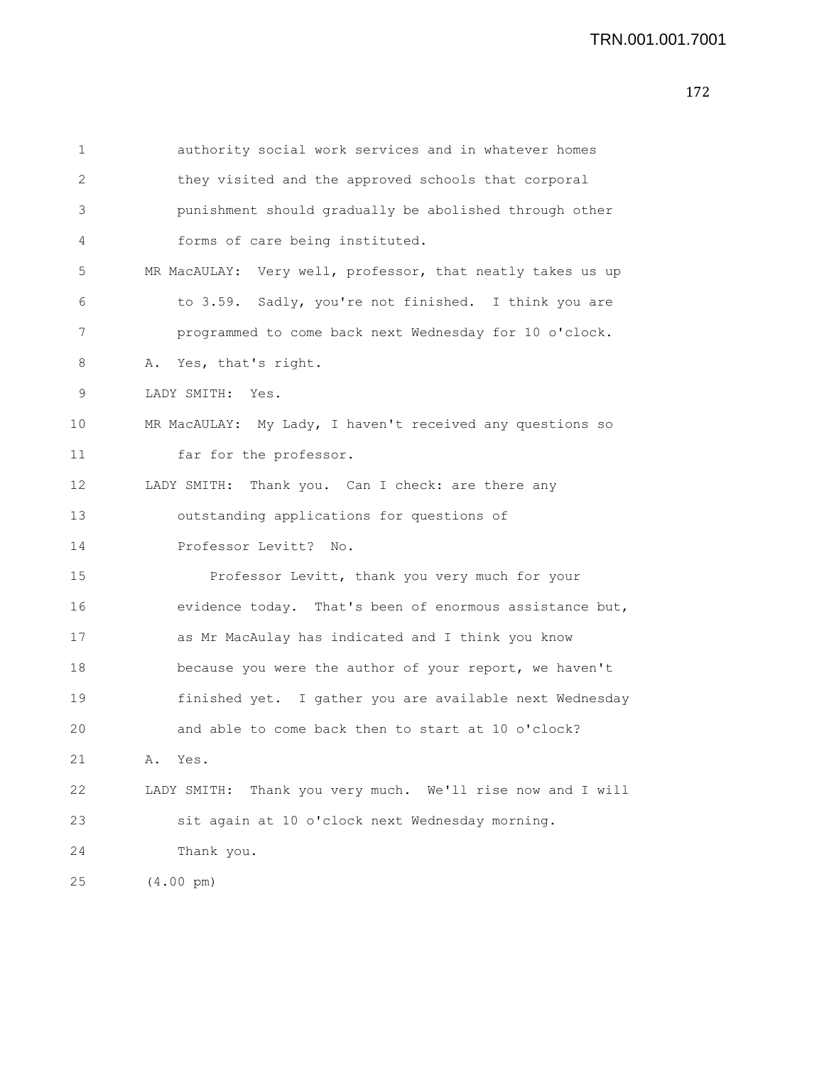```
1 authority social work services and in whatever homes
2 they visited and the approved schools that corporal
3 punishment should gradually be abolished through other
4 forms of care being instituted.
5 MR MacAULAY: Very well, professor, that neatly takes us up
6 to 3.59. Sadly, you're not finished. I think you are
7 programmed to come back next Wednesday for 10 o'clock.
8 A. Yes, that's right.
9 LADY SMITH: Yes.
10 MR MacAULAY: My Lady, I haven't received any questions so
11 far for the professor.
12 LADY SMITH: Thank you. Can I check: are there any
13 outstanding applications for questions of
14 Professor Levitt? No.
15 Professor Levitt, thank you very much for your
16 evidence today. That's been of enormous assistance but,
17 as Mr MacAulay has indicated and I think you know
18 because you were the author of your report, we haven't
19 finished yet. I gather you are available next Wednesday
20 and able to come back then to start at 10 o'clock?
21 A. Yes.
22 LADY SMITH: Thank you very much. We'll rise now and I will
23 sit again at 10 o'clock next Wednesday morning.
24 Thank you.
25 (4.00 pm)
```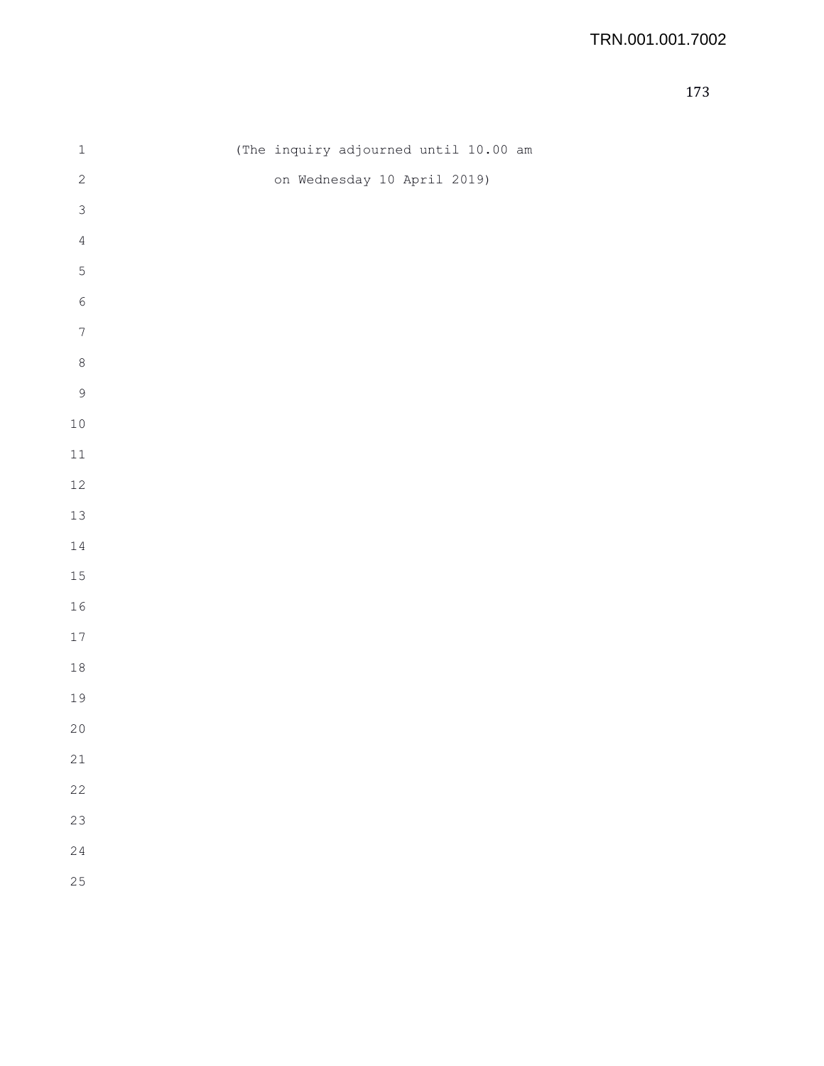| $\mathbbm{1}$    | (The inquiry adjourned until 10.00 am |
|------------------|---------------------------------------|
| $\sqrt{2}$       | on Wednesday 10 April 2019)           |
| $\mathsf 3$      |                                       |
| $\sqrt{4}$       |                                       |
| $\mathsf S$      |                                       |
| $\sqrt{6}$       |                                       |
| $\boldsymbol{7}$ |                                       |
| $\,8\,$          |                                       |
| $\mathsf 9$      |                                       |
| $10$             |                                       |
| $11\,$           |                                       |
| $12\,$           |                                       |
| $13\,$           |                                       |
| $1\,4$           |                                       |
| $15\,$           |                                       |
| $16\,$           |                                       |
| $17\,$           |                                       |
| $1\,8$           |                                       |
| 19               |                                       |
| $20$             |                                       |
| 21               |                                       |
| 22               |                                       |
| 23               |                                       |
| 24               |                                       |
| 25               |                                       |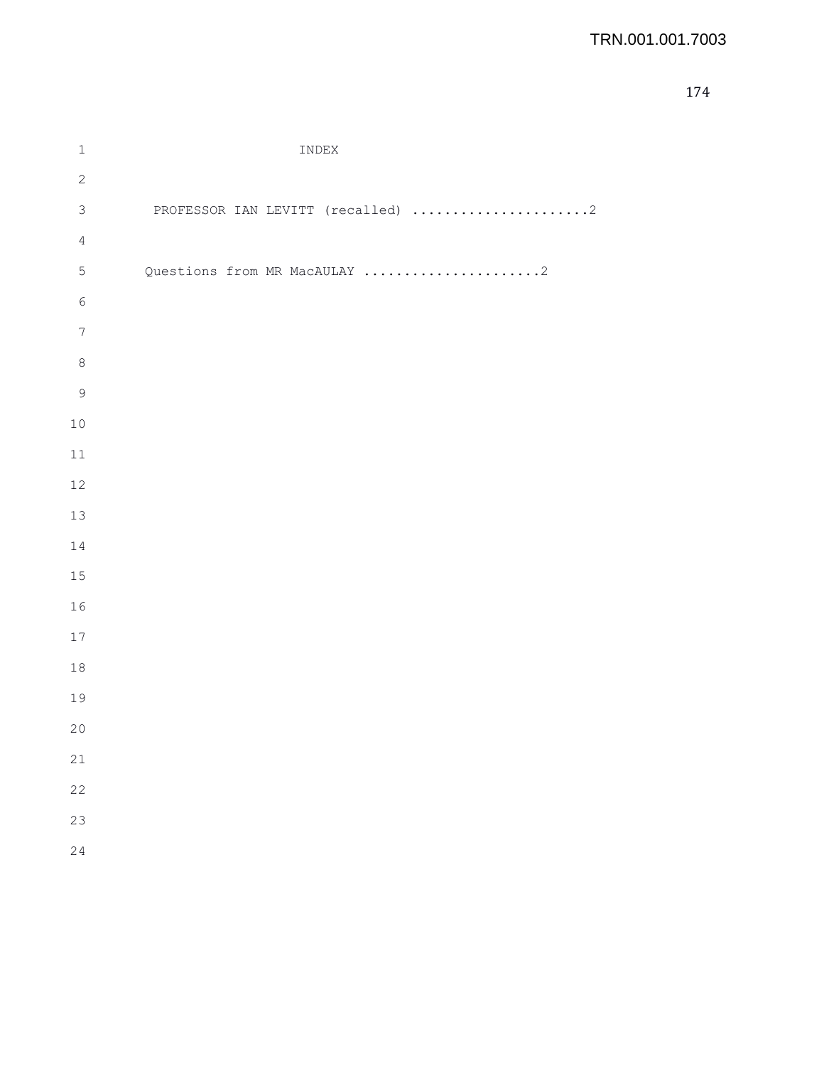| $\mathbf 1$      | INDEX                             |
|------------------|-----------------------------------|
| $\sqrt{2}$       |                                   |
| $\mathsf 3$      | PROFESSOR IAN LEVITT (recalled) 2 |
| $\sqrt{4}$       |                                   |
| $\mathsf S$      | Questions from MR MacAULAY 2      |
| $\epsilon$       |                                   |
| $\boldsymbol{7}$ |                                   |
| $\,8\,$          |                                   |
| $\mathcal{G}$    |                                   |
| $10$             |                                   |
| $11\,$           |                                   |
| 12               |                                   |
| 13               |                                   |
| 14               |                                   |
| 15               |                                   |
| 16               |                                   |
| $17$             |                                   |
| $18\,$           |                                   |
| 19               |                                   |
| 20               |                                   |
| 21               |                                   |
| 22               |                                   |
| 23               |                                   |
| 24               |                                   |